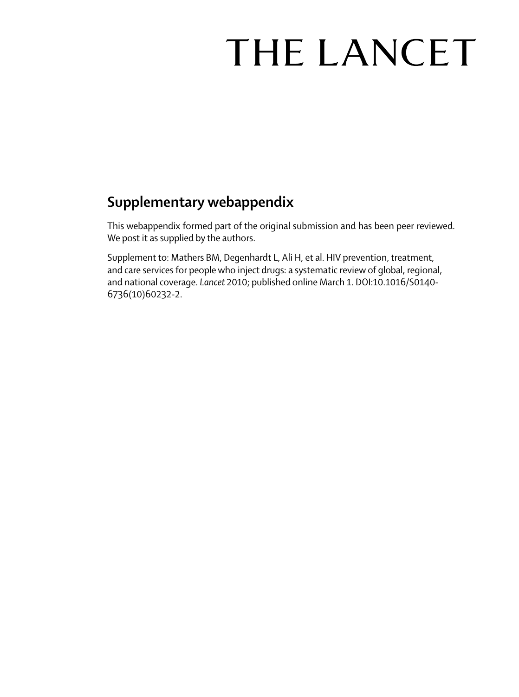# THE LANCET

## **Supplementary webappendix**

This webappendix formed part of the original submission and has been peer reviewed. We post it as supplied by the authors.

Supplement to: Mathers BM, Degenhardt L, Ali H, et al. HIV prevention, treatment, and care services for people who inject drugs: a systematic review of global, regional, and national coverage. *Lancet* 2010; published online March 1. DOI:10.1016/S0140- 6736(10)60232-2.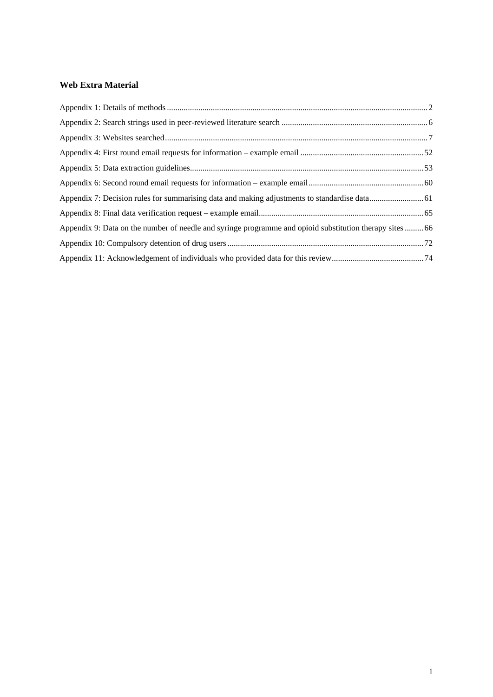#### **Web Extra Material**

| Appendix 9: Data on the number of needle and syringe programme and opioid substitution therapy sites  66 |  |
|----------------------------------------------------------------------------------------------------------|--|
|                                                                                                          |  |
|                                                                                                          |  |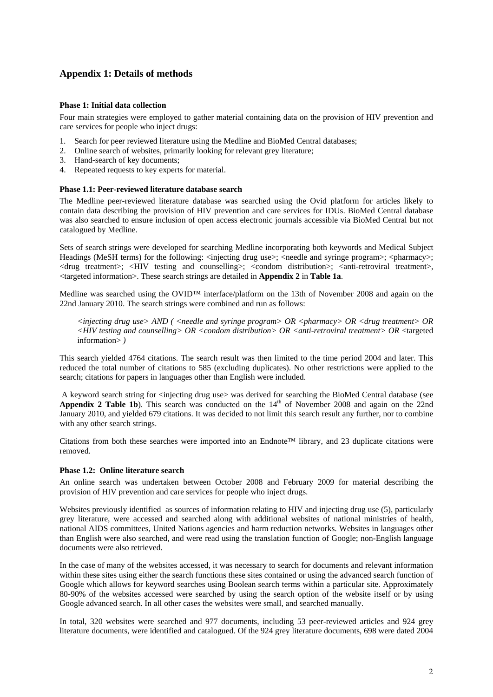#### **Appendix 1: Details of methods**

#### **Phase 1: Initial data collection**

Four main strategies were employed to gather material containing data on the provision of HIV prevention and care services for people who inject drugs:

- 1. Search for peer reviewed literature using the Medline and BioMed Central databases;
- 2. Online search of websites, primarily looking for relevant grey literature;
- 3. Hand-search of key documents;
- 4. Repeated requests to key experts for material.

#### **Phase 1.1: Peer-reviewed literature database search**

The Medline peer-reviewed literature database was searched using the Ovid platform for articles likely to contain data describing the provision of HIV prevention and care services for IDUs. BioMed Central database was also searched to ensure inclusion of open access electronic journals accessible via BioMed Central but not catalogued by Medline.

Sets of search strings were developed for searching Medline incorporating both keywords and Medical Subject Headings (MeSH terms) for the following:  $\langle$ injecting drug use>;  $\langle$ needle and syringe program>;  $\langle$ pharmacy>; <drug treatment>; <HIV testing and counselling>; <condom distribution>; <anti-retroviral treatment>, <targeted information>. These search strings are detailed in **Appendix 2** in **Table 1a**.

Medline was searched using the OVID™ interface/platform on the 13th of November 2008 and again on the 22nd January 2010. The search strings were combined and run as follows:

*<injecting drug use> AND ( <needle and syringe program> OR <pharmacy> OR <drug treatment> OR <HIV testing and counselling> OR <condom distribution> OR <anti-retroviral treatment> OR* <targeted information> *)* 

This search yielded 4764 citations. The search result was then limited to the time period 2004 and later. This reduced the total number of citations to 585 (excluding duplicates). No other restrictions were applied to the search; citations for papers in languages other than English were included.

 A keyword search string for <injecting drug use> was derived for searching the BioMed Central database (see Appendix 2 Table 1b). This search was conducted on the 14<sup>th</sup> of November 2008 and again on the 22nd January 2010, and yielded 679 citations. It was decided to not limit this search result any further, nor to combine with any other search strings.

Citations from both these searches were imported into an Endnote™ library, and 23 duplicate citations were removed.

#### **Phase 1.2: Online literature search**

An online search was undertaken between October 2008 and February 2009 for material describing the provision of HIV prevention and care services for people who inject drugs.

Websites previously identified as sources of information relating to HIV and injecting drug use (5), particularly grey literature, were accessed and searched along with additional websites of national ministries of health, national AIDS committees, United Nations agencies and harm reduction networks. Websites in languages other than English were also searched, and were read using the translation function of Google; non-English language documents were also retrieved.

In the case of many of the websites accessed, it was necessary to search for documents and relevant information within these sites using either the search functions these sites contained or using the advanced search function of Google which allows for keyword searches using Boolean search terms within a particular site. Approximately 80-90% of the websites accessed were searched by using the search option of the website itself or by using Google advanced search. In all other cases the websites were small, and searched manually.

In total, 320 websites were searched and 977 documents, including 53 peer-reviewed articles and 924 grey literature documents, were identified and catalogued. Of the 924 grey literature documents, 698 were dated 2004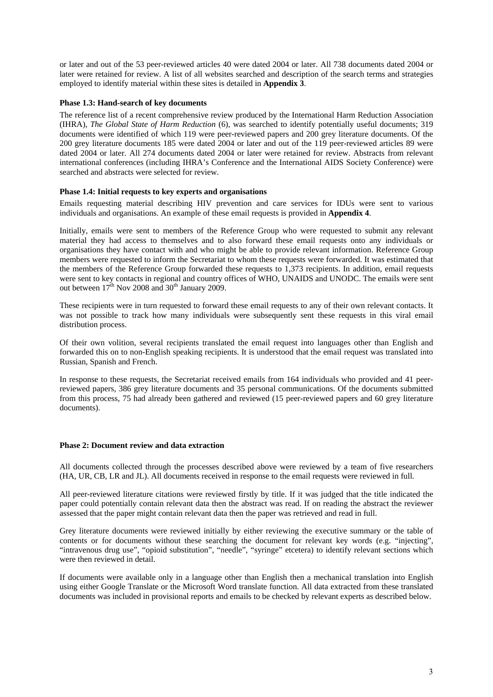or later and out of the 53 peer-reviewed articles 40 were dated 2004 or later. All 738 documents dated 2004 or later were retained for review. A list of all websites searched and description of the search terms and strategies employed to identify material within these sites is detailed in **Appendix 3**.

#### **Phase 1.3: Hand-search of key documents**

The reference list of a recent comprehensive review produced by the International Harm Reduction Association (IHRA), *The Global State of Harm Reduction* (6), was searched to identify potentially useful documents; 319 documents were identified of which 119 were peer-reviewed papers and 200 grey literature documents. Of the 200 grey literature documents 185 were dated 2004 or later and out of the 119 peer-reviewed articles 89 were dated 2004 or later. All 274 documents dated 2004 or later were retained for review. Abstracts from relevant international conferences (including IHRA's Conference and the International AIDS Society Conference) were searched and abstracts were selected for review.

#### **Phase 1.4: Initial requests to key experts and organisations**

Emails requesting material describing HIV prevention and care services for IDUs were sent to various individuals and organisations. An example of these email requests is provided in **Appendix 4**.

Initially, emails were sent to members of the Reference Group who were requested to submit any relevant material they had access to themselves and to also forward these email requests onto any individuals or organisations they have contact with and who might be able to provide relevant information. Reference Group members were requested to inform the Secretariat to whom these requests were forwarded. It was estimated that the members of the Reference Group forwarded these requests to 1,373 recipients. In addition, email requests were sent to key contacts in regional and country offices of WHO, UNAIDS and UNODC. The emails were sent out between  $17<sup>th</sup>$  Nov 2008 and  $30<sup>th</sup>$  January 2009.

These recipients were in turn requested to forward these email requests to any of their own relevant contacts. It was not possible to track how many individuals were subsequently sent these requests in this viral email distribution process.

Of their own volition, several recipients translated the email request into languages other than English and forwarded this on to non-English speaking recipients. It is understood that the email request was translated into Russian, Spanish and French.

In response to these requests, the Secretariat received emails from 164 individuals who provided and 41 peerreviewed papers, 386 grey literature documents and 35 personal communications. Of the documents submitted from this process, 75 had already been gathered and reviewed (15 peer-reviewed papers and 60 grey literature documents).

#### **Phase 2: Document review and data extraction**

All documents collected through the processes described above were reviewed by a team of five researchers (HA, UR, CB, LR and JL). All documents received in response to the email requests were reviewed in full.

All peer-reviewed literature citations were reviewed firstly by title. If it was judged that the title indicated the paper could potentially contain relevant data then the abstract was read. If on reading the abstract the reviewer assessed that the paper might contain relevant data then the paper was retrieved and read in full.

Grey literature documents were reviewed initially by either reviewing the executive summary or the table of contents or for documents without these searching the document for relevant key words (e.g. "injecting", "intravenous drug use", "opioid substitution", "needle", "syringe" etcetera) to identify relevant sections which were then reviewed in detail.

If documents were available only in a language other than English then a mechanical translation into English using either Google Translate or the Microsoft Word translate function. All data extracted from these translated documents was included in provisional reports and emails to be checked by relevant experts as described below.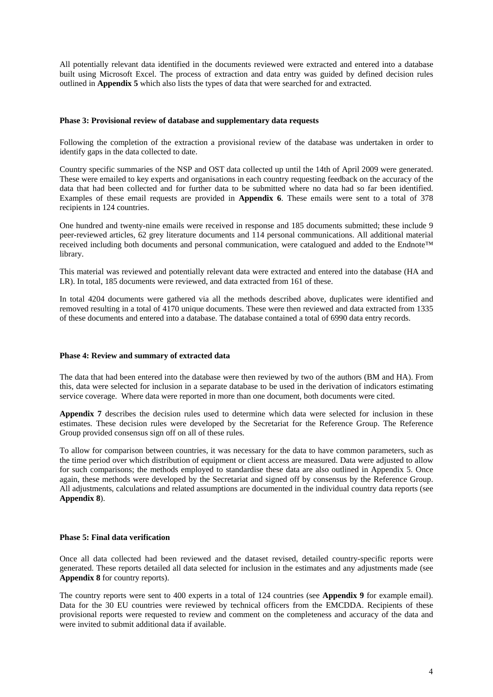All potentially relevant data identified in the documents reviewed were extracted and entered into a database built using Microsoft Excel. The process of extraction and data entry was guided by defined decision rules outlined in **Appendix 5** which also lists the types of data that were searched for and extracted.

#### **Phase 3: Provisional review of database and supplementary data requests**

Following the completion of the extraction a provisional review of the database was undertaken in order to identify gaps in the data collected to date.

Country specific summaries of the NSP and OST data collected up until the 14th of April 2009 were generated. These were emailed to key experts and organisations in each country requesting feedback on the accuracy of the data that had been collected and for further data to be submitted where no data had so far been identified. Examples of these email requests are provided in **Appendix 6**. These emails were sent to a total of 378 recipients in 124 countries.

One hundred and twenty-nine emails were received in response and 185 documents submitted; these include 9 peer-reviewed articles, 62 grey literature documents and 114 personal communications. All additional material received including both documents and personal communication, were catalogued and added to the Endnote™ library.

This material was reviewed and potentially relevant data were extracted and entered into the database (HA and LR). In total, 185 documents were reviewed, and data extracted from 161 of these.

In total 4204 documents were gathered via all the methods described above, duplicates were identified and removed resulting in a total of 4170 unique documents. These were then reviewed and data extracted from 1335 of these documents and entered into a database. The database contained a total of 6990 data entry records.

#### **Phase 4: Review and summary of extracted data**

The data that had been entered into the database were then reviewed by two of the authors (BM and HA). From this, data were selected for inclusion in a separate database to be used in the derivation of indicators estimating service coverage. Where data were reported in more than one document, both documents were cited.

**Appendix 7** describes the decision rules used to determine which data were selected for inclusion in these estimates. These decision rules were developed by the Secretariat for the Reference Group. The Reference Group provided consensus sign off on all of these rules.

To allow for comparison between countries, it was necessary for the data to have common parameters, such as the time period over which distribution of equipment or client access are measured. Data were adjusted to allow for such comparisons; the methods employed to standardise these data are also outlined in Appendix 5. Once again, these methods were developed by the Secretariat and signed off by consensus by the Reference Group. All adjustments, calculations and related assumptions are documented in the individual country data reports (see **Appendix 8**).

#### **Phase 5: Final data verification**

Once all data collected had been reviewed and the dataset revised, detailed country-specific reports were generated. These reports detailed all data selected for inclusion in the estimates and any adjustments made (see **Appendix 8** for country reports).

The country reports were sent to 400 experts in a total of 124 countries (see **Appendix 9** for example email). Data for the 30 EU countries were reviewed by technical officers from the EMCDDA. Recipients of these provisional reports were requested to review and comment on the completeness and accuracy of the data and were invited to submit additional data if available.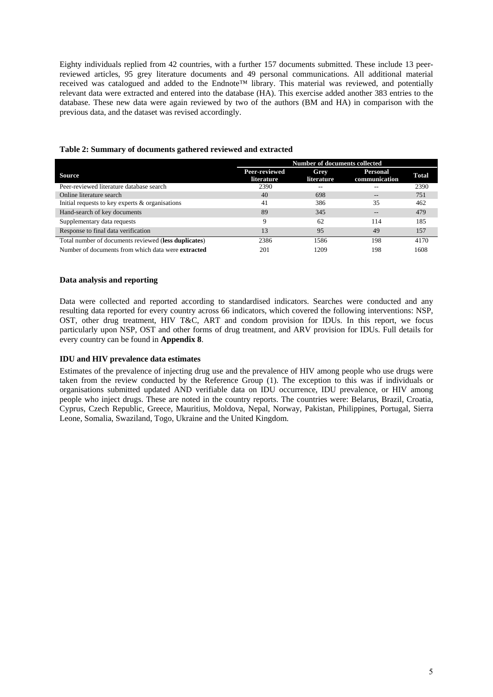Eighty individuals replied from 42 countries, with a further 157 documents submitted. These include 13 peerreviewed articles, 95 grey literature documents and 49 personal communications. All additional material received was catalogued and added to the Endnote™ library. This material was reviewed, and potentially relevant data were extracted and entered into the database (HA). This exercise added another 383 entries to the database. These new data were again reviewed by two of the authors (BM and HA) in comparison with the previous data, and the dataset was revised accordingly.

|                                                           | Number of documents collected |                           |                           |              |
|-----------------------------------------------------------|-------------------------------|---------------------------|---------------------------|--------------|
| <b>Source</b>                                             | Peer-reviewed<br>literature   | Grey<br><i>literature</i> | Personal<br>communication | <b>Total</b> |
| Peer-reviewed literature database search                  | 2390                          | --                        |                           | 2390         |
| Online literature search                                  | 40                            | 698                       | $- -$                     | 751          |
| Initial requests to key experts & organisations           | 41                            | 386                       | 35                        | 462          |
| Hand-search of key documents                              | 89                            | 345                       | --                        | 479          |
| Supplementary data requests                               | 9                             | 62                        | 114                       | 185          |
| Response to final data verification                       | 13                            | 95                        | 49                        | 157          |
| Total number of documents reviewed (less duplicates)      | 2386                          | 1586                      | 198                       | 4170         |
| Number of documents from which data were <b>extracted</b> | 201                           | 1209                      | 198                       | 1608         |

#### **Table 2: Summary of documents gathered reviewed and extracted**

#### **Data analysis and reporting**

Data were collected and reported according to standardised indicators. Searches were conducted and any resulting data reported for every country across 66 indicators, which covered the following interventions: NSP, OST, other drug treatment, HIV T&C, ART and condom provision for IDUs. In this report, we focus particularly upon NSP, OST and other forms of drug treatment, and ARV provision for IDUs. Full details for every country can be found in **Appendix 8**.

#### **IDU and HIV prevalence data estimates**

Estimates of the prevalence of injecting drug use and the prevalence of HIV among people who use drugs were taken from the review conducted by the Reference Group (1). The exception to this was if individuals or organisations submitted updated AND verifiable data on IDU occurrence, IDU prevalence, or HIV among people who inject drugs. These are noted in the country reports. The countries were: Belarus, Brazil, Croatia, Cyprus, Czech Republic, Greece, Mauritius, Moldova, Nepal, Norway, Pakistan, Philippines, Portugal, Sierra Leone, Somalia, Swaziland, Togo, Ukraine and the United Kingdom.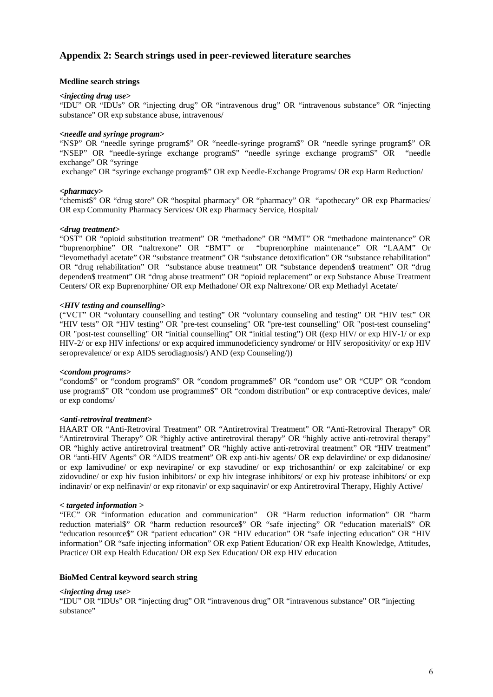#### **Appendix 2: Search strings used in peer-reviewed literature searches**

#### **Medline search strings**

#### *<injecting drug use>*

"IDU" OR "IDUs" OR "injecting drug" OR "intravenous drug" OR "intravenous substance" OR "injecting substance" OR exp substance abuse, intravenous/

#### *<needle and syringe program>*

"NSP" OR "needle syringe program\$" OR "needle-syringe program\$" OR "needle syringe program\$" OR "NSEP" OR "needle-syringe exchange program\$" "needle syringe exchange program\$" OR "needle exchange" OR "syringe

exchange" OR "syringe exchange program\$" OR exp Needle-Exchange Programs/ OR exp Harm Reduction/

#### *<pharmacy>*

"chemist\$" OR "drug store" OR "hospital pharmacy" OR "pharmacy" OR "apothecary" OR exp Pharmacies/ OR exp Community Pharmacy Services/ OR exp Pharmacy Service, Hospital/

#### *<drug treatment>*

"OST" OR "opioid substitution treatment" OR "methadone" OR "MMT" OR "methadone maintenance" OR "buprenorphine" OR "naltrexone" OR "BMT" or "buprenorphine maintenance" OR "LAAM" Or "levomethadyl acetate" OR "substance treatment" OR "substance detoxification" OR "substance rehabilitation" OR "drug rehabilitation" OR "substance abuse treatment" OR "substance dependen\$ treatment" OR "drug dependen\$ treatment" OR "drug abuse treatment" OR "opioid replacement" or exp Substance Abuse Treatment Centers/ OR exp Buprenorphine/ OR exp Methadone/ OR exp Naltrexone/ OR exp Methadyl Acetate/

#### *<HIV testing and counselling>*

("VCT" OR "voluntary counselling and testing" OR "voluntary counseling and testing" OR "HIV test" OR "HIV tests" OR "HIV testing" OR "pre-test counseling" OR "pre-test counselling" OR "post-test counseling" OR "post-test counselling" OR "initial counselling" OR "initial testing") OR ((exp HIV/ or exp HIV-1/ or exp HIV-2/ or exp HIV infections/ or exp acquired immunodeficiency syndrome/ or HIV seropositivity/ or exp HIV seroprevalence/ or exp AIDS serodiagnosis/) AND (exp Counseling/))

#### *<condom programs>*

"condom\$" or "condom program\$" OR "condom programme\$" OR "condom use" OR "CUP" OR "condom use program\$" OR "condom use programme\$" OR "condom distribution" or exp contraceptive devices, male/ or exp condoms/

#### *<anti-retroviral treatment>*

HAART OR "Anti-Retroviral Treatment" OR "Antiretroviral Treatment" OR "Anti-Retroviral Therapy" OR "Antiretroviral Therapy" OR "highly active antiretroviral therapy" OR "highly active anti-retroviral therapy" OR "highly active antiretroviral treatment" OR "highly active anti-retroviral treatment" OR "HIV treatment" OR "anti-HIV Agents" OR "AIDS treatment" OR exp anti-hiv agents/ OR exp delavirdine/ or exp didanosine/ or exp lamivudine/ or exp nevirapine/ or exp stavudine/ or exp trichosanthin/ or exp zalcitabine/ or exp zidovudine/ or exp hiv fusion inhibitors/ or exp hiv integrase inhibitors/ or exp hiv protease inhibitors/ or exp indinavir/ or exp nelfinavir/ or exp ritonavir/ or exp saquinavir/ or exp Antiretroviral Therapy, Highly Active/

#### *< targeted information >*

"IEC" OR "information education and communication" OR "Harm reduction information" OR "harm reduction material\$" OR "harm reduction resource\$" OR "safe injecting" OR "education material\$" OR "education resource\$" OR "patient education" OR "HIV education" OR "safe injecting education" OR "HIV information" OR "safe injecting information" OR exp Patient Education/ OR exp Health Knowledge, Attitudes, Practice/ OR exp Health Education/ OR exp Sex Education/ OR exp HIV education

#### **BioMed Central keyword search string**

#### *<injecting drug use>*

"IDU" OR "IDUs" OR "injecting drug" OR "intravenous drug" OR "intravenous substance" OR "injecting substance"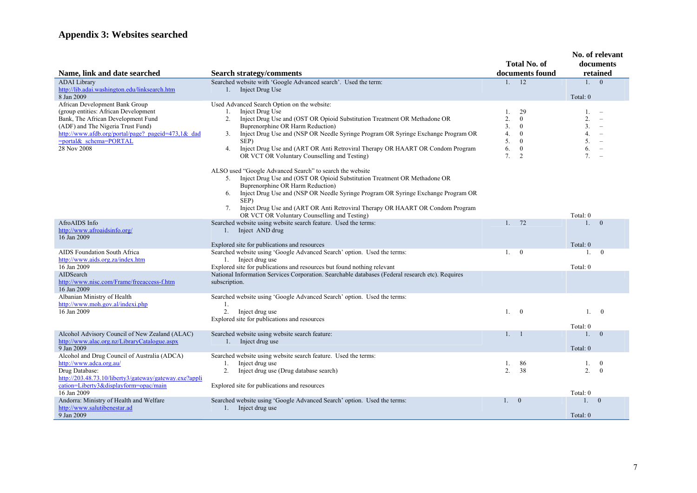### **Appendix 3: Websites searched**

| Name, link and date searched                                                                                                                                                                                                                     | <b>Search strategy/comments</b>                                                                                                                                                                                                                                                                                                                                                                                                                                                                                                                                                                                                                                                                                                                                                                                                      |                                        | <b>Total No. of</b><br>documents found                                                       |                                                                | No. of relevant<br>documents<br>retained                                                                                                                 |
|--------------------------------------------------------------------------------------------------------------------------------------------------------------------------------------------------------------------------------------------------|--------------------------------------------------------------------------------------------------------------------------------------------------------------------------------------------------------------------------------------------------------------------------------------------------------------------------------------------------------------------------------------------------------------------------------------------------------------------------------------------------------------------------------------------------------------------------------------------------------------------------------------------------------------------------------------------------------------------------------------------------------------------------------------------------------------------------------------|----------------------------------------|----------------------------------------------------------------------------------------------|----------------------------------------------------------------|----------------------------------------------------------------------------------------------------------------------------------------------------------|
| <b>ADAI</b> Library                                                                                                                                                                                                                              | Searched website with 'Google Advanced search'. Used the term:                                                                                                                                                                                                                                                                                                                                                                                                                                                                                                                                                                                                                                                                                                                                                                       | 1.                                     | 12                                                                                           | 1.0                                                            |                                                                                                                                                          |
| http://lib.adai.washington.edu/linksearch.htm<br>8 Jan 2009                                                                                                                                                                                      | 1. Inject Drug Use                                                                                                                                                                                                                                                                                                                                                                                                                                                                                                                                                                                                                                                                                                                                                                                                                   |                                        |                                                                                              | Total: 0                                                       |                                                                                                                                                          |
| African Development Bank Group<br>(group entities: African Development<br>Bank, The African Development Fund<br>(ADF) and The Nigeria Trust Fund)<br>http://www.afdb.org/portal/page? pageid=473,1& dad<br>=portal& schema=PORTAL<br>28 Nov 2008 | Used Advanced Search Option on the website:<br>Inject Drug Use<br>1.<br>Inject Drug Use and (OST OR Opioid Substitution Treatment OR Methadone OR<br>2 <sub>1</sub><br><b>Buprenorphine OR Harm Reduction)</b><br>Inject Drug Use and (NSP OR Needle Syringe Program OR Syringe Exchange Program OR<br>3.<br>SEP)<br>Inject Drug Use and (ART OR Anti Retroviral Therapy OR HAART OR Condom Program<br>4.<br>OR VCT OR Voluntary Counselling and Testing)<br>ALSO used "Google Advanced Search" to search the website<br>5. Inject Drug Use and (OST OR Opioid Substitution Treatment OR Methadone OR<br>Buprenorphine OR Harm Reduction)<br>Inject Drug Use and (NSP OR Needle Syringe Program OR Syringe Exchange Program OR<br>6.<br>SEP)<br>Inject Drug Use and (ART OR Anti Retroviral Therapy OR HAART OR Condom Program<br>7. | 1.<br>2.<br>3.<br>4.<br>5.<br>6.<br>7. | 29<br>$\theta$<br>$\mathbf{0}$<br>$\mathbf{0}$<br>$\mathbf{0}$<br>$\bf{0}$<br>$\overline{2}$ | 1.<br>2.<br>3 <sub>1</sub><br>4.<br>5.<br>6.<br>7 <sub>1</sub> | ÷,<br>$\overline{\phantom{0}}$<br>$\overline{\phantom{a}}$<br>$\overline{\phantom{a}}$<br>$\overline{\phantom{a}}$<br>$\overline{\phantom{a}}$<br>$\sim$ |
| AfroAIDS Info<br>http://www.afroaidsinfo.org/<br>16 Jan 2009                                                                                                                                                                                     | OR VCT OR Voluntary Counselling and Testing)<br>Searched website using website search feature. Used the terms:<br>1. Inject AND drug                                                                                                                                                                                                                                                                                                                                                                                                                                                                                                                                                                                                                                                                                                 | $1_{\cdots}$                           | 72                                                                                           | Total: 0<br>1.                                                 | $\theta$                                                                                                                                                 |
| AIDS Foundation South Africa<br>http://www.aids.org.za/index.htm                                                                                                                                                                                 | Explored site for publications and resources<br>Searched website using 'Google Advanced Search' option. Used the terms:<br>1. Inject drug use                                                                                                                                                                                                                                                                                                                                                                                                                                                                                                                                                                                                                                                                                        | 1.                                     | $\theta$                                                                                     | Total: 0<br>1.                                                 | $\theta$                                                                                                                                                 |
| 16 Jan 2009                                                                                                                                                                                                                                      | Explored site for publications and resources but found nothing relevant                                                                                                                                                                                                                                                                                                                                                                                                                                                                                                                                                                                                                                                                                                                                                              |                                        |                                                                                              | Total: 0                                                       |                                                                                                                                                          |
| AIDSearch<br>http://www.nisc.com/Frame/freeaccess-f.htm<br>16 Jan 2009                                                                                                                                                                           | National Information Services Corporation. Searchable databases (Federal research etc). Requires<br>subscription.                                                                                                                                                                                                                                                                                                                                                                                                                                                                                                                                                                                                                                                                                                                    |                                        |                                                                                              |                                                                |                                                                                                                                                          |
| Albanian Ministry of Health<br>http://www.moh.gov.al/indexi.php                                                                                                                                                                                  | Searched website using 'Google Advanced Search' option. Used the terms:<br>1.                                                                                                                                                                                                                                                                                                                                                                                                                                                                                                                                                                                                                                                                                                                                                        |                                        |                                                                                              |                                                                |                                                                                                                                                          |
| 16 Jan 2009                                                                                                                                                                                                                                      | 2.<br>Inject drug use<br>Explored site for publications and resources                                                                                                                                                                                                                                                                                                                                                                                                                                                                                                                                                                                                                                                                                                                                                                | 1.                                     | $\overline{0}$                                                                               | 1.<br>Total: 0                                                 | $\bf{0}$                                                                                                                                                 |
| Alcohol Advisory Council of New Zealand (ALAC)<br>http://www.alac.org.nz/LibraryCatalogue.aspx<br>9 Jan 2009                                                                                                                                     | Searched website using website search feature:<br>1. Inject drug use                                                                                                                                                                                                                                                                                                                                                                                                                                                                                                                                                                                                                                                                                                                                                                 |                                        | $1 - 1$                                                                                      | 1.<br>Total: 0                                                 | $\overline{0}$                                                                                                                                           |
| Alcohol and Drug Council of Australia (ADCA)<br>http://www.adca.org.au/<br>Drug Database:<br>http://203.48.73.10/liberty3/gateway/gateway.exe?appli<br>cation=Liberty3&displayform=opac/main                                                     | Searched website using website search feature. Used the terms:<br>Inject drug use<br>1.<br>2.<br>Inject drug use (Drug database search)<br>Explored site for publications and resources                                                                                                                                                                                                                                                                                                                                                                                                                                                                                                                                                                                                                                              | 1.<br>2.                               | 86<br>38                                                                                     | 1.<br>2.                                                       | $\theta$<br>$\theta$                                                                                                                                     |
| 16 Jan 2009<br>Andorra: Ministry of Health and Welfare<br>http://www.salutibenestar.ad<br>9 Jan 2009                                                                                                                                             | Searched website using 'Google Advanced Search' option. Used the terms:<br>1. Inject drug use                                                                                                                                                                                                                                                                                                                                                                                                                                                                                                                                                                                                                                                                                                                                        | 1.                                     | $\overline{0}$                                                                               | Total: 0<br>1.0<br>Total: 0                                    |                                                                                                                                                          |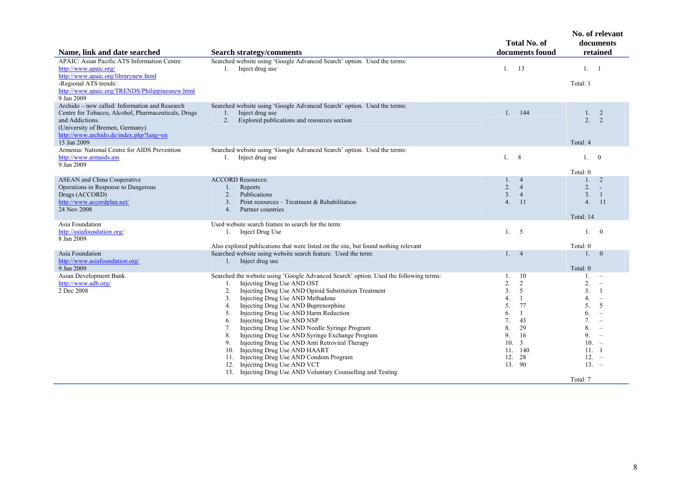|                                                                                                                                                                                                                       |                                                                                                                                                                                                                                                                                                                                                                                                                                                                                                                                                                                                                                                                                                                                        | <b>Total No. of</b>                                                                                                                                                                 | No. of relevant<br>documents                                                                                                                                                                                                                                         |
|-----------------------------------------------------------------------------------------------------------------------------------------------------------------------------------------------------------------------|----------------------------------------------------------------------------------------------------------------------------------------------------------------------------------------------------------------------------------------------------------------------------------------------------------------------------------------------------------------------------------------------------------------------------------------------------------------------------------------------------------------------------------------------------------------------------------------------------------------------------------------------------------------------------------------------------------------------------------------|-------------------------------------------------------------------------------------------------------------------------------------------------------------------------------------|----------------------------------------------------------------------------------------------------------------------------------------------------------------------------------------------------------------------------------------------------------------------|
| Name, link and date searched                                                                                                                                                                                          | <b>Search strategy/comments</b>                                                                                                                                                                                                                                                                                                                                                                                                                                                                                                                                                                                                                                                                                                        | documents found                                                                                                                                                                     | retained                                                                                                                                                                                                                                                             |
| <b>APAIC:</b> Asian Pacific ATS Information Centre<br>http://www.apaic.org/<br>http://www.apaic.org/librarynew.html<br>-Regional ATS trends:<br>http://www.apaic.org/TRENDS/Philippinesnew.html<br>9 Jan 2009         | Searched website using 'Google Advanced Search' option. Used the terms:<br>1. Inject drug use                                                                                                                                                                                                                                                                                                                                                                                                                                                                                                                                                                                                                                          | 13<br>1.                                                                                                                                                                            | 1. 1<br>Total: 1                                                                                                                                                                                                                                                     |
| Archido – now called: Information and Research<br>Centre for Tobacco, Alcohol, Pharmaceuticals, Drugs<br>and Addictions.<br>(University of Bremen, Germany)<br>http://www.archido.de/index.php?lang=en<br>15 Jan 2009 | Searched website using 'Google Advanced Search' option. Used the terms:<br>1.<br>Inject drug use<br>Explored publications and resources section<br>2.                                                                                                                                                                                                                                                                                                                                                                                                                                                                                                                                                                                  | 144<br>$1$ .                                                                                                                                                                        | 1.<br>2<br>2.<br>2<br>Total: 4                                                                                                                                                                                                                                       |
| Armenia: National Centre for AIDS Prevention<br>http://www.armaids.am<br>9 Jan 2009                                                                                                                                   | Searched website using 'Google Advanced Search' option. Used the terms:<br>1. Inject drug use                                                                                                                                                                                                                                                                                                                                                                                                                                                                                                                                                                                                                                          | 8<br>1.                                                                                                                                                                             | 1.0<br>Total: 0                                                                                                                                                                                                                                                      |
| <b>ASEAN</b> and China Cooperative<br>Operations in Response to Dangerous<br>Drugs (ACCORD)<br>http://www.accordplan.net/<br>24 Nov 2008                                                                              | <b>ACCORD Resources:</b><br>Reports<br>1.<br>Publications<br>2.<br>$\overline{3}$ .<br>Print resources – Treatment & Rehabilitation<br>$\overline{4}$ .<br>Partner countries                                                                                                                                                                                                                                                                                                                                                                                                                                                                                                                                                           | $1_{-}$<br>$\overline{4}$<br>2.<br>$\overline{4}$<br>3.<br>$\overline{4}$<br>4.<br><sup>11</sup>                                                                                    | 2<br>1.<br>2.<br>3.<br>-1<br>4.<br>11<br>Total: 14                                                                                                                                                                                                                   |
| Asia Foundation<br>http://asiafoundation.org/<br>8 Jan 2009                                                                                                                                                           | Used website search feature to search for the term:<br>1. Inject Drug Use<br>Also explored publications that were listed on the site, but found nothing relevant                                                                                                                                                                                                                                                                                                                                                                                                                                                                                                                                                                       | 5<br>1 <sup>1</sup>                                                                                                                                                                 | 1.<br>$\overline{0}$<br>Total: 0                                                                                                                                                                                                                                     |
| Asia Foundation<br>http://www.asiafoundation.org/<br>9 Jan 2009                                                                                                                                                       | Searched website using website search feature. Used the term:<br>1. Inject drug use                                                                                                                                                                                                                                                                                                                                                                                                                                                                                                                                                                                                                                                    | 1.4                                                                                                                                                                                 | $\overline{0}$<br>1.<br>Total: 0                                                                                                                                                                                                                                     |
| Asian Development Bank<br>http://www.adb.org/<br>2 Dec 2008                                                                                                                                                           | Searched the website using 'Google Advanced Search' option. Used the following terms:<br>Injecting Drug Use AND OST<br>1.<br>Injecting Drug Use AND Opioid Substitution Treatment<br>2.<br>Injecting Drug Use AND Methadone<br>3.<br>Injecting Drug Use AND Buprenorphine<br>4.<br>Injecting Drug Use AND Harm Reduction<br>5.<br>Injecting Drug Use AND NSP<br>6.<br>Injecting Drug Use AND Needle Syringe Program<br>7.<br>Injecting Drug Use AND Syringe Exchange Program<br>8.<br>Injecting Drug Use AND Anti Retroviral Therapy<br>9.<br>Injecting Drug Use AND HAART<br>10.<br>Injecting Drug Use AND Condom Program<br>11.<br>Injecting Drug Use AND VCT<br>12.<br>13. Injecting Drug Use AND Voluntary Counselling and Testing | <sup>10</sup><br>1.<br>2.<br>2<br>3.<br>5<br>4.<br>-1<br>5.<br>77<br>6.<br>-1<br>43<br>7.<br>8.<br>29<br>9.<br>16<br>10.<br>$\overline{3}$<br>140<br>11.<br>12.<br>28<br>13.<br>-90 | 1.<br>$\qquad \qquad -$<br>2.<br>$\overline{\phantom{a}}$<br>3.<br>-1<br>4.<br>$\overline{\phantom{a}}$<br>5.<br>5<br>6.<br>7.<br>$\overline{\phantom{m}}$<br>8.<br>$\overline{\phantom{a}}$<br>9.<br>$\equiv$<br>$10. -$<br>11. 1<br>$12. -$<br>$13. -$<br>Total: 7 |
|                                                                                                                                                                                                                       |                                                                                                                                                                                                                                                                                                                                                                                                                                                                                                                                                                                                                                                                                                                                        |                                                                                                                                                                                     |                                                                                                                                                                                                                                                                      |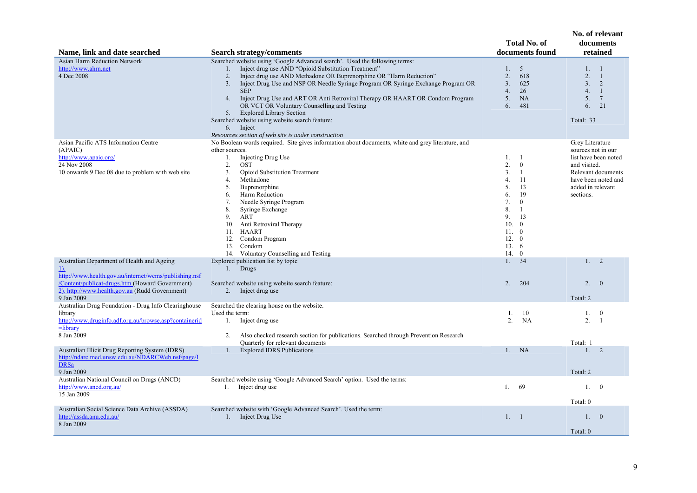| Name, link and date searched                                                                                                                                             | <b>Search strategy/comments</b>                                                                                                                                                                                                                                                                                                                                                                                                                                                                                                                       | <b>Total No. of</b><br>documents found                                                                                                                                                                                             | No. of relevant<br>documents<br>retained                                                                                                  |
|--------------------------------------------------------------------------------------------------------------------------------------------------------------------------|-------------------------------------------------------------------------------------------------------------------------------------------------------------------------------------------------------------------------------------------------------------------------------------------------------------------------------------------------------------------------------------------------------------------------------------------------------------------------------------------------------------------------------------------------------|------------------------------------------------------------------------------------------------------------------------------------------------------------------------------------------------------------------------------------|-------------------------------------------------------------------------------------------------------------------------------------------|
| Asian Harm Reduction Network                                                                                                                                             | Searched website using 'Google Advanced search'. Used the following terms:                                                                                                                                                                                                                                                                                                                                                                                                                                                                            |                                                                                                                                                                                                                                    |                                                                                                                                           |
| http://www.ahrn.net<br>4 Dec 2008                                                                                                                                        | Inject drug use AND "Opioid Substitution Treatment"<br>1.<br>Inject drug use AND Methadone OR Buprenorphine OR "Harm Reduction"<br>2.<br>Inject Drug Use and NSP OR Needle Syringe Program OR Syringe Exchange Program OR<br>3.<br><b>SEP</b><br>4.<br>Inject Drug Use and ART OR Anti Retroviral Therapy OR HAART OR Condom Program<br>OR VCT OR Voluntary Counselling and Testing<br><b>Explored Library Section</b><br>5.<br>Searched website using website search feature:<br>Inject<br>6.<br>Resources section of web site is under construction | 5<br>$1_{-}$<br>2.<br>618<br>3 <sub>1</sub><br>625<br>4.<br>26<br>5.<br><b>NA</b><br>481<br>6.                                                                                                                                     | 1.<br>$\overline{1}$<br>2.<br>-1<br>3.<br>2<br>4.<br>$\overline{1}$<br>5.<br>$7\phantom{.0}$<br>21<br>6.<br>Total: 33                     |
| Asian Pacific ATS Information Centre                                                                                                                                     | No Boolean words required. Site gives information about documents, white and grey literature, and                                                                                                                                                                                                                                                                                                                                                                                                                                                     |                                                                                                                                                                                                                                    | Grey Literature                                                                                                                           |
| (APAIC)<br>http://www.apaic.org/<br>24 Nov 2008<br>10 onwards 9 Dec 08 due to problem with web site                                                                      | other sources.<br>Injecting Drug Use<br>1.<br>2.<br><b>OST</b><br><b>Opioid Substitution Treatment</b><br>3.<br>4.<br>Methadone<br>5.<br>Buprenorphine<br>Harm Reduction<br>6.<br>Needle Syringe Program<br>7.<br>8.<br>Syringe Exchange<br>9.<br>ART<br>Anti Retroviral Therapy<br>10.<br>11. HAART<br>Condom Program<br>12.<br>13. Condom<br>14. Voluntary Counselling and Testing                                                                                                                                                                  | 1.<br>- 1<br>$\mathbf{0}$<br>2.<br>3.<br>$\mathbf{1}$<br>11<br>4.<br>5.<br>13<br>19<br>6.<br>7.<br>$\mathbf{0}$<br>8.<br>1<br>9.<br>13<br>10.<br>$\theta$<br>11.<br>$\mathbf{0}$<br>12.<br>$\theta$<br>13.6<br>14.<br>$\mathbf{0}$ | sources not in our<br>list have been noted<br>and visited.<br>Relevant documents<br>have been noted and<br>added in relevant<br>sections. |
| Australian Department of Health and Ageing<br>$\underline{1}$                                                                                                            | Explored publication list by topic<br>1. Drugs                                                                                                                                                                                                                                                                                                                                                                                                                                                                                                        | 34<br>1.                                                                                                                                                                                                                           | 1. 2                                                                                                                                      |
| http://www.health.gov.au/internet/wcms/publishing.nsf<br>/Content/publicat-drugs.htm (Howard Government)<br>2). http://www.health.gov.au (Rudd Government)<br>9 Jan 2009 | Searched website using website search feature:<br>Inject drug use<br>2.                                                                                                                                                                                                                                                                                                                                                                                                                                                                               | 2.<br>204                                                                                                                                                                                                                          | 2.<br>$\overline{0}$<br>Total: 2                                                                                                          |
| Australian Drug Foundation - Drug Info Clearinghouse                                                                                                                     | Searched the clearing house on the website.                                                                                                                                                                                                                                                                                                                                                                                                                                                                                                           |                                                                                                                                                                                                                                    |                                                                                                                                           |
| library<br>http://www.druginfo.adf.org.au/browse.asp?containerid<br>$=$ library<br>8 Jan 2009                                                                            | Used the term:<br>Inject drug use<br>1.<br>Also checked research section for publications. Searched through Prevention Research<br>2.                                                                                                                                                                                                                                                                                                                                                                                                                 | 1.<br>10<br>2.<br>NA                                                                                                                                                                                                               | $\bf{0}$<br>1.<br>$\overline{2}$ .<br>-1                                                                                                  |
| Australian Illicit Drug Reporting System (IDRS)<br>http://ndarc.med.unsw.edu.au/NDARCWeb.nsf/page/I<br><b>DRSa</b><br>9 Jan 2009                                         | Quarterly for relevant documents<br><b>Explored IDRS Publications</b><br>1.                                                                                                                                                                                                                                                                                                                                                                                                                                                                           | <b>NA</b><br>1.                                                                                                                                                                                                                    | Total: 1<br>2<br>1.<br>Total: 2                                                                                                           |
| Australian National Council on Drugs (ANCD)                                                                                                                              | Searched website using 'Google Advanced Search' option. Used the terms:                                                                                                                                                                                                                                                                                                                                                                                                                                                                               |                                                                                                                                                                                                                                    |                                                                                                                                           |
| http://www.ancd.org.au/<br>15 Jan 2009                                                                                                                                   | Inject drug use<br>1.                                                                                                                                                                                                                                                                                                                                                                                                                                                                                                                                 | $1$ .<br>69                                                                                                                                                                                                                        | 1.<br>$\theta$<br>Total: 0                                                                                                                |
| Australian Social Science Data Archive (ASSDA)<br>http://assda.anu.edu.au/<br>8 Jan 2009                                                                                 | Searched website with 'Google Advanced Search'. Used the term:<br>Inject Drug Use<br>1.                                                                                                                                                                                                                                                                                                                                                                                                                                                               | 1. 1                                                                                                                                                                                                                               | 1.<br>$\overline{0}$                                                                                                                      |
|                                                                                                                                                                          |                                                                                                                                                                                                                                                                                                                                                                                                                                                                                                                                                       |                                                                                                                                                                                                                                    | Total: 0                                                                                                                                  |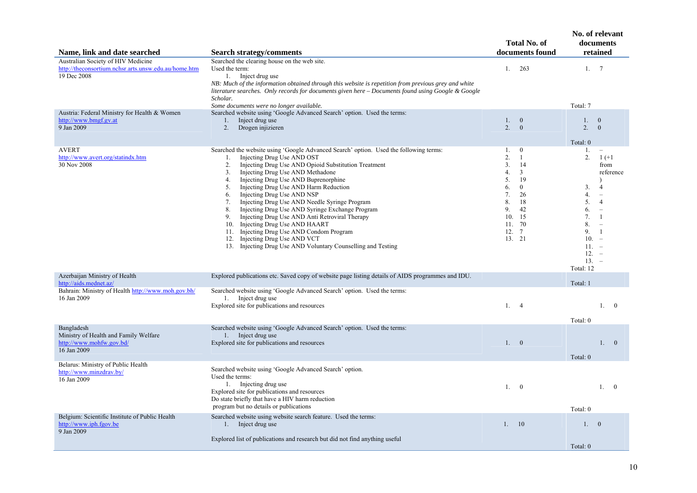| Name, link and date searched                                                                              | <b>Search strategy/comments</b>                                                                                                                                                                                                                                                                                                                                                                                                                                                                                                                                                                                                                                                                                                  |                                                                                       | <b>Total No. of</b><br>documents found                                                                                            | No. of relevant                                                                                             | documents<br>retained                                                                                                                                                                           |                |
|-----------------------------------------------------------------------------------------------------------|----------------------------------------------------------------------------------------------------------------------------------------------------------------------------------------------------------------------------------------------------------------------------------------------------------------------------------------------------------------------------------------------------------------------------------------------------------------------------------------------------------------------------------------------------------------------------------------------------------------------------------------------------------------------------------------------------------------------------------|---------------------------------------------------------------------------------------|-----------------------------------------------------------------------------------------------------------------------------------|-------------------------------------------------------------------------------------------------------------|-------------------------------------------------------------------------------------------------------------------------------------------------------------------------------------------------|----------------|
| Australian Society of HIV Medicine<br>http://theconsortium.nchsr.arts.unsw.edu.au/home.htm<br>19 Dec 2008 | Searched the clearing house on the web site.<br>Used the term:<br>1. Inject drug use<br>NB: Much of the information obtained through this website is repetition from previous grey and white<br>literature searches. Only records for documents given here – Documents found using Google & Google<br>Scholar.<br>Some documents were no longer available.                                                                                                                                                                                                                                                                                                                                                                       | 1.                                                                                    | 263                                                                                                                               | $1_{-}$<br>Total: 7                                                                                         | 7                                                                                                                                                                                               |                |
| Austria: Federal Ministry for Health & Women<br>http://www.bmgf.gv.at<br>9 Jan 2009                       | Searched website using 'Google Advanced Search' option. Used the terms:<br>1. Inject drug use<br>2.<br>Drogen injizieren                                                                                                                                                                                                                                                                                                                                                                                                                                                                                                                                                                                                         | 1.<br>2.                                                                              | $\overline{0}$<br>$\mathbf{0}$                                                                                                    | $1_{-}$<br>2.                                                                                               | $\overline{0}$<br>$\mathbf{0}$                                                                                                                                                                  |                |
| <b>AVERT</b><br>http://www.avert.org/statindx.htm<br>30 Nov 2008                                          | Searched the website using 'Google Advanced Search' option. Used the following terms:<br>Injecting Drug Use AND OST<br>1.<br>2.<br>Injecting Drug Use AND Opioid Substitution Treatment<br>Injecting Drug Use AND Methadone<br>3.<br>Injecting Drug Use AND Buprenorphine<br>4.<br>Injecting Drug Use AND Harm Reduction<br>5.<br>Injecting Drug Use AND NSP<br>6.<br>Injecting Drug Use AND Needle Syringe Program<br>7.<br>Injecting Drug Use AND Syringe Exchange Program<br>8.<br>Injecting Drug Use AND Anti Retroviral Therapy<br>9.<br>10. Injecting Drug Use AND HAART<br>Injecting Drug Use AND Condom Program<br>11.<br>12. Injecting Drug Use AND VCT<br>13. Injecting Drug Use AND Voluntary Counselling and Testing | 1.<br>$\overline{2}$ .<br>$\overline{3}$ .<br>4.<br>5.<br>6.<br>7.<br>8.<br>9.<br>10. | $\overline{0}$<br>$\mathbf{1}$<br>14<br>$\mathfrak{Z}$<br>19<br>$\mathbf{0}$<br>26<br>18<br>42<br>15<br>11. 70<br>12. 7<br>13. 21 | Total: 0<br>1.<br>2.<br>3.<br>4.<br>5.<br>6.<br>7.<br>8.<br>9.<br>10.<br>11.<br>12.<br>$13. -$<br>Total: 12 | $1 (+1)$<br>from<br>reference<br>$\overline{4}$<br>$\equiv$<br>$\overline{4}$<br>$\equiv$<br>-1<br>$\sim$<br>$\overline{1}$<br>$\overline{\phantom{a}}$<br>$\overline{\phantom{a}}$<br>$\equiv$ |                |
| Azerbaijan Ministry of Health<br>http://aids.mednet.az/                                                   | Explored publications etc. Saved copy of website page listing details of AIDS programmes and IDU.                                                                                                                                                                                                                                                                                                                                                                                                                                                                                                                                                                                                                                |                                                                                       |                                                                                                                                   | Total: 1                                                                                                    |                                                                                                                                                                                                 |                |
| Bahrain: Ministry of Health http://www.moh.gov.bh/<br>16 Jan 2009                                         | Searched website using 'Google Advanced Search' option. Used the terms:<br>1. Inject drug use<br>Explored site for publications and resources                                                                                                                                                                                                                                                                                                                                                                                                                                                                                                                                                                                    | 1.4                                                                                   |                                                                                                                                   | Total: 0                                                                                                    | 1.                                                                                                                                                                                              | $\overline{0}$ |
| Bangladesh<br>Ministry of Health and Family Welfare<br>http://www.mohfw.gov.bd/<br>16 Jan 2009            | Searched website using 'Google Advanced Search' option. Used the terms:<br>1. Inject drug use<br>Explored site for publications and resources                                                                                                                                                                                                                                                                                                                                                                                                                                                                                                                                                                                    | 1. 0                                                                                  |                                                                                                                                   | Total: 0                                                                                                    | 1.0                                                                                                                                                                                             |                |
| Belarus: Ministry of Public Health<br>http://www.minzdrav.by/<br>16 Jan 2009                              | Searched website using 'Google Advanced Search' option.<br>Used the terms:<br>1. Injecting drug use<br>Explored site for publications and resources<br>Do state briefly that have a HIV harm reduction<br>program but no details or publications                                                                                                                                                                                                                                                                                                                                                                                                                                                                                 | 1.                                                                                    | $\bf{0}$                                                                                                                          | Total: 0                                                                                                    | 1.                                                                                                                                                                                              | $\overline{0}$ |
| Belgium: Scientific Institute of Public Health<br>http://www.iph.fgov.be<br>9 Jan 2009                    | Searched website using website search feature. Used the terms:<br>1. Inject drug use<br>Explored list of publications and research but did not find anything useful                                                                                                                                                                                                                                                                                                                                                                                                                                                                                                                                                              | 1.                                                                                    | 10                                                                                                                                | $1_{-}$<br>Total: 0                                                                                         | $\overline{0}$                                                                                                                                                                                  |                |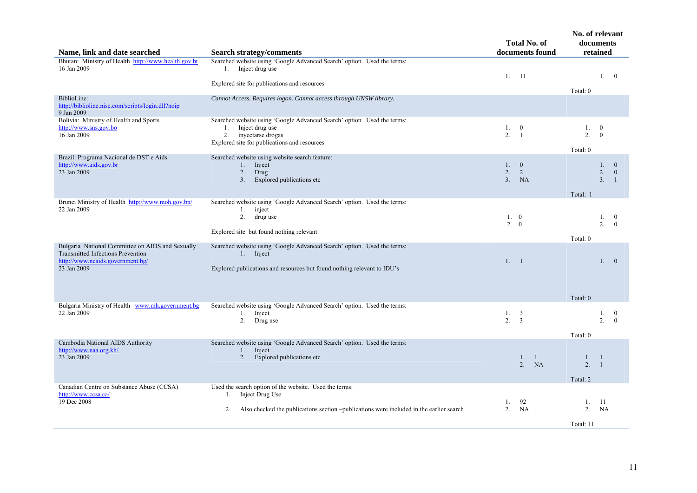| Name, link and date searched                                                                                                                    | <b>Search strategy/comments</b>                                                                                                                                                  | <b>Total No. of</b><br>documents found         | No. of relevant<br>documents<br>retained                                              |
|-------------------------------------------------------------------------------------------------------------------------------------------------|----------------------------------------------------------------------------------------------------------------------------------------------------------------------------------|------------------------------------------------|---------------------------------------------------------------------------------------|
| Bhutan: Ministry of Health http://www.health.gov.bt<br>16 Jan 2009                                                                              | Searched website using 'Google Advanced Search' option. Used the terms:<br>1. Inject drug use<br>Explored site for publications and resources                                    | 11<br>1.                                       | 1.0<br>Total: 0                                                                       |
| BiblioLine:<br>http://biblioline.nisc.com/scripts/login.dll?noip<br>9 Jan 2009                                                                  | Cannot Access. Requires logon. Cannot access through UNSW library.                                                                                                               |                                                |                                                                                       |
| Bolivia: Ministry of Health and Sports<br>http://www.sns.gov.bo<br>16 Jan 2009                                                                  | Searched website using 'Google Advanced Search' option. Used the terms:<br>1.<br>Inject drug use<br>2. inyectarse drogas<br>Explored site for publications and resources         | 1. 0<br>2.<br>$\overline{1}$                   | 1.<br>$\bf{0}$<br>2.<br>$\overline{0}$<br>Total: 0                                    |
| Brazil: Programa Nacional de DST e Aids<br>http://www.aids.gov.br<br>23 Jan 2009                                                                | Searched website using website search feature:<br>Inject<br>1.<br>2.<br>Drug<br>Explored publications etc<br>3.                                                                  | 1. 0<br>2.<br>2<br>3 <sub>1</sub><br><b>NA</b> | $\mathbf{0}$<br>$1_{-}$<br>2.<br>$\boldsymbol{0}$<br>3 <sub>1</sub><br>$\overline{1}$ |
| Brunei Ministry of Health http://www.moh.gov.bn/<br>22 Jan 2009                                                                                 | Searched website using 'Google Advanced Search' option. Used the terms:<br>1. inject<br>drug use<br>2.<br>Explored site but found nothing relevant                               | 1.0<br>2.<br>$\theta$                          | Total: 1<br>1.<br>$\bf{0}$<br>2.<br>$\theta$<br>Total: 0                              |
| Bulgaria National Committee on AIDS and Sexually<br><b>Transmitted Infections Prevention</b><br>http://www.ncaids.government.bg/<br>23 Jan 2009 | Searched website using 'Google Advanced Search' option. Used the terms:<br>1. Inject<br>Explored publications and resources but found nothing relevant to IDU's                  | 1. 1                                           | 1.0<br>Total: 0                                                                       |
| Bulgaria Ministry of Health www.mh.government.bg<br>22 Jan 2009                                                                                 | Searched website using 'Google Advanced Search' option. Used the terms:<br>Inject<br>1.<br>2. Drug use                                                                           | 1. 3<br>2.<br>3                                | 1.<br>$\overline{0}$<br>2 <sup>1</sup><br>$\Omega$<br>Total: 0                        |
| Cambodia National AIDS Authority<br>http://www.naa.org.kh/<br>23 Jan 2009                                                                       | Searched website using 'Google Advanced Search' option. Used the terms:<br>Inject<br>1.<br>2. Explored publications etc                                                          | 1. 1<br>2 <sup>1</sup><br>NA                   | 1.<br>$\overline{\phantom{0}}$<br>2.<br>$\overline{1}$<br>Total: 2                    |
| Canadian Centre on Substance Abuse (CCSA)<br>http://www.ccsa.ca/<br>19 Dec 2008                                                                 | Used the search option of the website. Used the terms:<br>Inject Drug Use<br>1.<br>Also checked the publications section –publications were included in the earlier search<br>2. | 92<br>1.<br>2.<br><b>NA</b>                    | -11<br>1.<br>2.<br>NA                                                                 |
|                                                                                                                                                 |                                                                                                                                                                                  |                                                | Total: 11                                                                             |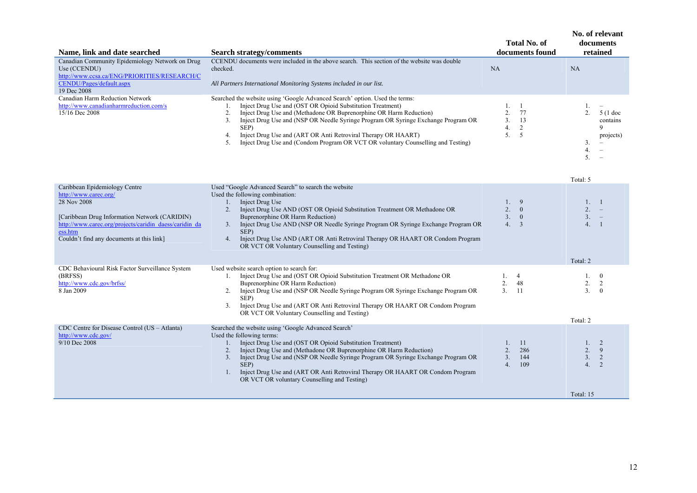| Name, link and date searched                                                                                                                               | <b>Search strategy/comments</b>                                                                                                                                                                                                                                                                                                                                                                                                                                              | Total No. of<br>documents found | No. of relevant<br>documents<br>retained |
|------------------------------------------------------------------------------------------------------------------------------------------------------------|------------------------------------------------------------------------------------------------------------------------------------------------------------------------------------------------------------------------------------------------------------------------------------------------------------------------------------------------------------------------------------------------------------------------------------------------------------------------------|---------------------------------|------------------------------------------|
| Canadian Community Epidemiology Network on Drug<br>Use (CCENDU)<br>http://www.ccsa.ca/ENG/PRIORITIES/RESEARCH/C<br>CENDU/Pages/default.aspx<br>19 Dec 2008 | CCENDU documents were included in the above search. This section of the website was double<br>checked.<br>All Partners International Monitoring Systems included in our list.                                                                                                                                                                                                                                                                                                | NA                              | NA                                       |
| Canadian Harm Reduction Network<br>http://www.canadianharmreduction.com/s<br>15/16 Dec 2008                                                                | Searched the website using 'Google Advanced Search' option. Used the terms:<br>Inject Drug Use and (OST OR Opioid Substitution Treatment)<br>Inject Drug Use and (Methadone OR Buprenorphine OR Harm Reduction)<br>∠<br>Inject Drug Use and (NSP OR Needle Syringe Program OR Syringe Exchange Program OR<br>SEP)<br>Inject Drug Use and (ART OR Anti Retroviral Therapy OR HAART)<br>4.<br>Inject Drug Use and (Condom Program OR VCT OR voluntary Counselling and Testing) | 77<br>13                        | $5(1$ doc<br>contains<br>projects)       |

|                                                                                                                                                                                                                                          |                                                                                                                                                                                                                                                                                                                                                                                                                                                                       |                                                          | Total: 5                                           |
|------------------------------------------------------------------------------------------------------------------------------------------------------------------------------------------------------------------------------------------|-----------------------------------------------------------------------------------------------------------------------------------------------------------------------------------------------------------------------------------------------------------------------------------------------------------------------------------------------------------------------------------------------------------------------------------------------------------------------|----------------------------------------------------------|----------------------------------------------------|
| Caribbean Epidemiology Centre<br>http://www.carec.org/<br>28 Nov 2008<br>[Caribbean Drug Information Network (CARIDIN)<br>http://www.carec.org/projects/caridin daess/caridin da<br>ess.htm<br>Couldn't find any documents at this link] | Used "Google Advanced Search" to search the website<br>Used the following combination:<br>Inject Drug Use<br>Inject Drug Use AND (OST OR Opioid Substitution Treatment OR Methadone OR<br>Buprenorphine OR Harm Reduction)<br>Inject Drug Use AND (NSP OR Needle Syringe Program OR Syringe Exchange Program OR<br>3.<br>SEP)<br>Inject Drug Use AND (ART OR Anti Retroviral Therapy OR HAART OR Condom Program<br>4.<br>OR VCT OR Voluntary Counselling and Testing) | 9<br>2.<br>$\mathbf{0}$<br>3.<br>$\mathbf{0}$<br>4.<br>3 | $\overline{4}$ .<br>Total: 2                       |
| CDC Behavioural Risk Factor Surveillance System<br>(BRFSS)<br>http://www.cdc.gov/brfss/<br>8 Jan 2009                                                                                                                                    | Used website search option to search for:<br>Inject Drug Use and (OST OR Opioid Substitution Treatment OR Methadone OR<br>Buprenorphine OR Harm Reduction)<br>Inject Drug Use and (NSP OR Needle Syringe Program OR Syringe Exchange Program OR<br>SEP)<br>3.<br>Inject Drug Use and (ART OR Anti Retroviral Therapy OR HAART OR Condom Program<br>OR VCT OR Voluntary Counselling and Testing)                                                                       | $\overline{4}$<br>2.<br>48<br>3 <sub>1</sub><br>11       | 2.<br>$\overline{3}$ .<br>$\Omega$<br>Total: 2     |
| CDC Centre for Disease Control (US - Atlanta)<br>http://www.cdc.gov/<br>$9/10$ Dec 2008                                                                                                                                                  | Searched the website using 'Google Advanced Search'<br>Used the following terms:<br>Inject Drug Use and (OST OR Opioid Substitution Treatment)<br>Inject Drug Use and (Methadone OR Buprenorphine OR Harm Reduction)<br>Inject Drug Use and (NSP OR Needle Syringe Program OR Syringe Exchange Program OR<br>3.<br>SEP)<br>Inject Drug Use and (ART OR Anti Retroviral Therapy OR HAART OR Condom Program<br>OR VCT OR voluntary Counselling and Testing)             | 11<br>286<br>3.<br>144<br>109<br>4.                      | 2.<br>9<br>3.<br>$\overline{2}$<br>4.<br>Total: 15 |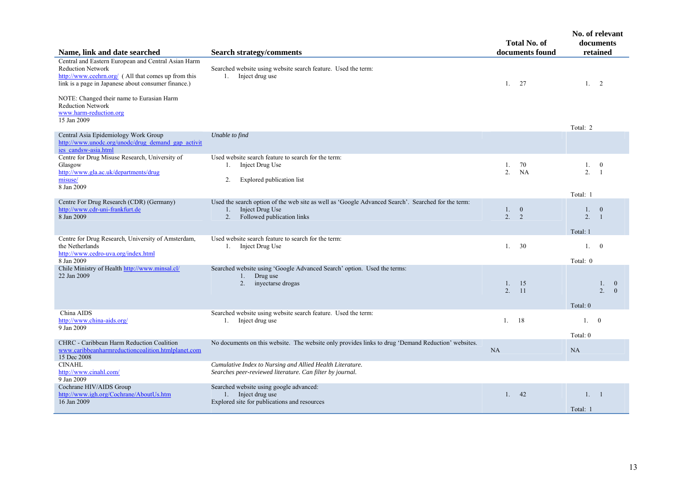| Name, link and date searched                                                                                                                                                                  | <b>Search strategy/comments</b>                                                                                                                                 | <b>Total No. of</b><br>documents found   | No. of relevant<br>documents<br>retained                             |
|-----------------------------------------------------------------------------------------------------------------------------------------------------------------------------------------------|-----------------------------------------------------------------------------------------------------------------------------------------------------------------|------------------------------------------|----------------------------------------------------------------------|
| Central and Eastern European and Central Asian Harm<br><b>Reduction Network</b><br>http://www.ceehrn.org/ (All that comes up from this<br>link is a page in Japanese about consumer finance.) | Searched website using website search feature. Used the term:<br>1. Inject drug use                                                                             | 1.<br>27                                 | 1.<br>$\overline{2}$                                                 |
| NOTE: Changed their name to Eurasian Harm<br><b>Reduction Network</b><br>www.harm-reduction.org<br>15 Jan 2009                                                                                |                                                                                                                                                                 |                                          | Total: 2                                                             |
| Central Asia Epidemiology Work Group<br>http://www.unodc.org/unodc/drug_demand_gap_activit<br>ies candsw-asia.html                                                                            | Unable to find                                                                                                                                                  |                                          |                                                                      |
| Centre for Drug Misuse Research, University of<br>Glasgow<br>http://www.gla.ac.uk/departments/drug<br>misuse/<br>8 Jan 2009                                                                   | Used website search feature to search for the term:<br>Inject Drug Use<br>1.<br>2.<br>Explored publication list                                                 | 1.<br>70<br>$\overline{2}$ .<br>NA       | 1.<br>$\bf{0}$<br>2.<br>$\overline{1}$<br>Total: 1                   |
| Centre For Drug Research (CDR) (Germany)<br>http://www.cdr-uni-frankfurt.de<br>8 Jan 2009                                                                                                     | Used the search option of the web site as well as 'Google Advanced Search'. Searched for the term:<br>Inject Drug Use<br>1.<br>Followed publication links<br>2. | 1.<br>$\overline{\mathbf{0}}$<br>2.<br>2 | $\overline{0}$<br>$1_{\cdot}$<br>2.<br>$\overline{1}$<br>Total: 1    |
| Centre for Drug Research, University of Amsterdam,<br>the Netherlands<br>http://www.cedro-uva.org/index.html<br>8 Jan 2009                                                                    | Used website search feature to search for the term:<br>1. Inject Drug Use                                                                                       | 30<br>1.                                 | $1_{\cdot}$<br>$\theta$<br>Total: 0                                  |
| Chile Ministry of Health http://www.minsal.cl/<br>22 Jan 2009                                                                                                                                 | Searched website using 'Google Advanced Search' option. Used the terms:<br>Drug use<br>1.<br>2.<br>inyectarse drogas                                            | 1.<br>15<br>2.<br>11                     | $\overline{0}$<br>1.<br>2 <sup>1</sup><br>$\overline{0}$<br>Total: 0 |
| China AIDS<br>http://www.china-aids.org/<br>9 Jan 2009                                                                                                                                        | Searched website using website search feature. Used the term:<br>1. Inject drug use                                                                             | 18<br>1.                                 | 1.0<br>Total: 0                                                      |
| CHRC - Caribbean Harm Reduction Coalition<br>www.caribbeanharmreductioncoalition.htmlplanet.com<br>15 Dec 2008                                                                                | No documents on this website. The website only provides links to drug 'Demand Reduction' websites.                                                              | NA                                       | NA                                                                   |
| <b>CINAHL</b><br>http://www.cinahl.com/<br>9 Jan 2009                                                                                                                                         | Cumulative Index to Nursing and Allied Health Literature.<br>Searches peer-reviewed literature. Can filter by journal.                                          |                                          |                                                                      |
| Cochrane HIV/AIDS Group<br>http://www.igh.org/Cochrane/AboutUs.htm<br>16 Jan 2009                                                                                                             | Searched website using google advanced:<br>1. Inject drug use<br>Explored site for publications and resources                                                   | 1.42                                     | 1. 1<br>Total: 1                                                     |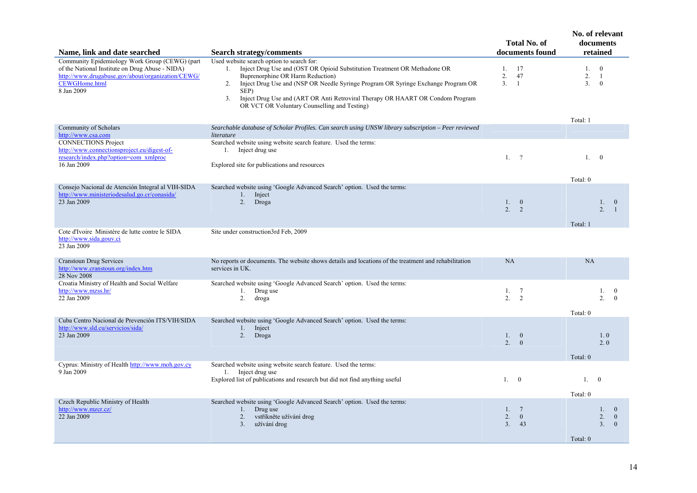| Name, link and date searched                                                                                                                                                                 | <b>Search strategy/comments</b>                                                                                                                                                                                                                                                                                                                                                                                      | <b>Total No. of</b><br>documents found               | No. of relevant<br>documents<br>retained                                               |
|----------------------------------------------------------------------------------------------------------------------------------------------------------------------------------------------|----------------------------------------------------------------------------------------------------------------------------------------------------------------------------------------------------------------------------------------------------------------------------------------------------------------------------------------------------------------------------------------------------------------------|------------------------------------------------------|----------------------------------------------------------------------------------------|
| Community Epidemiology Work Group (CEWG) (part<br>of the National Institute on Drug Abuse - NIDA)<br>http://www.drugabuse.gov/about/organization/CEWG/<br><b>CEWGHome.html</b><br>8 Jan 2009 | Used website search option to search for:<br>1. Inject Drug Use and (OST OR Opioid Substitution Treatment OR Methadone OR<br>Buprenorphine OR Harm Reduction)<br>Inject Drug Use and (NSP OR Needle Syringe Program OR Syringe Exchange Program OR<br>2.<br>SEP)<br>Inject Drug Use and (ART OR Anti Retroviral Therapy OR HAART OR Condom Program<br>3 <sub>1</sub><br>OR VCT OR Voluntary Counselling and Testing) | 1. 17<br>2.<br>47<br>3.<br>$\overline{1}$            | $\mathbf{0}$<br>1.<br>2.<br>-1<br>3 <sub>1</sub><br>$\theta$<br>Total: 1               |
| Community of Scholars                                                                                                                                                                        | Searchable database of Scholar Profiles. Can search using UNSW library subscription - Peer reviewed                                                                                                                                                                                                                                                                                                                  |                                                      |                                                                                        |
| http://www.csa.com<br><b>CONNECTIONS Project</b><br>http://www.connectionsproject.eu/digest-of-<br>research/index.php?option=com xmlproc<br>16 Jan 2009                                      | literature<br>Searched website using website search feature. Used the terms:<br>1. Inject drug use<br>Explored site for publications and resources                                                                                                                                                                                                                                                                   | $1.$ ?                                               | 1.0<br>Total: 0                                                                        |
| Consejo Nacional de Atención Integral al VIH-SIDA<br>http://www.ministeriodesalud.go.cr/conasida/<br>23 Jan 2009                                                                             | Searched website using 'Google Advanced Search' option. Used the terms:<br>1. Inject<br>2. Droga                                                                                                                                                                                                                                                                                                                     | 1. 0<br>2 <sup>1</sup><br>$\overline{2}$             | 1.<br>$\mathbf{0}$<br>2 <sup>1</sup><br>$\overline{1}$<br>Total: 1                     |
| Cote d'Ivoire Ministère de lutte contre le SIDA<br>http://www.sida.gouv.ci<br>23 Jan 2009                                                                                                    | Site under construction3rd Feb, 2009                                                                                                                                                                                                                                                                                                                                                                                 |                                                      |                                                                                        |
| <b>Cranstoun Drug Services</b><br>http://www.cranstoun.org/index.htm<br>28 Nov 2008                                                                                                          | No reports or documents. The website shows details and locations of the treatment and rehabilitation<br>services in UK.                                                                                                                                                                                                                                                                                              | <b>NA</b>                                            | NA                                                                                     |
| Croatia Ministry of Health and Social Welfare<br>http://www.mzss.hr/<br>22 Jan 2009                                                                                                          | Searched website using 'Google Advanced Search' option. Used the terms:<br>1.<br>Drug use<br>2.<br>droga                                                                                                                                                                                                                                                                                                             | 1, 7<br>2 <sub>1</sub><br>2                          | 1.<br>$\bf{0}$<br>2 <sup>1</sup><br>$\theta$<br>Total: 0                               |
| Cuba Centro Nacional de Prevención ITS/VIH/SIDA<br>http://www.sld.cu/servicios/sida/<br>23 Jan 2009                                                                                          | Searched website using 'Google Advanced Search' option. Used the terms:<br>Inject<br>$1_{\cdot}$<br>2. Droga                                                                                                                                                                                                                                                                                                         | 1. 0<br>2 <sup>1</sup><br>$\overline{0}$             | 1.0<br>2.0<br>Total: 0                                                                 |
| Cyprus: Ministry of Health http://www.moh.gov.cy<br>9 Jan 2009                                                                                                                               | Searched website using website search feature. Used the terms:<br>1. Inject drug use<br>Explored list of publications and research but did not find anything useful                                                                                                                                                                                                                                                  | 1.0                                                  | 1.0<br>Total: 0                                                                        |
| Czech Republic Ministry of Health<br>http://www.mzcr.cz/<br>22 Jan 2009                                                                                                                      | Searched website using 'Google Advanced Search' option. Used the terms:<br>Drug use<br>$1_{\cdot}$<br>2.<br>vstříkněte užívání drog<br>užívání drog<br>3 <sub>1</sub>                                                                                                                                                                                                                                                | 1, 7<br>2.<br>$\overline{0}$<br>3 <sub>1</sub><br>43 | 1.<br>$\mathbf{0}$<br>2.<br>$\mathbf{0}$<br>3 <sub>1</sub><br>$\mathbf{0}$<br>Total: 0 |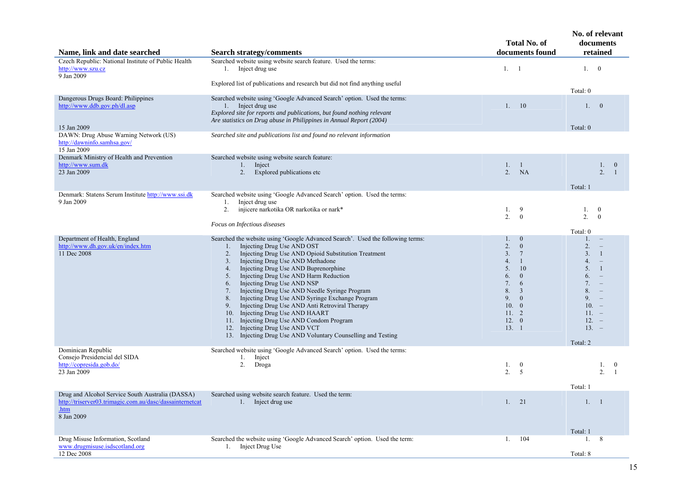| Name, link and date searched                                                                                                       | <b>Search strategy/comments</b>                                                                                                                                                                                                                                                                                                                                                                                                                                                                                                                                                                                                                                                                                              | <b>Total No. of</b><br>documents found                                                                                                                                                                                                        | No. of relevant<br>documents<br>retained                                                                                                                                                                                                        |
|------------------------------------------------------------------------------------------------------------------------------------|------------------------------------------------------------------------------------------------------------------------------------------------------------------------------------------------------------------------------------------------------------------------------------------------------------------------------------------------------------------------------------------------------------------------------------------------------------------------------------------------------------------------------------------------------------------------------------------------------------------------------------------------------------------------------------------------------------------------------|-----------------------------------------------------------------------------------------------------------------------------------------------------------------------------------------------------------------------------------------------|-------------------------------------------------------------------------------------------------------------------------------------------------------------------------------------------------------------------------------------------------|
| Czech Republic: National Institute of Public Health<br>http://www.szu.cz<br>9 Jan 2009                                             | Searched website using website search feature. Used the terms:<br>1. Inject drug use                                                                                                                                                                                                                                                                                                                                                                                                                                                                                                                                                                                                                                         | 1.<br>-1                                                                                                                                                                                                                                      | 1. 0                                                                                                                                                                                                                                            |
|                                                                                                                                    | Explored list of publications and research but did not find anything useful                                                                                                                                                                                                                                                                                                                                                                                                                                                                                                                                                                                                                                                  |                                                                                                                                                                                                                                               | Total: 0                                                                                                                                                                                                                                        |
| Dangerous Drugs Board: Philippines<br>http://www.ddb.gov.ph/dl.asp<br>15 Jan 2009                                                  | Searched website using 'Google Advanced Search' option. Used the terms:<br>1. Inject drug use<br>Explored site for reports and publications, but found nothing relevant<br>Are statistics on Drug abuse in Philippines in Annual Report (2004)                                                                                                                                                                                                                                                                                                                                                                                                                                                                               | 10<br>$1_{-}$                                                                                                                                                                                                                                 | 1. 0<br>Total: 0                                                                                                                                                                                                                                |
| DAWN: Drug Abuse Warning Network (US)<br>http://dawninfo.samhsa.gov/<br>15 Jan 2009                                                | Searched site and publications list and found no relevant information                                                                                                                                                                                                                                                                                                                                                                                                                                                                                                                                                                                                                                                        |                                                                                                                                                                                                                                               |                                                                                                                                                                                                                                                 |
| Denmark Ministry of Health and Prevention<br>http://www.sum.dk<br>23 Jan 2009                                                      | Searched website using website search feature:<br>1. Inject<br>Explored publications etc<br>2.                                                                                                                                                                                                                                                                                                                                                                                                                                                                                                                                                                                                                               | 1. 1<br>2.<br><b>NA</b>                                                                                                                                                                                                                       | 1.<br>$\bf{0}$<br>2.<br>$\overline{1}$<br>Total: 1                                                                                                                                                                                              |
| Denmark: Statens Serum Institute http://www.ssi.dk<br>9 Jan 2009                                                                   | Searched website using 'Google Advanced Search' option. Used the terms:<br>Inject drug use<br>1.<br>2.<br>injicere narkotika OR narkotika or nark*<br>Focus on Infectious diseases                                                                                                                                                                                                                                                                                                                                                                                                                                                                                                                                           | 1.<br>9<br>2 <sub>1</sub><br>$\theta$                                                                                                                                                                                                         | 1.<br>$\overline{0}$<br>2.<br>$\theta$<br>Total: 0                                                                                                                                                                                              |
| Department of Health, England<br>http://www.dh.gov.uk/en/index.htm<br>11 Dec 2008                                                  | Searched the website using 'Google Advanced Search'. Used the following terms:<br>Injecting Drug Use AND OST<br>1.<br>Injecting Drug Use AND Opioid Substitution Treatment<br>2.<br>Injecting Drug Use AND Methadone<br>3.<br>Injecting Drug Use AND Buprenorphine<br>4.<br>Injecting Drug Use AND Harm Reduction<br>5.<br>Injecting Drug Use AND NSP<br>6.<br>Injecting Drug Use AND Needle Syringe Program<br>7.<br>Injecting Drug Use AND Syringe Exchange Program<br>8.<br>Injecting Drug Use AND Anti Retroviral Therapy<br>9.<br>Injecting Drug Use AND HAART<br>10.<br>Injecting Drug Use AND Condom Program<br>11.<br>12. Injecting Drug Use AND VCT<br>13. Injecting Drug Use AND Voluntary Counselling and Testing | $1_{-}$<br>$\bf{0}$<br>2.<br>$\mathbf{0}$<br>3 <sub>1</sub><br>$7\phantom{.0}$<br>$\overline{1}$<br>4.<br>5.<br><sup>10</sup><br>6.<br>$\mathbf{0}$<br>7.<br>6<br>8.<br>$\overline{3}$<br>9.<br>$\mathbf{0}$<br>10. 0<br>11.2<br>12.0<br>13.1 | $1_{\cdot}$<br>2.<br>3.<br>$\mathbf{1}$<br>4.<br>$\overline{\phantom{a}}$<br>5.<br>-1<br>6.<br>$\equiv$<br>7 <sup>1</sup><br>$\equiv$<br>8.<br>$\overline{\phantom{0}}$<br>9.<br>$\sim$<br>$10. -$<br>$11. -$<br>$12. -$<br>$13. -$<br>Total: 2 |
| Dominican Republic<br>Consejo Presidencial del SIDA<br>http://copresida.gob.do/<br>23 Jan 2009                                     | Searched website using 'Google Advanced Search' option. Used the terms:<br>Inject<br>1.<br>2.<br>Droga                                                                                                                                                                                                                                                                                                                                                                                                                                                                                                                                                                                                                       | 1.<br>$\overline{0}$<br>$\overline{2}$ .<br>5                                                                                                                                                                                                 | 1.<br>$\overline{0}$<br>2.<br>$\overline{1}$<br>Total: 1                                                                                                                                                                                        |
| Drug and Alcohol Service South Australia (DASSA)<br>http://triserver03.trimagic.com.au/dasc/dassainternetcat<br>.htm<br>8 Jan 2009 | Searched using website search feature. Used the term:<br>1. Inject drug use                                                                                                                                                                                                                                                                                                                                                                                                                                                                                                                                                                                                                                                  | 1.<br>21                                                                                                                                                                                                                                      | 1. 1<br>Total: 1                                                                                                                                                                                                                                |
| Drug Misuse Information, Scotland<br>www.drugmisuse.isdscotland.org<br>12 Dec 2008                                                 | Searched the website using 'Google Advanced Search' option. Used the term:<br>1. Inject Drug Use                                                                                                                                                                                                                                                                                                                                                                                                                                                                                                                                                                                                                             | 104<br>1.                                                                                                                                                                                                                                     | 8<br>1.<br>Total: 8                                                                                                                                                                                                                             |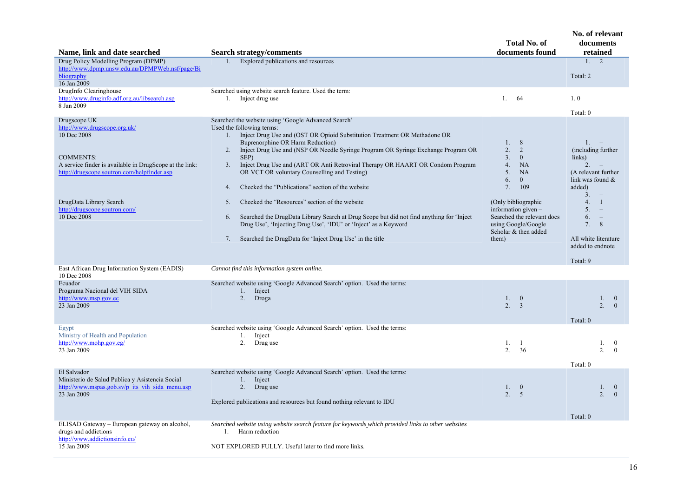| Name, link and date searched                                                                                                                                                                                                                                         | <b>Search strategy/comments</b>                                                                                                                                                                                                                                                                                                                                                                                                                                                                                                                                                                                                                                                                                                                                                                              | <b>Total No. of</b><br>documents found                                                                                                                                                                                                                                      | No. of relevant<br>documents<br>retained                                                                                                                                                                                                                                                        |
|----------------------------------------------------------------------------------------------------------------------------------------------------------------------------------------------------------------------------------------------------------------------|--------------------------------------------------------------------------------------------------------------------------------------------------------------------------------------------------------------------------------------------------------------------------------------------------------------------------------------------------------------------------------------------------------------------------------------------------------------------------------------------------------------------------------------------------------------------------------------------------------------------------------------------------------------------------------------------------------------------------------------------------------------------------------------------------------------|-----------------------------------------------------------------------------------------------------------------------------------------------------------------------------------------------------------------------------------------------------------------------------|-------------------------------------------------------------------------------------------------------------------------------------------------------------------------------------------------------------------------------------------------------------------------------------------------|
| Drug Policy Modelling Program (DPMP)                                                                                                                                                                                                                                 | 1.                                                                                                                                                                                                                                                                                                                                                                                                                                                                                                                                                                                                                                                                                                                                                                                                           |                                                                                                                                                                                                                                                                             | 1, 2                                                                                                                                                                                                                                                                                            |
| http://www.dpmp.unsw.edu.au/DPMPWeb.nsf/page/Bi<br>bliography<br>16 Jan 2009                                                                                                                                                                                         | Explored publications and resources                                                                                                                                                                                                                                                                                                                                                                                                                                                                                                                                                                                                                                                                                                                                                                          |                                                                                                                                                                                                                                                                             | Total: 2                                                                                                                                                                                                                                                                                        |
| DrugInfo Clearinghouse<br>http://www.druginfo.adf.org.au/libsearch.asp<br>8 Jan 2009                                                                                                                                                                                 | Searched using website search feature. Used the term:<br>1. Inject drug use                                                                                                                                                                                                                                                                                                                                                                                                                                                                                                                                                                                                                                                                                                                                  | $1$ .<br>-64                                                                                                                                                                                                                                                                | 1.0                                                                                                                                                                                                                                                                                             |
|                                                                                                                                                                                                                                                                      |                                                                                                                                                                                                                                                                                                                                                                                                                                                                                                                                                                                                                                                                                                                                                                                                              |                                                                                                                                                                                                                                                                             | Total: 0                                                                                                                                                                                                                                                                                        |
| Drugscope UK<br>http://www.drugscope.org.uk/<br>10 Dec 2008<br><b>COMMENTS:</b><br>A service finder is available in DrugScope at the link:<br>http://drugscope.soutron.com/helpfinder.asp<br>DrugData Library Search<br>http://drugscope.soutron.com/<br>10 Dec 2008 | Searched the website using 'Google Advanced Search'<br>Used the following terms:<br>Inject Drug Use and (OST OR Opioid Substitution Treatment OR Methadone OR<br>1.<br>Buprenorphine OR Harm Reduction)<br>Inject Drug Use and (NSP OR Needle Syringe Program OR Syringe Exchange Program OR<br>2.<br>SEP)<br>Inject Drug Use and (ART OR Anti Retroviral Therapy OR HAART OR Condom Program<br>3.<br>OR VCT OR voluntary Counselling and Testing)<br>Checked the "Publications" section of the website<br>4.<br>Checked the "Resources" section of the website<br>5.<br>Searched the DrugData Library Search at Drug Scope but did not find anything for 'Inject<br>6.<br>Drug Use', 'Injecting Drug Use', 'IDU' or 'Inject' as a Keyword<br>Searched the DrugData for 'Inject Drug Use' in the title<br>7. | 8<br>$1_{-}$<br>2.<br>2<br>$\overline{0}$<br>3 <sub>1</sub><br>4.<br><b>NA</b><br>5.<br><b>NA</b><br>6.<br>$\mathbf{0}$<br>7.<br>109<br>(Only bibliographic)<br>information given $-$<br>Searched the relevant docs<br>using Google/Google<br>Scholar & then added<br>them) | 1.<br>(including further<br>links)<br>$\overline{2}$ .<br>(A relevant further<br>link was found $&$<br>added)<br>3 <sub>1</sub><br>4.<br>$\overline{1}$<br>5 <sub>1</sub><br>$\sim$<br>6.<br>$\hspace{0.1mm}-\hspace{0.1mm}$<br>8<br>7.<br>All white literature<br>added to endnote<br>Total: 9 |
| East African Drug Information System (EADIS)<br>10 Dec 2008                                                                                                                                                                                                          | Cannot find this information system online.                                                                                                                                                                                                                                                                                                                                                                                                                                                                                                                                                                                                                                                                                                                                                                  |                                                                                                                                                                                                                                                                             |                                                                                                                                                                                                                                                                                                 |
| Ecuador<br>Programa Nacional del VIH SIDA<br>http://www.msp.gov.ec<br>23 Jan 2009                                                                                                                                                                                    | Searched website using 'Google Advanced Search' option. Used the terms:<br>1. Inject<br>2. Droga                                                                                                                                                                                                                                                                                                                                                                                                                                                                                                                                                                                                                                                                                                             | $\mathbf{0}$<br>$1_{\cdot}$<br>2.<br>$\overline{3}$                                                                                                                                                                                                                         | 1.<br>$\overline{0}$<br>2 <sup>1</sup><br>$\overline{0}$<br>Total: 0                                                                                                                                                                                                                            |
| Egypt<br>Ministry of Health and Population<br>http://www.mohp.gov.eg/<br>23 Jan 2009                                                                                                                                                                                 | Searched website using 'Google Advanced Search' option. Used the terms:<br>1.<br>Inject<br>2. Drug use                                                                                                                                                                                                                                                                                                                                                                                                                                                                                                                                                                                                                                                                                                       | 1.<br>-1<br>2.<br>36                                                                                                                                                                                                                                                        | 1.<br>$\overline{0}$<br>2.<br>$\theta$<br>Total: 0                                                                                                                                                                                                                                              |
| El Salvador<br>Ministerio de Salud Publica y Asistencia Social<br>http://www.mspas.gob.sv/p its vih sida menu.asp<br>23 Jan 2009                                                                                                                                     | Searched website using 'Google Advanced Search' option. Used the terms:<br>1.<br>Inject<br>2. Drug use<br>Explored publications and resources but found nothing relevant to IDU                                                                                                                                                                                                                                                                                                                                                                                                                                                                                                                                                                                                                              | $\mathbf{0}$<br>1.<br>2.<br>5                                                                                                                                                                                                                                               | 1.<br>$\overline{0}$<br>2 <sup>1</sup><br>$\theta$                                                                                                                                                                                                                                              |
|                                                                                                                                                                                                                                                                      |                                                                                                                                                                                                                                                                                                                                                                                                                                                                                                                                                                                                                                                                                                                                                                                                              |                                                                                                                                                                                                                                                                             | Total: 0                                                                                                                                                                                                                                                                                        |
| ELISAD Gateway - European gateway on alcohol,<br>drugs and addictions<br>http://www.addictionsinfo.eu/<br>15 Jan 2009                                                                                                                                                | Searched website using website search feature for keywords which provided links to other websites<br>Harm reduction<br>1.<br>NOT EXPLORED FULLY. Useful later to find more links.                                                                                                                                                                                                                                                                                                                                                                                                                                                                                                                                                                                                                            |                                                                                                                                                                                                                                                                             |                                                                                                                                                                                                                                                                                                 |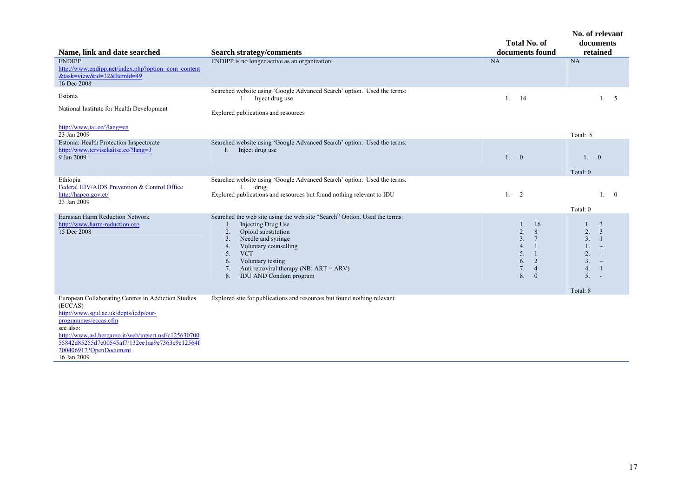| Name, link and date searched                                                                                                                                                                                                                                                                    | <b>Search strategy/comments</b>                                                                                                                                                                                                                                                                                               | <b>Total No. of</b><br>documents found                                                                                                    | No. of relevant<br>documents<br>retained                                                                                                                         |
|-------------------------------------------------------------------------------------------------------------------------------------------------------------------------------------------------------------------------------------------------------------------------------------------------|-------------------------------------------------------------------------------------------------------------------------------------------------------------------------------------------------------------------------------------------------------------------------------------------------------------------------------|-------------------------------------------------------------------------------------------------------------------------------------------|------------------------------------------------------------------------------------------------------------------------------------------------------------------|
| <b>ENDIPP</b><br>http://www.endipp.net/index.php?option=com_content<br>&task=view&id=32&Itemid=49<br>16 Dec 2008                                                                                                                                                                                | ENDIPP is no longer active as an organization.                                                                                                                                                                                                                                                                                | NA                                                                                                                                        | <b>NA</b>                                                                                                                                                        |
| Estonia                                                                                                                                                                                                                                                                                         | Searched website using 'Google Advanced Search' option. Used the terms:<br>1. Inject drug use                                                                                                                                                                                                                                 | 14<br>$1$ .                                                                                                                               | 1.5                                                                                                                                                              |
| National Institute for Health Development                                                                                                                                                                                                                                                       | Explored publications and resources                                                                                                                                                                                                                                                                                           |                                                                                                                                           |                                                                                                                                                                  |
| http://www.tai.ee/?lang=en<br>23 Jan 2009                                                                                                                                                                                                                                                       |                                                                                                                                                                                                                                                                                                                               |                                                                                                                                           | Total: 5                                                                                                                                                         |
| Estonia: Health Protection Inspectorate<br>http://www.tervisekaitse.ee/?lang=3<br>9 Jan 2009                                                                                                                                                                                                    | Searched website using 'Google Advanced Search' option. Used the terms:<br>1. Inject drug use                                                                                                                                                                                                                                 | 1. 0                                                                                                                                      | 1. 0                                                                                                                                                             |
|                                                                                                                                                                                                                                                                                                 |                                                                                                                                                                                                                                                                                                                               |                                                                                                                                           | Total: 0                                                                                                                                                         |
| Ethiopia<br>Federal HIV/AIDS Prevention & Control Office<br>http://hapco.gov.et/<br>23 Jan 2009                                                                                                                                                                                                 | Searched website using 'Google Advanced Search' option. Used the terms:<br>$1.$ drug<br>Explored publications and resources but found nothing relevant to IDU                                                                                                                                                                 | 1. 2                                                                                                                                      | 1. 0<br>Total: 0                                                                                                                                                 |
| Eurasian Harm Reduction Network<br>http://www.harm-reduction.org<br>15 Dec 2008                                                                                                                                                                                                                 | Searched the web site using the web site "Search" Option. Used the terms:<br>Injecting Drug Use<br>1.<br>Opioid substitution<br>2.<br>Needle and syringe<br>3.<br>Voluntary counselling<br>4.<br><b>VCT</b><br>5.<br>Voluntary testing<br>6.<br>7.<br>Anti retroviral therapy (NB: ART = ARV)<br>8.<br>IDU AND Condom program | 16<br>1.<br>2.<br>8<br>3.<br>$7\phantom{.0}$<br>4.<br>-1<br>5.<br>$\overline{1}$<br>2<br>6.<br>7.<br>$\overline{4}$<br>8.<br>$\mathbf{0}$ | 3<br>1.<br>2.<br>$\overline{3}$<br>3.<br>-1<br>2.<br>3 <sub>1</sub><br>$\hspace{0.1mm}-\hspace{0.1mm}$<br>4.<br>-1<br>5.<br>$\overline{\phantom{a}}$<br>Total: 8 |
| European Collaborating Centres in Addiction Studies<br>(ECCAS)<br>http://www.sgul.ac.uk/depts/icdp/our-<br>programmes/eccas.cfm<br>see also:<br>http://www.asl.bergamo.it/web/intsert.nsf/c125630700<br>55842d85255d7c00545af7/132ee1aa9e7363c9c12564f<br>200406917?OpenDocument<br>16 Jan 2009 | Explored site for publications and resources but found nothing relevant                                                                                                                                                                                                                                                       |                                                                                                                                           |                                                                                                                                                                  |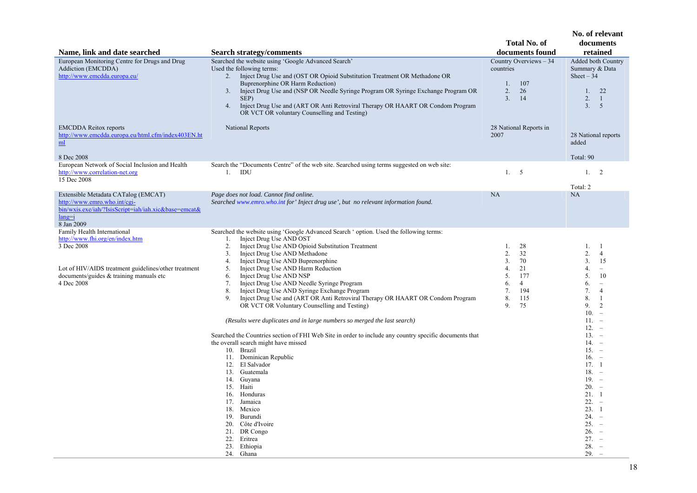|                                                                                                                                                                                                 |                                                                                                                                                                                                                                                                                                                                                                                                                                                                                                                                                                                                                                                                                                                                                                                                                                                                                                                                                                                                                                                                                                |                                                                                                                         | No. of relevant                                                                                                                                                                                                                                                                                                                                                                                                                                           |
|-------------------------------------------------------------------------------------------------------------------------------------------------------------------------------------------------|------------------------------------------------------------------------------------------------------------------------------------------------------------------------------------------------------------------------------------------------------------------------------------------------------------------------------------------------------------------------------------------------------------------------------------------------------------------------------------------------------------------------------------------------------------------------------------------------------------------------------------------------------------------------------------------------------------------------------------------------------------------------------------------------------------------------------------------------------------------------------------------------------------------------------------------------------------------------------------------------------------------------------------------------------------------------------------------------|-------------------------------------------------------------------------------------------------------------------------|-----------------------------------------------------------------------------------------------------------------------------------------------------------------------------------------------------------------------------------------------------------------------------------------------------------------------------------------------------------------------------------------------------------------------------------------------------------|
| Name, link and date searched                                                                                                                                                                    | <b>Search strategy/comments</b>                                                                                                                                                                                                                                                                                                                                                                                                                                                                                                                                                                                                                                                                                                                                                                                                                                                                                                                                                                                                                                                                | <b>Total No. of</b><br>documents found                                                                                  | documents<br>retained                                                                                                                                                                                                                                                                                                                                                                                                                                     |
| European Monitoring Centre for Drugs and Drug<br>Addiction (EMCDDA)<br>http://www.emcdda.europa.eu/                                                                                             | Searched the website using 'Google Advanced Search'<br>Used the following terms:<br>2. Inject Drug Use and (OST OR Opioid Substitution Treatment OR Methadone OR<br>Buprenorphine OR Harm Reduction)<br>Inject Drug Use and (NSP OR Needle Syringe Program OR Syringe Exchange Program OR<br>3.<br>SEP)<br>4.<br>Inject Drug Use and (ART OR Anti Retroviral Therapy OR HAART OR Condom Program<br>OR VCT OR voluntary Counselling and Testing)                                                                                                                                                                                                                                                                                                                                                                                                                                                                                                                                                                                                                                                | Country Overviews - 34<br>countries<br>107<br>1.<br>2.<br>26<br>3.<br>14                                                | Added both Country<br>Summary & Data<br>Sheet $-34$<br>22<br>1.<br>2.<br>$\overline{1}$<br>3.<br>5                                                                                                                                                                                                                                                                                                                                                        |
| <b>EMCDDA</b> Reitox reports<br>http://www.emcdda.europa.eu/html.cfm/index403EN.ht<br>m <sub>l</sub><br>8 Dec 2008                                                                              | <b>National Reports</b>                                                                                                                                                                                                                                                                                                                                                                                                                                                                                                                                                                                                                                                                                                                                                                                                                                                                                                                                                                                                                                                                        | 28 National Reports in<br>2007                                                                                          | 28 National reports<br>added<br>Total: 90                                                                                                                                                                                                                                                                                                                                                                                                                 |
| European Network of Social Inclusion and Health<br>http://www.correlation-net.org<br>15 Dec 2008                                                                                                | Search the "Documents Centre" of the web site. Searched using terms suggested on web site:<br>1.<br>IDU                                                                                                                                                                                                                                                                                                                                                                                                                                                                                                                                                                                                                                                                                                                                                                                                                                                                                                                                                                                        | 1.<br>5                                                                                                                 | 2<br>1.<br>Total: 2                                                                                                                                                                                                                                                                                                                                                                                                                                       |
| Extensible Metadata CATalog (EMCAT)<br>http://www.emro.who.int/cgi-<br>bin/wxis.exe/iah/?IsisScript=iah/iah.xic&base=emcat&<br>$lang = i$<br>8 Jan 2009                                         | Page does not load. Cannot find online.<br>Searched www.emro.who.int for' Inject drug use', but no relevant information found.                                                                                                                                                                                                                                                                                                                                                                                                                                                                                                                                                                                                                                                                                                                                                                                                                                                                                                                                                                 | NA                                                                                                                      | NA                                                                                                                                                                                                                                                                                                                                                                                                                                                        |
| Family Health International<br>http://www.fhi.org/en/index.htm<br>3 Dec 2008<br>Lot of HIV/AIDS treatment guidelines/other treatment<br>documents/guides $&$ training manuals etc<br>4 Dec 2008 | Searched the website using 'Google Advanced Search ' option. Used the following terms:<br>Inject Drug Use AND OST<br>1.<br>Inject Drug Use AND Opioid Substitution Treatment<br>2.<br>Inject Drug Use AND Methadone<br>3.<br>Inject Drug Use AND Buprenorphine<br>4.<br>Inject Drug Use AND Harm Reduction<br>5.<br>Inject Drug Use AND NSP<br>6.<br>Inject Drug Use AND Needle Syringe Program<br>7.<br>Inject Drug Use AND Syringe Exchange Program<br>8.<br>Inject Drug Use and (ART OR Anti Retroviral Therapy OR HAART OR Condom Program<br>9.<br>OR VCT OR Voluntary Counselling and Testing)<br>(Results were duplicates and in large numbers so merged the last search)<br>Searched the Countries section of FHI Web Site in order to include any country specific documents that<br>the overall search might have missed<br>10. Brazil<br>11. Dominican Republic<br>12. El Salvador<br>13. Guatemala<br>14. Guyana<br>15. Haiti<br>16. Honduras<br>17. Jamaica<br>18. Mexico<br>19.<br>Burundi<br>Côte d'Ivoire<br>20.<br>21. DR Congo<br>22.<br>Eritrea<br>23. Ethiopia<br>24. Ghana | 1.<br>28<br>2.<br>32<br>3.<br>70<br>21<br>4.<br>5.<br>177<br>6.<br>$\overline{4}$<br>7.<br>194<br>8.<br>115<br>9.<br>75 | 1.<br>-1<br>2.<br>$\overline{4}$<br>3.<br>15<br>4.<br>5.<br>10<br>6.<br>$\overline{\phantom{a}}$<br>7.<br>$\overline{4}$<br>8.<br>-1<br>9.<br>2<br>10 <sub>1</sub><br>$\equiv$<br>$11. -$<br>12.<br>$\overline{a}$<br>$13. -$<br>$14. -$<br>$15. -$<br>$16. -$<br>17.1<br>$18. -$<br>$19. -$<br>$20. -$<br>21.1<br>$22 -$<br>23.1<br>$24 -$<br>$25. -$<br>$26. -$<br>$27. -$<br>28.<br>$\hspace{0.1mm}-\hspace{0.1mm}$<br>29.<br>$\overline{\phantom{a}}$ |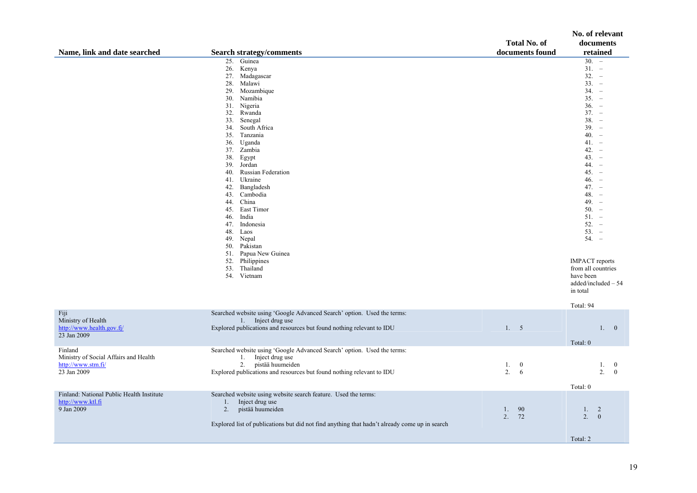|                                           |                                                                                               |                     | No. of relevant       |
|-------------------------------------------|-----------------------------------------------------------------------------------------------|---------------------|-----------------------|
|                                           |                                                                                               | <b>Total No. of</b> | documents             |
| Name, link and date searched              | <b>Search strategy/comments</b>                                                               | documents found     | retained              |
|                                           | 25. Guinea                                                                                    |                     | $\overline{30}$ –     |
|                                           | 26. Kenya                                                                                     |                     | $31. -$               |
|                                           | 27. Madagascar                                                                                |                     | $32. -$               |
|                                           | 28. Malawi                                                                                    |                     | $33. -$               |
|                                           | Mozambique<br>29.                                                                             |                     | $34. -$               |
|                                           | 30. Namibia                                                                                   |                     | $35. -$               |
|                                           | 31. Nigeria                                                                                   |                     | $36. -$               |
|                                           | Rwanda<br>32.                                                                                 |                     | $37. -$               |
|                                           | 33.<br>Senegal                                                                                |                     | $38. -$               |
|                                           | 34. South Africa                                                                              |                     | $39. -$               |
|                                           | 35. Tanzania                                                                                  |                     | $40. -$               |
|                                           | 36. Uganda                                                                                    |                     | $41. -$               |
|                                           | 37. Zambia                                                                                    |                     | $42. -$               |
|                                           | 38.<br>Egypt                                                                                  |                     | $43. -$               |
|                                           | 39.<br>Jordan                                                                                 |                     | $44. -$               |
|                                           | <b>Russian Federation</b><br>40.                                                              |                     | $45. -$               |
|                                           | Ukraine<br>41.                                                                                |                     | $46. -$               |
|                                           | 42.<br>Bangladesh                                                                             |                     | $47. -$               |
|                                           | Cambodia<br>43.                                                                               |                     | $48. -$               |
|                                           | 44.<br>China                                                                                  |                     | $49. -$               |
|                                           | East Timor<br>45.                                                                             |                     | $50 -$                |
|                                           | 46. India                                                                                     |                     | $51. -$               |
|                                           | 47. Indonesia                                                                                 |                     | $52. -$<br>$53. -$    |
|                                           | Laos<br>48.<br>Nepal                                                                          |                     | $54. -$               |
|                                           | 49.<br>Pakistan<br>50.                                                                        |                     |                       |
|                                           | 51. Papua New Guinea                                                                          |                     |                       |
|                                           | 52.<br>Philippines                                                                            |                     | <b>IMPACT</b> reports |
|                                           | 53.<br>Thailand                                                                               |                     | from all countries    |
|                                           | 54. Vietnam                                                                                   |                     | have been             |
|                                           |                                                                                               |                     | $added/included - 54$ |
|                                           |                                                                                               |                     | in total              |
|                                           |                                                                                               |                     |                       |
|                                           |                                                                                               |                     | Total: 94             |
| Fiji                                      | Searched website using 'Google Advanced Search' option. Used the terms:                       |                     |                       |
| Ministry of Health                        | 1. Inject drug use                                                                            |                     |                       |
| http://www.health.gov.fj/                 | Explored publications and resources but found nothing relevant to IDU                         | 1.5                 | 1.0                   |
| 23 Jan 2009                               |                                                                                               |                     |                       |
|                                           |                                                                                               |                     | Total: 0              |
| Finland                                   | Searched website using 'Google Advanced Search' option. Used the terms:                       |                     |                       |
| Ministry of Social Affairs and Health     | Inject drug use<br>1.                                                                         |                     |                       |
| http://www.stm.fi/                        | 2.<br>pistää huumeiden                                                                        | 1.<br>$\mathbf{0}$  | 1.<br>$\bf{0}$        |
| 23 Jan 2009                               | Explored publications and resources but found nothing relevant to IDU                         | 2.<br>6             | 2.<br>$\mathbf{0}$    |
|                                           |                                                                                               |                     |                       |
| Finland: National Public Health Institute | Searched website using website search feature. Used the terms:                                |                     | Total: 0              |
| http://www.ktl.fi                         | Inject drug use<br>1.                                                                         |                     |                       |
| 9 Jan 2009                                | 2.<br>pistää huumeiden                                                                        | 90<br>1.            | 2<br>$1_{-}$          |
|                                           |                                                                                               | 2.<br>72            | 2.<br>$\overline{0}$  |
|                                           | Explored list of publications but did not find anything that hadn't already come up in search |                     |                       |
|                                           |                                                                                               |                     |                       |
|                                           |                                                                                               |                     | Total: 2              |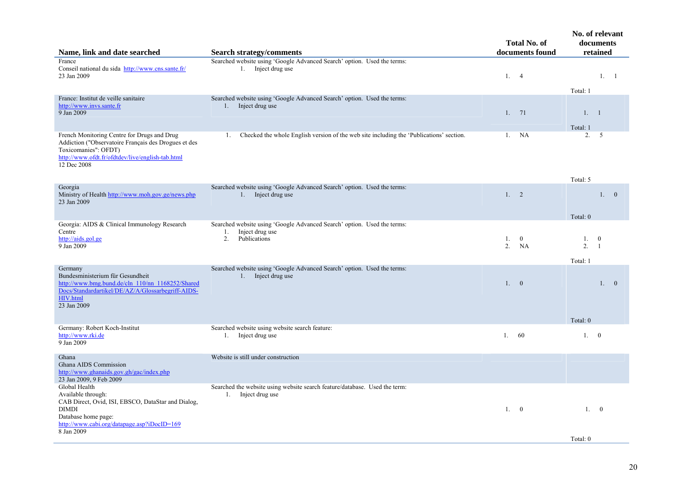| Name, link and date searched                                                                                                                                                                   | <b>Search strategy/comments</b>                                                                                        | <b>Total No. of</b><br>documents found | No. of relevant<br>documents<br>retained                       |  |  |
|------------------------------------------------------------------------------------------------------------------------------------------------------------------------------------------------|------------------------------------------------------------------------------------------------------------------------|----------------------------------------|----------------------------------------------------------------|--|--|
| France<br>Conseil national du sida http://www.cns.sante.fr/<br>23 Jan 2009                                                                                                                     | Searched website using 'Google Advanced Search' option. Used the terms:<br>1. Inject drug use                          | 1.4                                    | 1. 1                                                           |  |  |
| France: Institut de veille sanitaire<br>http://www.invs.sante.fr<br>9 Jan 2009                                                                                                                 | Searched website using 'Google Advanced Search' option. Used the terms:<br>1. Inject drug use                          | 1.71                                   | Total: 1<br>1. 1                                               |  |  |
| French Monitoring Centre for Drugs and Drug<br>Addiction ("Observatoire Français des Drogues et des<br>Toxicomanies": OFDT)<br>http://www.ofdt.fr/ofdtdev/live/english-tab.html<br>12 Dec 2008 | Checked the whole English version of the web site including the 'Publications' section.<br>1.                          | NA<br>1.                               | Total: 1<br>2.5                                                |  |  |
| Georgia<br>Ministry of Health http://www.moh.gov.ge/news.php<br>23 Jan 2009                                                                                                                    | Searched website using 'Google Advanced Search' option. Used the terms:<br>1. Inject drug use                          | 1. 2                                   | Total: 5<br>1. 0                                               |  |  |
| Georgia: AIDS & Clinical Immunology Research<br>Centre<br>http://aids.gol.ge<br>9 Jan 2009                                                                                                     | Searched website using 'Google Advanced Search' option. Used the terms:<br>1.<br>Inject drug use<br>Publications<br>2. | 1.<br>$\mathbf{0}$<br>2.<br>NA         | Total: 0<br>1.<br>$\bf{0}$<br>2.<br>$\overline{1}$<br>Total: 1 |  |  |
| Germany<br>Bundesministerium für Gesundheit<br>http://www.bmg.bund.de/cln 110/nn 1168252/Shared<br>Docs/Standardartikel/DE/AZ/A/Glossarbegriff-AIDS-<br>HIV.html<br>23 Jan 2009                | Searched website using 'Google Advanced Search' option. Used the terms:<br>1. Inject drug use                          | $\overline{0}$<br>1.                   | $\overline{0}$<br>1 <sup>1</sup>                               |  |  |
| Germany: Robert Koch-Institut<br>http://www.rki.de<br>9 Jan 2009                                                                                                                               | Searched website using website search feature:<br>1. Inject drug use                                                   | 1.60                                   | Total: 0<br>1. 0                                               |  |  |
| Ghana<br>Ghana AIDS Commission<br>http://www.ghanaids.gov.gh/gac/index.php<br>23 Jan 2009, 9 Feb 2009                                                                                          | Website is still under construction                                                                                    |                                        |                                                                |  |  |
| Global Health<br>Available through:<br>CAB Direct, Ovid, ISI, EBSCO, DataStar and Dialog,<br>DIMDI<br>Database home page:<br>http://www.cabi.org/datapage.asp?iDocID=169<br>8 Jan 2009         | Searched the website using website search feature/database. Used the term:<br>1. Inject drug use                       | 1. 0                                   | 1. 0<br>Total: 0                                               |  |  |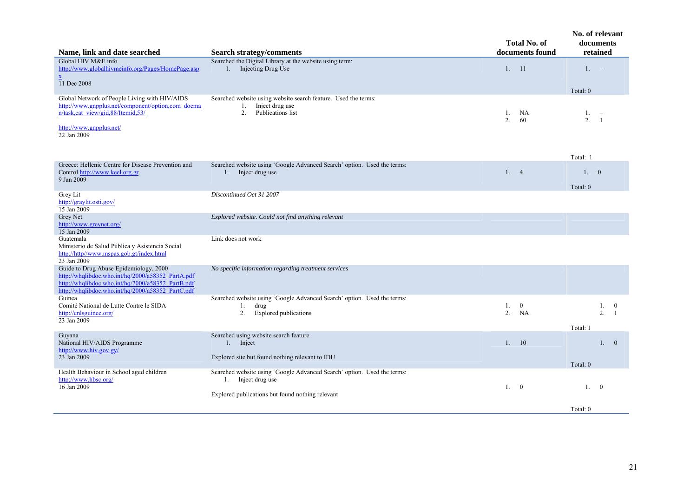| Name, link and date searched                                                                                                                                                                          | <b>Search strategy/comments</b>                                                                                      | <b>Total No. of</b><br>documents found  | No. of relevant<br>documents<br>retained                       |
|-------------------------------------------------------------------------------------------------------------------------------------------------------------------------------------------------------|----------------------------------------------------------------------------------------------------------------------|-----------------------------------------|----------------------------------------------------------------|
| Global HIV M&E info<br>http://www.globalhivmeinfo.org/Pages/HomePage.asp<br>$\underline{\mathbf{X}}$<br>11 Dec 2008                                                                                   | Searched the Digital Library at the website using term:<br>1. Injecting Drug Use                                     | 1. 11                                   | $1. -$<br>Total: 0                                             |
| Global Network of People Living with HIV/AIDS<br>http://www.gnpplus.net/component/option.com_docma<br>n/task.cat_view/gid.88/Itemid.53/<br>http://www.gnpplus.net/<br>22 Jan 2009                     | Searched website using website search feature. Used the terms:<br>Inject drug use<br>1.<br>Publications list<br>2.   | NA<br>1.<br>2.<br>60                    | 1.<br>2.<br>$\overline{1}$                                     |
| Greece: Hellenic Centre for Disease Prevention and<br>Control http://www.keel.org.gr<br>9 Jan 2009                                                                                                    | Searched website using 'Google Advanced Search' option. Used the terms:<br>1. Inject drug use                        | 1.4                                     | Total: 1<br>1.0<br>Total: 0                                    |
| Grey Lit<br>http://graylit.osti.gov/<br>15 Jan 2009                                                                                                                                                   | Discontinued Oct 31 2007                                                                                             |                                         |                                                                |
| Grey Net<br>http://www.greynet.org/<br>15 Jan 2009                                                                                                                                                    | Explored website. Could not find anything relevant                                                                   |                                         |                                                                |
| Guatemala<br>Ministerio de Salud Pública y Asistencia Social<br>http://http//www.mspas.gob.gt/index.html<br>23 Jan 2009                                                                               | Link does not work                                                                                                   |                                         |                                                                |
| Guide to Drug Abuse Epidemiology, 2000<br>http://whqlibdoc.who.int/hq/2000/a58352_PartA.pdf<br>http://whqlibdoc.who.int/hq/2000/a58352_PartB.pdf<br>http://whqlibdoc.who.int/hq/2000/a58352 PartC.pdf | No specific information regarding treatment services                                                                 |                                         |                                                                |
| Guinea<br>Comité National de Lutte Contre le SIDA<br>http://cnlsguinee.org/<br>23 Jan 2009                                                                                                            | Searched website using 'Google Advanced Search' option. Used the terms:<br>drug<br>1.<br>2.<br>Explored publications | 1.<br>$\overline{0}$<br>2.<br><b>NA</b> | 1.<br>$\bf{0}$<br>2 <sup>1</sup><br>$\overline{1}$<br>Total: 1 |
| Guyana<br>National HIV/AIDS Programme<br>http://www.hiv.gov.gy/<br>23 Jan 2009                                                                                                                        | Searched using website search feature.<br>1. Inject<br>Explored site but found nothing relevant to IDU               | 1. 10                                   | 1.0                                                            |
| Health Behaviour in School aged children<br>http://www.hbsc.org/<br>16 Jan 2009                                                                                                                       | Searched website using 'Google Advanced Search' option. Used the terms:<br>1. Inject drug use                        | 1.<br>$\overline{0}$                    | Total: 0<br>1.<br>$\overline{0}$                               |
|                                                                                                                                                                                                       | Explored publications but found nothing relevant                                                                     |                                         | Total: 0                                                       |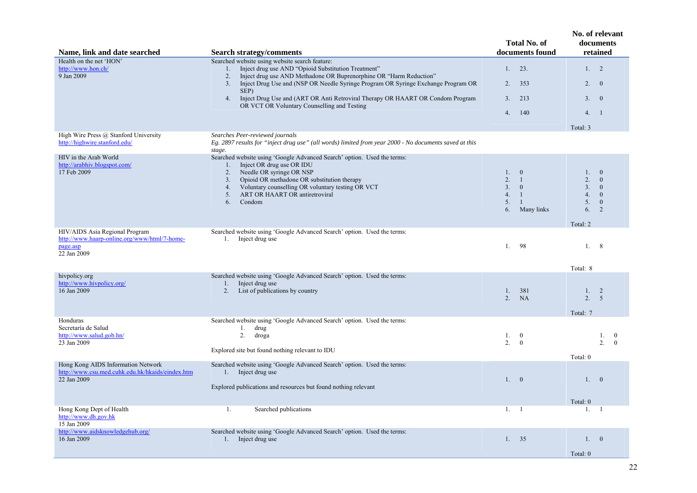|                                                                                                           |                                                                                                                                                                                                                                                                                                                                                                                                                                   | <b>Total No. of</b>                                                                                                                                       | No. of relevant<br>documents                                                                                                      |
|-----------------------------------------------------------------------------------------------------------|-----------------------------------------------------------------------------------------------------------------------------------------------------------------------------------------------------------------------------------------------------------------------------------------------------------------------------------------------------------------------------------------------------------------------------------|-----------------------------------------------------------------------------------------------------------------------------------------------------------|-----------------------------------------------------------------------------------------------------------------------------------|
| Name, link and date searched                                                                              | <b>Search strategy/comments</b>                                                                                                                                                                                                                                                                                                                                                                                                   | documents found                                                                                                                                           | retained                                                                                                                          |
| Health on the net 'HON'<br>http://www.hon.ch/<br>9 Jan 2009                                               | Searched website using website search feature:<br>Inject drug use AND "Opioid Substitution Treatment"<br>1.<br>Inject drug use AND Methadone OR Buprenorphine OR "Harm Reduction"<br>2.<br>Inject Drug Use and (NSP OR Needle Syringe Program OR Syringe Exchange Program OR<br>3.<br>SEP)<br>Inject Drug Use and (ART OR Anti Retroviral Therapy OR HAART OR Condom Program<br>4.<br>OR VCT OR Voluntary Counselling and Testing | 23.<br>1.<br>2.<br>353<br>213<br>3 <sub>1</sub><br>140<br>4.                                                                                              | 1. 2<br>2.<br>$\theta$<br>3.<br>$\overline{0}$<br>4.1<br>Total: 3                                                                 |
| High Wire Press @ Stanford University                                                                     | Searches Peer-reviewed journals                                                                                                                                                                                                                                                                                                                                                                                                   |                                                                                                                                                           |                                                                                                                                   |
| http://highwire.stanford.edu/                                                                             | Eg. 2897 results for "inject drug use" (all words) limited from year 2000 - No documents saved at this<br>stage.                                                                                                                                                                                                                                                                                                                  |                                                                                                                                                           |                                                                                                                                   |
| HIV in the Arab World<br>http://arabhiv.blogspot.com/<br>17 Feb 2009                                      | Searched website using 'Google Advanced Search' option. Used the terms:<br>Inject OR drug use OR IDU<br>1.<br>Needle OR syringe OR NSP<br>2.<br>Opioid OR methadone OR substitution therapy<br>3.<br>Voluntary counselling OR voluntary testing OR VCT<br>4.<br>ART OR HAART OR antiretroviral<br>5.<br>Condom<br>6.                                                                                                              | $1_{-}$<br>$\overline{0}$<br>2.<br>$\overline{1}$<br>3 <sub>1</sub><br>$\overline{0}$<br>4.<br>$\overline{1}$<br>5.<br>$\overline{1}$<br>Many links<br>6. | $\mathbf{0}$<br>1.<br>2.<br>$\Omega$<br>3.<br>$\overline{0}$<br>4.<br>$\overline{0}$<br>5.<br>$\mathbf{0}$<br>2<br>6.<br>Total: 2 |
| HIV/AIDS Asia Regional Program<br>http://www.haarp-online.org/www/html/7-home-<br>page.asp<br>22 Jan 2009 | Searched website using 'Google Advanced Search' option. Used the terms:<br>1. Inject drug use                                                                                                                                                                                                                                                                                                                                     | 1.<br>98                                                                                                                                                  | 1.<br>8                                                                                                                           |
|                                                                                                           |                                                                                                                                                                                                                                                                                                                                                                                                                                   |                                                                                                                                                           | Total: 8                                                                                                                          |
| hivpolicy.org<br>http://www.hivpolicy.org/<br>16 Jan 2009                                                 | Searched website using 'Google Advanced Search' option. Used the terms:<br>1. Inject drug use<br>List of publications by country<br>2.                                                                                                                                                                                                                                                                                            | 381<br>1.<br><b>NA</b><br>2.                                                                                                                              | 2<br>1.<br>2.<br>$\overline{5}$<br>Total: 7                                                                                       |
| Honduras                                                                                                  | Searched website using 'Google Advanced Search' option. Used the terms:                                                                                                                                                                                                                                                                                                                                                           |                                                                                                                                                           |                                                                                                                                   |
| Secretaría de Salud<br>http://www.salud.gob.hn/<br>23 Jan 2009                                            | drug<br>1.<br>2.<br>droga<br>Explored site but found nothing relevant to IDU                                                                                                                                                                                                                                                                                                                                                      | $\overline{0}$<br>1.<br>2 <sup>1</sup><br>$\overline{0}$                                                                                                  | 1.<br>$\bf{0}$<br>2<br>$\theta$<br>Total: 0                                                                                       |
| Hong Kong AIDS Information Network<br>http://www.csu.med.cuhk.edu.hk/hkaids/eindex.htm<br>22 Jan 2009     | Searched website using 'Google Advanced Search' option. Used the terms:<br>1. Inject drug use<br>Explored publications and resources but found nothing relevant                                                                                                                                                                                                                                                                   | 1.0                                                                                                                                                       | 1.<br>$\overline{0}$                                                                                                              |
|                                                                                                           |                                                                                                                                                                                                                                                                                                                                                                                                                                   |                                                                                                                                                           | Total: 0                                                                                                                          |
| Hong Kong Dept of Health<br>http://www.dh.gov.hk<br>15 Jan 2009                                           | Searched publications<br>1.                                                                                                                                                                                                                                                                                                                                                                                                       | 1. 1                                                                                                                                                      | $1_{-}$<br>-1                                                                                                                     |
| http://www.aidsknowledgehub.org/                                                                          | Searched website using 'Google Advanced Search' option. Used the terms:                                                                                                                                                                                                                                                                                                                                                           |                                                                                                                                                           |                                                                                                                                   |
| 16 Jan 2009                                                                                               | Inject drug use<br>1.                                                                                                                                                                                                                                                                                                                                                                                                             | 1.<br>35                                                                                                                                                  | 1.<br>$\bf{0}$<br>Total: 0                                                                                                        |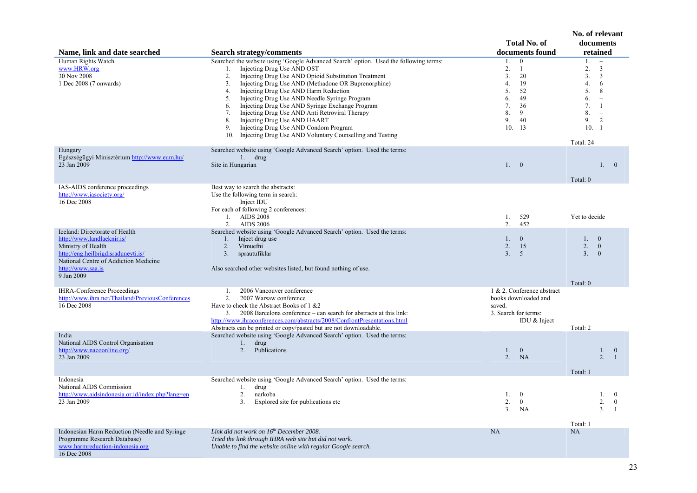|                                                                                                                                                                                                       |                                                                                                                                                                                                                                                                                                                                                                                                                                                                                                                                                                                                                                                                                    | <b>Total No. of</b>                                                                                                                                     | No. of relevant<br>documents                                                                                                                                                                                 |
|-------------------------------------------------------------------------------------------------------------------------------------------------------------------------------------------------------|------------------------------------------------------------------------------------------------------------------------------------------------------------------------------------------------------------------------------------------------------------------------------------------------------------------------------------------------------------------------------------------------------------------------------------------------------------------------------------------------------------------------------------------------------------------------------------------------------------------------------------------------------------------------------------|---------------------------------------------------------------------------------------------------------------------------------------------------------|--------------------------------------------------------------------------------------------------------------------------------------------------------------------------------------------------------------|
| Name, link and date searched<br>Human Rights Watch<br>www.HRW.org<br>30 Nov 2008<br>1 Dec 2008 (7 onwards)                                                                                            | <b>Search strategy/comments</b><br>Searched the website using 'Google Advanced Search' option. Used the following terms:<br>Injecting Drug Use AND OST<br>1.<br>Injecting Drug Use AND Opioid Substitution Treatment<br>2.<br>Injecting Drug Use AND (Methadone OR Buprenorphine)<br>3 <sub>1</sub><br>Injecting Drug Use AND Harm Reduction<br>4.<br>Injecting Drug Use AND Needle Syringe Program<br>5.<br>Injecting Drug Use AND Syringe Exchange Program<br>6.<br>Injecting Drug Use AND Anti Retroviral Therapy<br>7.<br>8.<br>Injecting Drug Use AND HAART<br>Injecting Drug Use AND Condom Program<br>9.<br>Injecting Drug Use AND Voluntary Counselling and Testing<br>10. | documents found<br>$\mathbf{0}$<br>1.<br>2.<br>$\mathbf{1}$<br>3.<br>20<br>19<br>4.<br>5.<br>52<br>6.<br>49<br>7.<br>36<br>8.<br>9<br>9.<br>40<br>10.13 | retained<br>1.<br>$\equiv$<br>2.<br>$\mathfrak{Z}$<br>3 <sub>1</sub><br>$\mathfrak{Z}$<br>4.<br>6<br>5.<br>8<br>6.<br>$\equiv$<br>7.<br>-1<br>8.<br>$\overline{\phantom{a}}$<br>9.<br>2<br>10.1<br>Total: 24 |
| Hungary<br>Egészségügyi Minisztérium http://www.eum.hu/<br>23 Jan 2009                                                                                                                                | Searched website using 'Google Advanced Search' option. Used the terms:<br>drug<br>1.<br>Site in Hungarian                                                                                                                                                                                                                                                                                                                                                                                                                                                                                                                                                                         | 1.0                                                                                                                                                     | 1.0<br>Total: 0                                                                                                                                                                                              |
| IAS-AIDS conference proceedings<br>http://www.iasociety.org/<br>16 Dec 2008                                                                                                                           | Best way to search the abstracts:<br>Use the following term in search:<br>Inject IDU<br>For each of following 2 conferences:<br>1. AIDS 2008<br>2. AIDS 2006                                                                                                                                                                                                                                                                                                                                                                                                                                                                                                                       | 1.<br>529<br>2.<br>452                                                                                                                                  | Yet to decide                                                                                                                                                                                                |
| Iceland: Directorate of Health<br>http://www.landlaeknir.is/<br>Ministry of Health<br>http://eng.heilbrigdisraduneyti.is/<br>National Centre of Addiction Medicine<br>http://www.saa.is<br>9 Jan 2009 | Searched website using 'Google Advanced Search' option. Used the terms:<br>Inject drug use<br>1.<br>Vímuefni<br>2.<br>sprautufiklar<br>3.<br>Also searched other websites listed, but found nothing of use.                                                                                                                                                                                                                                                                                                                                                                                                                                                                        | $\mathbf{0}$<br>$1_{-}$<br>2.<br>15<br>$\overline{5}$<br>3 <sub>1</sub>                                                                                 | 1. 0<br>2.<br>$\overline{0}$<br>3.<br>$\mathbf{0}$<br>Total: 0                                                                                                                                               |
| <b>IHRA-Conference Proceedings</b><br>http://www.ihra.net/Thailand/PreviousConferences<br>16 Dec 2008                                                                                                 | 2006 Vancouver conference<br>1.<br>2.<br>2007 Warsaw conference<br>Have to check the Abstract Books of $1 \& 2$<br>3.<br>2008 Barcelona conference – can search for abstracts at this link:<br>http://www.ihraconferences.com/abstracts/2008/ConfrontPresentations.html<br>Abstracts can be printed or copy/pasted but are not downloadable.                                                                                                                                                                                                                                                                                                                                       | 1 & 2. Conference abstract<br>books downloaded and<br>saved.<br>3. Search for terms:<br>IDU & Inject                                                    | Total: 2                                                                                                                                                                                                     |
| India<br>National AIDS Control Organisation<br>http://www.nacoonline.org/<br>23 Jan 2009                                                                                                              | Searched website using 'Google Advanced Search' option. Used the terms:<br>1.<br>drug<br>2.<br>Publications                                                                                                                                                                                                                                                                                                                                                                                                                                                                                                                                                                        | $\mathbf{0}$<br>$1_{\cdot}$<br>2.<br>NA                                                                                                                 | 1.<br>$\bf{0}$<br>$2 \quad 1$<br>Total: 1                                                                                                                                                                    |
| Indonesia<br>National AIDS Commission<br>http://www.aidsindonesia.or.id/index.php?lang=en<br>23 Jan 2009                                                                                              | Searched website using 'Google Advanced Search' option. Used the terms:<br>drug<br>1.<br>2.<br>narkoba<br>Explored site for publications etc<br>3 <sub>1</sub>                                                                                                                                                                                                                                                                                                                                                                                                                                                                                                                     | $\mathbf{0}$<br>1.<br>2.<br>$\overline{0}$<br>3 <sub>1</sub><br>NA                                                                                      | 1.<br>$\mathbf{0}$<br>2.<br>$\mathbf{0}$<br>3 <sub>1</sub><br>$\overline{1}$<br>Total: 1                                                                                                                     |
| Indonesian Harm Reduction (Needle and Syringe<br>Programme Research Database)<br>www.harmreduction-indonesia.org<br>16 Dec 2008                                                                       | Link did not work on $16^{th}$ December 2008.<br>Tried the link through IHRA web site but did not work.<br>Unable to find the website online with regular Google search.                                                                                                                                                                                                                                                                                                                                                                                                                                                                                                           | NA                                                                                                                                                      | NA                                                                                                                                                                                                           |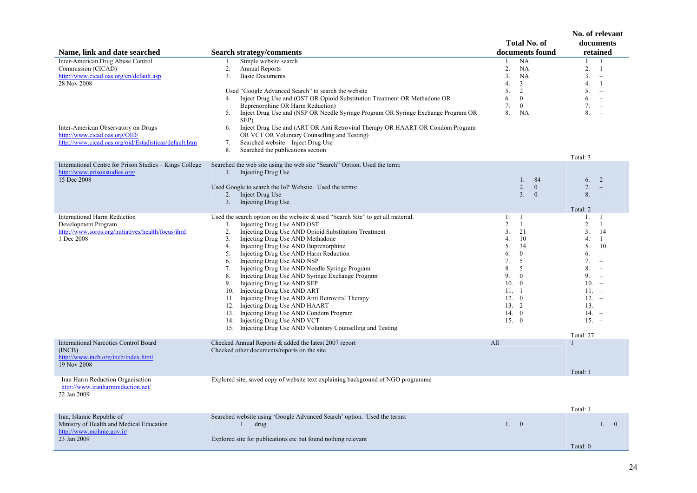| Name, link and date searched                                                                                                                                                                                                                       | <b>Search strategy/comments</b>                                                                                                                                                                                                                                                                                                                                                                                                                                                                                                                                                                                                                                                                                                                                                                   | <b>Total No. of</b><br>documents found                                                                                                                                                          | No. of relevant<br>documents<br>retained                                                                                                                                                                                                                                  |
|----------------------------------------------------------------------------------------------------------------------------------------------------------------------------------------------------------------------------------------------------|---------------------------------------------------------------------------------------------------------------------------------------------------------------------------------------------------------------------------------------------------------------------------------------------------------------------------------------------------------------------------------------------------------------------------------------------------------------------------------------------------------------------------------------------------------------------------------------------------------------------------------------------------------------------------------------------------------------------------------------------------------------------------------------------------|-------------------------------------------------------------------------------------------------------------------------------------------------------------------------------------------------|---------------------------------------------------------------------------------------------------------------------------------------------------------------------------------------------------------------------------------------------------------------------------|
| Inter-American Drug Abuse Control<br>Commission (CICAD)<br>http://www.cicad.oas.org/en/default.asp<br>28 Nov 2008<br>Inter-American Observatory on Drugs<br>http://www.cicad.oas.org/OID/<br>http://www.cicad.oas.org/oid/Estadisticas/default.htm | Simple website search<br>1.<br>2.<br>Annual Reports<br>3.<br><b>Basic Documents</b><br>Used "Google Advanced Search" to search the website<br>Inject Drug Use and (OST OR Opioid Substitution Treatment OR Methadone OR<br>4.<br>Buprenorphine OR Harm Reduction)<br>Inject Drug Use and (NSP OR Needle Syringe Program OR Syringe Exchange Program OR<br>5.<br>SEP)<br>Inject Drug Use and (ART OR Anti Retroviral Therapy OR HAART OR Condom Program<br>6.<br>OR VCT OR Voluntary Counselling and Testing)<br>7.<br>Searched website – Inject Drug Use<br>Searched the publications section<br>8.                                                                                                                                                                                               | <b>NA</b><br>1.<br>2.<br>NA<br>3.<br>NA<br>4.<br>$\overline{3}$<br>$\overline{2}$<br>5.<br>$\theta$<br>6.<br>7.<br>$\mathbf{0}$<br>8.<br>NA                                                     | 1.<br>1<br>2.<br>$\mathbf{1}$<br>3.<br>$\sim$<br>4.<br>1<br>5.<br>$\overline{\phantom{a}}$<br>6.<br>$\overline{\phantom{a}}$<br>7.<br>$\overline{\phantom{a}}$<br>8.<br>$\overline{\phantom{a}}$<br>Total: 3                                                              |
| International Centre for Prison Studies - Kings College<br>http://www.prisonstudies.org/<br>15 Dec 2008                                                                                                                                            | Searched the web site using the web site "Search" Option. Used the term:<br>Injecting Drug Use<br>1.<br>Used Google to search the IoP Website. Used the terms:<br>2.<br>Inject Drug Use<br>Injecting Drug Use<br>3.                                                                                                                                                                                                                                                                                                                                                                                                                                                                                                                                                                               | 84<br>1.<br>2.<br>$\mathbf{0}$<br>3 <sub>1</sub><br>$\overline{0}$                                                                                                                              | 2<br>6.<br>7.<br>$\equiv$<br>8.<br>Total: 2                                                                                                                                                                                                                               |
| <b>International Harm Reduction</b><br>Development Program<br>http://www.soros.org/initiatives/health/focus/ihrd<br>1 Dec 2008                                                                                                                     | Used the search option on the website $\&$ used "Search Site" to get all material.<br>Injecting Drug Use AND OST<br>1.<br>Injecting Drug Use AND Opioid Substitution Treatment<br>2.<br>Injecting Drug Use AND Methadone<br>3.<br>Injecting Drug Use AND Buprenorphine<br>4.<br>Injecting Drug Use AND Harm Reduction<br>5.<br>Injecting Drug Use AND NSP<br>6.<br>Injecting Drug Use AND Needle Syringe Program<br>7.<br>Injecting Drug Use AND Syringe Exchange Program<br>8.<br>Injecting Drug Use AND SEP<br>9.<br>Injecting Drug Use AND ART<br>10.<br>11. Injecting Drug Use AND Anti Retroviral Therapy<br>12. Injecting Drug Use AND HAART<br>13. Injecting Drug Use AND Condom Program<br>14. Injecting Drug Use AND VCT<br>15. Injecting Drug Use AND Voluntary Counselling and Testing | 1. 1<br>2.<br>$\mathbf{1}$<br>21<br>3 <sub>1</sub><br>4.<br>10<br>5.<br>34<br>6.<br>$\mathbf{0}$<br>5<br>7.<br>8.<br>5<br>9.<br>$\mathbf{0}$<br>10. 0<br>11. 1<br>12.0<br>13.2<br>14.0<br>15. 0 | 1.<br>-1<br>2.<br>-1<br>3 <sub>1</sub><br>14<br>4.<br>1<br>5.<br>10<br>6.<br>$\overline{\phantom{a}}$<br>7.<br>$\overline{\phantom{a}}$<br>8.<br>$\overline{\phantom{a}}$<br>9.<br>$\equiv$<br>$10 -$<br>$11. -$<br>$12. -$<br>$13. -$<br>$14. -$<br>$15. -$<br>Total: 27 |
| <b>International Narcotics Control Board</b><br>(INCB)<br>http://www.incb.org/incb/index.html<br>19 Nov 2008                                                                                                                                       | Checked Annual Reports & added the latest 2007 report<br>Checked other documents/reports on the site                                                                                                                                                                                                                                                                                                                                                                                                                                                                                                                                                                                                                                                                                              | All                                                                                                                                                                                             | Total: 1                                                                                                                                                                                                                                                                  |
| Iran Harm Reduction Organisation<br>http://www.iranharmreduction.net/<br>22 Jan 2009                                                                                                                                                               | Explored site, saved copy of website text explaining background of NGO programme                                                                                                                                                                                                                                                                                                                                                                                                                                                                                                                                                                                                                                                                                                                  |                                                                                                                                                                                                 | Total: 1                                                                                                                                                                                                                                                                  |
| Iran, Islamic Republic of<br>Ministry of Health and Medical Education<br>http://www.mohme.gov.ir/<br>23 Jan 2009                                                                                                                                   | Searched website using 'Google Advanced Search' option. Used the terms:<br>1.<br>drug<br>Explored site for publications etc but found nothing relevant                                                                                                                                                                                                                                                                                                                                                                                                                                                                                                                                                                                                                                            | 1.0                                                                                                                                                                                             | 1.0<br>Total: $0$                                                                                                                                                                                                                                                         |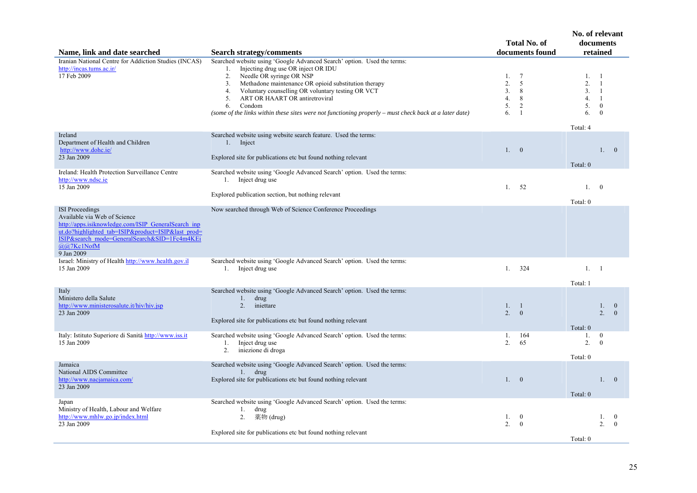|                                                                                                                                                                                                                       |                                                                                                                                                                                                                                                                                                                                                                                                                                                   | <b>Total No. of</b>                                              | No. of relevant<br>documents                                                                                                         |
|-----------------------------------------------------------------------------------------------------------------------------------------------------------------------------------------------------------------------|---------------------------------------------------------------------------------------------------------------------------------------------------------------------------------------------------------------------------------------------------------------------------------------------------------------------------------------------------------------------------------------------------------------------------------------------------|------------------------------------------------------------------|--------------------------------------------------------------------------------------------------------------------------------------|
| Name, link and date searched                                                                                                                                                                                          | <b>Search strategy/comments</b>                                                                                                                                                                                                                                                                                                                                                                                                                   | documents found                                                  | retained                                                                                                                             |
| Iranian National Centre for Addiction Studies (INCAS)<br>http://incas.tums.ac.ir/<br>17 Feb 2009                                                                                                                      | Searched website using 'Google Advanced Search' option. Used the terms:<br>Injecting drug use OR inject OR IDU<br>1.<br>Needle OR syringe OR NSP<br>2.<br>Methadone maintenance OR opioid substitution therapy<br>3.<br>Voluntary counselling OR voluntary testing OR VCT<br>4.<br>ART OR HAART OR antiretroviral<br>5.<br>Condom<br>6.<br>(some of the links within these sites were not functioning properly – must check back at a later date) | -7<br>1.<br>5<br>2.<br>3.<br>8<br>4.<br>8<br>5.<br>2<br>-1<br>6. | 1.<br>-1<br>2.<br>$\overline{1}$<br>3 <sub>1</sub><br>$\overline{1}$<br>4.<br>$\overline{1}$<br>5.<br>$\mathbf{0}$<br>6.<br>$\theta$ |
| Ireland                                                                                                                                                                                                               | Searched website using website search feature. Used the terms:                                                                                                                                                                                                                                                                                                                                                                                    |                                                                  | Total: 4                                                                                                                             |
| Department of Health and Children<br>http://www.dohc.ie/<br>23 Jan 2009                                                                                                                                               | Inject<br>1.<br>Explored site for publications etc but found nothing relevant                                                                                                                                                                                                                                                                                                                                                                     | 1. 0                                                             | 1.0<br>Total: 0                                                                                                                      |
| Ireland: Health Protection Surveillance Centre                                                                                                                                                                        | Searched website using 'Google Advanced Search' option. Used the terms:                                                                                                                                                                                                                                                                                                                                                                           |                                                                  |                                                                                                                                      |
| http://www.ndsc.ie<br>15 Jan 2009                                                                                                                                                                                     | 1. Inject drug use<br>Explored publication section, but nothing relevant                                                                                                                                                                                                                                                                                                                                                                          | 52<br>1.                                                         | 1.<br>$\overline{0}$                                                                                                                 |
| <b>ISI</b> Proceedings                                                                                                                                                                                                | Now searched through Web of Science Conference Proceedings                                                                                                                                                                                                                                                                                                                                                                                        |                                                                  | Total: 0                                                                                                                             |
| Available via Web of Science<br>http://apps.isiknowledge.com/ISIP GeneralSearch inp<br>ut.do?highlighted tab=ISIP&product=ISIP&last prod=<br>ISIP&search_mode=GeneralSearch&SID=1Fc4m4KEi<br>@@7Kc1NofM<br>9 Jan 2009 |                                                                                                                                                                                                                                                                                                                                                                                                                                                   |                                                                  |                                                                                                                                      |
| Israel: Ministry of Health http://www.health.gov.il<br>15 Jan 2009                                                                                                                                                    | Searched website using 'Google Advanced Search' option. Used the terms:<br>1. Inject drug use                                                                                                                                                                                                                                                                                                                                                     | 324<br>1.                                                        | 1. 1<br>Total: 1                                                                                                                     |
| Italy<br>Ministero della Salute<br>http://www.ministerosalute.it/hiv/hiv.jsp<br>23 Jan 2009                                                                                                                           | Searched website using 'Google Advanced Search' option. Used the terms:<br>1.<br>drug<br>2.<br>iniettare<br>Explored site for publications etc but found nothing relevant                                                                                                                                                                                                                                                                         | 1.<br>$\overline{1}$<br>2 <sup>1</sup><br>$\overline{0}$         | 1.<br>$\mathbf{0}$<br>2 <sup>1</sup><br>$\Omega$<br>Total: 0                                                                         |
| Italy: Istituto Superiore di Sanità http://www.iss.it<br>15 Jan 2009                                                                                                                                                  | Searched website using 'Google Advanced Search' option. Used the terms:<br>1.<br>Inject drug use<br>2.<br>iniezione di droga                                                                                                                                                                                                                                                                                                                      | 164<br>1.<br>2.<br>65                                            | $\overline{0}$<br>1.<br>2.<br>$\theta$                                                                                               |
| Jamaica                                                                                                                                                                                                               | Searched website using 'Google Advanced Search' option. Used the terms:                                                                                                                                                                                                                                                                                                                                                                           |                                                                  | Total: 0                                                                                                                             |
| National AIDS Committee<br>http://www.nacjamaica.com/<br>23 Jan 2009                                                                                                                                                  | drug<br>1.<br>Explored site for publications etc but found nothing relevant                                                                                                                                                                                                                                                                                                                                                                       | 1. 0                                                             | 1. 0<br>Total: 0                                                                                                                     |
| Japan<br>Ministry of Health, Labour and Welfare<br>http://www.mhlw.go.jp/index.html<br>23 Jan 2009                                                                                                                    | Searched website using 'Google Advanced Search' option. Used the terms:<br>1.<br>drug<br>薬物 (drug)<br>2.<br>Explored site for publications etc but found nothing relevant                                                                                                                                                                                                                                                                         | 1.<br>$\mathbf{0}$<br>2.<br>$\overline{0}$                       | 1.<br>$\bf{0}$<br>2.<br>$\theta$                                                                                                     |
|                                                                                                                                                                                                                       |                                                                                                                                                                                                                                                                                                                                                                                                                                                   |                                                                  | Total: 0                                                                                                                             |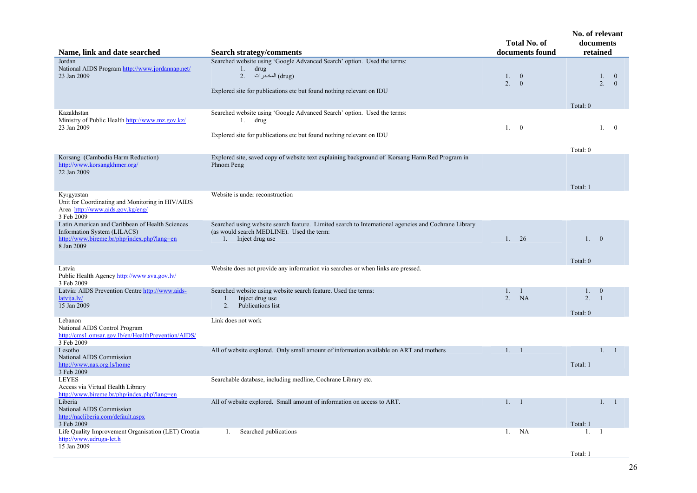| Name, link and date searched                                                                                                               | <b>Search strategy/comments</b>                                                                                                                                                       |               | <b>Total No. of</b><br>documents found  | No. of relevant<br>documents | retained                   |                          |
|--------------------------------------------------------------------------------------------------------------------------------------------|---------------------------------------------------------------------------------------------------------------------------------------------------------------------------------------|---------------|-----------------------------------------|------------------------------|----------------------------|--------------------------|
| Jordan<br>National AIDS Program http://www.jordannap.net/<br>23 Jan 2009                                                                   | Searched website using 'Google Advanced Search' option. Used the terms:<br>$1.$ drug<br>(drug) المخدر ات) . 2<br>Explored site for publications etc but found nothing relevant on IDU | 1.<br>2.      | $\overline{\mathbf{0}}$<br>$\mathbf{0}$ | Total: 0                     | 1.<br>2.                   | $\bf{0}$<br>$\mathbf{0}$ |
| Kazakhstan<br>Ministry of Public Health http://www.mz.gov.kz/<br>23 Jan 2009                                                               | Searched website using 'Google Advanced Search' option. Used the terms:<br>1. drug<br>Explored site for publications etc but found nothing relevant on IDU                            | 1. 0          |                                         | Total: 0                     | 1. 0                       |                          |
| Korsang (Cambodia Harm Reduction)<br>http://www.korsangkhmer.org/<br>22 Jan 2009                                                           | Explored site, saved copy of website text explaining background of Korsang Harm Red Program in<br>Phnom Peng                                                                          |               |                                         | Total: 1                     |                            |                          |
| Kyrgyzstan<br>Unit for Coordinating and Monitoring in HIV/AIDS<br>Area http://www.aids.gov.kg/eng/<br>3 Feb 2009                           | Website is under reconstruction                                                                                                                                                       |               |                                         |                              |                            |                          |
| Latin American and Caribbean of Health Sciences<br>Information System (LILACS)<br>http://www.bireme.br/php/index.php?lang=en<br>8 Jan 2009 | Searched using website search feature. Limited search to International agencies and Cochrane Library<br>(as would search MEDLINE). Used the term:<br>1. Inject drug use               | 1.            | 26                                      | 1.<br>Total: 0               | $\overline{0}$             |                          |
| Latvia<br>Public Health Agency http://www.sva.gov.lv/<br>3 Feb 2009                                                                        | Website does not provide any information via searches or when links are pressed.                                                                                                      |               |                                         |                              |                            |                          |
| Latvia: AIDS Prevention Centre http://www.aids-<br>latvija.lv/<br>15 Jan 2009                                                              | Searched website using website search feature. Used the terms:<br>Inject drug use<br>$1_{\cdot}$<br>Publications list<br>2.                                                           | $1_{-}$<br>2. | $\mathbf{1}$<br><b>NA</b>               | 1.<br>2.<br>Total: 0         | $\bf{0}$<br>$\overline{1}$ |                          |
| Lebanon<br>National AIDS Control Program<br>http://cms1.omsar.gov.lb/en/HealthPrevention/AIDS/<br>3 Feb 2009                               | Link does not work                                                                                                                                                                    |               |                                         |                              |                            |                          |
| Lesotho<br>National AIDS Commission<br>http://www.nas.org.ls/home<br>3 Feb 2009                                                            | All of website explored. Only small amount of information available on ART and mothers                                                                                                | 1. 1          |                                         | Total: 1                     | 1.                         | - 1                      |
| <b>LEYES</b><br>Access via Virtual Health Library<br>http://www.bireme.br/php/index.php?lang=en                                            | Searchable database, including medline, Cochrane Library etc.                                                                                                                         |               |                                         |                              |                            |                          |
| Liberia<br>National AIDS Commission<br>http://nacliberia.com/default.aspx<br>3 Feb 2009                                                    | All of website explored. Small amount of information on access to ART.                                                                                                                | 1. 1          |                                         | Total: 1                     | 1, 1                       |                          |
| Life Quality Improvement Organisation (LET) Croatia<br>http://www.udruga-let.h<br>15 Jan 2009                                              | Searched publications<br>1.                                                                                                                                                           | 1.            | NA                                      | 1.<br>Total: 1               | -1                         |                          |

26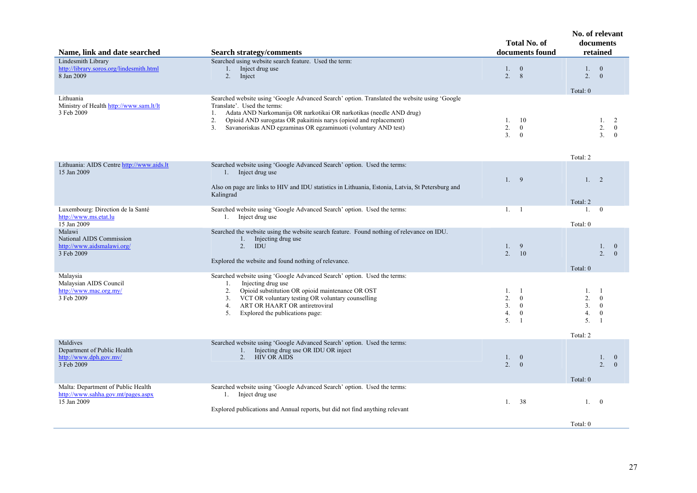| Name, link and date searched                                                            | <b>Search strategy/comments</b>                                                                                                                                                                                                                                                                                                                             |                                                                                                   | No. of relevant<br>documents<br>retained                                                                        |  |  |
|-----------------------------------------------------------------------------------------|-------------------------------------------------------------------------------------------------------------------------------------------------------------------------------------------------------------------------------------------------------------------------------------------------------------------------------------------------------------|---------------------------------------------------------------------------------------------------|-----------------------------------------------------------------------------------------------------------------|--|--|
| Lindesmith Library<br>http://library.soros.org/lindesmith.html<br>8 Jan 2009            | Searched using website search feature. Used the term:<br>Inject drug use<br>1.<br>2. Inject                                                                                                                                                                                                                                                                 | 1. 0<br>2.<br>8                                                                                   | 1.<br>$\mathbf{0}$<br>2.<br>$\theta$<br>Total: 0                                                                |  |  |
| Lithuania<br>Ministry of Health http://www.sam.lt/lt<br>3 Feb 2009                      | Searched website using 'Google Advanced Search' option. Translated the website using 'Google<br>Translate'. Used the terms:<br>Adata AND Narkomanija OR narkotikai OR narkotikas (needle AND drug)<br>1.<br>2.<br>Opioid AND surogatas OR pakaitinis narys (opioid and replacement)<br>Savanoriskas AND egzaminas OR egzaminuoti (voluntary AND test)<br>3. | -10<br>1.<br>2.<br>$\mathbf{0}$<br>3 <sub>1</sub><br>$\mathbf{0}$                                 | 1.<br>2<br>2.<br>$\boldsymbol{0}$<br>3 <sub>1</sub><br>$\theta$                                                 |  |  |
| Lithuania: AIDS Centre http://www.aids.lt<br>15 Jan 2009                                | Searched website using 'Google Advanced Search' option. Used the terms:<br>1. Inject drug use<br>Also on page are links to HIV and IDU statistics in Lithuania, Estonia, Latvia, St Petersburg and<br>Kalingrad                                                                                                                                             | 1.9                                                                                               | Total: 2<br>1.<br>$\overline{2}$<br>Total: 2                                                                    |  |  |
| Luxembourg: Direction de la Santé<br>http://www.ms.etat.lu<br>15 Jan 2009               | Searched website using 'Google Advanced Search' option. Used the terms:<br>1. Inject drug use                                                                                                                                                                                                                                                               | 1. 1                                                                                              | $\overline{0}$<br>1.<br>Total: 0                                                                                |  |  |
| Malawi<br>National AIDS Commission<br>http://www.aidsmalawi.org/<br>3 Feb 2009          | Searched the website using the website search feature. Found nothing of relevance on IDU.<br>1. Injecting drug use<br>$2.$ IDU<br>Explored the website and found nothing of relevance.                                                                                                                                                                      | 9<br>1.<br>10<br>2.                                                                               | 1.0<br>2.<br>$\mathbf{0}$<br>Total: 0                                                                           |  |  |
| Malaysia<br>Malaysian AIDS Council<br>http://www.mac.org.my/<br>3 Feb 2009              | Searched website using 'Google Advanced Search' option. Used the terms:<br>Injecting drug use<br>1.<br>2.<br>Opioid substitution OR opioid maintenance OR OST<br>VCT OR voluntary testing OR voluntary counselling<br>3.<br>ART OR HAART OR antiretroviral<br>4.<br>5.<br>Explored the publications page:                                                   | 1.<br>- 1<br>2.<br>$\theta$<br>3 <sub>1</sub><br>$\overline{0}$<br>4.<br>$\mathbf{0}$<br>5.<br>-1 | 1.<br>-1<br>$\overline{2}$ .<br>$\theta$<br>3.<br>$\mathbf{0}$<br>4.<br>$\overline{0}$<br>5.<br>- 1<br>Total: 2 |  |  |
| Maldives<br>Department of Public Health<br>http://www.dph.gov.mv/<br>3 Feb 2009         | Searched website using 'Google Advanced Search' option. Used the terms:<br>Injecting drug use OR IDU OR inject<br>1.<br>2. HIV OR AIDS                                                                                                                                                                                                                      | 1.0<br>2.<br>$\overline{0}$                                                                       | 1.<br>$\overline{0}$<br>2 <sup>1</sup><br>$\theta$<br>Total: 0                                                  |  |  |
| Malta: Department of Public Health<br>http://www.sahha.gov.mt/pages.aspx<br>15 Jan 2009 | Searched website using 'Google Advanced Search' option. Used the terms:<br>1. Inject drug use<br>Explored publications and Annual reports, but did not find anything relevant                                                                                                                                                                               | 38<br>1.                                                                                          | 1.<br>$\overline{0}$                                                                                            |  |  |
|                                                                                         |                                                                                                                                                                                                                                                                                                                                                             |                                                                                                   | Total: 0                                                                                                        |  |  |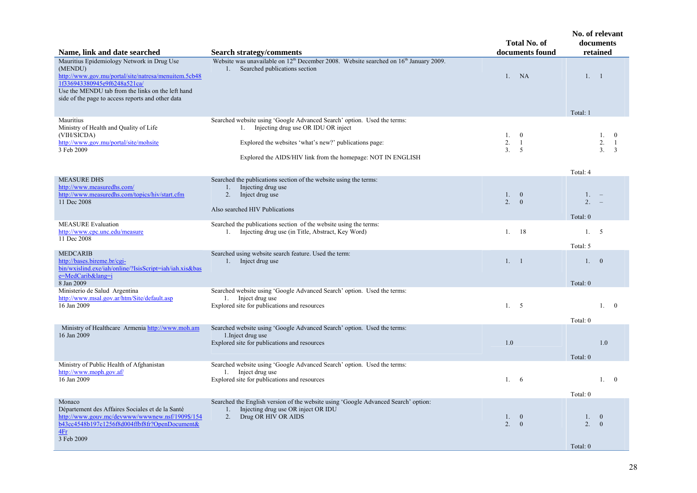| Name, link and date searched                                                                                                                                                                                                                            | <b>Search strategy/comments</b>                                                                                                                                                                                                                | <b>Total No. of</b><br>documents found | No. of relevant<br>documents<br>retained                                                |
|---------------------------------------------------------------------------------------------------------------------------------------------------------------------------------------------------------------------------------------------------------|------------------------------------------------------------------------------------------------------------------------------------------------------------------------------------------------------------------------------------------------|----------------------------------------|-----------------------------------------------------------------------------------------|
| Mauritius Epidemiology Network in Drug Use<br>(MENDU)<br>http://www.gov.mu/portal/site/natresa/menuitem.5cb48<br>1f336943380945e9f6248a521ca/<br>Use the MENDU tab from the links on the left hand<br>side of the page to access reports and other data | Website was unavailable on 12 <sup>th</sup> December 2008. Website searched on 16 <sup>th</sup> January 2009.<br>Searched publications section<br>1.                                                                                           | NA<br>1.                               | 1. 1                                                                                    |
| Mauritius<br>Ministry of Health and Quality of Life<br>(VIH/SICDA)<br>http://www.gov.mu/portal/site/mohsite<br>3 Feb 2009                                                                                                                               | Searched website using 'Google Advanced Search' option. Used the terms:<br>Injecting drug use OR IDU OR inject<br>1.<br>Explored the websites 'what's new?' publications page:<br>Explored the AIDS/HIV link from the homepage: NOT IN ENGLISH | 1.0<br>2.<br>$\overline{1}$<br>3.<br>5 | Total: 1<br>1.<br>$\mathbf{0}$<br>2.<br>$\mathbf{1}$<br>3 <sub>1</sub><br>3<br>Total: 4 |
| <b>MEASURE DHS</b><br>http://www.measuredhs.com/<br>http://www.measuredhs.com/topics/hiv/start.cfm<br>11 Dec 2008                                                                                                                                       | Searched the publications section of the website using the terms:<br>Injecting drug use<br>1.<br>Inject drug use<br>2.<br>Also searched HIV Publications                                                                                       | 1.0<br>2.<br>$\theta$                  | 1.<br>2.<br>Total: 0                                                                    |
| <b>MEASURE</b> Evaluation<br>http://www.cpc.unc.edu/measure<br>11 Dec 2008                                                                                                                                                                              | Searched the publications section of the website using the terms:<br>1. Injecting drug use (in Title, Abstract, Key Word)                                                                                                                      | 1.<br>18                               | 1.5<br>Total: 5                                                                         |
| <b>MEDCARIB</b><br>http://bases.bireme.br/cgi-<br>bin/wxislind.exe/iah/online/?IsisScript=iah/iah.xis&bas<br>e=MedCarib⟨=i<br>8 Jan 2009                                                                                                                | Searched using website search feature. Used the term:<br>Inject drug use<br>1.                                                                                                                                                                 | 1, 1                                   | 1.0<br>Total: 0                                                                         |
| Ministerio de Salud Argentina<br>http://www.msal.gov.ar/htm/Site/default.asp<br>16 Jan 2009                                                                                                                                                             | Searched website using 'Google Advanced Search' option. Used the terms:<br>1. Inject drug use<br>Explored site for publications and resources                                                                                                  | 1. 5                                   | $1 \quad 0$<br>Total: 0                                                                 |
| Ministry of Healthcare Armenia http://www.moh.am<br>16 Jan 2009                                                                                                                                                                                         | Searched website using 'Google Advanced Search' option. Used the terms:<br>1. Inject drug use<br>Explored site for publications and resources                                                                                                  | 1.0                                    | 1.0<br>Total: 0                                                                         |
| Ministry of Public Health of Afghanistan<br>http://www.moph.gov.af/<br>16 Jan 2009                                                                                                                                                                      | Searched website using 'Google Advanced Search' option. Used the terms:<br>1. Inject drug use<br>Explored site for publications and resources                                                                                                  | 1.6                                    | 1.<br>$\overline{0}$<br>Total: 0                                                        |
| Monaco<br>Département des Affaires Sociales et de la Santé<br>http://www.gouv.mc/devwww/wwwnew.nsf/1909\$/154<br>b43cc4548b197c1256f8d004ffbf8fr?OpenDocument&<br>4Fr<br>3 Feb 2009                                                                     | Searched the English version of the website using 'Google Advanced Search' option:<br>Injecting drug use OR inject OR IDU<br>1.<br>Drug OR HIV OR AIDS<br>2.                                                                                   | 1.0<br>2.<br>$\mathbf{0}$              | $\overline{0}$<br>1.<br>2.<br>$\mathbf{0}$<br>Total: 0                                  |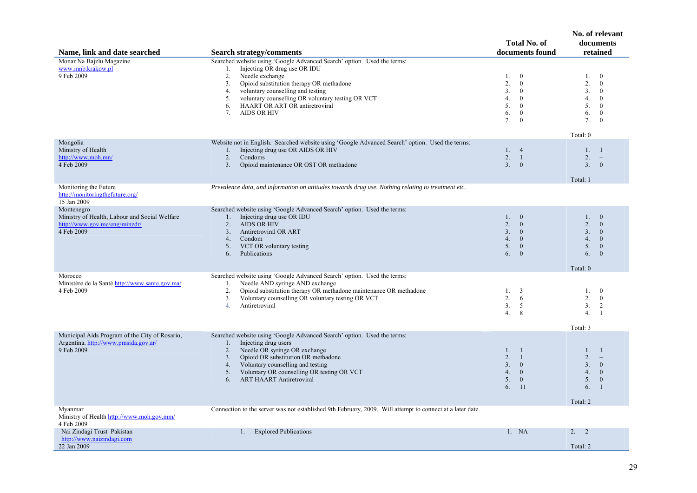| Name, link and date searched                                                                               | <b>Search strategy/comments</b>                                                                                                                                                                                                                                                                                                                                                | Total No. of<br>documents found                                                                                                                        | No. of relevant<br>documents<br>retained                                                                                                                                         |
|------------------------------------------------------------------------------------------------------------|--------------------------------------------------------------------------------------------------------------------------------------------------------------------------------------------------------------------------------------------------------------------------------------------------------------------------------------------------------------------------------|--------------------------------------------------------------------------------------------------------------------------------------------------------|----------------------------------------------------------------------------------------------------------------------------------------------------------------------------------|
| Monar Na Bajzlu Magazine<br>www.mnb.krakow.pl<br>9 Feb 2009                                                | Searched website using 'Google Advanced Search' option. Used the terms:<br>Injecting OR drug use OR IDU<br>1.<br>2.<br>Needle exchange<br>Opioid substitution therapy OR methadone<br>3 <sub>1</sub><br>voluntary counselling and testing<br>4.<br>voluntary counselling OR voluntary testing OR VCT<br>5.<br>HAART OR ART OR antiretroviral<br>6.<br>7.<br><b>AIDS OR HIV</b> | $\overline{0}$<br>1.<br>2.<br>$\mathbf{0}$<br>3.<br>$\mathbf{0}$<br>4.<br>$\overline{0}$<br>5.<br>$\bf{0}$<br>6.<br>$\mathbf{0}$<br>7.<br>$\mathbf{0}$ | $\overline{0}$<br>1.<br>2.<br>$\overline{0}$<br>3.<br>$\overline{0}$<br>4.<br>$\overline{0}$<br>5.<br>$\overline{0}$<br>6.<br>$\overline{0}$<br>7.<br>$\overline{0}$<br>Total: 0 |
| Mongolia<br>Ministry of Health<br>http://www.moh.mn/<br>4 Feb 2009                                         | Website not in English. Searched website using 'Google Advanced Search' option. Used the terms:<br>Injecting drug use OR AIDS OR HIV<br>1.<br>2.<br>Condoms<br>3 <sub>1</sub><br>Opioid maintenance OR OST OR methadone                                                                                                                                                        | 1.4<br>2.<br>$\overline{1}$<br>3 <sub>1</sub><br>$\overline{0}$                                                                                        | 1.<br>$\overline{1}$<br>2.<br>$\sim$<br>3 <sub>1</sub><br>$\overline{0}$<br>Total: 1                                                                                             |
| Monitoring the Future<br>http://monitoringthefuture.org/<br>15 Jan 2009                                    | Prevalence data, and information on attitudes towards drug use. Nothing relating to treatment etc.                                                                                                                                                                                                                                                                             |                                                                                                                                                        |                                                                                                                                                                                  |
| Montenegro<br>Ministry of Health, Labour and Social Welfare<br>http://www.gov.me/eng/minzdr/<br>4 Feb 2009 | Searched website using 'Google Advanced Search' option. Used the terms:<br>1. Injecting drug use OR IDU<br>2.<br><b>AIDS OR HIV</b><br>3.<br>Antiretroviral OR ART<br>4.<br>Condom<br>VCT OR voluntary testing<br>5.<br>Publications<br>6.                                                                                                                                     | 1. 0<br>2.<br>$\mathbf{0}$<br>3 <sub>1</sub><br>$\overline{0}$<br>4.<br>$\bf{0}$<br>5.<br>$\overline{0}$<br>$\mathbf{0}$<br>6.                         | $\overline{0}$<br>1.<br>2.<br>$\theta$<br>3 <sub>1</sub><br>$\bf{0}$<br>4.<br>$\overline{0}$<br>5.<br>$\overline{0}$<br>6.<br>$\overline{0}$<br>Total: 0                         |
| Morocco<br>Ministère de la Santé http://www.sante.gov.ma/<br>4 Feb 2009                                    | Searched website using 'Google Advanced Search' option. Used the terms:<br>Needle AND syringe AND exchange<br>1.<br>Opioid substitution therapy OR methadone maintenance OR methadone<br>2.<br>3.<br>Voluntary counselling OR voluntary testing OR VCT<br>Antiretroviral<br>4.                                                                                                 | 1.<br>$\overline{\mathbf{3}}$<br>2.<br>- 6<br>3 <sub>1</sub><br>5<br>4.<br>8                                                                           | 1.<br>$\bf{0}$<br>2.<br>$\overline{0}$<br>2<br>3.<br>4.<br>-1<br>Total: 3                                                                                                        |
| Municipal Aids Program of the City of Rosario,<br>Argentina. http://www.pmsida.gov.ar/<br>9 Feb 2009       | Searched website using 'Google Advanced Search' option. Used the terms:<br>Injecting drug users<br>$1_{-}$<br>Needle OR syringe OR exchange<br>2.<br>Opioid OR substitution OR methadone<br>3.<br>Voluntary counselling and testing<br>4.<br>5.<br>Voluntary OR counselling OR testing OR VCT<br><b>ART HAART Antiretroviral</b><br>6.                                         | 1. 1<br>2.<br>$\overline{1}$<br>3.<br>$\overline{\phantom{0}}$<br>4.<br>$\overline{\mathbf{0}}$<br>5.<br>$\mathbf{0}$<br>6.<br>11                      | $1_{\cdot}$<br>-1<br>2.<br>3 <sub>1</sub><br>$\overline{0}$<br>4.<br>$\overline{0}$<br>5.<br>$\overline{0}$<br>6.<br>$\overline{1}$<br>Total: 2                                  |
| Myanmar<br>Ministry of Health http://www.moh.gov.mm/<br>4 Feb 2009                                         | Connection to the server was not established 9th February, 2009. Will attempt to connect at a later date.                                                                                                                                                                                                                                                                      |                                                                                                                                                        |                                                                                                                                                                                  |
| Nai Zindagi Trust Pakistan<br>http://www.naizindagi.com<br>22 Jan 2009                                     | <b>Explored Publications</b><br>$1_{-}$                                                                                                                                                                                                                                                                                                                                        | 1. NA                                                                                                                                                  | 2. 2<br>Total: 2                                                                                                                                                                 |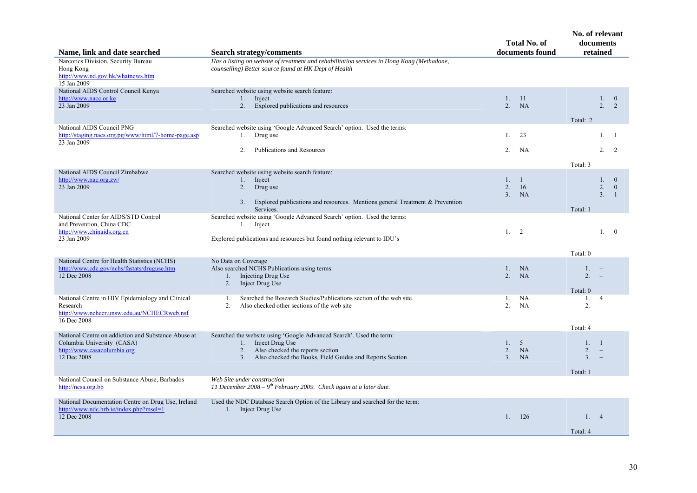| Name, link and date searched                                                                                                    | <b>Search strategy/comments</b>                                                                                                                                                                          | <b>Total No. of</b><br>documents found                                        | No. of relevant<br>documents<br>retained                                          |
|---------------------------------------------------------------------------------------------------------------------------------|----------------------------------------------------------------------------------------------------------------------------------------------------------------------------------------------------------|-------------------------------------------------------------------------------|-----------------------------------------------------------------------------------|
| Narcotics Division, Security Bureau<br>Hong Kong<br>http://www.nd.gov.hk/whatnews.htm<br>15 Jan 2009                            | Has a listing on website of treatment and rehabilitation services in Hong Kong (Methadone,<br>counselling) Better source found at HK Dept of Health                                                      |                                                                               |                                                                                   |
| National AIDS Control Council Kenya<br>http://www.nacc.or.ke<br>23 Jan 2009                                                     | Searched website using website search feature:<br>1. Inject<br>2.<br>Explored publications and resources                                                                                                 | 1.<br>11<br>2.<br><b>NA</b>                                                   | 1.<br>$\mathbf{0}$<br>2 <sup>1</sup><br>$\overline{2}$                            |
| National AIDS Council PNG<br>http://staging.nacs.org.pg/www/html/7-home-page.asp<br>23 Jan 2009                                 | Searched website using 'Google Advanced Search' option. Used the terms:<br>Drug use<br>1.<br><b>Publications and Resources</b><br>2.                                                                     | 1.<br>23<br>2.<br>NA                                                          | Total: 2<br>1.1<br>$2^{2}$                                                        |
| National AIDS Council Zimbabwe                                                                                                  |                                                                                                                                                                                                          |                                                                               | Total: 3                                                                          |
| http://www.nac.org.zw/<br>23 Jan 2009                                                                                           | Searched website using website search feature:<br>1. Inject<br>2.<br>Drug use<br>Explored publications and resources. Mentions general Treatment & Prevention<br>3.<br>Services.                         | 1.<br>$\overline{1}$<br>$\overline{2}$ .<br>16<br>3 <sub>1</sub><br><b>NA</b> | $1 \quad 0$<br>2.<br>$\mathbf{0}$<br>3 <sub>1</sub><br>$\overline{1}$<br>Total: 1 |
| National Center for AIDS/STD Control<br>and Prevention, China CDC<br>http://www.chinaids.org.cn<br>23 Jan 2009                  | Searched website using 'Google Advanced Search' option. Used the terms:<br>Inject<br>1.<br>Explored publications and resources but found nothing relevant to IDU's                                       | 1. 2                                                                          | 1.0                                                                               |
|                                                                                                                                 |                                                                                                                                                                                                          |                                                                               | Total: 0                                                                          |
| National Centre for Health Statistics (NCHS)<br>http://www.cdc.gov/nchs/fastats/druguse.htm<br>12 Dec 2008                      | No Data on Coverage<br>Also searched NCHS Publications using terms:<br>Injecting Drug Use<br>1.<br>2.<br>Inject Drug Use                                                                                 | 1.<br>NA<br>2 <sup>1</sup><br>NA                                              | 1.<br>2 <sup>1</sup><br>Total: $0$                                                |
| National Centre in HIV Epidemiology and Clinical<br>Research<br>http://www.nchecr.unsw.edu.au/NCHECRweb.nsf<br>16 Dec 2008      | Searched the Research Studies/Publications section of the web site.<br>1.<br>2 <sup>1</sup><br>Also checked other sections of the web site                                                               | <b>NA</b><br>1.<br>2 <sup>1</sup><br>NA                                       | 1.<br>$\overline{4}$<br>2.<br>$\sim$                                              |
| National Centre on addiction and Substance Abuse at<br>Columbia University (CASA)<br>http://www.casacolumbia.org<br>12 Dec 2008 | Searched the website using 'Google Advanced Search'. Used the term:<br>Inject Drug Use<br>1.<br>2.<br>Also checked the reports section<br>Also checked the Books, Field Guides and Reports Section<br>3. | 1.<br>5<br>$\overline{2}$ .<br>NA<br>3 <sub>1</sub><br>NA                     | Total: 4<br>1. 1<br>2.<br>$\equiv$<br>3 <sub>1</sub><br>$\sim$<br>Total: 1        |
| National Council on Substance Abuse, Barbados<br>http://ncsa.org.bb                                                             | Web Site under construction<br>11 December 2008 - $9th$ February 2009. Check again at a later date.                                                                                                      |                                                                               |                                                                                   |
| National Documentation Centre on Drug Use, Ireland<br>http://www.ndc.hrb.ie/index.php?msel=1<br>12 Dec 2008                     | Used the NDC Database Search Option of the Library and searched for the term:<br>1. Inject Drug Use                                                                                                      | 126<br>1 <sup>1</sup>                                                         | 1.4<br>Total: 4                                                                   |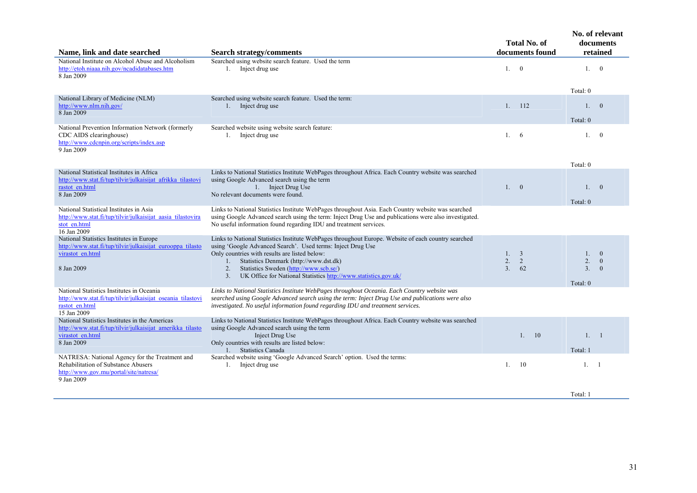| Name, link and date searched                                                                                                                   | <b>Search strategy/comments</b>                                                                                                                                                                                                                                                                                                                                                              | <b>Total No. of</b><br>documents found |         | No. of relevant<br>documents<br>retained |                                              |
|------------------------------------------------------------------------------------------------------------------------------------------------|----------------------------------------------------------------------------------------------------------------------------------------------------------------------------------------------------------------------------------------------------------------------------------------------------------------------------------------------------------------------------------------------|----------------------------------------|---------|------------------------------------------|----------------------------------------------|
| National Institute on Alcohol Abuse and Alcoholism<br>http://etoh.niaaa.nih.gov/ncadidatabases.htm<br>8 Jan 2009                               | Searched using website search feature. Used the term<br>1. Inject drug use                                                                                                                                                                                                                                                                                                                   |                                        | 1. 0    | 1.0                                      |                                              |
| National Library of Medicine (NLM)                                                                                                             | Searched using website search feature. Used the term:                                                                                                                                                                                                                                                                                                                                        |                                        |         | Total: 0                                 |                                              |
| http://www.nlm.nih.gov/<br>8 Jan 2009                                                                                                          | 1. Inject drug use                                                                                                                                                                                                                                                                                                                                                                           | 1.                                     | 112     | 1. 0<br>Total: 0                         |                                              |
| National Prevention Information Network (formerly<br>CDC AIDS clearinghouse)<br>http://www.cdcnpin.org/scripts/index.asp<br>9 Jan 2009         | Searched website using website search feature:<br>Inject drug use<br>1.                                                                                                                                                                                                                                                                                                                      | 1.6                                    |         | 1.                                       | $\Omega$                                     |
|                                                                                                                                                |                                                                                                                                                                                                                                                                                                                                                                                              |                                        |         | Total: 0                                 |                                              |
| National Statistical Institutes in Africa<br>http://www.stat.fi/tup/tilvir/julkaisijat afrikka tilastovi<br>rastot en.html                     | Links to National Statistics Institute WebPages throughout Africa. Each Country website was searched<br>using Google Advanced search using the term<br>1. Inject Drug Use                                                                                                                                                                                                                    | 1.0                                    |         | 1.                                       | $\theta$                                     |
| 8 Jan 2009                                                                                                                                     | No relevant documents were found.                                                                                                                                                                                                                                                                                                                                                            |                                        |         | Total: 0                                 |                                              |
| National Statistical Institutes in Asia<br>http://www.stat.fi/tup/tilvir/julkaisijat aasia tilastovira<br>stot en.html<br>16 Jan 2009          | Links to National Statistics Institute WebPages throughout Asia. Each Country website was searched<br>using Google Advanced search using the term: Inject Drug Use and publications were also investigated.<br>No useful information found regarding IDU and treatment services.                                                                                                             |                                        |         |                                          |                                              |
| National Statistics Institutes in Europe<br>http://www.stat.fi/tup/tilvir/julkaisijat eurooppa tilasto<br>virastot en.html<br>8 Jan 2009       | Links to National Statistics Institute WebPages throughout Europe. Website of each country searched<br>using 'Google Advanced Search'. Used terms: Inject Drug Use<br>Only countries with results are listed below:<br>Statistics Denmark (http://www.dst.dk)<br>1.<br>Statistics Sweden (http://www.scb.se/)<br>2.<br>UK Office for National Statistics http://www.statistics.gov.uk/<br>3. | 1. 3<br>2.<br>3.                       | 2<br>62 | $1_{\cdot}$<br>2.<br>3.<br>Total: 0      | $\overline{0}$<br>$\overline{0}$<br>$\theta$ |
| National Statistics Institutes in Oceania<br>http://www.stat.fi/tup/tilvir/julkaisijat oseania tilastovi<br>rastot en.html<br>15 Jan 2009      | Links to National Statistics Institute WebPages throughout Oceania. Each Country website was<br>searched using Google Advanced search using the term: Inject Drug Use and publications were also<br>investigated. No useful information found regarding IDU and treatment services.                                                                                                          |                                        |         |                                          |                                              |
| National Statistics Institutes in the Americas<br>http://www.stat.fi/tup/tilvir/julkaisijat amerikka tilasto<br>virastot en.html<br>8 Jan 2009 | Links to National Statistics Institute WebPages throughout Africa. Each Country website was searched<br>using Google Advanced search using the term<br>Inject Drug Use<br>Only countries with results are listed below:<br><b>Statistics Canada</b><br>1.                                                                                                                                    |                                        | 1. 10   | 1. 1<br>Total: 1                         |                                              |
| NATRESA: National Agency for the Treatment and<br>Rehabilitation of Substance Abusers<br>http://www.gov.mu/portal/site/natresa/<br>9 Jan 2009  | Searched website using 'Google Advanced Search' option. Used the terms:<br>Inject drug use<br>1.                                                                                                                                                                                                                                                                                             | 1.                                     | -10     | 1. 1                                     |                                              |
|                                                                                                                                                |                                                                                                                                                                                                                                                                                                                                                                                              |                                        |         |                                          |                                              |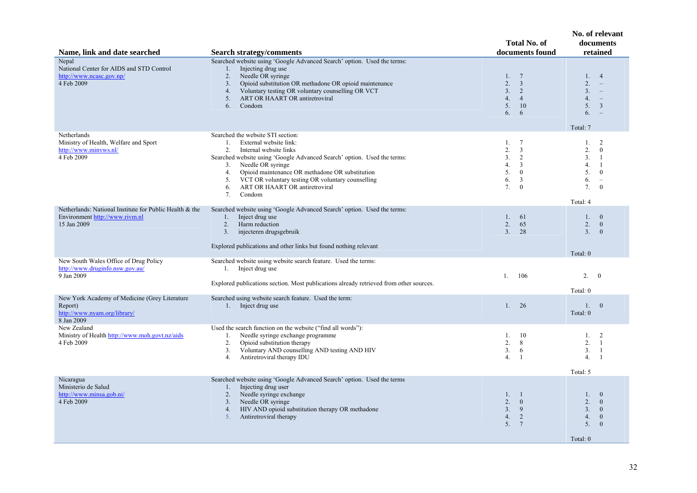| Name, link and date searched                                                              | <b>Search strategy/comments</b>                                                                                                                                                 | <b>Total No. of</b><br>documents found                                         | No. of relevant<br>documents<br>retained                                                                                     |
|-------------------------------------------------------------------------------------------|---------------------------------------------------------------------------------------------------------------------------------------------------------------------------------|--------------------------------------------------------------------------------|------------------------------------------------------------------------------------------------------------------------------|
| Nepal<br>National Center for AIDS and STD Control<br>http://www.ncasc.gov.np/             | Searched website using 'Google Advanced Search' option. Used the terms:<br>Injecting drug use<br>1.<br>Needle OR syringe<br>2.                                                  | $\overline{7}$<br>$1_{\cdot}$                                                  | 1.<br>$\overline{4}$                                                                                                         |
| 4 Feb 2009                                                                                | Opioid substitution OR methadone OR opioid maintenance<br>3.<br>Voluntary testing OR voluntary counselling OR VCT<br>4.<br>ART OR HAART OR antiretroviral<br>5.<br>Condom<br>6. | 2.<br>$\overline{3}$<br>3.<br>2<br>4.<br>$\overline{4}$<br>5.<br>10<br>6.<br>6 | 2.<br>$\overline{\phantom{m}}$<br>3 <sub>1</sub><br>4.<br>$\equiv$<br>5.<br>$\overline{3}$<br>6.<br>$\overline{\phantom{a}}$ |
| Netherlands                                                                               | Searched the website STI section:                                                                                                                                               |                                                                                | Total: 7                                                                                                                     |
| Ministry of Health, Welfare and Sport<br>http://www.minvws.nl/                            | 1.<br>External website link:<br>2.                                                                                                                                              | $7\phantom{.0}$<br>1.<br>2.<br>3                                               | 2<br>1.<br>2.<br>$\mathbf{0}$                                                                                                |
| 4 Feb 2009                                                                                | Internal website links<br>Searched website using 'Google Advanced Search' option. Used the terms:                                                                               | 2<br>3.                                                                        | 3.<br>-1                                                                                                                     |
|                                                                                           | Needle OR syringe<br>3.<br>Opioid maintenance OR methadone OR substitution<br>4.                                                                                                | $\overline{3}$<br>4.<br>5.<br>$\boldsymbol{0}$                                 | 4.<br>-1<br>5.<br>$\mathbf{0}$                                                                                               |
|                                                                                           | VCT OR voluntary testing OR voluntary counselling<br>5.<br>ART OR HAART OR antiretroviral<br>6.                                                                                 | 6.<br>3<br>7.<br>$\mathbf{0}$                                                  | 6.<br>$\sim$<br>7.<br>$\boldsymbol{0}$                                                                                       |
|                                                                                           | Condom<br>7.                                                                                                                                                                    |                                                                                | Total: 4                                                                                                                     |
| Netherlands: National Institute for Public Health & the<br>Environment http://www.rivm.nl | Searched website using 'Google Advanced Search' option. Used the terms:<br>Inject drug use<br>1.                                                                                | $1_{-}$<br>61                                                                  | 1.<br>$\overline{0}$                                                                                                         |
| 15 Jan 2009                                                                               | Harm reduction<br>2.                                                                                                                                                            | 2.<br>65                                                                       | 2.<br>$\overline{0}$                                                                                                         |
|                                                                                           | 3.<br>injecteren drugsgebruik                                                                                                                                                   | 3 <sub>1</sub><br>28                                                           | 3.<br>$\mathbf{0}$                                                                                                           |
|                                                                                           | Explored publications and other links but found nothing relevant                                                                                                                |                                                                                | Total: 0                                                                                                                     |
| New South Wales Office of Drug Policy<br>http://www.druginfo.nsw.gov.au/                  | Searched website using website search feature. Used the terms:<br>1. Inject drug use                                                                                            |                                                                                |                                                                                                                              |
| 9 Jan 2009                                                                                | Explored publications section. Most publications already retrieved from other sources.                                                                                          | 106<br>1.                                                                      | 2.<br>$\bf{0}$                                                                                                               |
| New York Academy of Medicine (Grey Literature                                             | Searched using website search feature. Used the term:                                                                                                                           |                                                                                | Total: 0                                                                                                                     |
| Report)<br>http://www.nyam.org/library/<br>8 Jan 2009                                     | 1. Inject drug use                                                                                                                                                              | 1.<br>26                                                                       | 1.<br>$\overline{0}$<br>Total: 0                                                                                             |
| New Zealand<br>Ministry of Health http://www.moh.govt.nz/aids                             | Used the search function on the website ("find all words"):<br>Needle syringe exchange programme<br>1.                                                                          | -10<br>1.                                                                      | 1.<br>2                                                                                                                      |
| 4 Feb 2009                                                                                | 2.<br>Opioid substitution therapy                                                                                                                                               | 2.<br>8                                                                        | 2.<br>$\overline{1}$                                                                                                         |
|                                                                                           | Voluntary AND counselling AND testing AND HIV<br>3.<br>Antiretroviral therapy IDU<br>4.                                                                                         | 3 <sub>1</sub><br>6<br>4.<br>-1                                                | 3.<br>-1<br>4.<br>-1                                                                                                         |
|                                                                                           |                                                                                                                                                                                 |                                                                                | Total: 5                                                                                                                     |
| Nicaragua<br>Ministerio de Salud                                                          | Searched website using 'Google Advanced Search' option. Used the terms<br>Injecting drug user<br>1.                                                                             |                                                                                |                                                                                                                              |
| http://www.minsa.gob.ni/<br>4 Feb 2009                                                    | Needle syringe exchange<br>2.<br>Needle OR syringe<br>3 <sub>1</sub>                                                                                                            | 1.<br>$\overline{1}$<br>2.<br>$\mathbf{0}$                                     | 1.<br>$\mathbf{0}$<br>2.<br>$\overline{0}$                                                                                   |
|                                                                                           | HIV AND opioid substitution therapy OR methadone<br>4.                                                                                                                          | 3 <sub>1</sub><br>9                                                            | 3.<br>$\mathbf{0}$                                                                                                           |
|                                                                                           | 5.<br>Antiretroviral therapy                                                                                                                                                    | 2<br>4.<br>5.<br>$7\phantom{.0}$                                               | 4.<br>$\mathbf{0}$<br>5.<br>$\mathbf{0}$                                                                                     |
|                                                                                           |                                                                                                                                                                                 |                                                                                | Total: 0                                                                                                                     |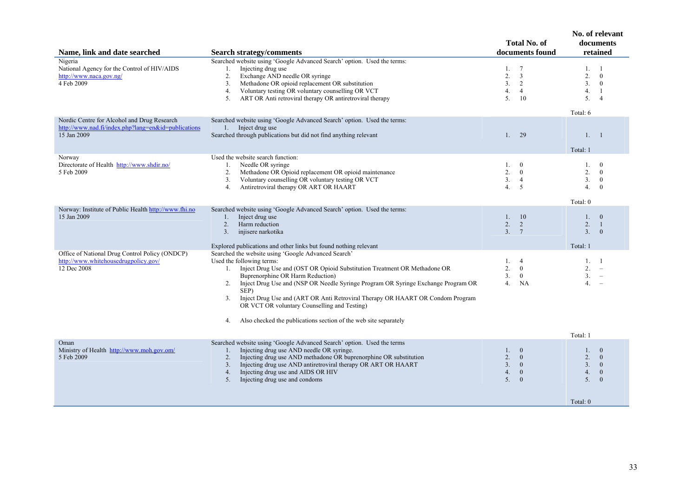| Name, link and date searched                                                                                      | <b>Search strategy/comments</b>                                                                                                                                                                                                                                                                                                                                                                                                                                                                                        | <b>Total No. of</b><br>documents found                                                                                          | No. of relevant<br>documents<br>retained                                                                                                          |
|-------------------------------------------------------------------------------------------------------------------|------------------------------------------------------------------------------------------------------------------------------------------------------------------------------------------------------------------------------------------------------------------------------------------------------------------------------------------------------------------------------------------------------------------------------------------------------------------------------------------------------------------------|---------------------------------------------------------------------------------------------------------------------------------|---------------------------------------------------------------------------------------------------------------------------------------------------|
| Nigeria<br>National Agency for the Control of HIV/AIDS<br>http://www.naca.gov.ng/<br>4 Feb 2009                   | Searched website using 'Google Advanced Search' option. Used the terms:<br>Injecting drug use<br>1.<br>Exchange AND needle OR syringe<br>2.<br>Methadone OR opioid replacement OR substitution<br>3.<br>Voluntary testing OR voluntary counselling OR VCT<br>4.<br>ART OR Anti retroviral therapy OR antiretroviral therapy<br>5.                                                                                                                                                                                      | $\overline{7}$<br>1.<br>2.<br>3<br>3 <sub>1</sub><br>2<br>$\overline{4}$<br>4.<br>5.<br>-10                                     | 1.<br>-1<br>2.<br>$\mathbf{0}$<br>3 <sub>1</sub><br>$\mathbf{0}$<br>4.<br>-1<br>5 <sub>1</sub><br>$\overline{4}$<br>Total: 6                      |
| Nordic Centre for Alcohol and Drug Research<br>http://www.nad.fi/index.php?lang=en&id=publications<br>15 Jan 2009 | Searched website using 'Google Advanced Search' option. Used the terms:<br>1. Inject drug use<br>Searched through publications but did not find anything relevant                                                                                                                                                                                                                                                                                                                                                      | 29<br>1.                                                                                                                        | 1. 1<br>Total: 1                                                                                                                                  |
| Norway<br>Directorate of Health http://www.shdir.no/<br>5 Feb 2009                                                | Used the website search function:<br>Needle OR syringe<br>1.<br>Methadone OR Opioid replacement OR opioid maintenance<br>2.<br>Voluntary counselling OR voluntary testing OR VCT<br>3.<br>Antiretroviral therapy OR ART OR HAART<br>4.                                                                                                                                                                                                                                                                                 | $\mathbf{0}$<br>1.<br>2.<br>$\theta$<br>3.<br>$\overline{4}$<br>4.<br>5                                                         | $\mathbf{0}$<br>$\mathbf{1}$ .<br>2.<br>$\overline{0}$<br>3.<br>$\bf{0}$<br>4.<br>$\theta$<br>Total: 0                                            |
| Norway: Institute of Public Health http://www.fhi.no<br>15 Jan 2009                                               | Searched website using 'Google Advanced Search' option. Used the terms:<br>Inject drug use<br>1.<br>Harm reduction<br>2.<br>injisere narkotika<br>3 <sub>1</sub><br>Explored publications and other links but found nothing relevant                                                                                                                                                                                                                                                                                   | <sup>10</sup><br>1.<br>$\overline{2}$ .<br>2<br>3.<br>$7\phantom{.0}$                                                           | 1.<br>$\overline{0}$<br>2.<br>-1<br>3.<br>$\overline{0}$<br>Total: 1                                                                              |
| Office of National Drug Control Policy (ONDCP)<br>http://www.whitehousedrugpolicy.gov/<br>12 Dec 2008             | Searched the website using 'Google Advanced Search'<br>Used the following terms:<br>1. Inject Drug Use and (OST OR Opioid Substitution Treatment OR Methadone OR<br>Buprenorphine OR Harm Reduction)<br>2. Inject Drug Use and (NSP OR Needle Syringe Program OR Syringe Exchange Program OR<br>SEP)<br>Inject Drug Use and (ART OR Anti Retroviral Therapy OR HAART OR Condom Program<br>3.<br>OR VCT OR voluntary Counselling and Testing)<br>Also checked the publications section of the web site separately<br>4. | $\overline{4}$<br>1.<br>2.<br>$\mathbf{0}$<br>3.<br>$\mathbf{0}$<br>4.<br><b>NA</b>                                             | 1. 1<br>2.<br>$\overline{\phantom{a}}$<br>3.<br>$\overline{\phantom{a}}$<br>4.<br>$\overline{\phantom{a}}$                                        |
| Oman<br>Ministry of Health http://www.moh.gov.om/<br>5 Feb 2009                                                   | Searched website using 'Google Advanced Search' option. Used the terms<br>Injecting drug use AND needle OR syringe.<br>1.<br>Injecting drug use AND methadone OR buprenorphine OR substitution<br>2.<br>Injecting drug use AND antiretroviral therapy OR ART OR HAART<br>3.<br>Injecting drug use and AIDS OR HIV<br>4.<br>Injecting drug use and condoms<br>5.                                                                                                                                                        | $\overline{0}$<br>$1_{-}$<br>2.<br>$\overline{0}$<br>3 <sub>1</sub><br>$\mathbf{0}$<br>4.<br>$\mathbf{0}$<br>5.<br>$\mathbf{0}$ | Total: 1<br>$\overline{0}$<br>$1_{\cdot}$<br>2.<br>$\overline{0}$<br>3.<br>$\mathbf{0}$<br>4.<br>$\mathbf{0}$<br>5.<br>$\overline{0}$<br>Total: 0 |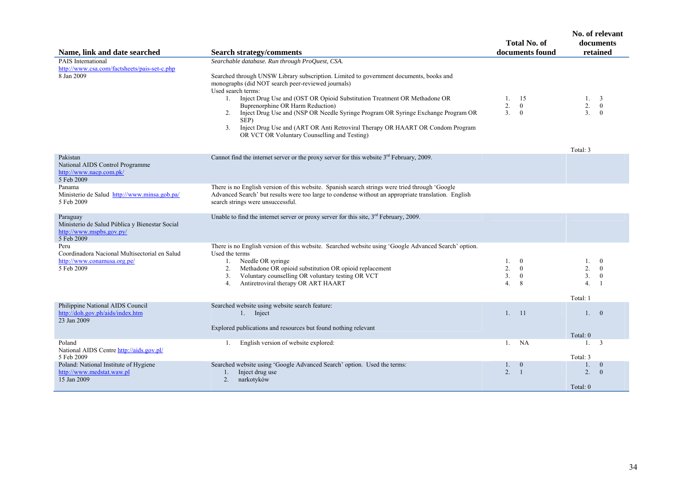|                                                                                                      |                                                                                                                                                                                                                                                                                                                                                                                                                                                                                                                                   |                                              | <b>Total No. of</b><br>documents found                |                                                          | No. of relevant<br>documents<br>retained       |
|------------------------------------------------------------------------------------------------------|-----------------------------------------------------------------------------------------------------------------------------------------------------------------------------------------------------------------------------------------------------------------------------------------------------------------------------------------------------------------------------------------------------------------------------------------------------------------------------------------------------------------------------------|----------------------------------------------|-------------------------------------------------------|----------------------------------------------------------|------------------------------------------------|
| Name, link and date searched                                                                         | <b>Search strategy/comments</b>                                                                                                                                                                                                                                                                                                                                                                                                                                                                                                   |                                              |                                                       |                                                          |                                                |
| <b>PAIS</b> International<br>http://www.csa.com/factsheets/pais-set-c.php                            | Searchable database. Run through ProQuest, CSA.                                                                                                                                                                                                                                                                                                                                                                                                                                                                                   |                                              |                                                       |                                                          |                                                |
| 8 Jan 2009                                                                                           | Searched through UNSW Library subscription. Limited to government documents, books and<br>monographs (did NOT search peer-reviewed journals)<br>Used search terms:<br>1. Inject Drug Use and (OST OR Opioid Substitution Treatment OR Methadone OR<br>Buprenorphine OR Harm Reduction)<br>Inject Drug Use and (NSP OR Needle Syringe Program OR Syringe Exchange Program OR<br>2.<br>SEP)<br>Inject Drug Use and (ART OR Anti Retroviral Therapy OR HAART OR Condom Program<br>3.<br>OR VCT OR Voluntary Counselling and Testing) | 1.<br>2.<br>3 <sub>1</sub>                   | -15<br>$\mathbf{0}$<br>$\mathbf{0}$                   | 1.<br>2.<br>$\overline{3}$ .<br>Total: 3                 | $\overline{0}$<br>$\Omega$                     |
| Pakistan<br>National AIDS Control Programme<br>http://www.nacp.com.pk/                               | Cannot find the internet server or the proxy server for this website $3rd$ February, 2009.                                                                                                                                                                                                                                                                                                                                                                                                                                        |                                              |                                                       |                                                          |                                                |
| 5 Feb 2009                                                                                           |                                                                                                                                                                                                                                                                                                                                                                                                                                                                                                                                   |                                              |                                                       |                                                          |                                                |
| Panama<br>Ministerio de Salud http://www.minsa.gob.pa/<br>5 Feb 2009                                 | There is no English version of this website. Spanish search strings were tried through 'Google<br>Advanced Search' but results were too large to condense without an appropriate translation. English<br>search strings were unsuccessful.                                                                                                                                                                                                                                                                                        |                                              |                                                       |                                                          |                                                |
| Paraguay<br>Ministerio de Salud Pública y Bienestar Social<br>http://www.mspbs.gov.py/<br>5 Feb 2009 | Unable to find the internet server or proxy server for this site, $3rd$ February, 2009.                                                                                                                                                                                                                                                                                                                                                                                                                                           |                                              |                                                       |                                                          |                                                |
| Peru<br>Coordinadora Nacional Multisectorial en Salud<br>http://www.conamusa.org.pe/<br>5 Feb 2009   | There is no English version of this website. Searched website using 'Google Advanced Search' option.<br>Used the terms<br>Needle OR syringe<br>1.<br>2.<br>Methadone OR opioid substitution OR opioid replacement<br>Voluntary counselling OR voluntary testing OR VCT<br>3.<br>Antiretroviral therapy OR ART HAART<br>4.                                                                                                                                                                                                         | 1.<br>2.<br>3 <sub>1</sub><br>4 <sup>1</sup> | $\bf{0}$<br>$\boldsymbol{0}$<br>$\boldsymbol{0}$<br>8 | 1.<br>2.<br>3 <sub>1</sub><br>4 <sup>1</sup><br>Total: 1 | $\mathbf{0}$<br>$\mathbf{0}$<br>$\overline{1}$ |
|                                                                                                      |                                                                                                                                                                                                                                                                                                                                                                                                                                                                                                                                   |                                              |                                                       |                                                          |                                                |
| Philippine National AIDS Council<br>http://doh.gov.ph/aids/index.htm<br>23 Jan 2009                  | Searched website using website search feature:<br>1. Inject<br>Explored publications and resources but found nothing relevant                                                                                                                                                                                                                                                                                                                                                                                                     | 1.                                           | -11                                                   | $1 \quad 0$                                              |                                                |
|                                                                                                      |                                                                                                                                                                                                                                                                                                                                                                                                                                                                                                                                   |                                              |                                                       | Total: 0                                                 |                                                |
| Poland<br>National AIDS Centre http://aids.gov.pl/<br>5 Feb 2009                                     | English version of website explored:<br>1.                                                                                                                                                                                                                                                                                                                                                                                                                                                                                        | $1_{-}$                                      | <b>NA</b>                                             | $1_{-}$<br>Total: 3                                      | $\overline{\mathbf{3}}$                        |
| Poland: National Institute of Hygiene                                                                | Searched website using 'Google Advanced Search' option. Used the terms:                                                                                                                                                                                                                                                                                                                                                                                                                                                           | 1.                                           | $\bf{0}$                                              | 1.                                                       | $\overline{0}$                                 |
| http://www.medstat.waw.pl<br>15 Jan 2009                                                             | Inject drug use<br>1.<br>2.<br>narkotyków                                                                                                                                                                                                                                                                                                                                                                                                                                                                                         | 2.                                           | $\overline{1}$                                        | 2 <sup>1</sup>                                           | $\Omega$                                       |
|                                                                                                      |                                                                                                                                                                                                                                                                                                                                                                                                                                                                                                                                   |                                              |                                                       | Total: 0                                                 |                                                |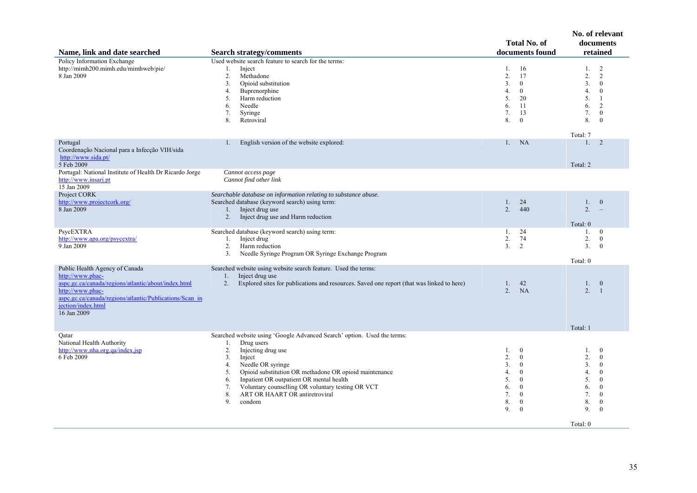| Name, link and date searched                                                                                                                                                                                                  | <b>Search strategy/comments</b>                                                                                                                                                                                                                                                                                                                                                                         | <b>Total No. of</b><br>documents found                                                                                                                                                                         | No. of relevant<br>documents<br>retained                                                                                                                                                                                 |
|-------------------------------------------------------------------------------------------------------------------------------------------------------------------------------------------------------------------------------|---------------------------------------------------------------------------------------------------------------------------------------------------------------------------------------------------------------------------------------------------------------------------------------------------------------------------------------------------------------------------------------------------------|----------------------------------------------------------------------------------------------------------------------------------------------------------------------------------------------------------------|--------------------------------------------------------------------------------------------------------------------------------------------------------------------------------------------------------------------------|
| <b>Policy Information Exchange</b><br>http://mimh200.mimh.edu/mimhweb/pie/<br>8 Jan 2009                                                                                                                                      | Used website search feature to search for the terms:<br>1.<br>Inject<br>2.<br>Methadone<br>3.<br>Opioid substitution<br>4.<br>Buprenorphine<br>Harm reduction<br>5.<br>Needle<br>6.<br>7.<br>Syringe<br>8.<br>Retroviral                                                                                                                                                                                | 1.<br>-16<br>2.<br>17<br>3.<br>$\mathbf{0}$<br>4.<br>$\overline{0}$<br>5.<br>20<br><sup>11</sup><br>6.<br>7.<br>13<br>8.<br>$\overline{0}$                                                                     | 2<br>1.<br>$\overline{2}$<br>2.<br>3 <sub>1</sub><br>$\mathbf{0}$<br>4.<br>$\mathbf{0}$<br>5.<br>-1<br>2<br>6.<br>7.<br>$\mathbf{0}$<br>8.<br>$\overline{0}$<br>Total: 7                                                 |
| Portugal<br>Coordenação Nacional para a Infecção VIH/sida<br>http://www.sida.pt/<br>5 Feb 2009                                                                                                                                | English version of the website explored:<br>1.                                                                                                                                                                                                                                                                                                                                                          | <b>NA</b><br>$1_{-}$                                                                                                                                                                                           | 2<br>1.<br>Total: 2                                                                                                                                                                                                      |
| Portugal: National Institute of Health Dr Ricardo Jorge<br>http://www.insarj.pt<br>15 Jan 2009                                                                                                                                | Cannot access page<br>Cannot find other link                                                                                                                                                                                                                                                                                                                                                            |                                                                                                                                                                                                                |                                                                                                                                                                                                                          |
| Project CORK<br>http://www.projectcork.org/<br>8 Jan 2009                                                                                                                                                                     | Searchable database on information relating to substance abuse.<br>Searched database (keyword search) using term:<br>Inject drug use<br>1.<br>2.<br>Inject drug use and Harm reduction                                                                                                                                                                                                                  | 24<br>$1_{-}$<br>2.<br>440                                                                                                                                                                                     | $\mathbf{0}$<br>1.<br>2.<br>$\equiv$<br>Total: 0                                                                                                                                                                         |
| PsycEXTRA<br>http://www.apa.org/psycextra/<br>9 Jan 2009                                                                                                                                                                      | Searched database (keyword search) using term:<br>Inject drug<br>1.<br>2.<br>Harm reduction<br>3.<br>Needle Syringe Program OR Syringe Exchange Program                                                                                                                                                                                                                                                 | 24<br>1.<br>2.<br>74<br>3 <sub>1</sub><br>2                                                                                                                                                                    | $\mathbf{0}$<br>1.<br>2.<br>$\mathbf{0}$<br>3 <sub>1</sub><br>$\overline{0}$<br>Total: 0                                                                                                                                 |
| Public Health Agency of Canada<br>http://www.phac-<br>aspc.gc.ca/canada/regions/atlantic/about/index.html<br>http://www.phac-<br>aspc.gc.ca/canada/regions/atlantic/Publications/Scan in<br>jection/index.html<br>16 Jan 2009 | Searched website using website search feature. Used the terms:<br>Inject drug use<br>1.<br>Explored sites for publications and resources. Saved one report (that was linked to here)<br>2.                                                                                                                                                                                                              | 1.<br>42<br><b>NA</b><br>2 <sup>1</sup>                                                                                                                                                                        | 1.<br>$\mathbf{0}$<br>2.<br>$\overline{1}$<br>Total: 1                                                                                                                                                                   |
| Oatar<br>National Health Authority<br>http://www.nha.org.qa/index.jsp<br>6 Feb 2009                                                                                                                                           | Searched website using 'Google Advanced Search' option. Used the terms:<br>Drug users<br>1.<br>2.<br>Injecting drug use<br>Inject<br>3.<br>Needle OR syringe<br>4.<br>Opioid substitution OR methadone OR opioid maintenance<br>5.<br>Inpatient OR outpatient OR mental health<br>6.<br>Voluntary counselling OR voluntary testing OR VCT<br>7.<br>ART OR HAART OR antiretroviral<br>8.<br>9.<br>condom | $\mathbf{0}$<br>1.<br>2.<br>$\overline{0}$<br>3 <sub>1</sub><br>$\overline{0}$<br>$\bf{0}$<br>4.<br>5.<br>$\mathbf{0}$<br>$\mathbf{0}$<br>6.<br>7.<br>$\mathbf{0}$<br>8.<br>$\mathbf{0}$<br>9.<br>$\mathbf{0}$ | 1.<br>$\boldsymbol{0}$<br>2.<br>$\mathbf{0}$<br>3 <sub>1</sub><br>$\mathbf{0}$<br>$\mathbf{0}$<br>4.<br>5.<br>$\theta$<br>$\mathbf{0}$<br>6.<br>7.<br>$\overline{0}$<br>8.<br>$\mathbf{0}$<br>9.<br>$\Omega$<br>Total: 0 |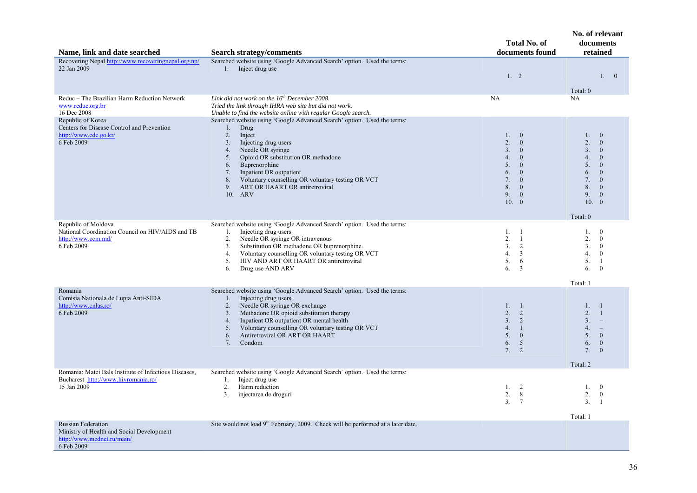| Name, link and date searched                                                                                       | <b>Search strategy/comments</b>                                                                                                                                                                                                                                                                                                                                                            | <b>Total No. of</b><br>documents found                                                                                                                                                                | No. of relevant<br>documents<br>retained                                                                                                                                                                                                  |
|--------------------------------------------------------------------------------------------------------------------|--------------------------------------------------------------------------------------------------------------------------------------------------------------------------------------------------------------------------------------------------------------------------------------------------------------------------------------------------------------------------------------------|-------------------------------------------------------------------------------------------------------------------------------------------------------------------------------------------------------|-------------------------------------------------------------------------------------------------------------------------------------------------------------------------------------------------------------------------------------------|
| Recovering Nepal http://www.recoveringnepal.org.np/<br>22 Jan 2009                                                 | Searched website using 'Google Advanced Search' option. Used the terms:<br>1. Inject drug use                                                                                                                                                                                                                                                                                              | 1.2                                                                                                                                                                                                   | 1. 0<br>Total: 0                                                                                                                                                                                                                          |
| Reduc - The Brazilian Harm Reduction Network<br>www.reduc.org.br<br>16 Dec 2008                                    | Link did not work on the $16^{th}$ December 2008.<br>Tried the link through IHRA web site but did not work.<br>Unable to find the website online with regular Google search.                                                                                                                                                                                                               | <b>NA</b>                                                                                                                                                                                             | NA                                                                                                                                                                                                                                        |
| Republic of Korea<br>Centers for Disease Control and Prevention<br>http://www.cdc.go.kr/<br>6 Feb 2009             | Searched website using 'Google Advanced Search' option. Used the terms:<br>Drug<br>$1_{\cdot}$<br>2.<br>Inject<br>3.<br>Injecting drug users<br>Needle OR syringe<br>4.<br>Opioid OR substitution OR methadone<br>5.<br>Buprenorphine<br>6.<br>Inpatient OR outpatient<br>7.<br>Voluntary counselling OR voluntary testing OR VCT<br>8.<br>ART OR HAART OR antiretroviral<br>9.<br>10. ARV | 1. 0<br>2.<br>$\overline{0}$<br>3.<br>$\mathbf{0}$<br>4.<br>$\mathbf{0}$<br>5.<br>$\overline{0}$<br>6.<br>$\overline{0}$<br>7.<br>$\overline{0}$<br>8.<br>$\mathbf{0}$<br>9.<br>$\mathbf{0}$<br>10. 0 | $\mathbf{0}$<br>1.<br>2.<br>$\mathbf{0}$<br>3.<br>$\mathbf{0}$<br>4.<br>$\overline{0}$<br>5.<br>$\mathbf{0}$<br>6.<br>$\mathbf{0}$<br>7.<br>$\mathbf{0}$<br>8.<br>$\mathbf{0}$<br>9.<br>$\mathbf{0}$<br>10.<br>$\overline{0}$<br>Total: 0 |
| Republic of Moldova<br>National Coordination Council on HIV/AIDS and TB<br>http://www.ccm.md/<br>6 Feb 2009        | Searched website using 'Google Advanced Search' option. Used the terms:<br>Injecting drug users<br>1.<br>Needle OR syringe OR intravenous<br>2.<br>Substitution OR methadone OR buprenorphine.<br>3 <sub>1</sub><br>Voluntary counselling OR voluntary testing OR VCT<br>4.<br>HIV AND ART OR HAART OR antiretroviral<br>5.<br>6.<br>Drug use AND ARV                                      | 1, 1<br>$\overline{2}$ .<br>$\overline{1}$<br>3.<br>$\overline{2}$<br>4.<br>3<br>5.<br>6<br>6.<br>3                                                                                                   | $\mathbf{0}$<br>1.<br>2.<br>$\theta$<br>3 <sub>1</sub><br>$\mathbf{0}$<br>4.<br>$\mathbf{0}$<br>5.<br>-1<br>6.<br>$\mathbf{0}$<br>Total: 1                                                                                                |
| Romania<br>Comisia Nationala de Lupta Anti-SIDA<br>http://www.cnlas.ro/<br>6 Feb 2009                              | Searched website using 'Google Advanced Search' option. Used the terms:<br>Injecting drug users<br>1.<br>2.<br>Needle OR syringe OR exchange<br>Methadone OR opioid substitution therapy<br>3.<br>Inpatient OR outpatient OR mental health<br>4.<br>5.<br>Voluntary counselling OR voluntary testing OR VCT<br>Antiretroviral OR ART OR HAART<br>6.<br>Condom<br>7.                        | 1. 1<br>2. 2<br>3.<br>2<br>$\overline{1}$<br>4.<br>5.<br>$\mathbf{0}$<br>6.<br>5<br>7.<br>2                                                                                                           | 1.<br>$\overline{1}$<br>2.<br>$\overline{1}$<br>3 <sub>1</sub><br>$\overline{\phantom{a}}$<br>4.<br>$\equiv$<br>$\mathbf{0}$<br>5.<br>6.<br>$\mathbf{0}$<br>$\Omega$<br>7.<br>Total: 2                                                    |
| Romania: Matei Bals Institute of Infectious Diseases,<br>Bucharest http://www.hivromania.ro/<br>15 Jan 2009        | Searched website using 'Google Advanced Search' option. Used the terms:<br>Inject drug use<br>1.<br>2.<br>Harm reduction<br>3.<br>injectarea de droguri                                                                                                                                                                                                                                    | 1. 2<br>2.<br>8<br>3 <sub>1</sub><br>$7\phantom{.0}$                                                                                                                                                  | 1.<br>$\bf{0}$<br>2.<br>$\mathbf{0}$<br>3.<br>$\overline{1}$<br>Total: 1                                                                                                                                                                  |
| <b>Russian Federation</b><br>Ministry of Health and Social Development<br>http://www.mednet.ru/main/<br>6 Feb 2009 | Site would not load 9 <sup>th</sup> February, 2009. Check will be performed at a later date.                                                                                                                                                                                                                                                                                               |                                                                                                                                                                                                       |                                                                                                                                                                                                                                           |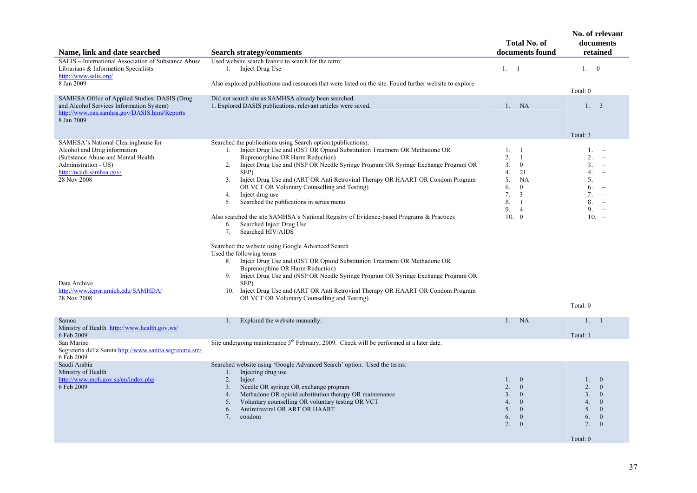| Name, link and date searched                                                                                                                                                                                                                      | <b>Search strategy/comments</b>                                                                                                                                                                                                                                                                                                                                                                                                                                                                                                                                                                                                                                                                                                                                                                                                                                                                                                                                                                                                                                                                                                  | <b>Total No. of</b><br>documents found                                                                                                                                   | No. of relevant<br>documents<br>retained                                                                                                                                                                                                          |
|---------------------------------------------------------------------------------------------------------------------------------------------------------------------------------------------------------------------------------------------------|----------------------------------------------------------------------------------------------------------------------------------------------------------------------------------------------------------------------------------------------------------------------------------------------------------------------------------------------------------------------------------------------------------------------------------------------------------------------------------------------------------------------------------------------------------------------------------------------------------------------------------------------------------------------------------------------------------------------------------------------------------------------------------------------------------------------------------------------------------------------------------------------------------------------------------------------------------------------------------------------------------------------------------------------------------------------------------------------------------------------------------|--------------------------------------------------------------------------------------------------------------------------------------------------------------------------|---------------------------------------------------------------------------------------------------------------------------------------------------------------------------------------------------------------------------------------------------|
| SALIS - International Association of Substance Abuse<br>Librarians & Information Specialists<br>http://www.salis.org/                                                                                                                             | Used website search feature to search for the term:<br>1. Inject Drug Use                                                                                                                                                                                                                                                                                                                                                                                                                                                                                                                                                                                                                                                                                                                                                                                                                                                                                                                                                                                                                                                        | 1. 1                                                                                                                                                                     | 1. 0                                                                                                                                                                                                                                              |
| 8 Jan 2009                                                                                                                                                                                                                                        | Also explored publications and resources that were listed on the site. Found further website to explore                                                                                                                                                                                                                                                                                                                                                                                                                                                                                                                                                                                                                                                                                                                                                                                                                                                                                                                                                                                                                          |                                                                                                                                                                          | Total: 0                                                                                                                                                                                                                                          |
| SAMHSA Office of Applied Studies: DASIS (Drug<br>and Alcohol Services Information System)<br>http://www.oas.samhsa.gov/DASIS.htm#Reports<br>8 Jan 2009                                                                                            | Did not search site as SAMHSA already been searched.<br>1. Explored DASIS publications, relevant articles were saved.                                                                                                                                                                                                                                                                                                                                                                                                                                                                                                                                                                                                                                                                                                                                                                                                                                                                                                                                                                                                            | NA<br>1.                                                                                                                                                                 | 1. 3                                                                                                                                                                                                                                              |
|                                                                                                                                                                                                                                                   |                                                                                                                                                                                                                                                                                                                                                                                                                                                                                                                                                                                                                                                                                                                                                                                                                                                                                                                                                                                                                                                                                                                                  |                                                                                                                                                                          | Total: 3                                                                                                                                                                                                                                          |
| SAMHSA's National Clearinghouse for<br>Alcohol and Drug information<br>(Substance Abuse and Mental Health<br>Administration - US)<br>http://ncadi.samhsa.gov/<br>28 Nov 2008<br>Data Archive<br>http://www.icpsr.umich.edu/SAMHDA/<br>28 Nov 2008 | Searched the publications using Search option (publications):<br>Inject Drug Use and (OST OR Opioid Substitution Treatment OR Methadone OR<br>1.<br>Buprenorphine OR Harm Reduction)<br>Inject Drug Use and (NSP OR Needle Syringe Program OR Syringe Exchange Program OR<br>2.<br>SEP)<br>3 <sub>1</sub><br>Inject Drug Use and (ART OR Anti Retroviral Therapy OR HAART OR Condom Program<br>OR VCT OR Voluntary Counselling and Testing)<br>Inject drug use<br>4.<br>Searched the publications in series menu<br>5.<br>Also searched the site SAMHSA's National Registry of Evidence-based Programs & Practices<br>Searched Inject Drug Use<br>6.<br>Searched HIV/AIDS<br>7.<br>Searched the website using Google Advanced Search<br>Used the following terms<br>Inject Drug Use and (OST OR Opioid Substitution Treatment OR Methadone OR<br>8.<br>Buprenorphine OR Harm Reduction)<br>9.<br>Inject Drug Use and (NSP OR Needle Syringe Program OR Syringe Exchange Program OR<br>SEP)<br>10. Inject Drug Use and (ART OR Anti Retroviral Therapy OR HAART OR Condom Program<br>OR VCT OR Voluntary Counselling and Testing) | 1. 1<br>2.<br>$\overline{1}$<br>3.<br>$\mathbf{0}$<br>4.<br>21<br>5.<br>NA<br>6.<br>$\mathbf{0}$<br>7.<br>3<br>8.<br>$\mathbf{1}$<br>9.<br>$\overline{4}$<br>10. 0       | 1 <sub>1</sub><br>2.<br>3.<br>$\overline{\phantom{a}}$<br>4.<br>$\overline{\phantom{a}}$<br>5.<br>$\overline{\phantom{a}}$<br>6.<br>$\overline{\phantom{a}}$<br>7.<br>8.<br>$\overline{\phantom{a}}$<br>9.<br>$\overline{\phantom{a}}$<br>$10. -$ |
|                                                                                                                                                                                                                                                   |                                                                                                                                                                                                                                                                                                                                                                                                                                                                                                                                                                                                                                                                                                                                                                                                                                                                                                                                                                                                                                                                                                                                  |                                                                                                                                                                          | Total: 0                                                                                                                                                                                                                                          |
| Samoa<br>Ministry of Health http://www.health.gov.ws/<br>6 Feb 2009                                                                                                                                                                               | Explored the website manually:<br>1.                                                                                                                                                                                                                                                                                                                                                                                                                                                                                                                                                                                                                                                                                                                                                                                                                                                                                                                                                                                                                                                                                             | <b>NA</b><br>1.                                                                                                                                                          | 1.<br>-1<br>Total: 1                                                                                                                                                                                                                              |
| San Marino<br>Segreteria della Sanita http://www.sanita.segreteria.sm/<br>6 Feb 2009                                                                                                                                                              | Site undergoing maintenance 5 <sup>th</sup> February, 2009. Check will be performed at a later date.                                                                                                                                                                                                                                                                                                                                                                                                                                                                                                                                                                                                                                                                                                                                                                                                                                                                                                                                                                                                                             |                                                                                                                                                                          |                                                                                                                                                                                                                                                   |
| Saudi Arabia<br>Ministry of Health<br>http://www.moh.gov.sa/en/index.php<br>6 Feb 2009                                                                                                                                                            | Searched website using 'Google Advanced Search' option. Used the terms:<br>Injecting drug use<br>1.<br>2.<br>Inject<br>Needle OR syringe OR exchange program<br>3 <sub>1</sub><br>Methadone OR opioid substitution therapy OR maintenance<br>4.<br>5.<br>Voluntary counselling OR voluntary testing OR VCT<br>Antiretroviral OR ART OR HAART<br>6.<br>condom<br>7.                                                                                                                                                                                                                                                                                                                                                                                                                                                                                                                                                                                                                                                                                                                                                               | 1.<br>$\mathbf{0}$<br>2.<br>$\overline{0}$<br>3.<br>$\overline{0}$<br>4.<br>$\mathbf{0}$<br>5 <sub>1</sub><br>$\overline{0}$<br>6.<br>$\mathbf{0}$<br>7.<br>$\mathbf{0}$ | 1.<br>$\mathbf{0}$<br>2.<br>$\Omega$<br>3.<br>$\theta$<br>4.<br>$\mathbf{0}$<br>5.<br>$\mathbf{0}$<br>6.<br>$\mathbf{0}$<br>7.<br>$\mathbf{0}$<br>Total: 0                                                                                        |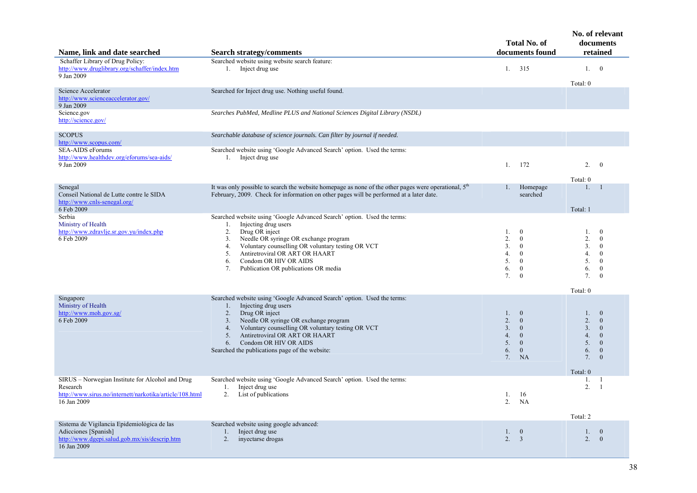| Name, link and date searched                                                                                                            | <b>Search strategy/comments</b>                                                                                                                                                                                                                                                                                                                                  | <b>Total No. of</b><br>documents found                                                                                                                                   | No. of relevant<br>documents<br>retained                                                                                                                                     |
|-----------------------------------------------------------------------------------------------------------------------------------------|------------------------------------------------------------------------------------------------------------------------------------------------------------------------------------------------------------------------------------------------------------------------------------------------------------------------------------------------------------------|--------------------------------------------------------------------------------------------------------------------------------------------------------------------------|------------------------------------------------------------------------------------------------------------------------------------------------------------------------------|
| Schaffer Library of Drug Policy:<br>http://www.druglibrary.org/schaffer/index.htm<br>9 Jan 2009                                         | Searched website using website search feature:<br>Inject drug use<br>1.                                                                                                                                                                                                                                                                                          | 315<br>1.                                                                                                                                                                | $\bf{0}$<br>1.<br>Total: 0                                                                                                                                                   |
| Science Accelerator<br>http://www.scienceaccelerator.gov/<br>9 Jan 2009                                                                 | Searched for Inject drug use. Nothing useful found.                                                                                                                                                                                                                                                                                                              |                                                                                                                                                                          |                                                                                                                                                                              |
| Science.gov<br>http://science.gov/                                                                                                      | Searches PubMed, Medline PLUS and National Sciences Digital Library (NSDL)                                                                                                                                                                                                                                                                                       |                                                                                                                                                                          |                                                                                                                                                                              |
| <b>SCOPUS</b><br>http://www.scopus.com/                                                                                                 | Searchable database of science journals. Can filter by journal if needed.                                                                                                                                                                                                                                                                                        |                                                                                                                                                                          |                                                                                                                                                                              |
| <b>SEA-AIDS</b> eForums<br>http://www.healthdev.org/eforums/sea-aids/<br>9 Jan 2009                                                     | Searched website using 'Google Advanced Search' option. Used the terms:<br>1. Inject drug use                                                                                                                                                                                                                                                                    | 172<br>1.                                                                                                                                                                | 2.<br>$\overline{0}$<br>Total: 0                                                                                                                                             |
| Senegal<br>Conseil National de Lutte contre le SIDA<br>http://www.cnls-senegal.org/<br>6 Feb 2009                                       | It was only possible to search the website homepage as none of the other pages were operational, $5th$<br>February, 2009. Check for information on other pages will be performed at a later date.                                                                                                                                                                | Homepage<br>1.<br>searched                                                                                                                                               | 1.<br>-1<br>Total: 1                                                                                                                                                         |
| Serbia<br>Ministry of Health<br>http://www.zdravlje.sr.gov.yu/index.php<br>6 Feb 2009                                                   | Searched website using 'Google Advanced Search' option. Used the terms:<br>Injecting drug users<br>1.<br>2.<br>Drug OR inject<br>Needle OR syringe OR exchange program<br>3.<br>Voluntary counselling OR voluntary testing OR VCT<br>4.<br>Antiretroviral OR ART OR HAART<br>5.<br>Condom OR HIV OR AIDS<br>6.<br>7.<br>Publication OR publications OR media     | 1.<br>$\overline{0}$<br>2.<br>$\mathbf{0}$<br>3.<br>$\theta$<br>$\overline{4}$ .<br>$\theta$<br>5.<br>$\mathbf{0}$<br>6.<br>$\mathbf{0}$<br>7.<br>$\mathbf{0}$           | $\overline{0}$<br>1.<br>2.<br>$\overline{0}$<br>3.<br>$\theta$<br>4.<br>$\Omega$<br>5.<br>$\mathbf{0}$<br>6.<br>$\mathbf{0}$<br>7.<br>$\theta$<br>Total: 0                   |
| Singapore<br>Ministry of Health<br>http://www.moh.gov.sg/<br>6 Feb 2009                                                                 | Searched website using 'Google Advanced Search' option. Used the terms:<br>Injecting drug users<br>1.<br>2.<br>Drug OR inject<br>3.<br>Needle OR syringe OR exchange program<br>Voluntary counselling OR voluntary testing OR VCT<br>4.<br>Antiretroviral OR ART OR HAART<br>5.<br>Condom OR HIV OR AIDS<br>6.<br>Searched the publications page of the website: | $\overline{0}$<br>$1_{-}$<br>$\overline{2}$ .<br>$\mathbf{0}$<br>3.<br>$\mathbf{0}$<br>4.<br>$\mathbf{0}$<br>5.<br>$\mathbf{0}$<br>6.<br>$\mathbf{0}$<br>7.<br><b>NA</b> | $\Omega$<br>1.<br>$\overline{2}$ .<br>$\mathbf{0}$<br>3.<br>$\overline{0}$<br>4.<br>$\overline{0}$<br>5.<br>$\mathbf{0}$<br>6.<br>$\mathbf{0}$<br>7.<br>$\theta$<br>Total: 0 |
| SIRUS – Norwegian Institute for Alcohol and Drug<br>Research<br>http://www.sirus.no/internett/narkotika/article/108.html<br>16 Jan 2009 | Searched website using 'Google Advanced Search' option. Used the terms:<br>Inject drug use<br>1.<br>2.<br>List of publications                                                                                                                                                                                                                                   | 1.<br>16<br>2.<br><b>NA</b>                                                                                                                                              | -1<br>1.<br>2.<br>$\overline{1}$                                                                                                                                             |
| Sistema de Vigilancia Epidemiológica de las<br>Adicciones [Spanish]<br>http://www.dgepi.salud.gob.mx/sis/descrip.htm<br>16 Jan 2009     | Searched website using google advanced:<br>Inject drug use<br>1.<br>2.<br>inyectarse drogas                                                                                                                                                                                                                                                                      | 1. 0<br>2.<br>$\overline{3}$                                                                                                                                             | Total: 2<br>$\mathbf{0}$<br>1.<br>2.<br>$\mathbf{0}$                                                                                                                         |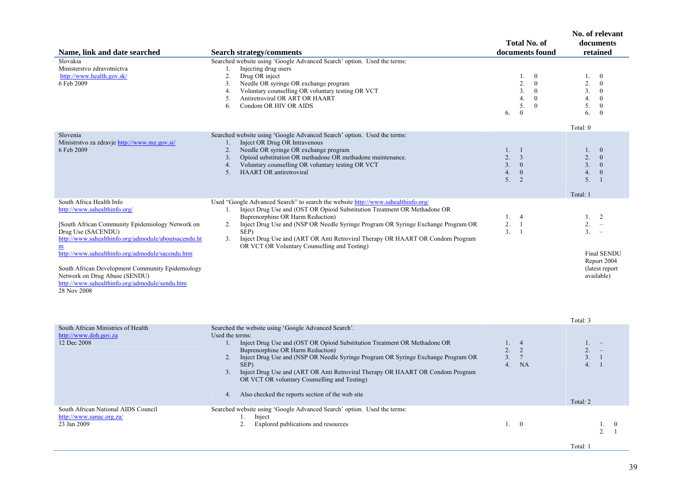| Name, link and date searched                                                                                                                                                                                                                                                                                                                                                                         | <b>Search strategy/comments</b>                                                                                                                                                                                                                                                                                                                                                                                                                                                                     | <b>Total No. of</b><br>documents found                                                                                                     | No. of relevant<br>documents<br>retained                                                                                                                                           |
|------------------------------------------------------------------------------------------------------------------------------------------------------------------------------------------------------------------------------------------------------------------------------------------------------------------------------------------------------------------------------------------------------|-----------------------------------------------------------------------------------------------------------------------------------------------------------------------------------------------------------------------------------------------------------------------------------------------------------------------------------------------------------------------------------------------------------------------------------------------------------------------------------------------------|--------------------------------------------------------------------------------------------------------------------------------------------|------------------------------------------------------------------------------------------------------------------------------------------------------------------------------------|
| Slovakia<br>Ministerstvo zdravotníctva<br>http://www.health.gov.sk/<br>6 Feb 2009                                                                                                                                                                                                                                                                                                                    | Searched website using 'Google Advanced Search' option. Used the terms:<br>Injecting drug users<br>1.<br>2.<br>Drug OR inject<br>Needle OR syringe OR exchange program<br>3.<br>Voluntary counselling OR voluntary testing OR VCT<br>4.<br>Antiretroviral OR ART OR HAART<br>5.<br>Condom OR HIV OR AIDS<br>6.                                                                                                                                                                                      | $\overline{0}$<br>1.<br>2.<br>$\boldsymbol{0}$<br>3.<br>$\overline{0}$<br>$\overline{0}$<br>4.<br>5.<br>$\mathbf{0}$<br>$\mathbf{0}$<br>6. | $\overline{0}$<br>$1_{-}$<br>2.<br>$\boldsymbol{0}$<br>3.<br>$\overline{0}$<br>4.<br>$\theta$<br>5.<br>$\mathbf{0}$<br>6.<br>$\Omega$                                              |
| Slovenia<br>Ministrstvo za zdravje http://www.mz.gov.si/<br>6 Feb 2009                                                                                                                                                                                                                                                                                                                               | Searched website using 'Google Advanced Search' option. Used the terms:<br>Inject OR Drug OR Intravenous<br>1.<br>Needle OR syringe OR exchange program<br>2.<br>Opioid substitution OR methadone OR methadone maintenance.<br>3.<br>Voluntary counselling OR voluntary testing OR VCT<br>4.<br><b>HAART OR antiretroviral</b><br>5.                                                                                                                                                                | 1.<br>$\overline{1}$<br>2.<br>$\overline{3}$<br>3 <sub>1</sub><br>$\mathbf{0}$<br>4.<br>$\mathbf{0}$<br>5 <sub>1</sub><br>2                | Total: 0<br>$\overline{0}$<br>$\mathbf{1}$ .<br>2.<br>$\overline{0}$<br>3 <sub>1</sub><br>$\overline{0}$<br>4.<br>$\boldsymbol{0}$<br>5 <sub>1</sub><br>$\overline{1}$<br>Total: 1 |
| South Africa Health Info<br>http://www.sahealthinfo.org/<br>[South African Community Epidemiology Network on<br>Drug Use (SACENDU)<br>http://www.sahealthinfo.org/admodule/aboutsacendu.ht<br>http://www.sahealthinfo.org/admodule/sacendu.htm<br>South African Development Community Epidemiology<br>Network on Drug Abuse (SENDU)<br>http://www.sahealthinfo.org/admodule/sendu.htm<br>28 Nov 2008 | Used "Google Advanced Search" to search the website http://www.sahealthinfo.org/<br>Inject Drug Use and (OST OR Opioid Substitution Treatment OR Methadone OR<br>1.<br>Buprenorphine OR Harm Reduction)<br>Inject Drug Use and (NSP OR Needle Syringe Program OR Syringe Exchange Program OR<br>2.<br>SEP)<br>Inject Drug Use and (ART OR Anti Retroviral Therapy OR HAART OR Condom Program<br>3.<br>OR VCT OR Voluntary Counselling and Testing)                                                  | 1.4<br>2.<br>$\overline{1}$<br>3.<br>$\overline{1}$                                                                                        | 1. 2<br>2.<br>$\overline{\phantom{0}}$<br>$3. -$<br><b>Final SENDU</b><br>Report 2004<br>(latest report)<br>available)<br>Total: 3                                                 |
| South African Ministries of Health<br>http://www.doh.gov.za<br>12 Dec 2008                                                                                                                                                                                                                                                                                                                           | Searched the website using 'Google Advanced Search'.<br>Used the terms:<br>Inject Drug Use and (OST OR Opioid Substitution Treatment OR Methadone OR<br>1.<br>Buprenorphine OR Harm Reduction)<br>Inject Drug Use and (NSP OR Needle Syringe Program OR Syringe Exchange Program OR<br>2.<br>SEP)<br>Inject Drug Use and (ART OR Anti Retroviral Therapy OR HAART OR Condom Program<br>3.<br>OR VCT OR voluntary Counselling and Testing)<br>Also checked the reports section of the web site<br>4. | $\overline{4}$<br>$1_{-}$<br>2<br>2.<br>3 <sub>1</sub><br>$7\phantom{.0}$<br>NA<br>4 <sup>1</sup>                                          | 1.<br>2.<br>$\overline{\phantom{a}}$<br>3. 1<br>4 <sup>1</sup><br>$\overline{1}$<br>Total: 2                                                                                       |
| South African National AIDS Council<br>http://www.sanac.org.za/<br>23 Jan 2009                                                                                                                                                                                                                                                                                                                       | Searched website using 'Google Advanced Search' option. Used the terms:<br>1.<br>Inject<br>Explored publications and resources<br>2.                                                                                                                                                                                                                                                                                                                                                                | $\overline{0}$<br>1.                                                                                                                       | 1. 0<br>$\mathcal{D}$<br>$\overline{1}$                                                                                                                                            |

Total: 1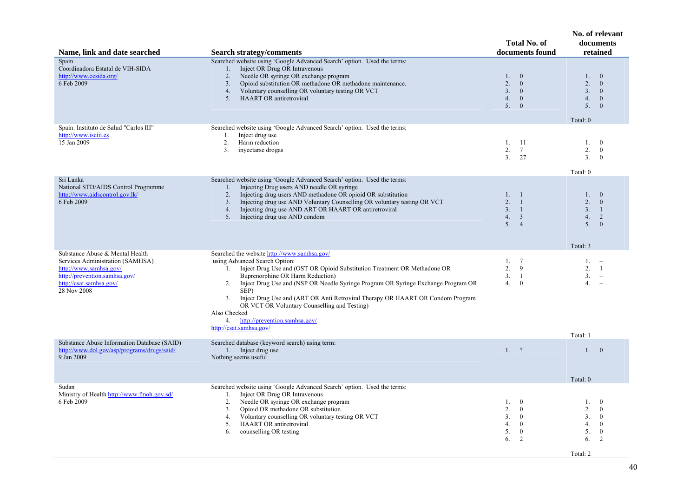| Name, link and date searched                                                                                                                                             | <b>Search strategy/comments</b>                                                                                                                                                                                                                                                                                                                                                                                                                                                                                            | <b>Total No. of</b><br>documents found                                                                                              | No. of relevant<br>documents<br>retained                                                                                                       |
|--------------------------------------------------------------------------------------------------------------------------------------------------------------------------|----------------------------------------------------------------------------------------------------------------------------------------------------------------------------------------------------------------------------------------------------------------------------------------------------------------------------------------------------------------------------------------------------------------------------------------------------------------------------------------------------------------------------|-------------------------------------------------------------------------------------------------------------------------------------|------------------------------------------------------------------------------------------------------------------------------------------------|
| Spain<br>Coordinadora Estatal de VIH-SIDA<br>http://www.cesida.org/<br>6 Feb 2009                                                                                        | Searched website using 'Google Advanced Search' option. Used the terms:<br>Inject OR Drug OR Intravenous<br>$1_{\cdot}$<br>Needle OR syringe OR exchange program<br>2.<br>Opioid substitution OR methadone OR methadone maintenance.<br>3.<br>Voluntary counselling OR voluntary testing OR VCT<br>4.<br><b>HAART OR antiretroviral</b><br>5.                                                                                                                                                                              | 1.<br>$\overline{0}$<br>2.<br>$\mathbf{0}$<br>3.<br>$\overline{0}$<br>4.<br>$\mathbf{0}$<br>5.<br>$\mathbf{0}$                      | $\overline{0}$<br>1.<br>2.<br>$\mathbf{0}$<br>3 <sub>1</sub><br>$\mathbf{0}$<br>4.<br>$\mathbf{0}$<br>5.<br>$\mathbf{0}$<br>Total: 0           |
| Spain: Instituto de Salud "Carlos III"<br>http://www.isciii.es<br>15 Jan 2009                                                                                            | Searched website using 'Google Advanced Search' option. Used the terms:<br>Inject drug use<br>1.<br>2.<br>Harm reduction<br>inyectarse drogas<br>3.                                                                                                                                                                                                                                                                                                                                                                        | 1.<br>-11<br>2.<br>$7\phantom{.0}$<br>3.<br>27                                                                                      | $\theta$<br>1.<br>2.<br>$\mathbf{0}$<br>3 <sub>1</sub><br>$\overline{0}$<br>Total: 0                                                           |
| Sri Lanka<br>National STD/AIDS Control Programme<br>http://www.aidscontrol.gov.lk/<br>6 Feb 2009                                                                         | Searched website using 'Google Advanced Search' option. Used the terms:<br>Injecting Drug users AND needle OR syringe<br>1.<br>Injecting drug users AND methadone OR opioid OR substitution<br>2.<br>Injecting drug use AND Voluntary Counselling OR voluntary testing OR VCT<br>3.<br>Injecting drug use AND ART OR HAART OR antiretroviral<br>4.<br>5.<br>Injecting drug use AND condom                                                                                                                                  | 1, 1<br>2.<br>$\overline{1}$<br>3.<br>$\overline{1}$<br>4.<br>$\overline{3}$<br>5.4                                                 | $\mathbf{1}$ .<br>$\theta$<br>2.<br>$\overline{0}$<br>3.<br>$\mathbf{1}$<br>4.<br>2<br>5 <sub>1</sub><br>$\theta$<br>Total: 3                  |
| Substance Abuse & Mental Health<br>Services Administration (SAMHSA)<br>http://www.samhsa.gov/<br>http://prevention.samhsa.gov/<br>http://csat.samhsa.gov/<br>28 Nov 2008 | Searched the website http://www.samhsa.gov/<br>using Advanced Search Option:<br>1. Inject Drug Use and (OST OR Opioid Substitution Treatment OR Methadone OR<br>Buprenorphine OR Harm Reduction)<br>2. Inject Drug Use and (NSP OR Needle Syringe Program OR Syringe Exchange Program OR<br>SEP)<br>Inject Drug Use and (ART OR Anti Retroviral Therapy OR HAART OR Condom Program<br>3.<br>OR VCT OR Voluntary Counselling and Testing)<br>Also Checked<br>http://prevention.samhsa.gov/<br>4.<br>http://csat.samhsa.gov/ | 1.7<br>2.<br>9<br>3.1<br>4.<br>$\mathbf{0}$                                                                                         | $1. -$<br>2.<br>-1<br>3.<br>4.<br>$\overline{\phantom{a}}$<br>Total: 1                                                                         |
| Substance Abuse Information Database (SAID)<br>http://www.dol.gov/asp/programs/drugs/said/<br>9 Jan 2009                                                                 | Searched database (keyword search) using term:<br>1. Inject drug use<br>Nothing seems useful                                                                                                                                                                                                                                                                                                                                                                                                                               | 1, 2                                                                                                                                | 1.0<br>Total: 0                                                                                                                                |
| Sudan<br>Ministry of Health http://www.fmoh.gov.sd/<br>6 Feb 2009                                                                                                        | Searched website using 'Google Advanced Search' option. Used the terms:<br>Inject OR Drug OR Intravenous<br>1.<br>Needle OR syringe OR exchange program<br>2.<br>Opioid OR methadone OR substitution.<br>3.<br>Voluntary counselling OR voluntary testing OR VCT<br>4.<br><b>HAART OR antiretroviral</b><br>5.<br>counselling OR testing<br>6.                                                                                                                                                                             | 1.<br>$\mathbf{0}$<br>2.<br>$\mathbf{0}$<br>3 <sub>1</sub><br>$\mathbf{0}$<br>4.<br>$\mathbf{0}$<br>5.<br>$\overline{0}$<br>2<br>6. | 1.<br>$\mathbf{0}$<br>2.<br>$\mathbf{0}$<br>3 <sub>1</sub><br>$\mathbf{0}$<br>4.<br>$\mathbf{0}$<br>5.<br>$\mathbf{0}$<br>6.<br>$\overline{2}$ |

Total: 2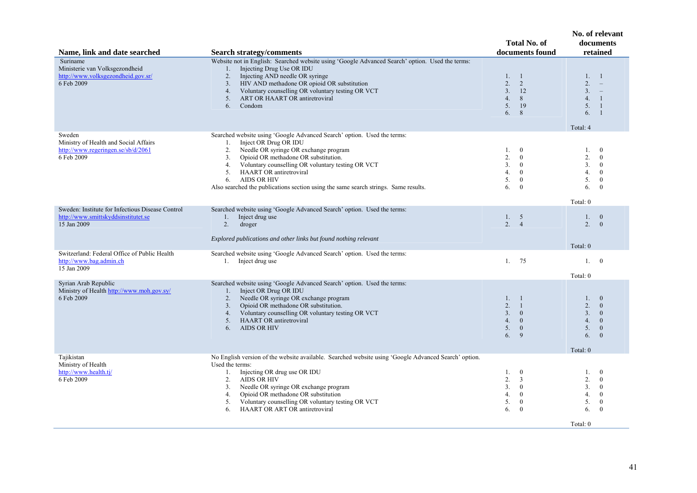| Name, link and date searched                                                                           | <b>Search strategy/comments</b>                                                                                                                                                                                                                                                                                                                                                                                           | <b>Total No. of</b><br>documents found                                                                                                | No. of relevant<br>documents<br>retained                                                                                                                        |
|--------------------------------------------------------------------------------------------------------|---------------------------------------------------------------------------------------------------------------------------------------------------------------------------------------------------------------------------------------------------------------------------------------------------------------------------------------------------------------------------------------------------------------------------|---------------------------------------------------------------------------------------------------------------------------------------|-----------------------------------------------------------------------------------------------------------------------------------------------------------------|
| Suriname<br>Ministerie van Volksgezondheid<br>http://www.volksgezondheid.gov.sr/<br>6 Feb 2009         | Website not in English: Searched website using 'Google Advanced Search' option. Used the terms:<br>Injecting Drug Use OR IDU<br>1.<br>Injecting AND needle OR syringe<br>2.<br>HIV AND methadone OR opioid OR substitution<br>3.<br>Voluntary counselling OR voluntary testing OR VCT<br>4.<br>ART OR HAART OR antiretroviral<br>5.<br>Condom<br>6.                                                                       | 1. 1<br>2.<br>2<br>3.<br>12<br>4.<br>8<br>5.<br>19<br>8<br>6.                                                                         | 1, 1<br>$2. - -$<br>$3. -$<br>4.<br>$\overline{1}$<br>5. 1<br>6.<br>$\overline{1}$<br>Total: 4                                                                  |
| Sweden<br>Ministry of Health and Social Affairs<br>http://www.regeringen.se/sb/d/2061<br>6 Feb 2009    | Searched website using 'Google Advanced Search' option. Used the terms:<br>Inject OR Drug OR IDU<br>1.<br>Needle OR syringe OR exchange program<br>2.<br>Opioid OR methadone OR substitution.<br>3.<br>Voluntary counselling OR voluntary testing OR VCT<br>4.<br><b>HAART OR antiretroviral</b><br>5.<br><b>AIDS OR HIV</b><br>6.<br>Also searched the publications section using the same search strings. Same results. | $\mathbf{0}$<br>$1_{\cdot}$<br>2.<br>$\mathbf{0}$<br>3.<br>$\mathbf{0}$<br>$\mathbf{0}$<br>4.<br>5.<br>$\bf{0}$<br>$\mathbf{0}$<br>6. | 1.<br>$\overline{0}$<br>2.<br>$\overline{0}$<br>3 <sub>1</sub><br>$\theta$<br>4.<br>$\theta$<br>5.<br>$\overline{0}$<br>6.<br>$\theta$<br>Total: 0              |
| Sweden: Institute for Infectious Disease Control<br>http://www.smittskyddsinstitutet.se<br>15 Jan 2009 | Searched website using 'Google Advanced Search' option. Used the terms:<br>1. Inject drug use<br>2.<br>droger<br>Explored publications and other links but found nothing relevant                                                                                                                                                                                                                                         | 1. 5<br>2.<br>$\overline{4}$                                                                                                          | 1.<br>$\mathbf{0}$<br>2.<br>$\overline{0}$<br>Total: 0                                                                                                          |
| Switzerland: Federal Office of Public Health<br>http://www.bag.admin.ch<br>15 Jan 2009                 | Searched website using 'Google Advanced Search' option. Used the terms:<br>1. Inject drug use                                                                                                                                                                                                                                                                                                                             | 75<br>1.                                                                                                                              | $\overline{0}$<br>1.<br>Total: 0                                                                                                                                |
| Syrian Arab Republic<br>Ministry of Health http://www.moh.gov.sy/<br>6 Feb 2009                        | Searched website using 'Google Advanced Search' option. Used the terms:<br>Inject OR Drug OR IDU<br>$1_{\cdot}$<br>Needle OR syringe OR exchange program<br>2.<br>Opioid OR methadone OR substitution.<br>3.<br>Voluntary counselling OR voluntary testing OR VCT<br>4.<br><b>HAART OR antiretroviral</b><br>5.<br><b>AIDS OR HIV</b><br>6.                                                                               | $1_{\cdot}$<br>-1<br>2.<br>$\mathbf{1}$<br>3.<br>$\mathbf{0}$<br>$\mathbf{0}$<br>4.<br>$\boldsymbol{0}$<br>5.<br>9<br>6.              | $\overline{0}$<br>$1_{-}$<br>2.<br>$\mathbf{0}$<br>3 <sub>1</sub><br>$\mathbf{0}$<br>4.<br>$\mathbf{0}$<br>5.<br>$\mathbf{0}$<br>6.<br>$\mathbf{0}$<br>Total: 0 |
| Tajikistan<br>Ministry of Health<br>http://www.health.tj/<br>6 Feb 2009                                | No English version of the website available. Searched website using 'Google Advanced Search' option.<br>Used the terms:<br>Injecting OR drug use OR IDU<br>1.<br><b>AIDS OR HIV</b><br>2.<br>Needle OR syringe OR exchange program<br>3.<br>Opioid OR methadone OR substitution<br>4.<br>Voluntary counselling OR voluntary testing OR VCT<br>5.<br><b>HAART OR ART OR antiretroviral</b><br>6.                           | $\mathbf{0}$<br>1.<br>2.<br>3<br>3.<br>$\bf{0}$<br>$\bf{0}$<br>4.<br>$\mathbf{0}$<br>5.<br>$\mathbf{0}$<br>6.                         | 1.<br>$\mathbf{0}$<br>2.<br>$\theta$<br>3 <sub>1</sub><br>$\mathbf{0}$<br>4.<br>$\overline{0}$<br>5.<br>$\overline{0}$<br>6.<br>$\theta$<br>Total: 0            |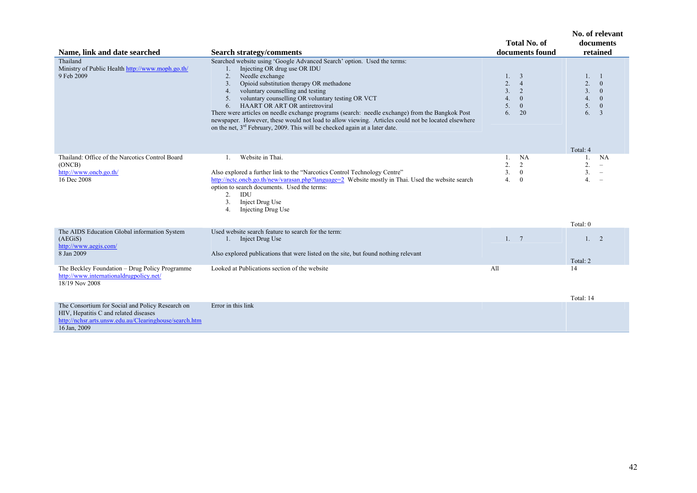|                                                                                                                                                                     |                                                                                                                                                                                                                                                                                                                                                                                                                                                                                                                                                                                                                                                                         | <b>Total No. of</b>                                                                                                         | No. of relevant<br>documents                                                                                                                                       |
|---------------------------------------------------------------------------------------------------------------------------------------------------------------------|-------------------------------------------------------------------------------------------------------------------------------------------------------------------------------------------------------------------------------------------------------------------------------------------------------------------------------------------------------------------------------------------------------------------------------------------------------------------------------------------------------------------------------------------------------------------------------------------------------------------------------------------------------------------------|-----------------------------------------------------------------------------------------------------------------------------|--------------------------------------------------------------------------------------------------------------------------------------------------------------------|
| Name, link and date searched                                                                                                                                        | <b>Search strategy/comments</b>                                                                                                                                                                                                                                                                                                                                                                                                                                                                                                                                                                                                                                         | documents found                                                                                                             | retained                                                                                                                                                           |
| Thailand<br>Ministry of Public Health http://www.moph.go.th/<br>9 Feb 2009                                                                                          | Searched website using 'Google Advanced Search' option. Used the terms:<br>Injecting OR drug use OR IDU<br>Needle exchange<br>2.<br>Opioid substitution therapy OR methadone<br>$\overline{3}$ .<br>voluntary counselling and testing<br>$\overline{4}$ .<br>voluntary counselling OR voluntary testing OR VCT<br>5.<br><b>HAART OR ART OR antiretroviral</b><br>6.<br>There were articles on needle exchange programs (search: needle exchange) from the Bangkok Post<br>newspaper. However, these would not load to allow viewing. Articles could not be located elsewhere<br>on the net, 3 <sup>rd</sup> February, 2009. This will be checked again at a later date. | 1. 3<br>$\overline{2}$ .<br>$\overline{4}$<br>3 <sub>1</sub><br>2<br>4.<br>$\overline{0}$<br>5.<br>$\mathbf{0}$<br>6.<br>20 | 1.<br>$\mathbf{1}$<br>$\overline{2}$ .<br>$\overline{0}$<br>3.<br>$\overline{0}$<br>4.<br>$\overline{0}$<br>5.<br>$\mathbf{0}$<br>6.<br>$\overline{3}$<br>Total: 4 |
| Thailand: Office of the Narcotics Control Board<br>(ONCB)<br>http://www.oncb.go.th/<br>16 Dec 2008                                                                  | Website in Thai.<br>1.<br>Also explored a further link to the "Narcotics Control Technology Centre"<br>http://nctc.oncb.go.th/new/varasan.php?language=2 Website mostly in Thai. Used the website search<br>option to search documents. Used the terms:<br>IDU<br>2.<br>Inject Drug Use<br>3.<br>Injecting Drug Use<br>4.                                                                                                                                                                                                                                                                                                                                               | <b>NA</b><br>1.<br>2.<br>$\overline{2}$<br>3 <sub>1</sub><br>$\mathbf{0}$<br>4.<br>$\theta$                                 | NA<br>1.<br>2.<br>$\overline{\phantom{m}}$<br>3.<br>4.<br>$\equiv$<br>Total: 0                                                                                     |
| The AIDS Education Global information System<br>(AEGiS)<br>http://www.aegis.com/<br>8 Jan 2009                                                                      | Used website search feature to search for the term:<br>1. Inject Drug Use<br>Also explored publications that were listed on the site, but found nothing relevant                                                                                                                                                                                                                                                                                                                                                                                                                                                                                                        | 1, 7                                                                                                                        | 1. 2<br>Total: 2                                                                                                                                                   |
| The Beckley Foundation - Drug Policy Programme<br>http://www.internationaldrugpolicy.net/<br>18/19 Nov 2008                                                         | Looked at Publications section of the website                                                                                                                                                                                                                                                                                                                                                                                                                                                                                                                                                                                                                           | All                                                                                                                         | 14<br>Total: 14                                                                                                                                                    |
| The Consortium for Social and Policy Research on<br>HIV, Hepatitis C and related diseases<br>http://nchsr.arts.unsw.edu.au/Clearinghouse/search.htm<br>16 Jan, 2009 | Error in this link                                                                                                                                                                                                                                                                                                                                                                                                                                                                                                                                                                                                                                                      |                                                                                                                             |                                                                                                                                                                    |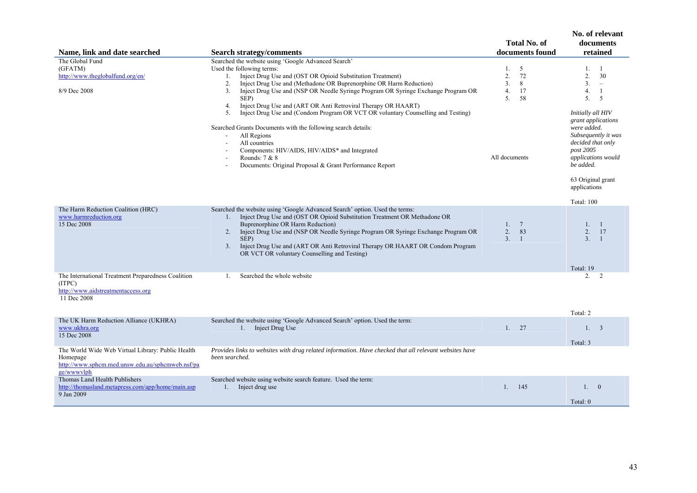| Name, link and date searched                                                                                                    | <b>Search strategy/comments</b>                                                                                                                                                                                                                                                                                                                                                                                                               | <b>Total No. of</b><br>documents found                                  | No. of relevant<br>documents<br>retained                                                                                                                                                |
|---------------------------------------------------------------------------------------------------------------------------------|-----------------------------------------------------------------------------------------------------------------------------------------------------------------------------------------------------------------------------------------------------------------------------------------------------------------------------------------------------------------------------------------------------------------------------------------------|-------------------------------------------------------------------------|-----------------------------------------------------------------------------------------------------------------------------------------------------------------------------------------|
| The Global Fund<br>(GFATM)<br>http://www.theglobalfund.org/en/<br>8/9 Dec 2008                                                  | Searched the website using 'Google Advanced Search'<br>Used the following terms:<br>Inject Drug Use and (OST OR Opioid Substitution Treatment)<br>1.<br>Inject Drug Use and (Methadone OR Buprenorphine OR Harm Reduction)<br>2.<br>Inject Drug Use and (NSP OR Needle Syringe Program OR Syringe Exchange Program OR<br>3 <sub>1</sub><br>SEP)<br>Inject Drug Use and (ART OR Anti Retroviral Therapy OR HAART)<br>4.                        | 5<br>1.<br>72<br>2.<br>3 <sub>1</sub><br>8<br>17<br>4.<br>5.<br>58      | 1. 1<br>2.<br>30<br>3 <sub>1</sub><br>$\equiv$<br>4.<br>-1<br>5 <sub>1</sub><br>5                                                                                                       |
|                                                                                                                                 | Inject Drug Use and (Condom Program OR VCT OR voluntary Counselling and Testing)<br>5.<br>Searched Grants Documents with the following search details:<br>All Regions<br>$\sim$<br>All countries<br>Components: HIV/AIDS, HIV/AIDS* and Integrated<br>Rounds: $7 & 8$<br>Documents: Original Proposal & Grant Performance Report                                                                                                              | All documents                                                           | Initially all HIV<br>grant applications<br>were added.<br>Subsequently it was<br>decided that only<br>post 2005<br>applications would<br>be added.<br>63 Original grant<br>applications |
|                                                                                                                                 |                                                                                                                                                                                                                                                                                                                                                                                                                                               |                                                                         | Total: 100                                                                                                                                                                              |
| The Harm Reduction Coalition (HRC)<br>www.harmreduction.org<br>15 Dec 2008                                                      | Searched the website using 'Google Advanced Search' option. Used the terms:<br>Inject Drug Use and (OST OR Opioid Substitution Treatment OR Methadone OR<br>1.<br>Buprenorphine OR Harm Reduction)<br>Inject Drug Use and (NSP OR Needle Syringe Program OR Syringe Exchange Program OR<br>2.<br>SEP)<br>Inject Drug Use and (ART OR Anti Retroviral Therapy OR HAART OR Condom Program<br>3.<br>OR VCT OR voluntary Counselling and Testing) | $7\phantom{.0}$<br>1.<br>83<br>2.<br>$\overline{3}$ .<br>$\overline{1}$ | 1. 1<br>2.<br>17<br>3 <sub>1</sub><br>$\overline{1}$<br>Total: 19                                                                                                                       |
| The International Treatment Preparedness Coalition<br>(ITPC)<br>http://www.aidstreatmentaccess.org<br>11 Dec 2008               | Searched the whole website<br>$\mathbf{1}$ .                                                                                                                                                                                                                                                                                                                                                                                                  |                                                                         | 2.<br>$\overline{2}$<br>Total: 2                                                                                                                                                        |
| The UK Harm Reduction Alliance (UKHRA)<br>www.ukhra.org<br>15 Dec 2008                                                          | Searched the website using 'Google Advanced Search' option. Used the term:<br>1. Inject Drug Use                                                                                                                                                                                                                                                                                                                                              | 27<br>1.                                                                | 1.3<br>Total: 3                                                                                                                                                                         |
| The World Wide Web Virtual Library: Public Health<br>Homepage<br>http://www.sphcm.med.unsw.edu.au/sphcmweb.nsf/pa<br>ge/wwwvlph | Provides links to websites with drug related information. Have checked that all relevant websites have<br>been searched.                                                                                                                                                                                                                                                                                                                      |                                                                         |                                                                                                                                                                                         |
| Thomas Land Health Publishers<br>http://thomasland.metapress.com/app/home/main.asp<br>9 Jan 2009                                | Searched website using website search feature. Used the term:<br>1. Inject drug use                                                                                                                                                                                                                                                                                                                                                           | 1. 145                                                                  | 1.0<br>Total: 0                                                                                                                                                                         |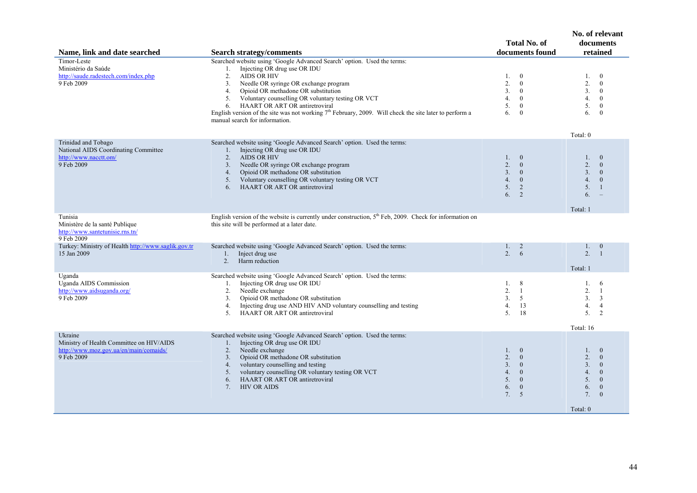| Name, link and date searched                                                                                | <b>Search strategy/comments</b>                                                                                                                                                                                                                                                                                                                                                                                                                                                     | <b>Total No. of</b><br>documents found                                                                                                                      | No. of relevant<br>documents<br>retained                                                                                                                                                            |
|-------------------------------------------------------------------------------------------------------------|-------------------------------------------------------------------------------------------------------------------------------------------------------------------------------------------------------------------------------------------------------------------------------------------------------------------------------------------------------------------------------------------------------------------------------------------------------------------------------------|-------------------------------------------------------------------------------------------------------------------------------------------------------------|-----------------------------------------------------------------------------------------------------------------------------------------------------------------------------------------------------|
| Timor-Leste<br>Ministério da Saúde<br>http://saude.radestech.com/index.php<br>9 Feb 2009                    | Searched website using 'Google Advanced Search' option. Used the terms:<br>1. Injecting OR drug use OR IDU<br>2.<br><b>AIDS OR HIV</b><br>Needle OR syringe OR exchange program<br>3.<br>Opioid OR methadone OR substitution<br>4.<br>Voluntary counselling OR voluntary testing OR VCT<br>5.<br>HAART OR ART OR antiretroviral<br>6.<br>English version of the site was not working $7th$ February, 2009. Will check the site later to perform a<br>manual search for information. | $\overline{0}$<br>1.<br>2.<br>$\overline{0}$<br>3 <sub>1</sub><br>$\mathbf{0}$<br>4.<br>$\overline{0}$<br>5.<br>$\mathbf{0}$<br>6.<br>$\overline{0}$        | $\mathbf{0}$<br>1.<br>2.<br>$\overline{0}$<br>3.<br>$\overline{0}$<br>4.<br>$\theta$<br>5.<br>$\mathbf{0}$<br>6.<br>$\overline{0}$<br>Total: 0                                                      |
| Trinidad and Tobago<br>National AIDS Coordinating Committee<br>http://www.nacctt.om/<br>9 Feb 2009          | Searched website using 'Google Advanced Search' option. Used the terms:<br>Injecting OR drug use OR IDU<br>1.<br><b>AIDS OR HIV</b><br>2.<br>Needle OR syringe OR exchange program<br>3 <sub>1</sub><br>Opioid OR methadone OR substitution<br>4.<br>Voluntary counselling OR voluntary testing OR VCT<br>5.<br><b>HAART OR ART OR antiretroviral</b><br>6.                                                                                                                         | $\bf{0}$<br>$1_{\cdot}$<br>2.<br>$\overline{0}$<br>3.<br>$\overline{0}$<br>4.<br>$\overline{0}$<br>5.<br>$\overline{2}$<br>2<br>6.                          | $\overline{0}$<br>1.<br>2.<br>$\theta$<br>3 <sub>1</sub><br>$\theta$<br>4.<br>$\theta$<br>5 <sub>1</sub><br>$\overline{1}$<br>6.<br>Total: 1                                                        |
| Tunisia<br>Ministère de la santé Publique<br>http://www.santetunisie.rns.tn/<br>9 Feb 2009                  | English version of the website is currently under construction, 5 <sup>th</sup> Feb, 2009. Check for information on<br>this site will be performed at a later date.                                                                                                                                                                                                                                                                                                                 |                                                                                                                                                             |                                                                                                                                                                                                     |
| Turkey: Ministry of Health http://www.saglik.gov.tr<br>15 Jan 2009                                          | Searched website using 'Google Advanced Search' option. Used the terms:<br>Inject drug use<br>$1_{\cdot}$<br>Harm reduction<br>2.                                                                                                                                                                                                                                                                                                                                                   | $1_{\cdot}$<br>2<br>2.<br>-6                                                                                                                                | $\overline{0}$<br>1.<br>2.<br>$\overline{1}$<br>Total: 1                                                                                                                                            |
| Uganda<br>Uganda AIDS Commission<br>http://www.aidsuganda.org/<br>9 Feb 2009                                | Searched website using 'Google Advanced Search' option. Used the terms:<br>Injecting OR drug use OR IDU<br>1.<br>Needle exchange<br>2.<br>Opioid OR methadone OR substitution<br>3.<br>Injecting drug use AND HIV AND voluntary counselling and testing<br>4.<br>5 <sub>1</sub><br>HAART OR ART OR antiretroviral                                                                                                                                                                   | 1. 8<br>2.<br>-1<br>3.<br>5<br>4.<br>13<br>5 <sub>1</sub><br>18                                                                                             | 1.<br>6<br>2.<br>-1<br>3.<br>$\overline{3}$<br>4.<br>$\overline{4}$<br>5 <sub>1</sub><br>$\overline{2}$                                                                                             |
| Ukraine<br>Ministry of Health Committee on HIV/AIDS<br>http://www.moz.gov.ua/en/main/comaids/<br>9 Feb 2009 | Searched website using 'Google Advanced Search' option. Used the terms:<br>Injecting OR drug use OR IDU<br>1.<br>Needle exchange<br>2.<br>Opioid OR methadone OR substitution<br>3 <sub>1</sub><br>voluntary counselling and testing<br>4.<br>voluntary counselling OR voluntary testing OR VCT<br>5.<br>6.<br><b>HAART OR ART OR antiretroviral</b><br>7 <sub>1</sub><br><b>HIV OR AIDS</b>                                                                                        | $\overline{0}$<br>1.<br>2.<br>$\mathbf{0}$<br>3 <sub>1</sub><br>$\overline{0}$<br>4.<br>$\mathbf{0}$<br>5.<br>$\mathbf{0}$<br>6.<br>$\mathbf{0}$<br>7.<br>5 | Total: 16<br>$\overline{0}$<br>1.<br>2.<br>$\theta$<br>3 <sub>1</sub><br>$\mathbf{0}$<br>4.<br>$\overline{0}$<br>5 <sub>1</sub><br>$\mathbf{0}$<br>6.<br>$\mathbf{0}$<br>7.<br>$\theta$<br>Total: 0 |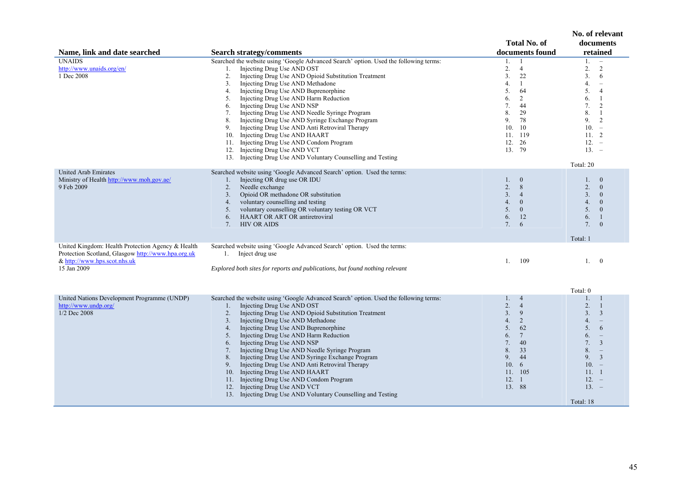|                                                                                                                                                        |                                                                                                                                                                                                                                                                                                                                                                                                                                                                                                                                                                                                                                                                                                                                     | <b>Total No. of</b>                                                                                                                                                                       | No. of relevant<br>documents                                                                                                                                                                                                                                     |
|--------------------------------------------------------------------------------------------------------------------------------------------------------|-------------------------------------------------------------------------------------------------------------------------------------------------------------------------------------------------------------------------------------------------------------------------------------------------------------------------------------------------------------------------------------------------------------------------------------------------------------------------------------------------------------------------------------------------------------------------------------------------------------------------------------------------------------------------------------------------------------------------------------|-------------------------------------------------------------------------------------------------------------------------------------------------------------------------------------------|------------------------------------------------------------------------------------------------------------------------------------------------------------------------------------------------------------------------------------------------------------------|
| Name, link and date searched                                                                                                                           | <b>Search strategy/comments</b>                                                                                                                                                                                                                                                                                                                                                                                                                                                                                                                                                                                                                                                                                                     | documents found                                                                                                                                                                           | retained                                                                                                                                                                                                                                                         |
| <b>UNAIDS</b><br>http://www.unaids.org/en/<br>1 Dec 2008                                                                                               | Searched the website using 'Google Advanced Search' option. Used the following terms:<br>Injecting Drug Use AND OST<br>1.<br>2.<br>Injecting Drug Use AND Opioid Substitution Treatment<br>Injecting Drug Use AND Methadone<br>3.<br>Injecting Drug Use AND Buprenorphine<br>4.<br>Injecting Drug Use AND Harm Reduction<br>5.<br>Injecting Drug Use AND NSP<br>6.<br>Injecting Drug Use AND Needle Syringe Program<br>7.<br>Injecting Drug Use AND Syringe Exchange Program<br>8.<br>Injecting Drug Use AND Anti Retroviral Therapy<br>9.<br>10. Injecting Drug Use AND HAART<br>11. Injecting Drug Use AND Condom Program<br>12. Injecting Drug Use AND VCT<br>13. Injecting Drug Use AND Voluntary Counselling and Testing       | -1<br>1.<br>2.<br>$\overline{4}$<br>3.<br>22<br>4.<br>$\mathbf{1}$<br>5.<br>64<br>6.<br>$\overline{2}$<br>7.<br>44<br>8.<br>29<br>9.<br>78<br>10.<br>10<br>11. 119<br>12.<br>26<br>13. 79 | 1.<br>$\overline{\phantom{a}}$<br>2.<br>2<br>3.<br>6<br>4.<br>$\overline{\phantom{a}}$<br>5.<br>$\overline{4}$<br>6.<br>$\overline{1}$<br>7.<br>2<br>8.<br>-1<br>9.<br>2<br>$10. -$<br>11.2<br>$12. -$<br>$13. -$<br>Total: 20                                   |
| <b>United Arab Emirates</b><br>Ministry of Health http://www.moh.gov.ae/<br>9 Feb 2009                                                                 | Searched website using 'Google Advanced Search' option. Used the terms:<br>Injecting OR drug use OR IDU<br>$1_{-}$<br>Needle exchange<br>2.<br>Opioid OR methadone OR substitution<br>3 <sub>1</sub><br>voluntary counselling and testing<br>4.<br>voluntary counselling OR voluntary testing OR VCT<br>5.<br>HAART OR ART OR antiretroviral<br>6.<br>7.<br><b>HIV OR AIDS</b>                                                                                                                                                                                                                                                                                                                                                      | $\overline{0}$<br>1.<br>2.<br>8<br>3 <sub>1</sub><br>$\overline{4}$<br>4.<br>$\mathbf{0}$<br>5 <sub>1</sub><br>$\mathbf{0}$<br>12<br>6.<br>7.<br>6                                        | 1.<br>$\overline{0}$<br>2.<br>$\overline{0}$<br>3 <sub>1</sub><br>$\overline{0}$<br>4.<br>$\mathbf{0}$<br>5 <sub>1</sub><br>$\overline{0}$<br>6.<br>-1<br>7.<br>$\theta$<br>Total: 1                                                                             |
| United Kingdom: Health Protection Agency & Health<br>Protection Scotland, Glasgow http://www.hpa.org.uk<br>& http://www.hps.scot.nhs.uk<br>15 Jan 2009 | Searched website using 'Google Advanced Search' option. Used the terms:<br>1. Inject drug use<br>Explored both sites for reports and publications, but found nothing relevant                                                                                                                                                                                                                                                                                                                                                                                                                                                                                                                                                       | 109<br>1.                                                                                                                                                                                 | 1.<br>$\overline{0}$                                                                                                                                                                                                                                             |
|                                                                                                                                                        |                                                                                                                                                                                                                                                                                                                                                                                                                                                                                                                                                                                                                                                                                                                                     |                                                                                                                                                                                           | Total: 0                                                                                                                                                                                                                                                         |
| United Nations Development Programme (UNDP)<br>http://www.undp.org/<br>1/2 Dec 2008                                                                    | Searched the website using 'Google Advanced Search' option. Used the following terms:<br>Injecting Drug Use AND OST<br>1.<br>Injecting Drug Use AND Opioid Substitution Treatment<br>2.<br>Injecting Drug Use AND Methadone<br>3.<br>Injecting Drug Use AND Buprenorphine<br>4.<br>Injecting Drug Use AND Harm Reduction<br>5.<br>Injecting Drug Use AND NSP<br>6.<br>Injecting Drug Use AND Needle Syringe Program<br>7.<br>Injecting Drug Use AND Syringe Exchange Program<br>8.<br>Injecting Drug Use AND Anti Retroviral Therapy<br>9.<br>Injecting Drug Use AND HAART<br>10.<br>Injecting Drug Use AND Condom Program<br>11.<br>12. Injecting Drug Use AND VCT<br>13. Injecting Drug Use AND Voluntary Counselling and Testing | 1.<br>$\overline{4}$<br>2.<br>$\overline{4}$<br>3.<br>9<br>4.<br>2<br>5.<br>62<br>$7\phantom{.0}$<br>6.<br>7.<br>40<br>8.<br>33<br>9.<br>44<br>10.6<br>11. 105<br>12.1<br>13. 88          | $1_{\cdot}$<br>-1<br>2.<br>$\mathbf{1}$<br>$\overline{3}$<br>3.<br>4.<br>$\equiv$<br>5.<br>6<br>6.<br>$\overline{\phantom{a}}$<br>7.<br>$\overline{3}$<br>8.<br>$\equiv$<br>$\overline{\mathbf{3}}$<br>9.<br>$10. -$<br>11. 1<br>$12. -$<br>$13. -$<br>Total: 18 |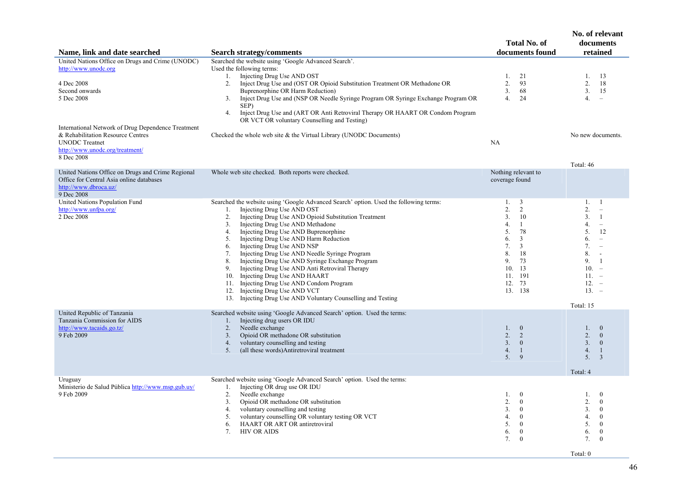|                                                                                                                                                                   |                                                                                                                                                                                                                                                                                                                                                                                                                                                                                                                                                                                                                                                                                                                                             | <b>Total No. of</b>                                                                                                                                                                                  | No. of relevant<br>documents                                                                                                                                                                                                                                         |
|-------------------------------------------------------------------------------------------------------------------------------------------------------------------|---------------------------------------------------------------------------------------------------------------------------------------------------------------------------------------------------------------------------------------------------------------------------------------------------------------------------------------------------------------------------------------------------------------------------------------------------------------------------------------------------------------------------------------------------------------------------------------------------------------------------------------------------------------------------------------------------------------------------------------------|------------------------------------------------------------------------------------------------------------------------------------------------------------------------------------------------------|----------------------------------------------------------------------------------------------------------------------------------------------------------------------------------------------------------------------------------------------------------------------|
| Name, link and date searched                                                                                                                                      | <b>Search strategy/comments</b>                                                                                                                                                                                                                                                                                                                                                                                                                                                                                                                                                                                                                                                                                                             | documents found                                                                                                                                                                                      | retained                                                                                                                                                                                                                                                             |
| United Nations Office on Drugs and Crime (UNODC)<br>http://www.unodc.org<br>4 Dec 2008<br>Second onwards<br>5 Dec 2008                                            | Searched the website using 'Google Advanced Search'.<br>Used the following terms:<br>Injecting Drug Use AND OST<br>1.<br>Inject Drug Use and (OST OR Opioid Substitution Treatment OR Methadone OR<br>2.<br>Buprenorphine OR Harm Reduction)<br>Inject Drug Use and (NSP OR Needle Syringe Program OR Syringe Exchange Program OR<br>3.<br>SEP)<br>4.<br>Inject Drug Use and (ART OR Anti Retroviral Therapy OR HAART OR Condom Program<br>OR VCT OR voluntary Counselling and Testing)                                                                                                                                                                                                                                                     | 21<br>1.<br>2.<br>93<br>3 <sub>1</sub><br>68<br>4.<br>24                                                                                                                                             | 13<br>1.<br>2.<br>18<br>3 <sub>1</sub><br>15<br>4.<br>$\equiv$                                                                                                                                                                                                       |
| International Network of Drug Dependence Treatment<br>& Rehabilitation Resource Centres<br><b>UNODC</b> Treatnet<br>http://www.unodc.org/treatment/<br>8 Dec 2008 | Checked the whole web site $\&$ the Virtual Library (UNODC Documents)                                                                                                                                                                                                                                                                                                                                                                                                                                                                                                                                                                                                                                                                       | NA                                                                                                                                                                                                   | No new documents.                                                                                                                                                                                                                                                    |
|                                                                                                                                                                   |                                                                                                                                                                                                                                                                                                                                                                                                                                                                                                                                                                                                                                                                                                                                             |                                                                                                                                                                                                      | Total: 46                                                                                                                                                                                                                                                            |
| United Nations Office on Drugs and Crime Regional<br>Office for Central Asia online databases<br>http://www.dbroca.uz/<br>9 Dec 2008                              | Whole web site checked. Both reports were checked.                                                                                                                                                                                                                                                                                                                                                                                                                                                                                                                                                                                                                                                                                          | Nothing relevant to<br>coverage found                                                                                                                                                                |                                                                                                                                                                                                                                                                      |
| United Nations Population Fund<br>http://www.unfpa.org/<br>2 Dec 2008                                                                                             | Searched the website using 'Google Advanced Search' option. Used the following terms:<br>Injecting Drug Use AND OST<br>$1_{-}$<br>Injecting Drug Use AND Opioid Substitution Treatment<br>2.<br>Injecting Drug Use AND Methadone<br>3.<br>Injecting Drug Use AND Buprenorphine<br>4.<br>Injecting Drug Use AND Harm Reduction<br>5.<br>Injecting Drug Use AND NSP<br>6.<br>Injecting Drug Use AND Needle Syringe Program<br>7.<br>Injecting Drug Use AND Syringe Exchange Program<br>8.<br>Injecting Drug Use AND Anti Retroviral Therapy<br>9.<br>Injecting Drug Use AND HAART<br>10.<br>Injecting Drug Use AND Condom Program<br>11.<br>Injecting Drug Use AND VCT<br>12.<br>13. Injecting Drug Use AND Voluntary Counselling and Testing | $\overline{3}$<br>1.<br>2.<br>2<br>3 <sub>1</sub><br>10<br>4.<br>$\mathbf{1}$<br>5.<br>78<br>$\mathfrak{Z}$<br>6.<br>7.<br>3<br>8.<br>18<br>9.<br>73<br>10.<br>13<br>11. 191<br>73<br>12.<br>13. 138 | 1, 1<br>2.<br>$\overline{\phantom{a}}$<br>3.<br>-1<br>4.<br>$\equiv$<br>5.<br>12<br>6.<br>$\hspace{1.0cm} - \hspace{1.0cm}$<br>7.<br>$\overline{\phantom{a}}$<br>8.<br>$\overline{\phantom{a}}$<br>9.<br>-1<br>$10. -$<br>$11. -$<br>$12. -$<br>$13. -$<br>Total: 15 |
| United Republic of Tanzania<br>Tanzania Commission for AIDS<br>http://www.tacaids.go.tz/<br>9 Feb 2009                                                            | Searched website using 'Google Advanced Search' option. Used the terms:<br>Injecting drug users OR IDU<br>1.<br>2.<br>Needle exchange<br>Opioid OR methadone OR substitution<br>3.<br>voluntary counselling and testing<br>4.<br>(all these words)Antiretroviral treatment<br>5.                                                                                                                                                                                                                                                                                                                                                                                                                                                            | $\bf{0}$<br>1.<br>2.<br>2<br>3 <sub>1</sub><br>$\mathbf{0}$<br>4.<br>$\overline{1}$<br>5.<br>9                                                                                                       | 1. 0<br>2.<br>$\overline{0}$<br>3.<br>$\mathbf{0}$<br>4.<br>$\mathbf{1}$<br>5.<br>$\overline{3}$<br>Total: 4                                                                                                                                                         |
| Uruguay<br>Ministerio de Salud Pública http://www.msp.gub.uy/<br>9 Feb 2009                                                                                       | Searched website using 'Google Advanced Search' option. Used the terms:<br>Injecting OR drug use OR IDU<br>1.<br>2.<br>Needle exchange<br>Opioid OR methadone OR substitution<br>3.<br>voluntary counselling and testing<br>4.<br>voluntary counselling OR voluntary testing OR VCT<br>5.<br>HAART OR ART OR antiretroviral<br>6.<br><b>HIV OR AIDS</b><br>7.                                                                                                                                                                                                                                                                                                                                                                               | $\overline{0}$<br>1.<br>2.<br>$\bf{0}$<br>3 <sub>1</sub><br>$\mathbf{0}$<br>$\mathbf{0}$<br>4.<br>5.<br>$\bf{0}$<br>$\boldsymbol{0}$<br>6.<br>7.<br>$\mathbf{0}$                                     | $\overline{0}$<br>1.<br>2.<br>$\bf{0}$<br>3 <sub>1</sub><br>$\theta$<br>$\theta$<br>4.<br>5.<br>$\mathbf{0}$<br>6.<br>$\mathbf{0}$<br>7.<br>$\theta$                                                                                                                 |

Total: 0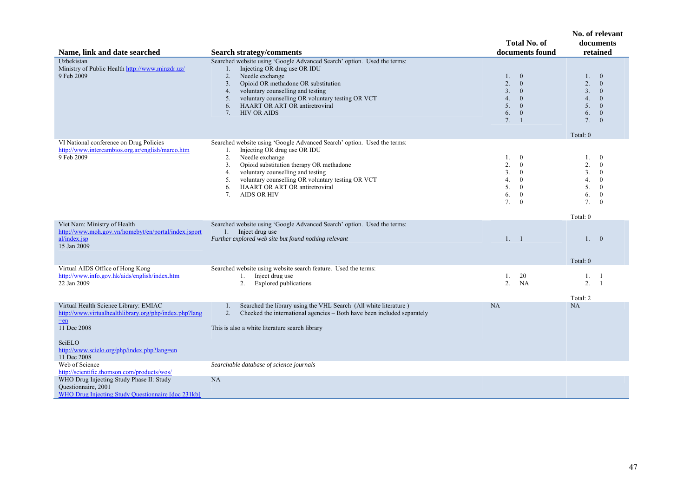|                                                                                                                                                                                                  |                                                                                                                                                                                                                                                                                                                                                                                                                     | <b>Total No. of</b><br>documents found                                                                                                         | No. of relevant<br>documents<br>retained                                                                                                                                           |
|--------------------------------------------------------------------------------------------------------------------------------------------------------------------------------------------------|---------------------------------------------------------------------------------------------------------------------------------------------------------------------------------------------------------------------------------------------------------------------------------------------------------------------------------------------------------------------------------------------------------------------|------------------------------------------------------------------------------------------------------------------------------------------------|------------------------------------------------------------------------------------------------------------------------------------------------------------------------------------|
| Name, link and date searched<br>Uzbekistan<br>Ministry of Public Health http://www.minzdr.uz/<br>9 Feb 2009                                                                                      | <b>Search strategy/comments</b><br>Searched website using 'Google Advanced Search' option. Used the terms:<br>Injecting OR drug use OR IDU<br>1.<br>Needle exchange<br>2.<br>Opioid OR methadone OR substitution<br>3.<br>voluntary counselling and testing<br>4.<br>voluntary counselling OR voluntary testing OR VCT<br>5.<br><b>HAART OR ART OR antiretroviral</b><br>6.<br><b>HIV OR AIDS</b><br>7 <sub>1</sub> | 1. 0<br>2.<br>$\overline{0}$<br>3.<br>$\mathbf{0}$<br>4.<br>$\mathbf{0}$<br>5.<br>$\overline{0}$<br>6.<br>$\mathbf{0}$<br>7.<br>$\overline{1}$ | $\overline{0}$<br>1.<br>2.<br>$\overline{0}$<br>3 <sub>1</sub><br>$\mathbf{0}$<br>4.<br>$\mathbf{0}$<br>5 <sub>1</sub><br>$\mathbf{0}$<br>$\mathbf{0}$<br>6.<br>7.<br>$\mathbf{0}$ |
| VI National conference on Drug Policies<br>http://www.intercambios.org.ar/english/marco.htm<br>9 Feb 2009                                                                                        | Searched website using 'Google Advanced Search' option. Used the terms:<br>Injecting OR drug use OR IDU<br>1.<br>Needle exchange<br>2.<br>Opioid substitution therapy OR methadone<br>3.<br>voluntary counselling and testing<br>4.<br>voluntary counselling OR voluntary testing OR VCT<br>5.<br>HAART OR ART OR antiretroviral<br>6.<br><b>AIDS OR HIV</b><br>7.                                                  | $\bf{0}$<br>1.<br>2.<br>$\bf{0}$<br>3.<br>$\bf{0}$<br>4.<br>$\mathbf{0}$<br>5.<br>$\mathbf{0}$<br>6.<br>$\mathbf{0}$<br>7.<br>$\mathbf{0}$     | Total: 0<br>$\mathbf{0}$<br>1.<br>2.<br>$\mathbf{0}$<br>3.<br>$\bf{0}$<br>4.<br>$\mathbf{0}$<br>5.<br>$\mathbf{0}$<br>6.<br>$\bf{0}$<br>7.<br>$\mathbf{0}$<br>Total: 0             |
| Viet Nam: Ministry of Health<br>http://www.moh.gov.vn/homebyt/en/portal/index.jsport<br>al/index.jsp<br>15 Jan 2009                                                                              | Searched website using 'Google Advanced Search' option. Used the terms:<br>1. Inject drug use<br>Further explored web site but found nothing relevant                                                                                                                                                                                                                                                               | 1. 1                                                                                                                                           | 1. 0<br>Total: 0                                                                                                                                                                   |
| Virtual AIDS Office of Hong Kong<br>http://www.info.gov.hk/aids/english/index.htm<br>22 Jan 2009                                                                                                 | Searched website using website search feature. Used the terms:<br>Inject drug use<br>1.<br>2.<br><b>Explored publications</b>                                                                                                                                                                                                                                                                                       | 20<br>1.<br>2.<br>NA                                                                                                                           | 1.<br>-1<br>2.<br>-1<br>Total: 2                                                                                                                                                   |
| Virtual Health Science Library: EMIAC<br>http://www.virtualhealthlibrary.org/php/index.php?lang<br>$=$ en<br>11 Dec 2008<br>SciELO<br>http://www.scielo.org/php/index.php?lang=en<br>11 Dec 2008 | Searched the library using the VHL Search (All white literature)<br>1.<br>Checked the international agencies - Both have been included separately<br>2.<br>This is also a white literature search library                                                                                                                                                                                                           | NA                                                                                                                                             | NA                                                                                                                                                                                 |
| Web of Science<br>http://scientific.thomson.com/products/wos/                                                                                                                                    | Searchable database of science journals                                                                                                                                                                                                                                                                                                                                                                             |                                                                                                                                                |                                                                                                                                                                                    |
| WHO Drug Injecting Study Phase II: Study<br>Questionnaire, 2001<br>WHO Drug Injecting Study Questionnaire [doc 231kb]                                                                            | NA                                                                                                                                                                                                                                                                                                                                                                                                                  |                                                                                                                                                |                                                                                                                                                                                    |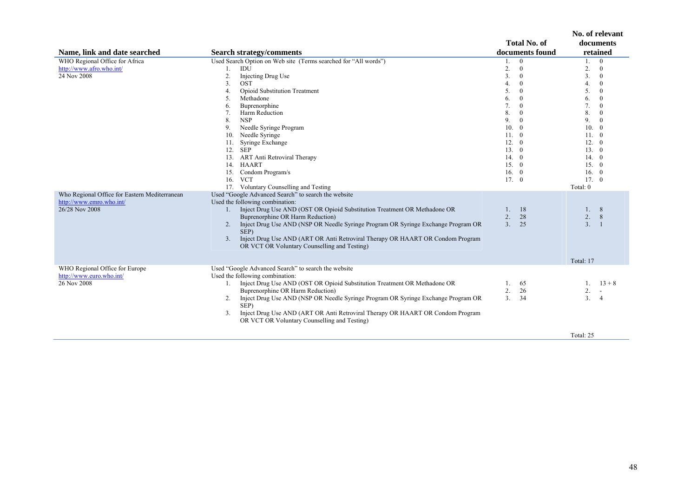| Name, link and date searched                                                                | <b>Search strategy/comments</b>                                                                                                                                                                                                                                                                                                                                                                                                                                                                          | <b>Total No. of</b><br>documents found                                                                                                                                                                                                                                | No. of relevant<br>documents<br>retained                                                                                                                                                                                                                                                                                                                         |
|---------------------------------------------------------------------------------------------|----------------------------------------------------------------------------------------------------------------------------------------------------------------------------------------------------------------------------------------------------------------------------------------------------------------------------------------------------------------------------------------------------------------------------------------------------------------------------------------------------------|-----------------------------------------------------------------------------------------------------------------------------------------------------------------------------------------------------------------------------------------------------------------------|------------------------------------------------------------------------------------------------------------------------------------------------------------------------------------------------------------------------------------------------------------------------------------------------------------------------------------------------------------------|
| WHO Regional Office for Africa<br>http://www.afro.who.int/<br>24 Nov 2008                   | Used Search Option on Web site (Terms searched for "All words")<br>IDU<br>1.<br>2.<br>Injecting Drug Use<br>3.<br><b>OST</b><br>Opioid Substitution Treatment<br>4.<br>Methadone<br>5.<br>Buprenorphine<br>6.<br>Harm Reduction<br>7.<br>8.<br><b>NSP</b><br>Needle Syringe Program<br>9.<br>Needle Syringe<br>10.<br>Syringe Exchange<br>11.<br>12. SEP<br><b>ART</b> Anti Retroviral Therapy<br>13.<br><b>HAART</b><br>14.<br>15. Condom Program/s<br>16. VCT<br>17. Voluntary Counselling and Testing | $\bf{0}$<br>1.<br>2.<br>$\mathbf{0}$<br>3.<br>$\bf{0}$<br>$\mathbf{0}$<br>4.<br>5.<br>$\mathbf{0}$<br>6.<br>$\bf{0}$<br>7.<br>$\bf{0}$<br>8.<br>$\mathbf{0}$<br>9.<br>$\mathbf{0}$<br>10.<br>$\overline{0}$<br>11.0<br>12.0<br>13.0<br>14.0<br>15. 0<br>16. 0<br>17.0 | $\mathbf{0}$<br>1.<br>2.<br>$\bf{0}$<br>3.<br>$\boldsymbol{0}$<br>$\Omega$<br>4.<br>5.<br>$\mathbf{0}$<br>6.<br>$\mathbf{0}$<br>7.<br>$\overline{0}$<br>8.<br>$\mathbf{0}$<br>$\mathbf{0}$<br>9.<br>10.<br>$\mathbf{0}$<br>11.<br>$\overline{0}$<br>12.<br>$\overline{0}$<br>13.0<br>14.<br>$\overline{0}$<br>15. 0<br>16.<br>$\overline{0}$<br>17.0<br>Total: 0 |
| Who Regional Office for Eastern Mediterranean<br>http://www.emro.who.int/<br>26/28 Nov 2008 | Used "Google Advanced Search" to search the website<br>Used the following combination:<br>1. Inject Drug Use AND (OST OR Opioid Substitution Treatment OR Methadone OR<br>Buprenorphine OR Harm Reduction)<br>Inject Drug Use AND (NSP OR Needle Syringe Program OR Syringe Exchange Program OR<br>2.<br>SEP)<br>Inject Drug Use AND (ART OR Anti Retroviral Therapy OR HAART OR Condom Program<br>3.<br>OR VCT OR Voluntary Counselling and Testing)                                                    | 18<br>1.<br>2.<br>28<br>3.<br>25                                                                                                                                                                                                                                      | 1.<br>8<br>2.<br>8<br>3.1<br>Total: 17                                                                                                                                                                                                                                                                                                                           |
| WHO Regional Office for Europe<br>http://www.euro.who.int/<br>26 Nov 2008                   | Used "Google Advanced Search" to search the website<br>Used the following combination:<br>1. Inject Drug Use AND (OST OR Opioid Substitution Treatment OR Methadone OR<br>Buprenorphine OR Harm Reduction)<br>Inject Drug Use AND (NSP OR Needle Syringe Program OR Syringe Exchange Program OR<br>2.<br>SEP)<br>Inject Drug Use AND (ART OR Anti Retroviral Therapy OR HAART OR Condom Program<br>3.<br>OR VCT OR Voluntary Counselling and Testing)                                                    | 1.<br>65<br>2.<br>26<br>3.<br>34                                                                                                                                                                                                                                      | $13 + 8$<br>$\mathbf{1}$ .<br>2.<br>3.<br>-4<br>Total: 25                                                                                                                                                                                                                                                                                                        |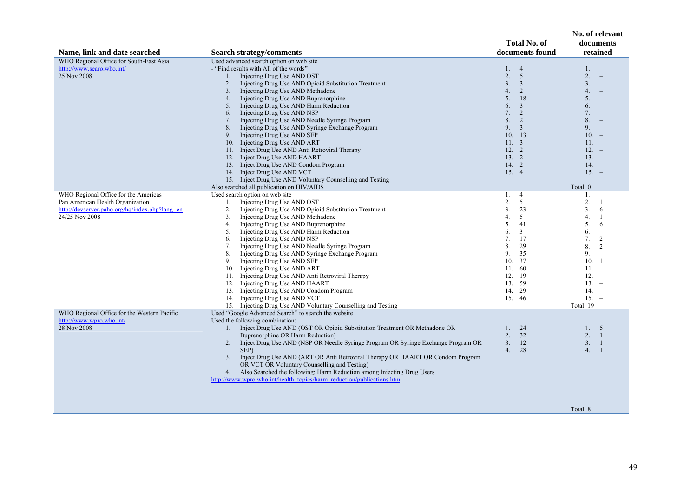| Name, link and date searched                                                       | <b>Search strategy/comments</b>                                                                        | <b>Total No. of</b><br>documents found | No. of relevant<br>documents<br>retained               |
|------------------------------------------------------------------------------------|--------------------------------------------------------------------------------------------------------|----------------------------------------|--------------------------------------------------------|
|                                                                                    |                                                                                                        |                                        |                                                        |
| WHO Regional Office for South-East Asia                                            | Used advanced search option on web site<br>- "Find results with All of the words"                      |                                        |                                                        |
| http://www.searo.who.int/                                                          |                                                                                                        | 1.4                                    | $1. -$                                                 |
| 25 Nov 2008                                                                        | Injecting Drug Use AND OST<br>1.                                                                       | 2.<br>5                                | 2.<br>$\hspace{0.1mm}-\hspace{0.1mm}$                  |
|                                                                                    | Injecting Drug Use AND Opioid Substitution Treatment<br>2.                                             | 3.<br>$\overline{3}$                   | 3.<br>$\sim$                                           |
|                                                                                    | Injecting Drug Use AND Methadone<br>3.                                                                 | 4.<br>2                                | 4.<br>$\equiv$                                         |
|                                                                                    | Injecting Drug Use AND Buprenorphine<br>4.                                                             | 5.<br>18                               | 5.                                                     |
|                                                                                    | Injecting Drug Use AND Harm Reduction<br>5.                                                            | 6.<br>$\overline{3}$                   | 6.                                                     |
|                                                                                    | Injecting Drug Use AND NSP<br>6.                                                                       | $\overline{2}$<br>7.<br>8.<br>2        | 7.<br>8.                                               |
|                                                                                    | Injecting Drug Use AND Needle Syringe Program<br>7.                                                    | $\overline{3}$                         |                                                        |
|                                                                                    | Injecting Drug Use AND Syringe Exchange Program<br>8.                                                  | 9.<br>10.13                            | 9.<br>$10. -$                                          |
|                                                                                    | Injecting Drug Use AND SEP<br>9.                                                                       |                                        |                                                        |
|                                                                                    | 10. Injecting Drug Use AND ART                                                                         | $11. \quad 3$                          | $11. -$                                                |
|                                                                                    | 11. Inject Drug Use AND Anti Retroviral Therapy                                                        | $12. \t2$                              | $12 = -$                                               |
|                                                                                    | Inject Drug Use AND HAART<br>12.                                                                       | 13.2                                   | $13. -$                                                |
|                                                                                    | 13. Inject Drug Use AND Condom Program                                                                 | 14. 2                                  | $14. -$                                                |
|                                                                                    | 14. Inject Drug Use AND VCT                                                                            | 15.4                                   | $15. -$                                                |
|                                                                                    | 15. Inject Drug Use AND Voluntary Counselling and Testing                                              |                                        |                                                        |
|                                                                                    | Also searched all publication on HIV/AIDS                                                              |                                        | Total: 0                                               |
| WHO Regional Office for the Americas                                               | Used search option on web site<br>1.                                                                   | 1.<br>$\overline{4}$<br>2.<br>5        | 1.<br>$\overline{\phantom{a}}$<br>2.<br>$\overline{1}$ |
| Pan American Health Organization<br>http://devserver.paho.org/hq/index.php?lang=en | Injecting Drug Use AND OST<br>2.                                                                       | 3.<br>23                               | 3 <sub>1</sub><br>6                                    |
| 24/25 Nov 2008                                                                     | Injecting Drug Use AND Opioid Substitution Treatment<br>3.<br>Injecting Drug Use AND Methadone         | 5<br>4.                                | 4.<br>$\overline{1}$                                   |
|                                                                                    |                                                                                                        | 5.<br>41                               | 5.<br>6                                                |
|                                                                                    | Injecting Drug Use AND Buprenorphine<br>4.<br>5.<br>Injecting Drug Use AND Harm Reduction              | 6.<br>$\mathfrak{Z}$                   | 6.                                                     |
|                                                                                    | Injecting Drug Use AND NSP                                                                             | 7.<br>17                               | $\overline{\phantom{a}}$<br>7.<br>2                    |
|                                                                                    | 6.                                                                                                     | 8.<br>29                               | 8.<br>2                                                |
|                                                                                    | Injecting Drug Use AND Needle Syringe Program<br>7.<br>Injecting Drug Use AND Syringe Exchange Program | 9.<br>35                               | 9.<br>$\overline{\phantom{a}}$                         |
|                                                                                    | 8.<br>Injecting Drug Use AND SEP<br>9.                                                                 | 37<br>10.                              | 10.<br>$\overline{1}$                                  |
|                                                                                    | Injecting Drug Use AND ART<br>10.                                                                      | 11.<br>60                              | $11. -$                                                |
|                                                                                    | 11. Injecting Drug Use AND Anti Retroviral Therapy                                                     | 12. 19                                 | $12. -$                                                |
|                                                                                    | Injecting Drug Use AND HAART<br>12.                                                                    | 13. 59                                 | $13. -$                                                |
|                                                                                    | 13. Injecting Drug Use AND Condom Program                                                              | 14.<br>29                              | $14. -$                                                |
|                                                                                    | 14. Injecting Drug Use AND VCT                                                                         | 15. 46                                 | $15. -$                                                |
|                                                                                    | 15. Injecting Drug Use AND Voluntary Counselling and Testing                                           |                                        | Total: 19                                              |
| WHO Regional Office for the Western Pacific                                        | Used "Google Advanced Search" to search the website                                                    |                                        |                                                        |
| http://www.wpro.who.int/                                                           | Used the following combination:                                                                        |                                        |                                                        |
| 28 Nov 2008                                                                        | Inject Drug Use AND (OST OR Opioid Substitution Treatment OR Methadone OR<br>1.                        | 24<br>1.                               | 1.5                                                    |
|                                                                                    | Buprenorphine OR Harm Reduction)                                                                       | 2.32                                   | 2.1                                                    |
|                                                                                    | Inject Drug Use AND (NSP OR Needle Syringe Program OR Syringe Exchange Program OR<br>2.                | 3.<br>12                               | 3.<br>$\overline{1}$                                   |
|                                                                                    | SEP)                                                                                                   | 4.<br>28                               | 4.<br>$\overline{1}$                                   |
|                                                                                    | Inject Drug Use AND (ART OR Anti Retroviral Therapy OR HAART OR Condom Program<br>3.                   |                                        |                                                        |
|                                                                                    | OR VCT OR Voluntary Counselling and Testing)                                                           |                                        |                                                        |
|                                                                                    | 4. Also Searched the following: Harm Reduction among Injecting Drug Users                              |                                        |                                                        |
|                                                                                    | http://www.wpro.who.int/health_topics/harm_reduction/publications.htm                                  |                                        |                                                        |
|                                                                                    |                                                                                                        |                                        |                                                        |
|                                                                                    |                                                                                                        |                                        |                                                        |
|                                                                                    |                                                                                                        |                                        |                                                        |
|                                                                                    |                                                                                                        |                                        | Total: 8                                               |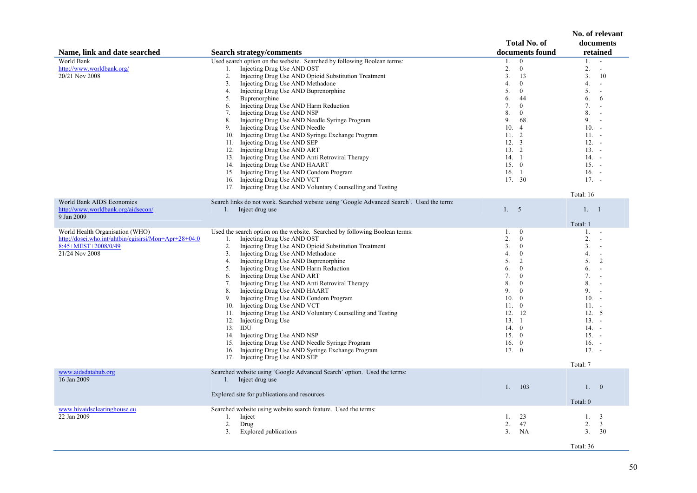|                                                                                                                                  |                                                                                                                                                                                                                                                                                                                                                                                                                                                                                                                                                                                                                                                                                                                                                                                                                                                           | <b>Total No. of</b>                                                                                                                                                                                                                                                            | No. of relevant<br>documents                                                                                                                                                                                                                                                                                                                                                  |
|----------------------------------------------------------------------------------------------------------------------------------|-----------------------------------------------------------------------------------------------------------------------------------------------------------------------------------------------------------------------------------------------------------------------------------------------------------------------------------------------------------------------------------------------------------------------------------------------------------------------------------------------------------------------------------------------------------------------------------------------------------------------------------------------------------------------------------------------------------------------------------------------------------------------------------------------------------------------------------------------------------|--------------------------------------------------------------------------------------------------------------------------------------------------------------------------------------------------------------------------------------------------------------------------------|-------------------------------------------------------------------------------------------------------------------------------------------------------------------------------------------------------------------------------------------------------------------------------------------------------------------------------------------------------------------------------|
| Name, link and date searched                                                                                                     | <b>Search strategy/comments</b>                                                                                                                                                                                                                                                                                                                                                                                                                                                                                                                                                                                                                                                                                                                                                                                                                           | documents found                                                                                                                                                                                                                                                                | retained                                                                                                                                                                                                                                                                                                                                                                      |
| World Bank<br>http://www.worldbank.org/<br>20/21 Nov 2008                                                                        | Used search option on the website. Searched by following Boolean terms:<br>Injecting Drug Use AND OST<br>1.<br>Injecting Drug Use AND Opioid Substitution Treatment<br>2.<br>Injecting Drug Use AND Methadone<br>3 <sub>1</sub><br>Injecting Drug Use AND Buprenorphine<br>4.<br>Buprenorphine<br>5.<br>Injecting Drug Use AND Harm Reduction<br>6.<br>Injecting Drug Use AND NSP<br>7.<br>Injecting Drug Use AND Needle Syringe Program<br>8.<br>Injecting Drug Use AND Needle<br>9.<br>10. Injecting Drug Use AND Syringe Exchange Program<br>11. Injecting Drug Use AND SEP<br>12. Injecting Drug Use AND ART<br>13. Injecting Drug Use AND Anti Retroviral Therapy<br>14. Injecting Drug Use AND HAART<br>15. Injecting Drug Use AND Condom Program<br>16. Injecting Drug Use AND VCT<br>17. Injecting Drug Use AND Voluntary Counselling and Testing | $\mathbf{0}$<br>$1_{-}$<br>2.<br>$\overline{0}$<br>3.<br>13<br>4.<br>$\overline{0}$<br>5.<br>$\overline{0}$<br>6.<br>44<br>7.<br>$\mathbf{0}$<br>8.<br>$\overline{0}$<br>9.<br>68<br>10.<br>$\overline{4}$<br>11.2<br>$12. \quad 3$<br>13.2<br>14.1<br>15. 0<br>16.1<br>17. 30 | $1. - -$<br>2.<br>$\overline{\phantom{a}}$<br>3.<br>10<br>4.<br>$\blacksquare$<br>5.<br>$\overline{\phantom{a}}$<br>6.<br>6<br>7.<br>$\overline{\phantom{a}}$<br>8.<br>$\overline{\phantom{a}}$<br>9.<br>$\ddot{\phantom{a}}$<br>$10. -$<br>$11. - -$<br>$12. -$<br>$13. -$<br>$14. -$<br>$15. -$<br>$16. -$<br>$17. -$<br>Total: 16                                          |
| <b>World Bank AIDS Economics</b><br>http://www.worldbank.org/aidsecon/<br>9 Jan 2009                                             | Search links do not work. Searched website using 'Google Advanced Search'. Used the term:<br>Inject drug use<br>1.                                                                                                                                                                                                                                                                                                                                                                                                                                                                                                                                                                                                                                                                                                                                        | 1.5                                                                                                                                                                                                                                                                            | 1. 1<br>Total: 1                                                                                                                                                                                                                                                                                                                                                              |
| World Health Organisation (WHO)<br>http://dosei.who.int/uhtbin/cgisirsi/Mon+Apr+28+04:0<br>8:45+MEST+2008/0/49<br>21/24 Nov 2008 | Used the search option on the website. Searched by following Boolean terms:<br>Injecting Drug Use AND OST<br>1.<br>Injecting Drug Use AND Opioid Substitution Treatment<br>2.<br>3 <sub>1</sub><br>Injecting Drug Use AND Methadone<br>Injecting Drug Use AND Buprenorphine<br>4.<br>Injecting Drug Use AND Harm Reduction<br>5.<br>Injecting Drug Use AND ART<br>6.<br>Injecting Drug Use AND Anti Retroviral Therapy<br>7.<br>Injecting Drug Use AND HAART<br>8.<br>9.<br>Injecting Drug Use AND Condom Program<br>10. Injecting Drug Use AND VCT<br>11. Injecting Drug Use AND Voluntary Counselling and Testing<br>12. Injecting Drug Use<br>13. IDU<br>14. Injecting Drug Use AND NSP<br>15. Injecting Drug Use AND Needle Syringe Program<br>16. Injecting Drug Use AND Syringe Exchange Program<br>17. Injecting Drug Use AND SEP                  | 1.<br>$\bf{0}$<br>2.<br>$\mathbf{0}$<br>3.<br>$\mathbf{0}$<br>4.<br>$\mathbf{0}$<br>5.<br>2<br>6.<br>$\mathbf{0}$<br>7.<br>$\mathbf{0}$<br>8.<br>$\overline{0}$<br>9.<br>$\overline{0}$<br>10. 0<br>11.0<br>12. 12<br>13.1<br>14.0<br>15. 0<br>16. 0<br>17. 0                  | 1.<br>$\overline{\phantom{a}}$<br>2.<br>$\overline{\phantom{a}}$<br>3 <sub>1</sub><br>$\overline{\phantom{a}}$<br>4.<br>$\overline{\phantom{a}}$<br>5.<br>$\overline{2}$<br>6.<br>$\sim$<br>7.<br>$\overline{\phantom{a}}$<br>8.<br>$\overline{\phantom{a}}$<br>9.<br>$\sim$<br>$10. -$<br>$11. -$<br>12.5<br>$13. -$<br>$14. -$<br>$15. -$<br>$16. -$<br>$17. -$<br>Total: 7 |
| www.aidsdatahub.org<br>16 Jan 2009                                                                                               | Searched website using 'Google Advanced Search' option. Used the terms:<br>1. Inject drug use<br>Explored site for publications and resources                                                                                                                                                                                                                                                                                                                                                                                                                                                                                                                                                                                                                                                                                                             | 103<br>1.                                                                                                                                                                                                                                                                      | 1.0<br>Total: 0                                                                                                                                                                                                                                                                                                                                                               |
| www.hivaidsclearinghouse.eu<br>22 Jan 2009                                                                                       | Searched website using website search feature. Used the terms:<br>Inject<br>1.<br>2.<br>Drug<br><b>Explored publications</b><br>3 <sub>1</sub>                                                                                                                                                                                                                                                                                                                                                                                                                                                                                                                                                                                                                                                                                                            | 23<br>1.<br>2.<br>47<br>3 <sub>1</sub><br>NA                                                                                                                                                                                                                                   | 1.<br>3<br>2.<br>3<br>3.<br>30<br>Total: 36                                                                                                                                                                                                                                                                                                                                   |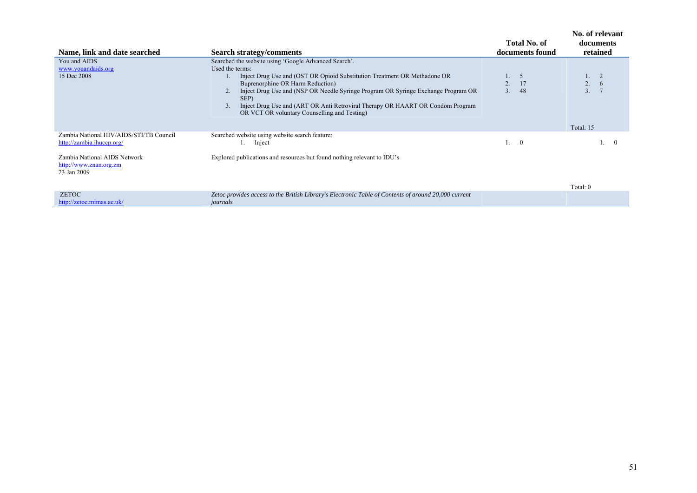| Name, link and date searched                                          | <b>Search strategy/comments</b>                                                                                                                                                                                                                                                                                                                                                                                         | Total No. of<br>documents found       | No. of relevant<br>documents<br>retained |
|-----------------------------------------------------------------------|-------------------------------------------------------------------------------------------------------------------------------------------------------------------------------------------------------------------------------------------------------------------------------------------------------------------------------------------------------------------------------------------------------------------------|---------------------------------------|------------------------------------------|
| You and AIDS<br>www.youandaids.org<br>15 Dec 2008                     | Searched the website using 'Google Advanced Search'.<br>Used the terms:<br>Inject Drug Use and (OST OR Opioid Substitution Treatment OR Methadone OR<br>Buprenorphine OR Harm Reduction)<br>Inject Drug Use and (NSP OR Needle Syringe Program OR Syringe Exchange Program OR<br>SEP)<br>Inject Drug Use and (ART OR Anti Retroviral Therapy OR HAART OR Condom Program<br>OR VCT OR voluntary Counselling and Testing) | 5<br>17<br>2.<br>3 <sub>1</sub><br>48 | 2.<br>$\overline{3}$ .                   |
|                                                                       |                                                                                                                                                                                                                                                                                                                                                                                                                         |                                       | Total: 15                                |
| Zambia National HIV/AIDS/STI/TB Council<br>http://zambia.jhuccp.org/  | Searched website using website search feature:<br>Inject                                                                                                                                                                                                                                                                                                                                                                | $\Omega$                              | $\Omega$                                 |
| Zambia National AIDS Network<br>http://www.znan.org.zm<br>23 Jan 2009 | Explored publications and resources but found nothing relevant to IDU's                                                                                                                                                                                                                                                                                                                                                 |                                       |                                          |
| <b>ZETOC</b>                                                          | Zetoc provides access to the British Library's Electronic Table of Contents of around 20,000 current                                                                                                                                                                                                                                                                                                                    |                                       | Total: 0                                 |
| http://zetoc.mimas.ac.uk/                                             | journals                                                                                                                                                                                                                                                                                                                                                                                                                |                                       |                                          |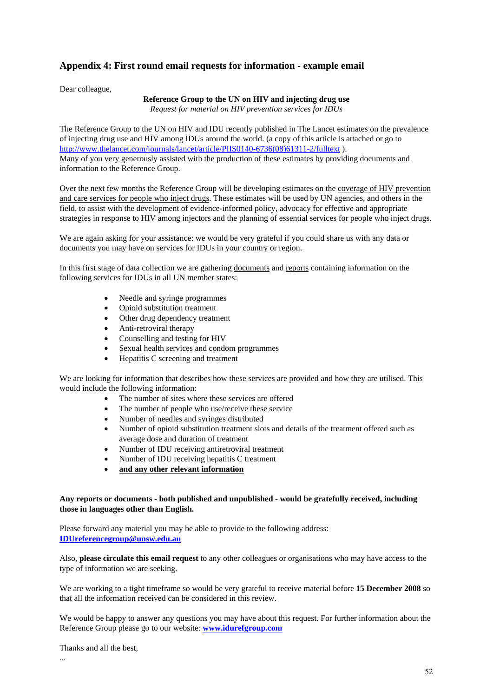# **Appendix 4: First round email requests for information - example email**

Dear colleague,

# **Reference Group to the UN on HIV and injecting drug use**

*Request for material on HIV prevention services for IDUs* 

The Reference Group to the UN on HIV and IDU recently published in The Lancet estimates on the prevalence of injecting drug use and HIV among IDUs around the world. (a copy of this article is attached or go to http://www.thelancet.com/journals/lancet/article/PIIS0140-6736(08)61311-2/fulltext ). Many of you very generously assisted with the production of these estimates by providing documents and information to the Reference Group.

Over the next few months the Reference Group will be developing estimates on the coverage of HIV prevention and care services for people who inject drugs. These estimates will be used by UN agencies, and others in the field, to assist with the development of evidence-informed policy, advocacy for effective and appropriate strategies in response to HIV among injectors and the planning of essential services for people who inject drugs.

We are again asking for your assistance: we would be very grateful if you could share us with any data or documents you may have on services for IDUs in your country or region.

In this first stage of data collection we are gathering documents and reports containing information on the following services for IDUs in all UN member states:

- Needle and syringe programmes
- Opioid substitution treatment
- Other drug dependency treatment
- Anti-retroviral therapy
- Counselling and testing for HIV
- Sexual health services and condom programmes
- Hepatitis C screening and treatment

We are looking for information that describes how these services are provided and how they are utilised. This would include the following information:

- The number of sites where these services are offered
- The number of people who use/receive these service
- Number of needles and syringes distributed
- Number of opioid substitution treatment slots and details of the treatment offered such as average dose and duration of treatment
- Number of IDU receiving antiretroviral treatment
- Number of IDU receiving hepatitis C treatment
- **and any other relevant information**

### **Any reports or documents - both published and unpublished - would be gratefully received, including those in languages other than English.**

Please forward any material you may be able to provide to the following address: **IDUreferencegroup@unsw.edu.au**

Also, **please circulate this email request** to any other colleagues or organisations who may have access to the type of information we are seeking.

We are working to a tight timeframe so would be very grateful to receive material before **15 December 2008** so that all the information received can be considered in this review.

We would be happy to answer any questions you may have about this request. For further information about the Reference Group please go to our website: **www.idurefgroup.com**

Thanks and all the best,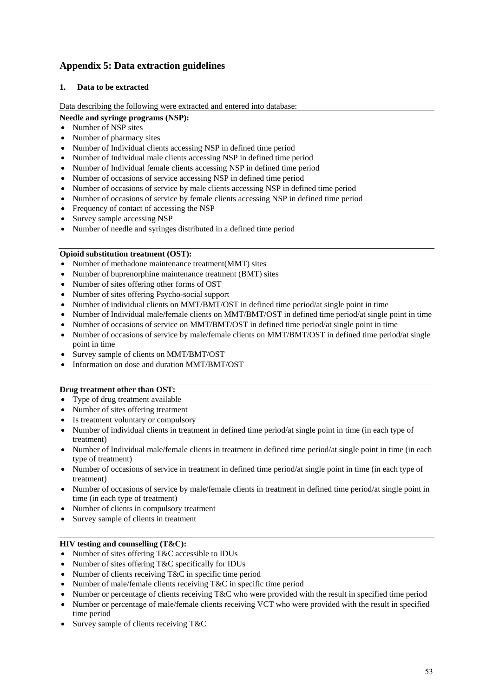# **Appendix 5: Data extraction guidelines**

# **1. Data to be extracted**

Data describing the following were extracted and entered into database:

### **Needle and syringe programs (NSP):**

- Number of NSP sites
- Number of pharmacy sites
- Number of Individual clients accessing NSP in defined time period
- Number of Individual male clients accessing NSP in defined time period
- Number of Individual female clients accessing NSP in defined time period
- Number of occasions of service accessing NSP in defined time period
- Number of occasions of service by male clients accessing NSP in defined time period
- Number of occasions of service by female clients accessing NSP in defined time period
- Frequency of contact of accessing the NSP
- Survey sample accessing NSP
- Number of needle and syringes distributed in a defined time period

### **Opioid substitution treatment (OST):**

- Number of methadone maintenance treatment(MMT) sites
- Number of buprenorphine maintenance treatment (BMT) sites
- Number of sites offering other forms of OST
- Number of sites offering Psycho-social support
- Number of individual clients on MMT/BMT/OST in defined time period/at single point in time
- Number of Individual male/female clients on MMT/BMT/OST in defined time period/at single point in time
- Number of occasions of service on MMT/BMT/OST in defined time period/at single point in time
- Number of occasions of service by male/female clients on MMT/BMT/OST in defined time period/at single point in time
- Survey sample of clients on MMT/BMT/OST
- Information on dose and duration MMT/BMT/OST

### **Drug treatment other than OST:**

- Type of drug treatment available
- Number of sites offering treatment
- Is treatment voluntary or compulsory
- Number of individual clients in treatment in defined time period/at single point in time (in each type of treatment)
- Number of Individual male/female clients in treatment in defined time period/at single point in time (in each type of treatment)
- Number of occasions of service in treatment in defined time period/at single point in time (in each type of treatment)
- Number of occasions of service by male/female clients in treatment in defined time period/at single point in time (in each type of treatment)
- Number of clients in compulsory treatment
- Survey sample of clients in treatment

# **HIV testing and counselling (T&C):**

- Number of sites offering T&C accessible to IDUs
- Number of sites offering T&C specifically for IDUs
- Number of clients receiving T&C in specific time period
- Number of male/female clients receiving T&C in specific time period
- $\bullet$  Number or percentage of clients receiving T&C who were provided with the result in specified time period
- Number or percentage of male/female clients receiving VCT who were provided with the result in specified time period
- Survey sample of clients receiving T&C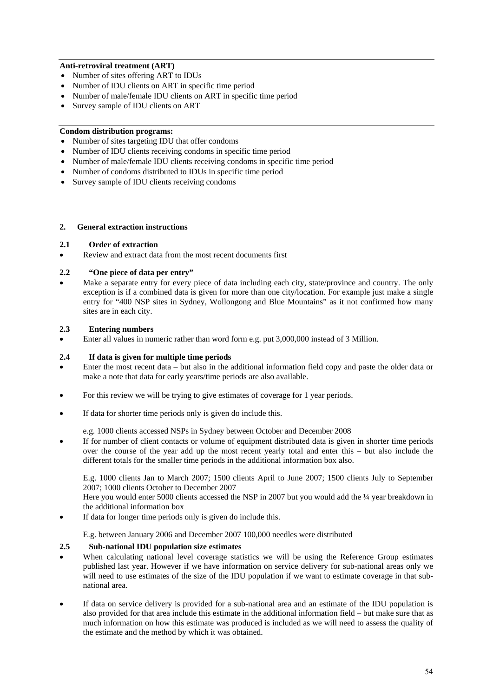## **Anti-retroviral treatment (ART)**

- Number of sites offering ART to IDUs
- Number of IDU clients on ART in specific time period
- Number of male/female IDU clients on ART in specific time period
- Survey sample of IDU clients on ART

# **Condom distribution programs:**

- Number of sites targeting IDU that offer condoms
- Number of IDU clients receiving condoms in specific time period
- Number of male/female IDU clients receiving condoms in specific time period
- Number of condoms distributed to IDUs in specific time period
- Survey sample of IDU clients receiving condoms

### **2. General extraction instructions**

# **2.1 Order of extraction**

Review and extract data from the most recent documents first

# **2.2 "One piece of data per entry"**

 Make a separate entry for every piece of data including each city, state/province and country. The only exception is if a combined data is given for more than one city/location. For example just make a single entry for "400 NSP sites in Sydney, Wollongong and Blue Mountains" as it not confirmed how many sites are in each city.

### **2.3 Entering numbers**

Enter all values in numeric rather than word form e.g. put 3,000,000 instead of 3 Million.

### **2.4 If data is given for multiple time periods**

- Enter the most recent data but also in the additional information field copy and paste the older data or make a note that data for early years/time periods are also available.
- For this review we will be trying to give estimates of coverage for 1 year periods.
- If data for shorter time periods only is given do include this.

e.g. 1000 clients accessed NSPs in Sydney between October and December 2008

 If for number of client contacts or volume of equipment distributed data is given in shorter time periods over the course of the year add up the most recent yearly total and enter this – but also include the different totals for the smaller time periods in the additional information box also.

E.g. 1000 clients Jan to March 2007; 1500 clients April to June 2007; 1500 clients July to September 2007; 1000 clients October to December 2007

Here you would enter 5000 clients accessed the NSP in 2007 but you would add the ¼ year breakdown in the additional information box

If data for longer time periods only is given do include this.

E.g. between January 2006 and December 2007 100,000 needles were distributed

### **2.5 Sub-national IDU population size estimates**

- When calculating national level coverage statistics we will be using the Reference Group estimates published last year. However if we have information on service delivery for sub-national areas only we will need to use estimates of the size of the IDU population if we want to estimate coverage in that subnational area.
- If data on service delivery is provided for a sub-national area and an estimate of the IDU population is also provided for that area include this estimate in the additional information field – but make sure that as much information on how this estimate was produced is included as we will need to assess the quality of the estimate and the method by which it was obtained.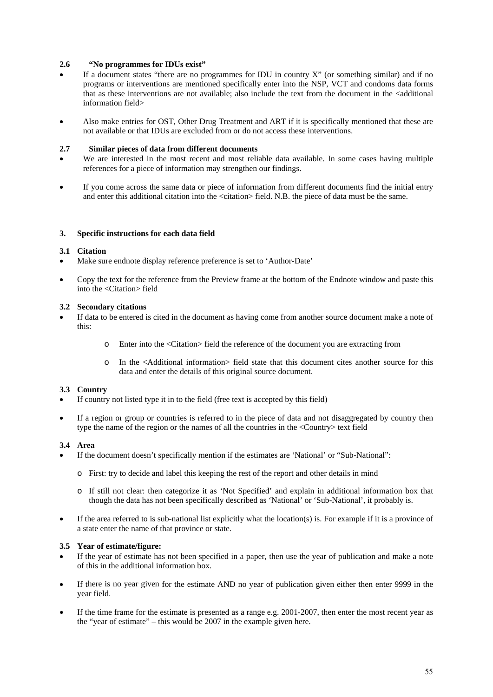### **2.6 "No programmes for IDUs exist"**

- If a document states "there are no programmes for IDU in country X" (or something similar) and if no programs or interventions are mentioned specifically enter into the NSP, VCT and condoms data forms that as these interventions are not available; also include the text from the document in the <additional information field>
- Also make entries for OST, Other Drug Treatment and ART if it is specifically mentioned that these are not available or that IDUs are excluded from or do not access these interventions.

#### **2.7 Similar pieces of data from different documents**

- We are interested in the most recent and most reliable data available. In some cases having multiple references for a piece of information may strengthen our findings.
- If you come across the same data or piece of information from different documents find the initial entry and enter this additional citation into the <citation> field. N.B. the piece of data must be the same.

#### **3. Specific instructions for each data field**

#### **3.1 Citation**

- Make sure endnote display reference preference is set to 'Author-Date'
- Copy the text for the reference from the Preview frame at the bottom of the Endnote window and paste this into the <Citation> field

## **3.2 Secondary citations**

- If data to be entered is cited in the document as having come from another source document make a note of this:
	- o Enter into the <Citation> field the reference of the document you are extracting from
	- o In the <Additional information> field state that this document cites another source for this data and enter the details of this original source document.

#### **3.3 Country**

- If country not listed type it in to the field (free text is accepted by this field)
- If a region or group or countries is referred to in the piece of data and not disaggregated by country then type the name of the region or the names of all the countries in the <Country> text field

### **3.4 Area**

- If the document doesn't specifically mention if the estimates are 'National' or "Sub-National":
	- o First: try to decide and label this keeping the rest of the report and other details in mind
	- o If still not clear: then categorize it as 'Not Specified' and explain in additional information box that though the data has not been specifically described as 'National' or 'Sub-National', it probably is.
- If the area referred to is sub-national list explicitly what the location(s) is. For example if it is a province of a state enter the name of that province or state.

#### **3.5 Year of estimate/figure:**

- If the year of estimate has not been specified in a paper, then use the year of publication and make a note of this in the additional information box.
- If there is no year given for the estimate AND no year of publication given either then enter 9999 in the year field.
- If the time frame for the estimate is presented as a range e.g. 2001-2007, then enter the most recent year as the "year of estimate" – this would be 2007 in the example given here.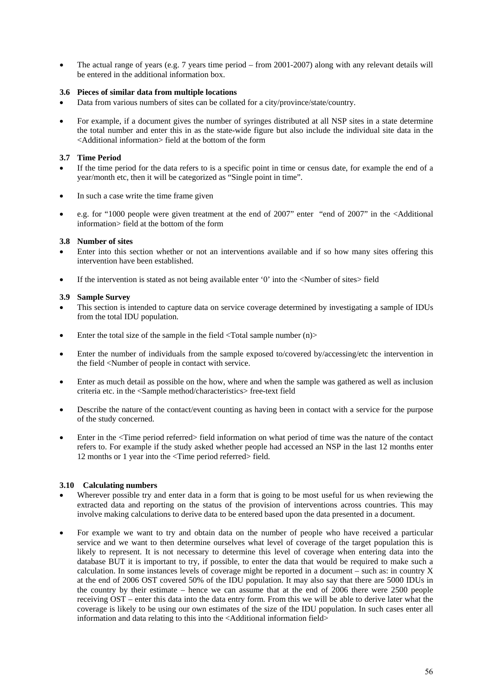• The actual range of years (e.g. 7 years time period – from 2001-2007) along with any relevant details will be entered in the additional information box.

# **3.6 Pieces of similar data from multiple locations**

- Data from various numbers of sites can be collated for a city/province/state/country.
- For example, if a document gives the number of syringes distributed at all NSP sites in a state determine the total number and enter this in as the state-wide figure but also include the individual site data in the <Additional information> field at the bottom of the form

### **3.7 Time Period**

- If the time period for the data refers to is a specific point in time or census date, for example the end of a year/month etc, then it will be categorized as "Single point in time".
- In such a case write the time frame given
- e.g. for "1000 people were given treatment at the end of 2007" enter "end of 2007" in the <Additional information> field at the bottom of the form

#### **3.8 Number of sites**

- Enter into this section whether or not an interventions available and if so how many sites offering this intervention have been established.
- If the intervention is stated as not being available enter '0' into the <Number of sites> field

#### **3.9 Sample Survey**

- This section is intended to capture data on service coverage determined by investigating a sample of IDUs from the total IDU population.
- Enter the total size of the sample in the field  $\langle \text{Total sample number (n)} \rangle$
- Enter the number of individuals from the sample exposed to/covered by/accessing/etc the intervention in the field <Number of people in contact with service.
- Enter as much detail as possible on the how, where and when the sample was gathered as well as inclusion criteria etc. in the <Sample method/characteristics> free-text field
- Describe the nature of the contact/event counting as having been in contact with a service for the purpose of the study concerned.
- Enter in the <Time period referred> field information on what period of time was the nature of the contact refers to. For example if the study asked whether people had accessed an NSP in the last 12 months enter 12 months or 1 year into the <Time period referred> field.

### **3.10 Calculating numbers**

- Wherever possible try and enter data in a form that is going to be most useful for us when reviewing the extracted data and reporting on the status of the provision of interventions across countries. This may involve making calculations to derive data to be entered based upon the data presented in a document.
- For example we want to try and obtain data on the number of people who have received a particular service and we want to then determine ourselves what level of coverage of the target population this is likely to represent. It is not necessary to determine this level of coverage when entering data into the database BUT it is important to try, if possible, to enter the data that would be required to make such a calculation. In some instances levels of coverage might be reported in a document – such as: in country X at the end of 2006 OST covered 50% of the IDU population. It may also say that there are 5000 IDUs in the country by their estimate – hence we can assume that at the end of 2006 there were 2500 people receiving OST – enter this data into the data entry form. From this we will be able to derive later what the coverage is likely to be using our own estimates of the size of the IDU population. In such cases enter all information and data relating to this into the <Additional information field>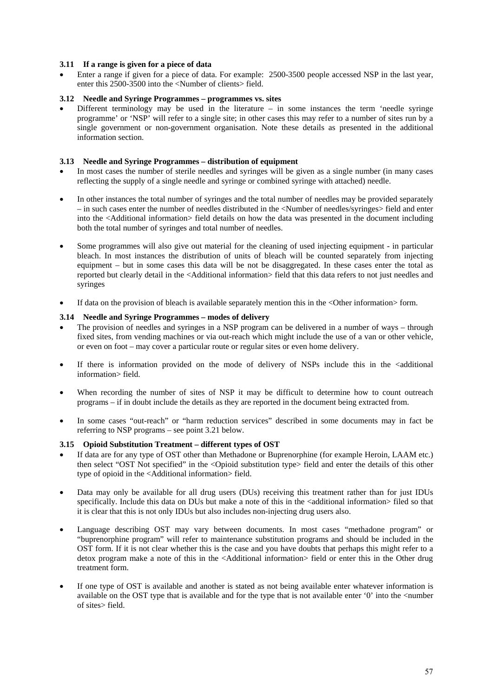## **3.11 If a range is given for a piece of data**

 Enter a range if given for a piece of data. For example: 2500-3500 people accessed NSP in the last year, enter this 2500-3500 into the <Number of clients> field.

## **3.12 Needle and Syringe Programmes – programmes vs. sites**

 Different terminology may be used in the literature – in some instances the term 'needle syringe programme' or 'NSP' will refer to a single site; in other cases this may refer to a number of sites run by a single government or non-government organisation. Note these details as presented in the additional information section.

## **3.13 Needle and Syringe Programmes – distribution of equipment**

- In most cases the number of sterile needles and syringes will be given as a single number (in many cases reflecting the supply of a single needle and syringe or combined syringe with attached) needle.
- In other instances the total number of syringes and the total number of needles may be provided separately – in such cases enter the number of needles distributed in the <Number of needles/syringes> field and enter into the <Additional information> field details on how the data was presented in the document including both the total number of syringes and total number of needles.
- Some programmes will also give out material for the cleaning of used injecting equipment in particular bleach. In most instances the distribution of units of bleach will be counted separately from injecting equipment – but in some cases this data will be not be disaggregated. In these cases enter the total as reported but clearly detail in the <Additional information> field that this data refers to not just needles and syringes
- If data on the provision of bleach is available separately mention this in the <Other information> form.

### **3.14 Needle and Syringe Programmes – modes of delivery**

- The provision of needles and syringes in a NSP program can be delivered in a number of ways through fixed sites, from vending machines or via out-reach which might include the use of a van or other vehicle, or even on foot – may cover a particular route or regular sites or even home delivery.
- If there is information provided on the mode of delivery of NSPs include this in the <additional information> field.
- When recording the number of sites of NSP it may be difficult to determine how to count outreach programs – if in doubt include the details as they are reported in the document being extracted from.
- In some cases "out-reach" or "harm reduction services" described in some documents may in fact be referring to NSP programs – see point 3.21 below.

### **3.15 Opioid Substitution Treatment – different types of OST**

- If data are for any type of OST other than Methadone or Buprenorphine (for example Heroin, LAAM etc.) then select "OST Not specified" in the <Opioid substitution type> field and enter the details of this other type of opioid in the <Additional information> field.
- Data may only be available for all drug users (DUs) receiving this treatment rather than for just IDUs specifically. Include this data on DUs but make a note of this in the <additional information> filed so that it is clear that this is not only IDUs but also includes non-injecting drug users also.
- Language describing OST may vary between documents. In most cases "methadone program" or "buprenorphine program" will refer to maintenance substitution programs and should be included in the OST form. If it is not clear whether this is the case and you have doubts that perhaps this might refer to a detox program make a note of this in the <Additional information> field or enter this in the Other drug treatment form.
- If one type of OST is available and another is stated as not being available enter whatever information is available on the OST type that is available and for the type that is not available enter '0' into the <number of sites> field.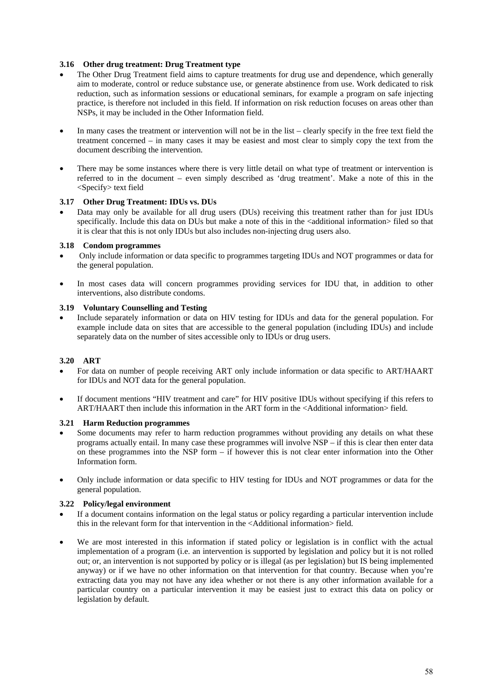## **3.16 Other drug treatment: Drug Treatment type**

- The Other Drug Treatment field aims to capture treatments for drug use and dependence, which generally aim to moderate, control or reduce substance use, or generate abstinence from use. Work dedicated to risk reduction, such as information sessions or educational seminars, for example a program on safe injecting practice, is therefore not included in this field. If information on risk reduction focuses on areas other than NSPs, it may be included in the Other Information field.
- In many cases the treatment or intervention will not be in the list clearly specify in the free text field the treatment concerned – in many cases it may be easiest and most clear to simply copy the text from the document describing the intervention.
- There may be some instances where there is very little detail on what type of treatment or intervention is referred to in the document – even simply described as 'drug treatment'. Make a note of this in the <Specify> text field

### **3.17 Other Drug Treatment: IDUs vs. DUs**

 Data may only be available for all drug users (DUs) receiving this treatment rather than for just IDUs specifically. Include this data on DUs but make a note of this in the <additional information> filed so that it is clear that this is not only IDUs but also includes non-injecting drug users also.

### **3.18 Condom programmes**

- Only include information or data specific to programmes targeting IDUs and NOT programmes or data for the general population.
- In most cases data will concern programmes providing services for IDU that, in addition to other interventions, also distribute condoms.

### **3.19 Voluntary Counselling and Testing**

 Include separately information or data on HIV testing for IDUs and data for the general population. For example include data on sites that are accessible to the general population (including IDUs) and include separately data on the number of sites accessible only to IDUs or drug users.

### **3.20 ART**

- For data on number of people receiving ART only include information or data specific to ART/HAART for IDUs and NOT data for the general population.
- If document mentions "HIV treatment and care" for HIV positive IDUs without specifying if this refers to ART/HAART then include this information in the ART form in the <Additional information> field.

### **3.21 Harm Reduction programmes**

- Some documents may refer to harm reduction programmes without providing any details on what these programs actually entail. In many case these programmes will involve NSP – if this is clear then enter data on these programmes into the NSP form – if however this is not clear enter information into the Other Information form.
- Only include information or data specific to HIV testing for IDUs and NOT programmes or data for the general population.

### **3.22 Policy/legal environment**

- If a document contains information on the legal status or policy regarding a particular intervention include this in the relevant form for that intervention in the <Additional information> field.
- We are most interested in this information if stated policy or legislation is in conflict with the actual implementation of a program (i.e. an intervention is supported by legislation and policy but it is not rolled out; or, an intervention is not supported by policy or is illegal (as per legislation) but IS being implemented anyway) or if we have no other information on that intervention for that country. Because when you're extracting data you may not have any idea whether or not there is any other information available for a particular country on a particular intervention it may be easiest just to extract this data on policy or legislation by default.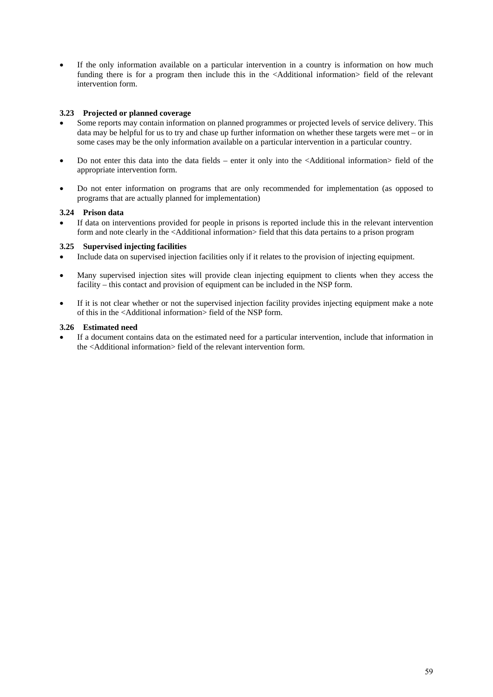If the only information available on a particular intervention in a country is information on how much funding there is for a program then include this in the <Additional information> field of the relevant intervention form.

## **3.23 Projected or planned coverage**

- Some reports may contain information on planned programmes or projected levels of service delivery. This data may be helpful for us to try and chase up further information on whether these targets were met – or in some cases may be the only information available on a particular intervention in a particular country.
- Do not enter this data into the data fields enter it only into the <Additional information> field of the appropriate intervention form.
- Do not enter information on programs that are only recommended for implementation (as opposed to programs that are actually planned for implementation)

# **3.24 Prison data**

 If data on interventions provided for people in prisons is reported include this in the relevant intervention form and note clearly in the <Additional information> field that this data pertains to a prison program

### **3.25 Supervised injecting facilities**

- Include data on supervised injection facilities only if it relates to the provision of injecting equipment.
- Many supervised injection sites will provide clean injecting equipment to clients when they access the facility – this contact and provision of equipment can be included in the NSP form.
- If it is not clear whether or not the supervised injection facility provides injecting equipment make a note of this in the <Additional information> field of the NSP form.

# **3.26 Estimated need**

 If a document contains data on the estimated need for a particular intervention, include that information in the <Additional information> field of the relevant intervention form.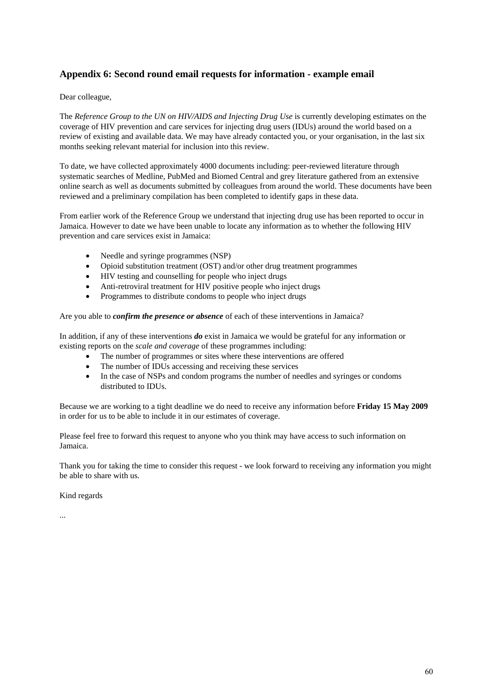# **Appendix 6: Second round email requests for information - example email**

# Dear colleague,

The *Reference Group to the UN on HIV/AIDS and Injecting Drug Use* is currently developing estimates on the coverage of HIV prevention and care services for injecting drug users (IDUs) around the world based on a review of existing and available data. We may have already contacted you, or your organisation, in the last six months seeking relevant material for inclusion into this review.

To date, we have collected approximately 4000 documents including: peer-reviewed literature through systematic searches of Medline, PubMed and Biomed Central and grey literature gathered from an extensive online search as well as documents submitted by colleagues from around the world. These documents have been reviewed and a preliminary compilation has been completed to identify gaps in these data.

From earlier work of the Reference Group we understand that injecting drug use has been reported to occur in Jamaica. However to date we have been unable to locate any information as to whether the following HIV prevention and care services exist in Jamaica:

- Needle and syringe programmes (NSP)
- Opioid substitution treatment (OST) and/or other drug treatment programmes
- HIV testing and counselling for people who inject drugs
- Anti-retroviral treatment for HIV positive people who inject drugs
- Programmes to distribute condoms to people who inject drugs

Are you able to *confirm the presence or absence* of each of these interventions in Jamaica?

In addition, if any of these interventions *do* exist in Jamaica we would be grateful for any information or existing reports on the *scale and coverage* of these programmes including:

- The number of programmes or sites where these interventions are offered
- The number of IDUs accessing and receiving these services
- In the case of NSPs and condom programs the number of needles and syringes or condoms distributed to IDUs.

Because we are working to a tight deadline we do need to receive any information before **Friday 15 May 2009** in order for us to be able to include it in our estimates of coverage.

Please feel free to forward this request to anyone who you think may have access to such information on Jamaica.

Thank you for taking the time to consider this request - we look forward to receiving any information you might be able to share with us.

Kind regards

...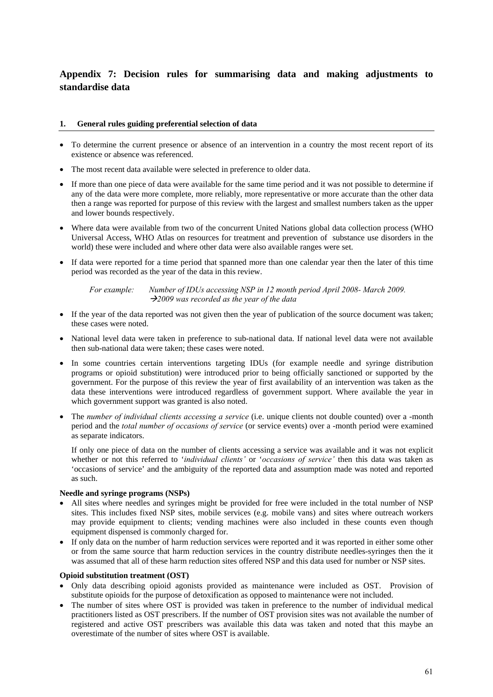# **Appendix 7: Decision rules for summarising data and making adjustments to standardise data**

### **1. General rules guiding preferential selection of data**

- To determine the current presence or absence of an intervention in a country the most recent report of its existence or absence was referenced.
- The most recent data available were selected in preference to older data.
- If more than one piece of data were available for the same time period and it was not possible to determine if any of the data were more complete, more reliably, more representative or more accurate than the other data then a range was reported for purpose of this review with the largest and smallest numbers taken as the upper and lower bounds respectively.
- Where data were available from two of the concurrent United Nations global data collection process (WHO Universal Access, WHO Atlas on resources for treatment and prevention of substance use disorders in the world) these were included and where other data were also available ranges were set.
- If data were reported for a time period that spanned more than one calendar year then the later of this time period was recorded as the year of the data in this review.

*For example: Number of IDUs accessing NSP in 12 month period April 2008- March 2009. 2009 was recorded as the year of the data* 

- If the year of the data reported was not given then the year of publication of the source document was taken; these cases were noted.
- National level data were taken in preference to sub-national data. If national level data were not available then sub-national data were taken; these cases were noted.
- In some countries certain interventions targeting IDUs (for example needle and syringe distribution programs or opioid substitution) were introduced prior to being officially sanctioned or supported by the government. For the purpose of this review the year of first availability of an intervention was taken as the data these interventions were introduced regardless of government support. Where available the year in which government support was granted is also noted.
- The *number of individual clients accessing a service* (i.e. unique clients not double counted) over a -month period and the *total number of occasions of service* (or service events) over a -month period were examined as separate indicators.

If only one piece of data on the number of clients accessing a service was available and it was not explicit whether or not this referred to '*individual clients'* or '*occasions of service'* then this data was taken as 'occasions of service' and the ambiguity of the reported data and assumption made was noted and reported as such.

### **Needle and syringe programs (NSPs)**

- All sites where needles and syringes might be provided for free were included in the total number of NSP sites. This includes fixed NSP sites, mobile services (e.g. mobile vans) and sites where outreach workers may provide equipment to clients; vending machines were also included in these counts even though equipment dispensed is commonly charged for.
- If only data on the number of harm reduction services were reported and it was reported in either some other or from the same source that harm reduction services in the country distribute needles-syringes then the it was assumed that all of these harm reduction sites offered NSP and this data used for number or NSP sites.

### **Opioid substitution treatment (OST)**

- Only data describing opioid agonists provided as maintenance were included as OST. Provision of substitute opioids for the purpose of detoxification as opposed to maintenance were not included.
- The number of sites where OST is provided was taken in preference to the number of individual medical practitioners listed as OST prescribers. If the number of OST provision sites was not available the number of registered and active OST prescribers was available this data was taken and noted that this maybe an overestimate of the number of sites where OST is available.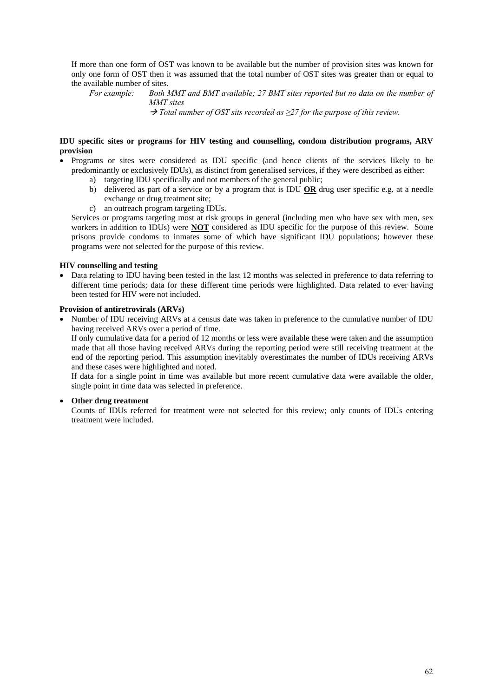If more than one form of OST was known to be available but the number of provision sites was known for only one form of OST then it was assumed that the total number of OST sites was greater than or equal to the available number of sites.

*For example: Both MMT and BMT available; 27 BMT sites reported but no data on the number of MMT sites* 

 *Total number of OST sits recorded as ≥27 for the purpose of this review.*

### **IDU specific sites or programs for HIV testing and counselling, condom distribution programs, ARV provision**

- Programs or sites were considered as IDU specific (and hence clients of the services likely to be predominantly or exclusively IDUs), as distinct from generalised services, if they were described as either:
	- a) targeting IDU specifically and not members of the general public;
	- b) delivered as part of a service or by a program that is IDU **OR** drug user specific e.g. at a needle exchange or drug treatment site;
	- c) an outreach program targeting IDUs.

Services or programs targeting most at risk groups in general (including men who have sex with men, sex workers in addition to IDUs) were **NOT** considered as IDU specific for the purpose of this review. Some prisons provide condoms to inmates some of which have significant IDU populations; however these programs were not selected for the purpose of this review.

### **HIV counselling and testing**

 Data relating to IDU having been tested in the last 12 months was selected in preference to data referring to different time periods; data for these different time periods were highlighted. Data related to ever having been tested for HIV were not included.

### **Provision of antiretrovirals (ARVs)**

 Number of IDU receiving ARVs at a census date was taken in preference to the cumulative number of IDU having received ARVs over a period of time.

If only cumulative data for a period of 12 months or less were available these were taken and the assumption made that all those having received ARVs during the reporting period were still receiving treatment at the end of the reporting period. This assumption inevitably overestimates the number of IDUs receiving ARVs and these cases were highlighted and noted.

If data for a single point in time was available but more recent cumulative data were available the older, single point in time data was selected in preference.

### **Other drug treatment**

Counts of IDUs referred for treatment were not selected for this review; only counts of IDUs entering treatment were included.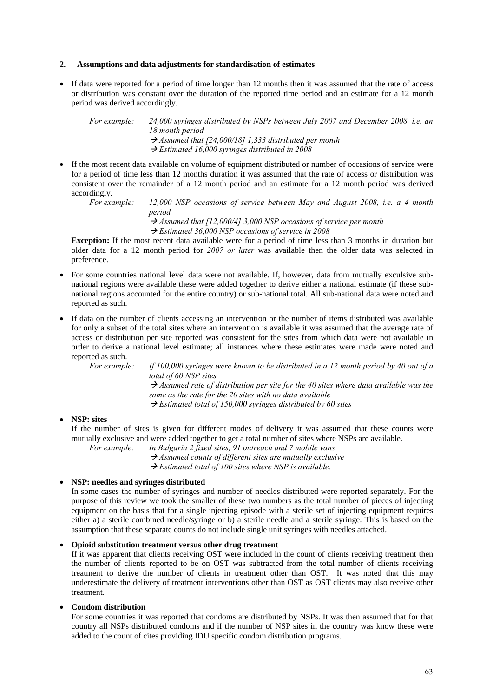#### **2. Assumptions and data adjustments for standardisation of estimates**

 If data were reported for a period of time longer than 12 months then it was assumed that the rate of access or distribution was constant over the duration of the reported time period and an estimate for a 12 month period was derived accordingly.

*For example: 24,000 syringes distributed by NSPs between July 2007 and December 2008. i.e. an 18 month period Assumed that [24,000/18] 1,333 distributed per month Estimated 16,000 syringes distributed in 2008* 

 If the most recent data available on volume of equipment distributed or number of occasions of service were for a period of time less than 12 months duration it was assumed that the rate of access or distribution was consistent over the remainder of a 12 month period and an estimate for a 12 month period was derived accordingly.

*For example: 12,000 NSP occasions of service between May and August 2008, i.e. a 4 month period* 

 *Assumed that [12,000/4] 3,000 NSP occasions of service per month* 

 *Estimated 36,000 NSP occasions of service in 2008* 

**Exception:** If the most recent data available were for a period of time less than 3 months in duration but older data for a 12 month period for *2007 or later* was available then the older data was selected in preference.

- For some countries national level data were not available. If, however, data from mutually exculsive subnational regions were available these were added together to derive either a national estimate (if these subnational regions accounted for the entire country) or sub-national total. All sub-national data were noted and reported as such.
- If data on the number of clients accessing an intervention or the number of items distributed was available for only a subset of the total sites where an intervention is available it was assumed that the average rate of access or distribution per site reported was consistent for the sites from which data were not available in order to derive a national level estimate; all instances where these estimates were made were noted and reported as such.

*For example: If 100,000 syringes were known to be distributed in a 12 month period by 40 out of a total of 60 NSP sites* 

 *Assumed rate of distribution per site for the 40 sites where data available was the same as the rate for the 20 sites with no data available Estimated total of 150,000 syringes distributed by 60 sites* 

#### **NSP: sites**

If the number of sites is given for different modes of delivery it was assumed that these counts were mutually exclusive and were added together to get a total number of sites where NSPs are available.

*For example: In Bulgaria 2 fixed sites, 91 outreach and 7 mobile vans Assumed counts of different sites are mutually exclusive Estimated total of 100 sites where NSP is available.* 

#### **NSP: needles and syringes distributed**

In some cases the number of syringes and number of needles distributed were reported separately. For the purpose of this review we took the smaller of these two numbers as the total number of pieces of injecting equipment on the basis that for a single injecting episode with a sterile set of injecting equipment requires either a) a sterile combined needle/syringe or b) a sterile needle and a sterile syringe. This is based on the assumption that these separate counts do not include single unit syringes with needles attached.

#### **Opioid substitution treatment versus other drug treatment**

If it was apparent that clients receiving OST were included in the count of clients receiving treatment then the number of clients reported to be on OST was subtracted from the total number of clients receiving treatment to derive the number of clients in treatment other than OST. It was noted that this may underestimate the delivery of treatment interventions other than OST as OST clients may also receive other treatment.

#### **Condom distribution**

For some countries it was reported that condoms are distributed by NSPs. It was then assumed that for that country all NSPs distributed condoms and if the number of NSP sites in the country was know these were added to the count of cites providing IDU specific condom distribution programs.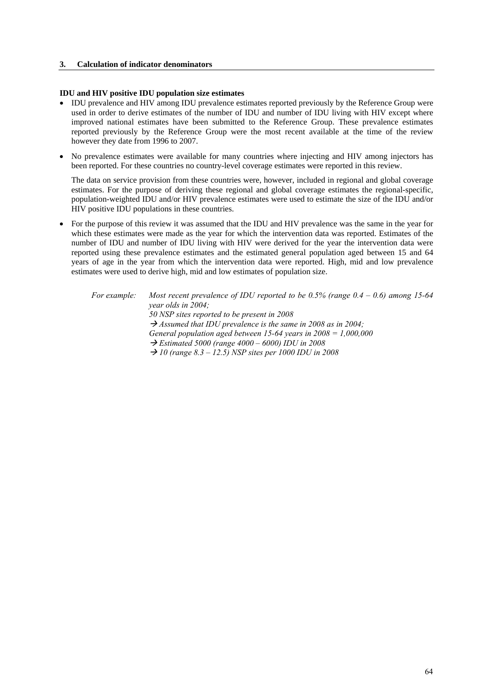#### **3. Calculation of indicator denominators**

#### **IDU and HIV positive IDU population size estimates**

- IDU prevalence and HIV among IDU prevalence estimates reported previously by the Reference Group were used in order to derive estimates of the number of IDU and number of IDU living with HIV except where improved national estimates have been submitted to the Reference Group. These prevalence estimates reported previously by the Reference Group were the most recent available at the time of the review however they date from 1996 to 2007.
- No prevalence estimates were available for many countries where injecting and HIV among injectors has been reported. For these countries no country-level coverage estimates were reported in this review.

The data on service provision from these countries were, however, included in regional and global coverage estimates. For the purpose of deriving these regional and global coverage estimates the regional-specific, population-weighted IDU and/or HIV prevalence estimates were used to estimate the size of the IDU and/or HIV positive IDU populations in these countries.

• For the purpose of this review it was assumed that the IDU and HIV prevalence was the same in the year for which these estimates were made as the year for which the intervention data was reported. Estimates of the number of IDU and number of IDU living with HIV were derived for the year the intervention data were reported using these prevalence estimates and the estimated general population aged between 15 and 64 years of age in the year from which the intervention data were reported. High, mid and low prevalence estimates were used to derive high, mid and low estimates of population size.

 *For example: Most recent prevalence of IDU reported to be 0.5% (range 0.4 – 0.6) among 15-64 year olds in 2004; 50 NSP sites reported to be present in 2008 Assumed that IDU prevalence is the same in 2008 as in 2004; General population aged between 15-64 years in 2008 = 1,000,000 Estimated 5000 (range 4000 – 6000) IDU in 2008 10 (range 8.3 – 12.5) NSP sites per 1000 IDU in 2008*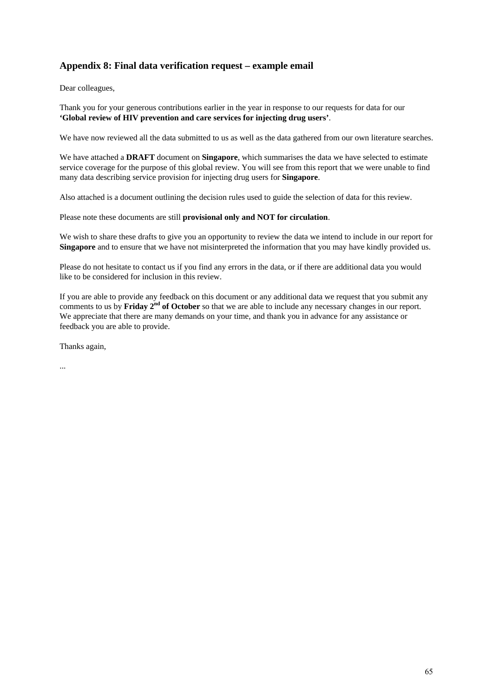# **Appendix 8: Final data verification request – example email**

Dear colleagues,

Thank you for your generous contributions earlier in the year in response to our requests for data for our **'Global review of HIV prevention and care services for injecting drug users'**.

We have now reviewed all the data submitted to us as well as the data gathered from our own literature searches.

We have attached a **DRAFT** document on **Singapore**, which summarises the data we have selected to estimate service coverage for the purpose of this global review. You will see from this report that we were unable to find many data describing service provision for injecting drug users for **Singapore**.

Also attached is a document outlining the decision rules used to guide the selection of data for this review.

Please note these documents are still **provisional only and NOT for circulation**.

We wish to share these drafts to give you an opportunity to review the data we intend to include in our report for **Singapore** and to ensure that we have not misinterpreted the information that you may have kindly provided us.

Please do not hesitate to contact us if you find any errors in the data, or if there are additional data you would like to be considered for inclusion in this review.

If you are able to provide any feedback on this document or any additional data we request that you submit any comments to us by **Friday 2nd of October** so that we are able to include any necessary changes in our report. We appreciate that there are many demands on your time, and thank you in advance for any assistance or feedback you are able to provide.

Thanks again,

...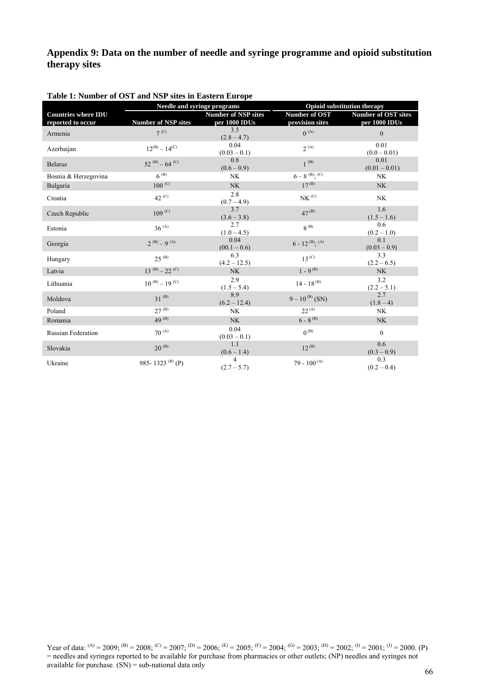# **Appendix 9: Data on the number of needle and syringe programme and opioid substitution therapy sites**

|                                                 | <b>Needle and syringe programs</b> |                                             | <b>Opioid substitution therapy</b>    |                                             |
|-------------------------------------------------|------------------------------------|---------------------------------------------|---------------------------------------|---------------------------------------------|
| <b>Countries where IDU</b><br>reported to occur | <b>Number of NSP sites</b>         | <b>Number of NSP sites</b><br>per 1000 IDUs | Number of OST<br>provision sites      | <b>Number of OST sites</b><br>per 1000 IDUs |
| Armenia                                         | 7 <sup>(C)</sup>                   | 3.5<br>$(2.8 - 4.7)$                        | $0^{(A)}$                             | $\mathbf{0}$                                |
| Azerbaijan                                      | $12^{(B)} - 14^{(C)}$              | 0.04<br>$(0.03 - 0.1)$                      | $2^{(A)}$                             | 0.01<br>$(0.0 - 0.01)$                      |
| <b>Belarus</b>                                  | 52 $^{(B)} - 64$ (C)               | 0.8<br>$(0.6 - 0.9)$                        | $1^{(B)}$                             | 0.01<br>$(0.01 - 0.01)$                     |
| Bosnia & Herzegovina                            | $6^{(B)}$                          | <b>NK</b>                                   | $6-8$ <sup>(B)</sup> ; <sup>(C)</sup> | <b>NK</b>                                   |
| Bulgaria                                        | $100^{(C)}$                        | <b>NK</b>                                   | $17^{(B)}$                            | <b>NK</b>                                   |
| Croatia                                         | $42^{\,(C)}$                       | 2.8<br>$(0.7 - 4.9)$                        | NK <sup>(C)</sup>                     | NK                                          |
| Czech Republic                                  | $109^{(C)}$                        | 3.7<br>$(3.6 - 3.8)$                        | $47^{(B)}$                            | 1.6<br>$(1.5 - 1.6)$                        |
| Estonia                                         | $36^{(A)}$                         | 2.7<br>$(1.0 - 4.5)$                        | $R^{(B)}$                             | 0.6<br>$(0.2 - 1.0)$                        |
| Georgia                                         | $2^{(B)} - 9^{(A)}$                | 0.04<br>$(00.1 - 0.6)$                      | $6 - 12^{(B)}$ ; (A)                  | 0.1<br>$(0.03 - 0.9)$                       |
| Hungary                                         | $25^{(B)}$                         | 6.3<br>$(4.2 - 12.5)$                       | $13^{(C)}$                            | 3.3<br>$(2.2 - 6.5)$                        |
| Latvia                                          | $13^{(B)} - 22^{(C)}$              | <b>NK</b>                                   | $1 - 9^{(B)}$                         | <b>NK</b>                                   |
| Lithuania                                       | $10^{(B)} - 19^{(C)}$              | 2.9<br>$(1.5 - 5.4)$                        | $14 - 18^{(B)}$                       | 3.2<br>$(2.2 - 5.1)$                        |
| Moldova                                         | $31^{(B)}$                         | 8.9<br>$(6.2 - 12.4)$                       | $9-10^{(B)}$ (SN)                     | 2.7<br>$(1.8 - 4)$                          |
| Poland                                          | $27^{(B)}$                         | <b>NK</b>                                   | $22^{(A)}$                            | <b>NK</b>                                   |
| Romania                                         | 49 $(B)$                           | <b>NK</b>                                   | $6 - 8^{(B)}$                         | NK                                          |
| <b>Russian Federation</b>                       | $70^{(A)}$                         | 0.04<br>$(0.03 - 0.1)$                      | $0^{(B)}$                             | $\mathbf{0}$                                |
| Slovakia                                        | $20^{(B)}$                         | 1.1<br>$(0.6 - 1.4)$                        | $12^{(B)}$                            | 0.6<br>$(0.3 - 0.9)$                        |
| Ukraine                                         | 985-1323 <sup>(B)</sup> (P)        | $\overline{4}$<br>$(2.7 - 5.7)$             | 79 - 100 $^{(A)}$                     | 0.3<br>$(0.2 - 0.4)$                        |

### **Table 1: Number of OST and NSP sites in Eastern Europe**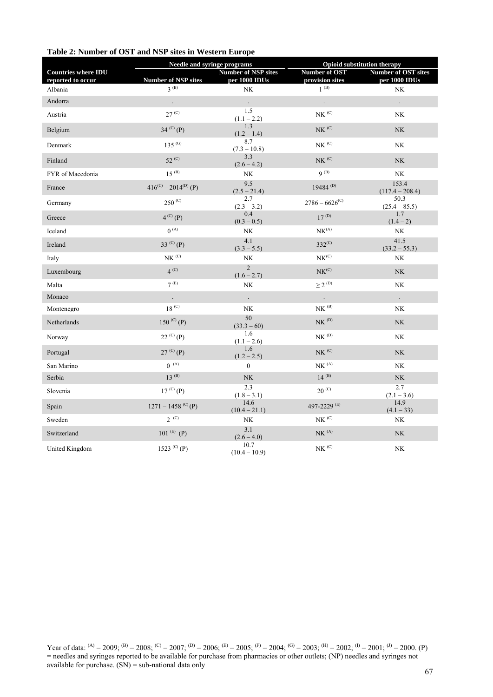# **Table 2: Number of OST and NSP sites in Western Europe**

|                                                 | Needle and syringe programs      |                                             | <b>Opioid substitution therapy</b>            |                                             |
|-------------------------------------------------|----------------------------------|---------------------------------------------|-----------------------------------------------|---------------------------------------------|
| <b>Countries where IDU</b><br>reported to occur | <b>Number of NSP sites</b>       | <b>Number of NSP sites</b><br>per 1000 IDUs | Number of OST<br>provision sites              | <b>Number of OST sites</b><br>per 1000 IDUs |
| Albania                                         | $3^{(B)}$                        | NK                                          | $1$ $^{\rm (B)}$                              | NK                                          |
| Andorra                                         |                                  |                                             | $\Box$                                        | $\Box$                                      |
| Austria                                         | $27^{(C)}$                       | 1.5<br>$(1.1 - 2.2)$                        | $N K^{\,(C)}$                                 | NK                                          |
| Belgium                                         | 34 $(C)$ (P)                     | 1.3<br>$(1.2 - 1.4)$                        | $N\!K$ $^{(C)}$                               | $\rm N K$                                   |
| Denmark                                         | $135^{(G)}$                      | 8.7<br>$(7.3 - 10.8)$                       | $\rm{N}K$ $^{\rm(C)}$                         | NK                                          |
| Finland                                         | 52 <sup>(C)</sup>                | 3.3<br>$(2.6 - 4.2)$                        | $N K^{\,(C)}$                                 | $\rm N K$                                   |
| FYR of Macedonia                                | $15^{(B)}$                       | $\rm N K$                                   | $9^{(B)}$                                     | $\rm N K$                                   |
| France                                          | $416^{(C)} - 2014^{(D)}$ (P)     | 9.5<br>$(2.5 - 21.4)$                       | 19484 $(D)$                                   | 153.4<br>$(117.4 - 208.4)$                  |
| Germany                                         | $250^{(C)}$                      | 2.7<br>$(2.3 - 3.2)$                        | $2786 - 6626^{\rm (C)}$                       | 50.3<br>$(25.4 - 85.5)$                     |
| Greece                                          | $4^{(C)}(P)$                     | 0.4<br>$(0.3 - 0.5)$                        | $17^{(D)}$                                    | 1.7<br>$(1.4 - 2)$                          |
| Iceland                                         | $0^{(A)}$                        | $\rm N K$                                   | NK <sup>(A)</sup>                             | $\rm N K$                                   |
| Ireland                                         | 33 <sup>(C)</sup> (P)            | 4.1<br>$(3.3 - 5.5)$                        | $332^{(C)}$                                   | 41.5<br>$(33.2 - 55.3)$                     |
| Italy                                           | $N K^{\,(C)}$                    | NK                                          | $\text{NK}^{\text{(C)}}$                      | NK                                          |
| Luxembourg                                      | $4^{(C)}$                        | $\overline{2}$<br>$(1.6 - 2.7)$             | $\ensuremath{\mathop{\rm NK}\nolimits^{(C)}}$ | $\rm N K$                                   |
| Malta                                           | $7$ $^{\rm (E)}$                 | NK                                          | $\geq 2$ $^{\rm{(D)}}$                        | $\rm N K$                                   |
| Monaco                                          | $\ddot{\phantom{0}}$             | $\mathbb{Z}^{\mathbb{Z}}$                   | $\ddot{\phantom{0}}$                          | $\ddot{\phantom{0}}$                        |
| Montenegro                                      | 18 <sup>(C)</sup>                | $\rm N K$                                   | $N K^{(B)}$                                   | $\rm N K$                                   |
| Netherlands                                     | 150 $(C)$ (P)                    | 50<br>$(33.3 - 60)$                         | $N K^{(D)}$                                   | $\rm N K$                                   |
| Norway                                          | $22^{(C)}(P)$                    | 1.6<br>$(1.1 - 2.6)$                        | $NK$ <sup>(D)</sup>                           | NK                                          |
| Portugal                                        | $27^{(C)}(P)$                    | 1.6<br>$(1.2 - 2.5)$                        | $N K^{\left( C \right)}$                      | $\rm N K$                                   |
| San Marino                                      | $0^{(A)}$                        | $\overline{0}$                              | $N K\,{}^{(A)}$                               | $\rm N K$                                   |
| Serbia                                          | $13^{(B)}$                       | $\rm N K$                                   | $14^{(B)}$                                    | $\rm N K$                                   |
| Slovenia                                        | 17 <sup>(C)</sup> (P)            | 2.3<br>$(1.8 - 3.1)$                        | $20^{(C)}$                                    | 2.7<br>$(2.1 - 3.6)$                        |
| Spain                                           | $1271 - 1458$ <sup>(C)</sup> (P) | 14.6<br>$(10.4 - 21.1)$                     | 497-2229 <sup>(E)</sup>                       | 14.9<br>$(4.1 - 33)$                        |
| Sweden                                          | $2^{(C)}$                        | NK                                          | $N K^{\,(C)}$                                 | $\rm N K$                                   |
| Switzerland                                     | 101 $(E)$ (P)                    | 3.1<br>$(2.6 - 4.0)$                        | NK <sup>(A)</sup>                             | <b>NK</b>                                   |
| United Kingdom                                  | 1523 <sup>(C)</sup> (P)          | 10.7<br>$(10.4 - 10.9)$                     | $\rm{N}K$ $^{\rm(C)}$                         | $\rm N K$                                   |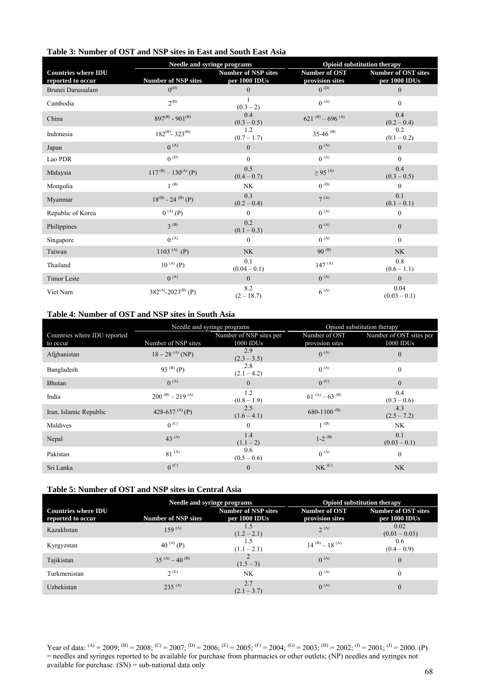|  | Table 3: Number of OST and NSP sites in East and South East Asia |
|--|------------------------------------------------------------------|
|--|------------------------------------------------------------------|

|                                        | <b>Needle and syringe programs</b> |                               |                              | <b>Opioid substitution therapy</b> |
|----------------------------------------|------------------------------------|-------------------------------|------------------------------|------------------------------------|
| <b>Countries where IDU</b>             | <b>Number of NSP sites</b>         | <b>Number of NSP sites</b>    | Number of OST                | <b>Number of OST sites</b>         |
| reported to occur<br>Brunei Darussalam | $0^{(D)}$                          | per 1000 IDUs<br>$\mathbf{0}$ | provision sites<br>$0^{(D)}$ | per 1000 IDUs<br>$\mathbf{0}$      |
| Cambodia                               | $2^{(B)}$                          | $(0.3 - 2)$                   | $0^{(A)}$                    | $\mathbf{0}$                       |
| China                                  | $897^{(B)} - 901^{(B)}$            | 0.4<br>$(0.3 - 0.5)$          | 621 $(B)$ – 696 $(A)$        | 0.4<br>$(0.2 - 0.4)$               |
| Indonesia                              | $182^{(B)} - 323^{(B)}$            | 1.2<br>$(0.7 - 1.7)$          | 35-46 $(B)$                  | 0.2<br>$(0.1 - 0.2)$               |
| Japan                                  | $0^{(A)}$                          | $\mathbf{0}$                  | $0^{(A)}$                    | $\mathbf{0}$                       |
| Lao PDR                                | $0^{(D)}$                          | $\Omega$                      | $0^{(A)}$                    | $\theta$                           |
| Malaysia                               | $117^{(B)} - 130^{(A)} (P)$        | 0.5<br>$(0.4 - 0.7)$          | $\geq$ 95 <sup>(A)</sup>     | 0.4<br>$(0.3 - 0.5)$               |
| Mongolia                               | $1^{(B)}$                          | NK                            | $0^{(D)}$                    | $\mathbf{0}$                       |
| Myanmar                                | $18^{(B)} - 24^{(B)} (P)$          | 0.3<br>$(0.2 - 0.4)$          | $7^{(A)}$                    | 0.1<br>$(0.1 - 0.1)$               |
| Republic of Korea                      | $0^{(A)}(P)$                       | $\Omega$                      | $0^{(A)}$                    | $\mathbf{0}$                       |
| Philippines                            | $3^{(B)}$                          | 0.2<br>$(0.1 - 0.3)$          | $0^{(A)}$                    | $\mathbf{0}$                       |
| Singapore                              | $0^{(A)}$                          | $\Omega$                      | $0^{(A)}$                    | $\mathbf{0}$                       |
| Taiwan                                 | 1103 $(A)$ (P)                     | <b>NK</b>                     | $90^{(B)}$                   | NK                                 |
| Thailand                               | $10^{(A)}(P)$                      | 0.1<br>$(0.04 - 0.1)$         | $147^{(A)}$                  | 0.8<br>$(0.6 - 1.1)$               |
| <b>Timor Leste</b>                     | $0^{(A)}$                          | $\mathbf{0}$                  | $0^{(A)}$                    | $\mathbf{0}$                       |
| Viet Nam                               | $382^{(A)} - 2023^{(B)}$ (P)       | 8.2<br>$(2 - 18.7)$           | $6^{(A)}$                    | 0.04<br>$(0.03 - 0.1)$             |

# **Table 4: Number of OST and NSP sites in South Asia**

|                              | Needle and syringe programs |                         |                         | Opioid substitution therapy |
|------------------------------|-----------------------------|-------------------------|-------------------------|-----------------------------|
| Countries where IDU reported |                             | Number of NSP sites per | Number of OST           | Number of OST sites per     |
| to occur                     | Number of NSP sites         | 1000 IDUs               | provision sites         | 1000 IDUs                   |
| Afghanistan                  | $18-28$ <sup>(A)</sup> (NP) | 2.9<br>$(2.3 - 3.5)$    | $0^{(A)}$               | $\mathbf{0}$                |
| Bangladesh                   | 93 $(B)$ (P)                | 2.8<br>$(2.1 - 4.2)$    | $0^{(A)}$               | $\theta$                    |
| Bhutan                       | $0^{(A)}$                   | $\overline{0}$          | $0^{(C)}$               | $\overline{0}$              |
| India                        | $200^{(B)} - 219^{(A)}$     | 1.2<br>$(0.8 - 1.9)$    | $61^{(A)} - 63^{(B)}$   | 0.4<br>$(0.3 - 0.6)$        |
| Iran, Islamic Republic       | 428-637 $(A)$ (P)           | 2.5<br>$(1.6 - 4.1)$    | 680-1100 <sup>(B)</sup> | 4.3<br>$(2.5 - 7.2)$        |
| Maldives                     | 0 <sup>(C)</sup>            | $\Omega$                | $1^{(B)}$               | <b>NK</b>                   |
| Nepal                        | $43^{(A)}$                  | 1.4<br>$(1.1 - 2)$      | $1-2$ <sup>(B)</sup>    | 0.1<br>$(0.03 - 0.1)$       |
| Pakistan                     | $81^{(A)}$                  | 0.6<br>$(0.5 - 0.6)$    | $0^{(A)}$               | $\theta$                    |
| Sri Lanka                    | 0 <sup>(C)</sup>            | $\mathbf{0}$            | $N K^{(C)}$             | <b>NK</b>                   |

# **Table 5: Number of OST and NSP sites in Central Asia**

|                                                 | Needle and syringe programs |                                             |                                  | <b>Opioid substitution therapy</b>          |
|-------------------------------------------------|-----------------------------|---------------------------------------------|----------------------------------|---------------------------------------------|
| <b>Countries where IDU</b><br>reported to occur | <b>Number of NSP sites</b>  | <b>Number of NSP sites</b><br>per 1000 IDUs | Number of OST<br>provision sites | <b>Number of OST sites</b><br>per 1000 IDUs |
| Kazakhstan                                      | $159^{(A)}$                 | $(1.2 - 2.1)$                               | $2^{(A)}$                        | 0.02<br>$(0.01 - 0.03)$                     |
| Kyrgyzstan                                      | 40 $^{(A)}$ (P)             | $(1.1 - 2.1)$                               | $14^{(B)} - 18^{(A)}$            | 0.6<br>$(0.4 - 0.9)$                        |
| Tajikistan                                      | 35 (A) $-40^{(B)}$          | $(1.5 - 3)$                                 | $0^{(A)}$                        | $\overline{0}$                              |
| Turkmenistan                                    | 2(E)                        | NK.                                         | $0^{(A)}$                        | $\boldsymbol{0}$                            |
| Uzbekistan                                      | $235^{(A)}$                 | 2.7<br>$(2.1 - 3.7)$                        | $0^{(A)}$                        | $\theta$                                    |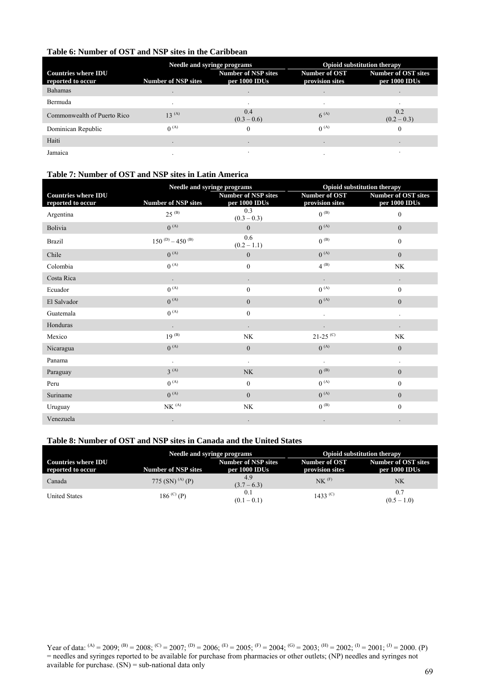## **Table 6: Number of OST and NSP sites in the Caribbean**

|                                                 | Needle and syringe programs |                                             |                                  | <b>Opioid substitution therapy</b>          |
|-------------------------------------------------|-----------------------------|---------------------------------------------|----------------------------------|---------------------------------------------|
| <b>Countries where IDU</b><br>reported to occur | <b>Number of NSP sites</b>  | <b>Number of NSP sites</b><br>per 1000 IDUs | Number of OST<br>provision sites | <b>Number of OST sites</b><br>per 1000 IDUs |
| <b>Bahamas</b>                                  |                             |                                             |                                  |                                             |
| Bermuda                                         | $\bullet$                   | $\cdot$                                     | $\bullet$                        | $\bullet$                                   |
| Commonwealth of Puerto Rico                     | $13^{(A)}$                  | 0.4<br>$(0.3 - 0.6)$                        | $6^{(A)}$                        | 0.2<br>$(0.2 - 0.3)$                        |
| Dominican Republic                              | $0^{(A)}$                   | $\Omega$                                    | $0^{(A)}$                        |                                             |
| Haiti                                           |                             |                                             |                                  |                                             |
| Jamaica                                         | $\bullet$                   |                                             |                                  |                                             |

## **Table 7: Number of OST and NSP sites in Latin America**

|                                                 | Needle and syringe programs |                                             |                                  | Opioid substitution therapy                 |
|-------------------------------------------------|-----------------------------|---------------------------------------------|----------------------------------|---------------------------------------------|
| <b>Countries where IDU</b><br>reported to occur | Number of NSP sites         | <b>Number of NSP sites</b><br>per 1000 IDUs | Number of OST<br>provision sites | <b>Number of OST sites</b><br>per 1000 IDUs |
| Argentina                                       | $25^{(B)}$                  | 0.3<br>$(0.3 - 0.3)$                        | $0^{(B)}$                        | $\mathbf{0}$                                |
| Bolivia                                         | $0^{(A)}$                   | $\Omega$                                    | $0^{(A)}$                        | $\mathbf{0}$                                |
| <b>Brazil</b>                                   | $150^{(D)} - 450^{(B)}$     | 0.6<br>$(0.2 - 1.1)$                        | $0^{(B)}$                        | $\mathbf{0}$                                |
| Chile                                           | $0^{(A)}$                   | $\mathbf{0}$                                | $0^{(A)}$                        | $\mathbf{0}$                                |
| Colombia                                        | $0^{(A)}$                   | $\mathbf{0}$                                | $4^{(B)}$                        | NK                                          |
| Costa Rica                                      | $\ddot{\phantom{0}}$        | $\ddot{\phantom{0}}$                        | $\ddot{\phantom{a}}$             | $\ddot{\phantom{0}}$                        |
| Ecuador                                         | $0^{(A)}$                   | $\mathbf{0}$                                | $0^{(A)}$                        | $\mathbf{0}$                                |
| El Salvador                                     | $0^{(A)}$                   | $\overline{0}$                              | $0^{(A)}$                        | $\mathbf{0}$                                |
| Guatemala                                       | $0^{(A)}$                   | $\mathbf{0}$                                |                                  |                                             |
| Honduras                                        | $\bullet$                   |                                             |                                  |                                             |
| Mexico                                          | $19^{(B)}$                  | NK                                          | $21-25$ <sup>(C)</sup>           | NK                                          |
| Nicaragua                                       | $0^{(A)}$                   | $\boldsymbol{0}$                            | $0^{(A)}$                        | $\mathbf{0}$                                |
| Panama                                          | $\Box$                      | $\ddot{\phantom{a}}$                        | $\cdot$                          | $\blacksquare$                              |
| Paraguay                                        | $3^{(A)}$                   | <b>NK</b>                                   | $0^{(B)}$                        | $\overline{0}$                              |
| Peru                                            | $0^{(A)}$                   | $\mathbf{0}$                                | $0^{(A)}$                        | $\mathbf{0}$                                |
| Suriname                                        | $0^{(A)}$                   | $\Omega$                                    | $0^{(A)}$                        | $\mathbf{0}$                                |
| Uruguay                                         | NK <sup>(A)</sup>           | NK                                          | $0^{(B)}$                        | $\mathbf{0}$                                |
| Venezuela                                       |                             |                                             |                                  |                                             |

## **Table 8: Number of OST and NSP sites in Canada and the United States**

|                                                 | <b>Needle and syringe programs</b> |                                             | <b>Opioid substitution therapy</b> |                                      |
|-------------------------------------------------|------------------------------------|---------------------------------------------|------------------------------------|--------------------------------------|
| <b>Countries where IDU</b><br>reported to occur | Number of NSP sites                | <b>Number of NSP sites</b><br>per 1000 IDUs | Number of OST<br>provision sites   | Number of OST sites<br>per 1000 IDUs |
| Canada                                          | 775 (SN) <sup>(A)</sup> (P)        | 4.9<br>$(3.7-6.3)$                          | $NK$ <sup><math>(F)</math></sup>   | NΚ                                   |
| <b>United States</b>                            | $186^{(C)} (P)$                    | 0.1<br>$(0.1 - 0.1)$                        | $1433^{\,(C)}$                     | 0.7<br>$(0.5 - 1.0)$                 |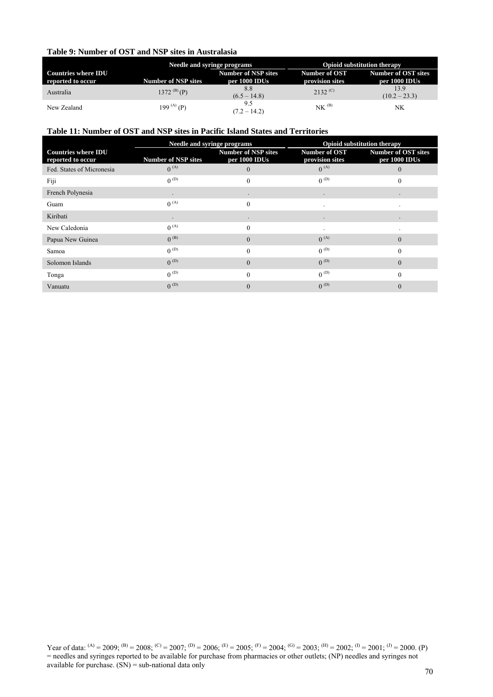## **Table 9: Number of OST and NSP sites in Australasia**

|                                                 | <b>Needle and syringe programs</b> |                                             | <b>Opioid substitution therapy</b> |                                      |
|-------------------------------------------------|------------------------------------|---------------------------------------------|------------------------------------|--------------------------------------|
| <b>Countries where IDU</b><br>reported to occur | <b>Number of NSP sites</b>         | <b>Number of NSP sites</b><br>per 1000 IDUs | Number of OST<br>provision sites   | Number of OST sites<br>per 1000 IDUs |
| Australia                                       | 1372 $^{(B)}(P)$                   | 8.8<br>$(6.5 - 14.8)$                       | $2132^{\,(C)}$                     | 13.9<br>$(10.2 - 23.3)$              |
| New Zealand                                     | 199 (A) (P)                        | 9.5<br>$(7.2 - 14.2)$                       | $NK$ <sup><math>(B)</math></sup>   | NK.                                  |

# **Table 11: Number of OST and NSP sites in Pacific Island States and Territories**

|                                                 | Needle and syringe programs |                                             | <b>Opioid substitution therapy</b> |                                             |
|-------------------------------------------------|-----------------------------|---------------------------------------------|------------------------------------|---------------------------------------------|
| <b>Countries where IDU</b><br>reported to occur | <b>Number of NSP sites</b>  | <b>Number of NSP sites</b><br>per 1000 IDUs | Number of OST<br>provision sites   | <b>Number of OST sites</b><br>per 1000 IDUs |
| Fed. States of Micronesia                       | $0^{(A)}$                   | $\Omega$                                    | $0^{(A)}$                          | $\Omega$                                    |
| Fiji                                            | $0^{(D)}$                   | $\Omega$                                    | $0^{(D)}$                          | $\theta$                                    |
| French Polynesia                                |                             |                                             |                                    |                                             |
| Guam                                            | $0^{(A)}$                   | $\theta$                                    |                                    |                                             |
| Kiribati                                        | $\bullet$                   | $\bullet$                                   | $\bullet$                          | $\bullet$                                   |
| New Caledonia                                   | $0^{(A)}$                   | $\Omega$                                    |                                    |                                             |
| Papua New Guinea                                | $0^{(B)}$                   | $\Omega$                                    | $0^{(A)}$                          | $\Omega$                                    |
| Samoa                                           | $0^{(D)}$                   | $\Omega$                                    | $0^{(D)}$                          | $\theta$                                    |
| Solomon Islands                                 | $0^{(D)}$                   | $\Omega$                                    | $0^{(D)}$                          | $\theta$                                    |
| Tonga                                           | $0^{(D)}$                   | $\Omega$                                    | $0^{(D)}$                          | $\Omega$                                    |
| Vanuatu                                         | $0^{(D)}$                   | $\Omega$                                    | $0^{(D)}$                          | $\Omega$                                    |
|                                                 |                             |                                             |                                    |                                             |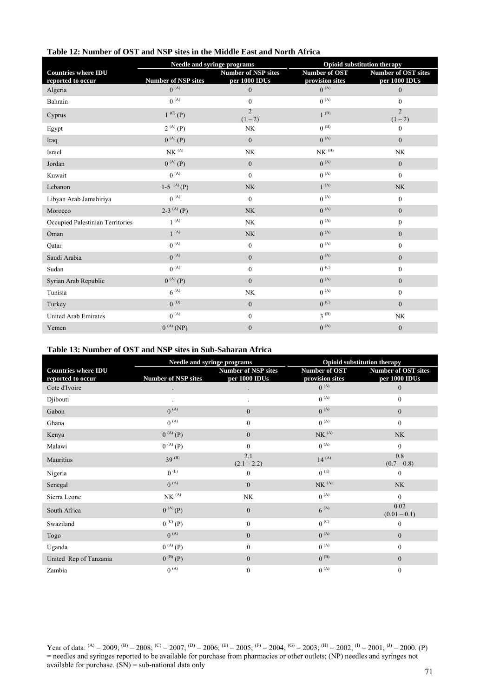| Table 12: Number of OST and NSP sites in the Middle East and North Africa |  |
|---------------------------------------------------------------------------|--|
|---------------------------------------------------------------------------|--|

|                                  | Needle and syringe programs             |                                 | Opioid substitution therapy  |                                   |
|----------------------------------|-----------------------------------------|---------------------------------|------------------------------|-----------------------------------|
| <b>Countries where IDU</b>       |                                         | <b>Number of NSP sites</b>      | <b>Number of OST</b>         | <b>Number of OST sites</b>        |
| reported to occur<br>Algeria     | <b>Number of NSP sites</b><br>$0^{(A)}$ | per 1000 IDUs<br>$\overline{0}$ | provision sites<br>$0^{(A)}$ | per 1000 IDUs<br>$\boldsymbol{0}$ |
| Bahrain                          | $0^{(A)}$                               | $\mathbf{0}$                    | $0^{(A)}$                    | $\mathbf{0}$                      |
| Cyprus                           | $1^{(C)}(P)$                            | $\mathfrak{D}$<br>$(1 - 2)$     | $1^{(B)}$                    | $\overline{2}$<br>$(1-2)$         |
| Egypt                            | $2^{(A)}(P)$                            | <b>NK</b>                       | $0^{(B)}$                    | $\mathbf{0}$                      |
| Iraq                             | $0^{(A)}(P)$                            | $\overline{0}$                  | $0^{(A)}$                    | $\overline{0}$                    |
| Israel                           | $N K\,{}^{(A)}$                         | NK                              | $N K^{(H)}$                  | NK                                |
| Jordan                           | $0^{(A)}(P)$                            | $\overline{0}$                  | $0^{(A)}$                    | $\mathbf{0}$                      |
| Kuwait                           | $0^{(A)}$                               | $\overline{0}$                  | $0^{(A)}$                    | $\boldsymbol{0}$                  |
| Lebanon                          | $1-5$ <sup>(A)</sup> (P)                | <b>NK</b>                       | $1^{(A)}$                    | NK                                |
| Libyan Arab Jamahiriya           | $0^{(A)}$                               | $\overline{0}$                  | $0^{(A)}$                    | $\mathbf{0}$                      |
| Morocco                          | 2-3 <sup>(A)</sup> (P)                  | <b>NK</b>                       | $0^{(A)}$                    | $\overline{0}$                    |
| Occupied Palestinian Territories | $1^{(A)}$                               | <b>NK</b>                       | $0^{(A)}$                    | $\boldsymbol{0}$                  |
| Oman                             | $1^{(A)}$                               | <b>NK</b>                       | $0^{(A)}$                    | $\mathbf{0}$                      |
| Qatar                            | $0^{(A)}$                               | $\overline{0}$                  | $0^{(A)}$                    | $\mathbf{0}$                      |
| Saudi Arabia                     | $0^{(A)}$                               | $\overline{0}$                  | $0^{(A)}$                    | $\boldsymbol{0}$                  |
| Sudan                            | $0^{(A)}$                               | $\overline{0}$                  | $0^{(C)}$                    | $\mathbf{0}$                      |
| Syrian Arab Republic             | $0^{(A)}(P)$                            | $\overline{0}$                  | $0^{(A)}$                    | $\mathbf{0}$                      |
| Tunisia                          | $6^{(A)}$                               | NK                              | $0^{(A)}$                    | $\boldsymbol{0}$                  |
| Turkey                           | $0^{(D)}$                               | $\overline{0}$                  | $0^{(C)}$                    | $\overline{0}$                    |
| United Arab Emirates             | $0^{(A)}$                               | $\mathbf{0}$                    | $3^{(B)}$                    | <b>NK</b>                         |
| Yemen                            | $0^{(A)}$ (NP)                          | $\boldsymbol{0}$                | $0^{(A)}$                    | $\boldsymbol{0}$                  |

# **Table 13: Number of OST and NSP sites in Sub-Saharan Africa**

|                                                 | Needle and syringe programs |                                             | Opioid substitution therapy      |                                             |
|-------------------------------------------------|-----------------------------|---------------------------------------------|----------------------------------|---------------------------------------------|
| <b>Countries where IDU</b><br>reported to occur | <b>Number of NSP sites</b>  | <b>Number of NSP sites</b><br>per 1000 IDUs | Number of OST<br>provision sites | <b>Number of OST sites</b><br>per 1000 IDUs |
| Cote d'Ivoire                                   |                             |                                             | $0^{(A)}$                        | $\boldsymbol{0}$                            |
| Djibouti                                        |                             |                                             | $0^{(A)}$                        | $\mathbf{0}$                                |
| Gabon                                           | $0^{(A)}$                   | $\overline{0}$                              | $0^{(A)}$                        | $\mathbf{0}$                                |
| Ghana                                           | $0^{(A)}$                   | $\theta$                                    | $0^{(A)}$                        | $\mathbf{0}$                                |
| Kenya                                           | $0^{(A)}(P)$                | $\overline{0}$                              | NK <sup>(A)</sup>                | <b>NK</b>                                   |
| Malawi                                          | $0^{(A)}(P)$                | $\Omega$                                    | $0^{(A)}$                        | $\Omega$                                    |
| Mauritius                                       | $39^{(B)}$                  | 2.1<br>$(2.1 - 2.2)$                        | $14^{(A)}$                       | 0.8<br>$(0.7 - 0.8)$                        |
| Nigeria                                         | $0^{(E)}$                   | $\mathbf{0}$                                | $0^{(E)}$                        | $\boldsymbol{0}$                            |
| Senegal                                         | $0^{(A)}$                   | $\overline{0}$                              | $N K^{(A)}$                      | <b>NK</b>                                   |
| Sierra Leone                                    | NK <sup>(A)</sup>           | NK                                          | $0^{(A)}$                        | $\mathbf{0}$                                |
| South Africa                                    | $0^{(A)}(P)$                | $\overline{0}$                              | $6^{(A)}$                        | 0.02<br>$(0.01 - 0.1)$                      |
| Swaziland                                       | $0^{(C)}(P)$                | $\overline{0}$                              | $0^{(C)}$                        | $\boldsymbol{0}$                            |
| Togo                                            | $0^{(A)}$                   | $\overline{0}$                              | $0^{(A)}$                        | $\overline{0}$                              |
| Uganda                                          | $0^{(A)}(P)$                | $\overline{0}$                              | $0^{(A)}$                        | $\mathbf{0}$                                |
| United Rep of Tanzania                          | $0^{(B)}(P)$                | $\mathbf{0}$                                | $0^{(B)}$                        | $\boldsymbol{0}$                            |
| Zambia                                          | $0^{(A)}$                   | $\mathbf{0}$                                | $0^{(A)}$                        | $\overline{0}$                              |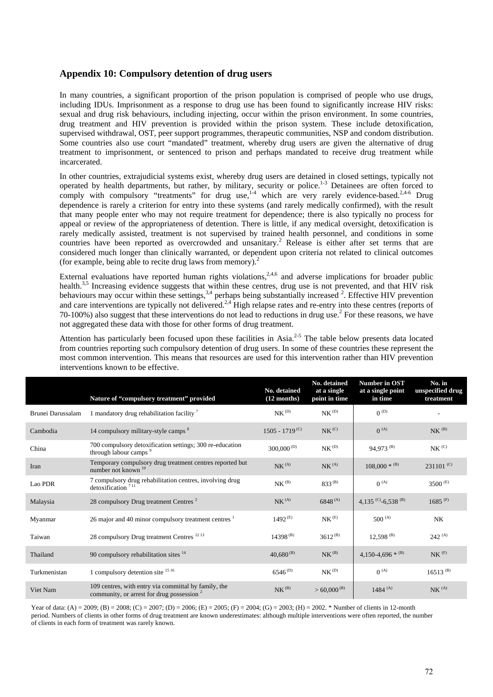## **Appendix 10: Compulsory detention of drug users**

In many countries, a significant proportion of the prison population is comprised of people who use drugs, including IDUs. Imprisonment as a response to drug use has been found to significantly increase HIV risks: sexual and drug risk behaviours, including injecting, occur within the prison environment. In some countries, drug treatment and HIV prevention is provided within the prison system. These include detoxification, supervised withdrawal, OST, peer support programmes, therapeutic communities, NSP and condom distribution. Some countries also use court "mandated" treatment, whereby drug users are given the alternative of drug treatment to imprisonment, or sentenced to prison and perhaps mandated to receive drug treatment while incarcerated.

In other countries, extrajudicial systems exist, whereby drug users are detained in closed settings, typically not operated by health departments, but rather, by military, security or police.<sup>1-3</sup> Detainees are often forced to comply with compulsory "treatments" for drug use,<sup>1-4</sup> which are very rarely evidence-based.<sup>2,4-6</sup> Drug dependence is rarely a criterion for entry into these systems (and rarely medically confirmed), with the result that many people enter who may not require treatment for dependence; there is also typically no process for appeal or review of the appropriateness of detention. There is little, if any medical oversight, detoxification is rarely medically assisted, treatment is not supervised by trained health personnel, and conditions in some countries have been reported as overcrowded and unsanitary.<sup>2</sup> Release is either after set terms that are considered much longer than clinically warranted, or dependent upon criteria not related to clinical outcomes (for example, being able to recite drug laws from memory).<sup>2</sup>

External evaluations have reported human rights violations,<sup>2,4,6</sup> and adverse implications for broader public health.<sup>3,5</sup> Increasing evidence suggests that within these centres, drug use is not prevented, and that HIV risk behaviours may occur within these settings,  $3,4$  perhaps being substantially increased  $2$ . Effective HIV prevention and care interventions are typically not delivered.<sup>2,4</sup> High relapse rates and re-entry into these centres (reports of 70-100%) also suggest that these interventions do not lead to reductions in drug use.<sup>2</sup> For these reasons, we have not aggregated these data with those for other forms of drug treatment.

Attention has particularly been focused upon these facilities in Asia.<sup>2-5</sup> The table below presents data located from countries reporting such compulsory detention of drug users. In some of these countries these represent the most common intervention. This means that resources are used for this intervention rather than HIV prevention interventions known to be effective.

|                   | Nature of "compulsory treatment" provided                                                            | No. detained<br>$(12$ months) | No. detained<br>at a single<br>point in time | Number in OST<br>at a single point<br>in time | No. in<br>unspecified drug<br>treatment |
|-------------------|------------------------------------------------------------------------------------------------------|-------------------------------|----------------------------------------------|-----------------------------------------------|-----------------------------------------|
| Brunei Darussalam | 1 mandatory drug rehabilitation facility $\frac{7}{7}$                                               | NK <sup>(D)</sup>             | $\text{NK}^{\,(D)}$                          | $0^{(D)}$                                     |                                         |
| Cambodia          | 14 compulsory military-style camps <sup>8</sup>                                                      | $1505 - 1719^{(C)}$           | $N K^{(C)}$                                  | $0^{(A)}$                                     | $NK$ <sup>(B)</sup>                     |
| China             | 700 compulsory detoxification settings; 300 re-education<br>through labour camps <sup>9</sup>        | $300,000^{(D)}$               | $\text{NK}^{\,(D)}$                          | 94,973 <sup>(B)</sup>                         | $N K^{(C)}$                             |
| Iran              | Temporary compulsory drug treatment centres reported but<br>number not known <sup>10</sup>           | NK <sup>(A)</sup>             | NK <sup>(A)</sup>                            | $108,000 * (B)$                               | $231101^{(C)}$                          |
| Lao PDR           | 7 compulsory drug rehabilitation centres, involving drug<br>$d$ etoxification <sup>711</sup>         | NK <sup>(B)</sup>             | $833^{(B)}$                                  | $0^{(A)}$                                     | 3500 <sup>(E)</sup>                     |
| Malaysia          | 28 compulsory Drug treatment Centres <sup>2</sup>                                                    | NK <sup>(A)</sup>             | $6848^{(A)}$                                 | 4,135 $(C)$ -6,538 $(B)$                      | $1685^{(F)}$                            |
| Myanmar           | 26 major and 40 minor compulsory treatment centres <sup>1</sup>                                      | $1492^{(E)}$                  | $N K^{(E)}$                                  | $500^{(A)}$                                   | <b>NK</b>                               |
| Taiwan            | 28 compulsory Drug treatment Centres <sup>1213</sup>                                                 | $14398^{(B)}$                 | $3612^{(B)}$                                 | $12,598$ <sup>(B)</sup>                       | $242^{(A)}$                             |
| Thailand          | 90 compulsory rehabilitation sites $14$                                                              | $40,680^{(B)}$                | NK <sup>(B)</sup>                            | 4,150-4,696 $*$ <sup>(B)</sup>                | $NK$ <sup><math>(F)</math></sup>        |
| Turkmenistan      | 1 compulsory detention site $1516$                                                                   | $6546^{(D)}$                  | NK <sup>(D)</sup>                            | $0^{(A)}$                                     | $16513^{(B)}$                           |
| Viet Nam          | 109 centres, with entry via committal by family, the<br>community, or arrest for drug possession $2$ | NK <sup>(B)</sup>             | $> 60,000^{(B)}$                             | $1484^{(A)}$                                  | $NK^{(A)}$                              |

Year of data: (A) = 2009; (B) = 2008; (C) = 2007; (D) = 2006; (E) = 2005; (F) = 2004; (G) = 2003; (H) = 2002. \* Number of clients in 12-month period. Numbers of clients in other forms of drug treatment are known underestimates: although multiple interventions were often reported, the number of clients in each form of treatment was rarely known.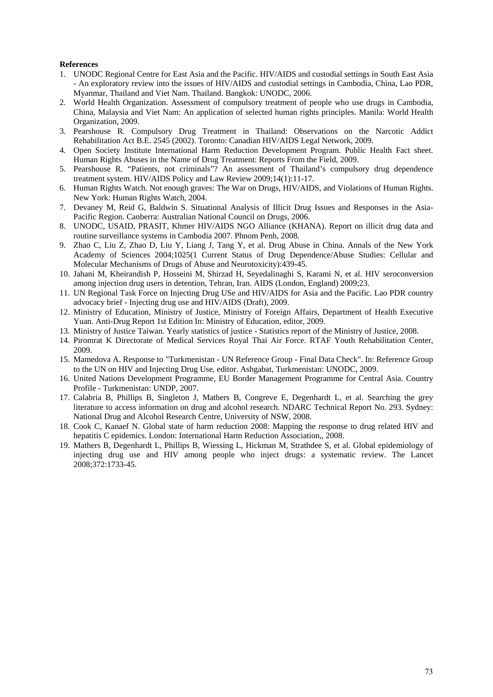## **References**

- 1. UNODC Regional Centre for East Asia and the Pacific. HIV/AIDS and custodial settings in South East Asia - An exploratory review into the issues of HIV/AIDS and custodial settings in Cambodia, China, Lao PDR, Myanmar, Thailand and Viet Nam. Thailand. Bangkok: UNODC, 2006.
- 2. World Health Organization. Assessment of compulsory treatment of people who use drugs in Cambodia, China, Malaysia and Viet Nam: An application of selected human rights principles. Manila: World Health Organization, 2009.
- 3. Pearshouse R. Compulsory Drug Treatment in Thailand: Observations on the Narcotic Addict Rehabilitation Act B.E. 2545 (2002). Toronto: Canadian HIV/AIDS Legal Network, 2009.
- 4. Open Society Institute International Harm Reduction Development Program. Public Health Fact sheet. Human Rights Abuses in the Name of Drug Treatment: Reports From the Field, 2009.
- 5. Pearshouse R. "Patients, not criminals"? An assessment of Thailand's compulsory drug dependence treatment system. HIV/AIDS Policy and Law Review 2009;14(1):11-17.
- 6. Human Rights Watch. Not enough graves: The War on Drugs, HIV/AIDS, and Violations of Human Rights. New York: Human Rights Watch, 2004.
- 7. Devaney M, Reid G, Baldwin S. Situational Analysis of Illicit Drug Issues and Responses in the Asia-Pacific Region. Canberra: Australian National Council on Drugs, 2006.
- 8. UNODC, USAID, PRASIT, Khmer HIV/AIDS NGO Alliance (KHANA). Report on illicit drug data and routine surveillance systems in Cambodia 2007. Phnom Penh, 2008.
- 9. Zhao C, Liu Z, Zhao D, Liu Y, Liang J, Tang Y, et al. Drug Abuse in China. Annals of the New York Academy of Sciences 2004;1025(1 Current Status of Drug Dependence/Abuse Studies: Cellular and Molecular Mechanisms of Drugs of Abuse and Neurotoxicity):439-45.
- 10. Jahani M, Kheirandish P, Hosseini M, Shirzad H, Seyedalinaghi S, Karami N, et al. HIV seroconversion among injection drug users in detention, Tehran, Iran. AIDS (London, England) 2009;23.
- 11. UN Regional Task Force on Injecting Drug USe and HIV/AIDS for Asia and the Pacific. Lao PDR country advocacy brief - Injecting drug use and HIV/AIDS (Draft), 2009.
- 12. Ministry of Education, Ministry of Justice, Ministry of Foreign Affairs, Department of Health Executive Yuan. Anti-Drug Report 1st Edition In: Ministry of Education, editor, 2009.
- 13. Ministry of Justice Taiwan. Yearly statistics of justice Statistics report of the Ministry of Justice, 2008.
- 14. Piromrat K Directorate of Medical Services Royal Thai Air Force. RTAF Youth Rehabilitation Center, 2009.
- 15. Mamedova A. Response to "Turkmenistan UN Reference Group Final Data Check". In: Reference Group to the UN on HIV and Injecting Drug Use, editor. Ashgabat, Turkmenistan: UNODC, 2009.
- 16. United Nations Development Programme, EU Border Management Programme for Central Asia. Country Profile - Turkmenistan: UNDP, 2007.
- 17. Calabria B, Phillips B, Singleton J, Mathers B, Congreve E, Degenhardt L, et al. Searching the grey literature to access information on drug and alcohol research. NDARC Technical Report No. 293. Sydney: National Drug and Alcohol Research Centre, University of NSW, 2008.
- 18. Cook C, Kanaef N. Global state of harm reduction 2008: Mapping the response to drug related HIV and hepatitis C epidemics. London: International Harm Reduction Association,, 2008.
- 19. Mathers B, Degenhardt L, Phillips B, Wiessing L, Hickman M, Strathdee S, et al. Global epidemiology of injecting drug use and HIV among people who inject drugs: a systematic review. The Lancet 2008;372:1733-45.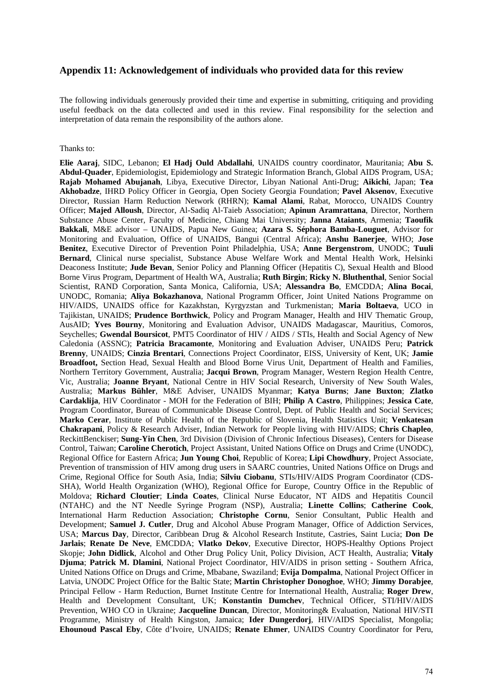## **Appendix 11: Acknowledgement of individuals who provided data for this review**

The following individuals generously provided their time and expertise in submitting, critiquing and providing useful feedback on the data collected and used in this review. Final responsibility for the selection and interpretation of data remain the responsibility of the authors alone.

## Thanks to:

**Elie Aaraj**, SIDC, Lebanon; **El Hadj Ould Abdallahi**, UNAIDS country coordinator, Mauritania; **Abu S. Abdul-Quader**, Epidemiologist, Epidemiology and Strategic Information Branch, Global AIDS Program, USA; **Rajab Mohamed Abujanah**, Libya, Executive Director, Libyan National Anti-Drug; **Aikichi**, Japan; **Tea Akhobadze**, IHRD Policy Officer in Georgia, Open Society Georgia Foundation; **Pavel Aksenov**, Executive Director, Russian Harm Reduction Network (RHRN); **Kamal Alami**, Rabat, Morocco, UNAIDS Country Officer; **Majed Alloush**, Director, Al-Sadiq Al-Taieb Association; **Apinun Aramrattana**, Director, Northern Substance Abuse Center, Faculty of Medicine, Chiang Mai University; **Janna Ataiants**, Armenia; **Taoufik Bakkali**, M&E advisor – UNAIDS, Papua New Guinea; **Azara S. Séphora Bamba-Louguet**, Advisor for Monitoring and Evaluation, Office of UNAIDS, Bangui (Central Africa); **Anshu Banerjee**, WHO; **Jose Benitez**, Executive Director of Prevention Point Philadelphia, USA; **Anne Bergenstrom**, UNODC; **Tuuli Bernard**, Clinical nurse specialist, Substance Abuse Welfare Work and Mental Health Work, Helsinki Deaconess Institute; **Jude Bevan**, Senior Policy and Planning Officer (Hepatitis C), Sexual Health and Blood Borne Virus Program, Department of Health WA, Australia; **Ruth Birgin**; **Ricky N. Bluthenthal**, Senior Social Scientist, RAND Corporation, Santa Monica, California, USA; **Alessandra Bo**, EMCDDA; **Alina Bocai**, UNODC, Romania; **Aliya Bokazhanova**, National Programm Officer, Joint United Nations Programme on HIV/AIDS, UNAIDS office for Kazakhstan, Kyrgyzstan and Turkmenistan; **Maria Boltaeva**, UCO in Tajikistan, UNAIDS; **Prudence Borthwick**, Policy and Program Manager, Health and HIV Thematic Group, AusAID; **Yves Bourny**, Monitoring and Evaluation Advisor, UNAIDS Madagascar, Mauritius, Comoros, Seychelles; **Gwendal Boursicot**, PMT5 Coordinator of HIV / AIDS / STIs, Health and Social Agency of New Caledonia (ASSNC); **Patricia Bracamonte**, Monitoring and Evaluation Adviser, UNAIDS Peru; **Patrick Brenny**, UNAIDS; **Cinzia Brentari**, Connections Project Coordinator, EISS, University of Kent, UK; **Jamie Broadfoot,** Section Head, Sexual Health and Blood Borne Virus Unit, Department of Health and Families, Northern Territory Government, Australia; **Jacqui Brown**, Program Manager, Western Region Health Centre, Vic, Australia; **Joanne Bryant**, National Centre in HIV Social Research, University of New South Wales, Australia; **Markus Bühler**, M&E Adviser, UNAIDS Myanmar; **Katya Burns**; **Jane Buxton**; **Zlatko Cardaklija**, HIV Coordinator - MOH for the Federation of BIH; **Philip A Castro**, Philippines; **Jessica Cate**, Program Coordinator, Bureau of Communicable Disease Control, Dept. of Public Health and Social Services; **Marko Cerar**, Institute of Public Health of the Republic of Slovenia, Health Statistics Unit; **Venkatesan Chakrapani**, Policy & Research Adviser, Indian Network for People living with HIV/AIDS; **Chris Chapleo**, ReckittBenckiser; **Sung-Yin Chen**, 3rd Division (Division of Chronic Infectious Diseases), Centers for Disease Control, Taiwan; **Caroline Cherotich**, Project Assistant, United Nations Office on Drugs and Crime (UNODC), Regional Office for Eastern Africa; **Jun Young Choi**, Republic of Korea; **Lipi Chowdhury**, Project Associate, Prevention of transmission of HIV among drug users in SAARC countries, United Nations Office on Drugs and Crime, Regional Office for South Asia, India; **Silviu Ciobanu**, STIs/HIV/AIDS Program Coordinator (CDS-SHA), World Health Organization (WHO), Regional Office for Europe, Country Office in the Republic of Moldova; **Richard Cloutier**; **Linda Coates**, Clinical Nurse Educator, NT AIDS and Hepatitis Council (NTAHC) and the NT Needle Syringe Program (NSP), Australia; **Linette Collins**; **Catherine Cook**, International Harm Reduction Association; **Christophe Cornu**, Senior Consultant, Public Health and Development; **Samuel J. Cutler**, Drug and Alcohol Abuse Program Manager, Office of Addiction Services, USA; **Marcus Day**, Director, Caribbean Drug & Alcohol Research Institute, Castries, Saint Lucia; **Don De Jarlais**; **Renate De Neve**, EMCDDA; **Vlatko Dekov**, Executive Director, HOPS-Healthy Options Project Skopje; **John Didlick**, Alcohol and Other Drug Policy Unit, Policy Division, ACT Health, Australia; **Vitaly Djuma**; **Patrick M. Dlamini**, National Project Coordinator, HIV/AIDS in prison setting - Southern Africa, United Nations Office on Drugs and Crime, Mbabane, Swaziland; **Evija Dompalma**, National Project Officer in Latvia, UNODC Project Office for the Baltic State; **Martin Christopher Donoghoe**, WHO; **Jimmy Dorabjee**, Principal Fellow - Harm Reduction, Burnet Institute Centre for International Health, Australia; **Roger Drew**, Health and Development Consultant, UK; **Konstantin Dumchev**, Technical Officer, STI/HIV/AIDS Prevention, WHO CO in Ukraine; **Jacqueline Duncan**, Director, Monitoring& Evaluation, National HIV/STI Programme, Ministry of Health Kingston, Jamaica; **Ider Dungerdorj**, HIV/AIDS Specialist, Mongolia; **Ehounoud Pascal Eby**, Côte d'Ivoire, UNAIDS; **Renate Ehmer**, UNAIDS Country Coordinator for Peru,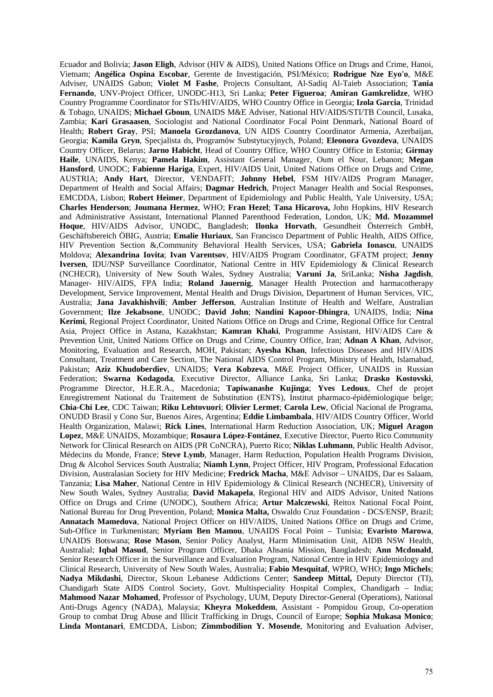Ecuador and Bolivia; **Jason Eligh**, Advisor (HIV & AIDS), United Nations Office on Drugs and Crime, Hanoi, Vietnam; **Angélica Ospina Escobar**, Gerente de Investigación, PSI/México; **Rodrigue Nze Eyo'o**, M&E Adviser, UNAIDS Gabon; **Violet M Fashe**, Projects Consultant, Al-Sadiq Al-Taieb Association; **Tania Fernando**, UNV-Project Officer, UNODC-H13, Sri Lanka; **Peter Figueroa**; **Amiran Gamkrelidze**, WHO Country Programme Coordinator for STIs/HIV/AIDS, WHO Country Office in Georgia; **Izola Garcia**, Trinidad & Tobago, UNAIDS; **Michael Gboun**, UNAIDS M&E Adviser, National HIV/AIDS/STI/TB Council, Lusaka, Zambia; **Kari Grasaasen**, Sociologist and National Coordinator Focal Point Denmark, National Board of Health; **Robert Gray**, PSI; **Manoela Grozdanova**, UN AIDS Country Coordinator Armenia, Azerbaijan, Georgia; **Kamila Gryn**, Specjalista ds, Programów Substytucyjnych, Poland; **Eleonora Gvozdeva**, UNAIDS Country Officer, Belarus; **Jarno Habicht**, Head of Country Office, WHO Country Office in Estonia; **Girmay Haile**, UNAIDS, Kenya; **Pamela Hakim**, Assistant General Manager, Oum el Nour, Lebanon; **Megan Hansford**, UNODC; **Fabienne Hariga**, Expert, HIV/AIDS Unit, United Nations Office on Drugs and Crime, AUSTRIA; **Andy Hart**, Director, VENDAFIT; **Johnny Hebel**, FSM HIV/AIDS Program Manager, Department of Health and Social Affairs; **Dagmar Hedrich**, Project Manager Health and Social Responses, EMCDDA, Lisbon; **Robert Heimer**, Department of Epidemiology and Public Health, Yale University, USA; **Charles Henderson**; **Joumana Hermez**, WHO; **Fran Hezel**; **Tana Hicarova,** John Hopkins, HIV Research and Administrative Assistant, International Planned Parenthood Federation, London, UK; **Md. Mozammel Hoque**, HIV/AIDS Advisor, UNODC, Bangladesh; **Ilonka Horvath**, Gesundheit Österreich GmbH, Geschäftsbereich ÖBIG, Austria; **Emalie Huriaux**, San Francisco Department of Public Health, AIDS Office, HIV Prevention Section &,Community Behavioral Health Services, USA; **Gabriela Ionascu**, UNAIDS Moldova; **Alexandrina Iovita**; **Ivan Varentsov**, HIV/AIDS Program Coordinator, GFATM project; **Jenny Iversen**, IDU/NSP Surveillance Coordinator, National Centre in HIV Epidemiology & Clinical Research (NCHECR), University of New South Wales, Sydney Australia; **Varuni Ja**, SriLanka; **Nisha Jagdish**, Manager- HIV/AIDS, FPA India; **Roland Jauernig**, Manager Health Protection and harmacotherapy Development, Service Improvement, Mental Health and Drugs Division, Department of Human Services, VIC, Australia; **Jana Javakhishvili**; **Amber Jefferson**, Australian Institute of Health and Welfare, Australian Government; **Ilze Jekabsone**, UNODC; **David John**; **Nandini Kapoor-Dhingra**, UNAIDS, India; **Nina Kerimi**, Regional Project Coordinator, United Nations Office on Drugs and Crime, Regional Office for Central Asia, Project Office in Astana, Kazakhstan; **Kamran Khaki**, Programme Assistant, HIV/AIDS Care & Prevention Unit, United Nations Office on Drugs and Crime, Country Office, Iran; **Adnan A Khan**, Advisor, Monitoring, Evaluation and Research, MOH, Pakistan; **Ayesha Khan**, Infectious Diseases and HIV/AIDS Consultant, Treatment and Care Section, The National AIDS Control Program, Ministry of Health, Islamabad, Pakistan; **Aziz Khudoberdiev**, UNAIDS; **Vera Kobzeva**, M&E Project Officer, UNAIDS in Russian Federation; **Swarna Kodagoda**, Executive Director, Alliance Lanka, Sri Lanka; **Drasko Kostovski**, Programme Director, H.E.R.A., Macedonia; **Tapiwanashe Kujinga**; **Yves Ledoux**, Chef de projet Enregistrement National du Traitement de Substitution (ENTS), Institut pharmaco-épidémiologique belge; **Chia-Chi Lee**, CDC Taiwan; **Riku Lehtovuori**; **Olivier Lermet**; **Carola Lew**, Oficial Nacional de Programa, ONUDD Brasil y Cono Sur, Buenos Aires, Argentina; **Eddie Limbambala**, HIV/AIDS Country Officer, World Health Organization, Malawi; **Rick Lines**, International Harm Reduction Association, UK; **Miguel Aragon Lopez**, M&E UNAIDS, Mozambique; **Rosaura López-Fontánez**, Executive Director, Puerto Rico Community Network for Clinical Research on AIDS (PR CoNCRA), Puerto Rico; **Niklas Luhmann**, Public Health Advisor, Médecins du Monde, France; **Steve Lymb**, Manager, Harm Reduction, Population Health Programs Division, Drug & Alcohol Services South Australia; **Niamh Lynn**, Project Officer, HIV Program, Professional Education Division, Australasian Society for HIV Medicine; **Fredrick Macha**, M&E Advisor – UNAIDS, Dar es Salaam, Tanzania; **Lisa Maher**, National Centre in HIV Epidemiology & Clinical Research (NCHECR), University of New South Wales, Sydney Australia; **David Makapela**, Regional HIV and AIDS Advisor, United Nations Office on Drugs and Crime (UNODC), Southern Africa; **Artur Malczewski**, Reitox National Focal Point, National Bureau for Drug Prevention, Poland; **Monica Malta,** Oswaldo Cruz Foundation - DCS/ENSP, Brazil; **Annatach Mamedova**, National Project Officer on HIV/AIDS, United Nations Office on Drugs and Crime, Sub-Office in Turkmenistan; **Myriam Ben Mamou**, UNAIDS Focal Point – Tunisia; **Evaristo Marowa**, UNAIDS Botswana; **Rose Mason**, Senior Policy Analyst, Harm Minimisation Unit, AIDB NSW Health, Australial; **Iqbal Masud**, Senior Program Officer, Dhaka Ahsania Mission, Bangladesh; **Ann Mcdonald**, Senior Research Officer in the Surveillance and Evaluation Program, National Centre in HIV Epidemiology and Clinical Research, University of New South Wales, Australia; **Fabio Mesquitaf**, WPRO, WHO; **Ingo Michels**; **Nadya Mikdashi**, Director, Skoun Lebanese Addictions Center; **Sandeep Mittal,** Deputy Director (TI), Chandigarh State AIDS Control Society, Govt. Multispeciality Hospital Complex, Chandigarh – India; **Mahmood Nazar Mohamed**, Professor of Psychology, UUM, Deputy Director-General (Operations), National Anti-Drugs Agency (NADA), Malaysia; **Kheyra Mokeddem**, Assistant - Pompidou Group, Co-operation Group to combat Drug Abuse and Illicit Trafficking in Drugs, Council of Europe; **Sophia Mukasa Monico**; **Linda Montanari**, EMCDDA, Lisbon; **Zimmbodilion Y. Mosende**, Monitoring and Evaluation Adviser,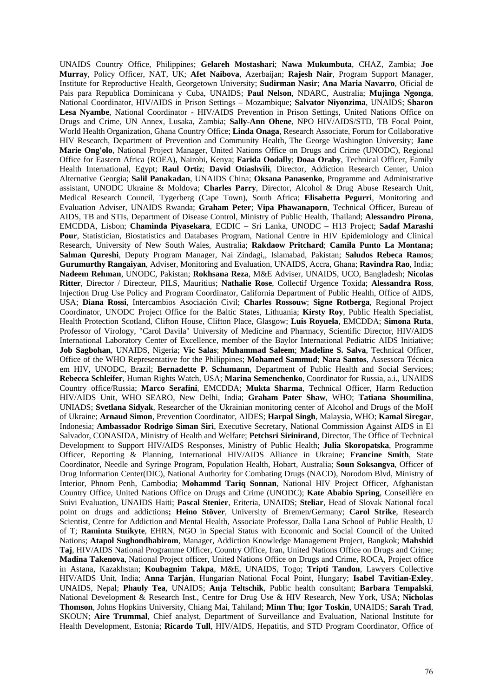UNAIDS Country Office, Philippines; **Gelareh Mostashari**; **Nawa Mukumbuta**, CHAZ, Zambia; **Joe Murray**, Policy Officer, NAT, UK; **Afet Naibova**, Azerbaijan; **Rajesh Nair**, Program Support Manager, Institute for Reproductive Health, Georgetown University; **Sudirman Nasir**; **Ana Maria Navarro**, Oficial de Pais para Republica Dominicana y Cuba, UNAIDS; **Paul Nelson**, NDARC, Australia; **Mujinga Ngonga**, National Coordinator, HIV/AIDS in Prison Settings – Mozambique; **Salvator Niyonzima**, UNAIDS; **Sharon Lesa Nyambe**, National Coordinator - HIV/AIDS Prevention in Prison Settings, United Nations Office on Drugs and Crime, UN Annex, Lusaka, Zambia; **Sally-Ann Ohene**, NPO HIV/AIDS/STD, TB Focal Point, World Health Organization, Ghana Country Office; **Linda Onaga**, Research Associate, Forum for Collaborative HIV Research, Department of Prevention and Community Health, The George Washington University; **Jane Marie Ong'olo**, National Project Manager, United Nations Office on Drugs and Crime (UNODC), Regional Office for Eastern Africa (ROEA), Nairobi, Kenya; **Farida Oodally**; **Doaa Oraby**, Technical Officer, Family Health International, Egypt; **Raul Ortiz**; **David Otiashvili**, Director, Addiction Research Center, Union Alternative Georgia; **Salil Panakadan**, UNAIDS China; **Oksana Panasenko**, Programme and Administrative assistant, UNODC Ukraine & Moldova; **Charles Parry**, Director, Alcohol & Drug Abuse Research Unit, Medical Research Council, Tygerberg (Cape Town), South Africa; **Elisabetta Pegurri**, Monitoring and Evaluation Adviser, UNAIDS Rwanda; **Graham Peter**; **Vipa Phawanaporn**, Technical Officer, Bureau of AIDS, TB and STIs, Department of Disease Control, Ministry of Public Health, Thailand; **Alessandro Pirona**, EMCDDA, Lisbon; **Chaminda Piyasekara**, ECDIC – Sri Lanka, UNODC – H13 Project; **Sadaf Marashi Pour**, Statistician, Biostatistics and Databases Program, National Centre in HIV Epidemiology and Clinical Research, University of New South Wales, Australia; **Rakdaow Pritchard**; **Camila Punto La Montana; Salman Qureshi**, Deputy Program Manager, Nai Zindagi,, Islamabad, Pakistan; **Saludos Rebeca Ramos**; **Gurumurthy Rangaiyan**, Adviser, Monitoring and Evaluation, UNAIDS, Accra, Ghana; **Ravindra Rao**, India; **Nadeem Rehman**, UNODC, Pakistan; **Rokhsana Reza**, M&E Adviser, UNAIDS, UCO, Bangladesh; **Nicolas Ritter**, Director / Directeur, PILS, Mauritius; **Nathalie Rose**, Collectif Urgence Toxida; **Alessandra Ross**, Injection Drug Use Policy and Program Coordinator, California Department of Public Health, Office of AIDS, USA; **Diana Rossi**, Intercambios Asociación Civil; **Charles Rossouw**; **Signe Rotberga**, Regional Project Coordinator, UNODC Project Office for the Baltic States, Lithuania; **Kirsty Roy**, Public Health Specialist, Health Protection Scotland, Clifton House, Clifton Place, Glasgow; **Luis Royuela**, EMCDDA; **Simona Ruta**, Professor of Virology, "Carol Davila" University of Medicine and Pharmacy, Scientific Director, HIV/AIDS International Laboratory Center of Excellence, member of the Baylor International Pediatric AIDS Initiative; **Job Sagbohan**, UNAIDS, Nigeria; **Vic Salas**; **Muhammad Saleem**; **Madeline S. Salva**, Technical Officer, Office of the WHO Representative for the Philippines; **Mohamed Sammud**; **Nara Santos**, Assessora Técnica em HIV, UNODC, Brazil; **Bernadette P. Schumann**, Department of Public Health and Social Services; **Rebecca Schleifer**, Human Rights Watch, USA; **Marina Semenchenko**, Coordinator for Russia, a.i., UNAIDS Country office/Russia; **Marco Serafini**, EMCDDA; **Mukta Sharma**, Technical Officer, Harm Reduction HIV/AIDS Unit, WHO SEARO, New Delhi, India; **Graham Pater Shaw**, WHO; **Tatiana Shoumilina**, UNIADS; **Svetlana Sidyak**, Researcher of the Ukrainian monitoring center of Alcohol and Drugs of the MoH of Ukraine; **Arnaud Simon**, Prevention Coordinator, AIDES; **Harpal Singh**, Malaysia, WHO; **Kamal Siregar**, Indonesia; **Ambassador Rodrigo Siman Siri**, Executive Secretary, National Commission Against AIDS in El Salvador, CONASIDA, Ministry of Health and Welfare; **Petchsri Sirinirand**, Director, The Office of Technical Development to Support HIV/AIDS Responses, Ministry of Public Health; **Julia Skoropatska**, Programme Officer, Reporting & Planning, International HIV/AIDS Alliance in Ukraine; **Francine Smith**, State Coordinator, Needle and Syringe Program, Population Health, Hobart, Australia; **Soun Soksangva**, Officer of Drug Information Center(DIC), National Authority for Combating Drugs (NACD), Norodom Blvd, Ministry of Interior, Phnom Penh, Cambodia; **Mohammd Tariq Sonnan**, National HIV Project Officer, Afghanistan Country Office, United Nations Office on Drugs and Crime (UNODC); **Kate Ababio Spring**, Conseillère en Suivi Evaluation, UNAIDS Haiti; **Pascal Stenier**, Eriteria, UNAIDS; **Steliar**, Head of Slovak National focal point on drugs and addictions**; Heino Stöver**, University of Bremen/Germany; **Carol Strike**, Research Scientist, Centre for Addiction and Mental Health, Associate Professor, Dalla Lana School of Public Health, U of T; **Raminta Stuikyte**, EHRN, NGO in Special Status with Economic and Social Council of the United Nations; **Atapol Sughondhabirom**, Manager, Addiction Knowledge Management Project, Bangkok; **Mahshid Taj**, HIV/AIDS National Programme Officer, Country Office, Iran, United Nations Office on Drugs and Crime; **Madina Takenova**, National Project officer, United Nations Office on Drugs and Crime, ROCA, Project office in Astana, Kazakhstan; **Koubagnim Takpa**, M&E, UNAIDS, Togo; **Tripti Tandon**, Lawyers Collective HIV/AIDS Unit, India; **Anna Tarján**, Hungarian National Focal Point, Hungary; **Isabel Tavitian-Exley**, UNAIDS, Nepal; **Phauly Tea**, UNAIDS; **Anja Teltschik**, Public health consultant; **Barbara Tempalski**, National Development & Research Inst., Centre for Drug Use & HIV Research, New York, USA; **Nicholas Thomson**, Johns Hopkins University, Chiang Mai, Tahiland; **Minn Thu**; **Igor Toskin**, UNAIDS; **Sarah Trad**, SKOUN; **Aire Trummal**, Chief analyst, Department of Surveillance and Evaluation, National Institute for Health Development, Estonia; **Ricardo Tull**, HIV/AIDS, Hepatitis, and STD Program Coordinator, Office of